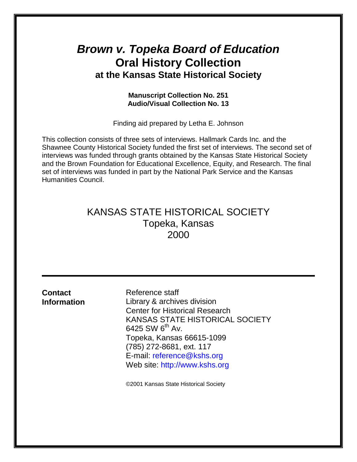# *Brown v. Topeka Board of Education* **Oral History Collection at the Kansas State Historical Society**

# **Manuscript Collection No. 251 Audio/Visual Collection No. 13**

Finding aid prepared by Letha E. Johnson

This collection consists of three sets of interviews. Hallmark Cards Inc. and the Shawnee County Historical Society funded the first set of interviews. The second set of interviews was funded through grants obtained by the Kansas State Historical Society and the Brown Foundation for Educational Excellence, Equity, and Research. The final set of interviews was funded in part by the National Park Service and the Kansas Humanities Council.

# KANSAS STATE HISTORICAL SOCIETY Topeka, Kansas 2000

| <b>Contact</b><br><b>Information</b> | Reference staff<br>Library & archives division<br><b>Center for Historical Research</b><br>KANSAS STATE HISTORICAL SOCIETY<br>6425 SW 6 <sup>th</sup> Av.<br>Topeka, Kansas 66615-1099<br>(785) 272-8681, ext. 117<br>E-mail: reference@kshs.org<br>Web site: http://www.kshs.org |
|--------------------------------------|-----------------------------------------------------------------------------------------------------------------------------------------------------------------------------------------------------------------------------------------------------------------------------------|
|                                      | ©2001 Kansas State Historical Society                                                                                                                                                                                                                                             |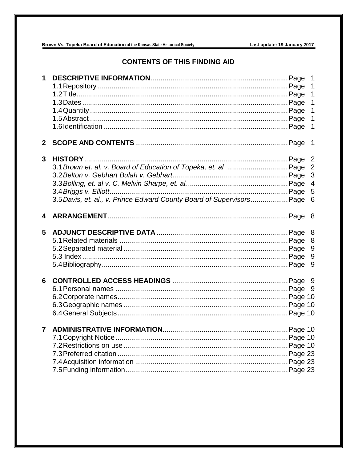Brown Vs. Topeka Board of Education at the Kansas State Historical Society

# **CONTENTS OF THIS FINDING AID**

| 1            |                                                                       | 1<br>$\mathbf 1$<br>$\mathbf 1$<br>$\mathbf 1$<br>$\mathbf{1}$<br>$\mathbf 1$<br>$\mathbf{1}$ |
|--------------|-----------------------------------------------------------------------|-----------------------------------------------------------------------------------------------|
| $\mathbf{2}$ |                                                                       | $\overline{1}$                                                                                |
| 3            | 3.5 Davis, et. al., v. Prince Edward County Board of Supervisors Page | $\overline{2}$<br>$\overline{2}$<br>3<br>$\overline{4}$<br>5<br>6                             |
| 4            |                                                                       |                                                                                               |
| 5            |                                                                       | 8<br>8<br>9<br>9<br>9                                                                         |
| 6            |                                                                       |                                                                                               |
|              |                                                                       |                                                                                               |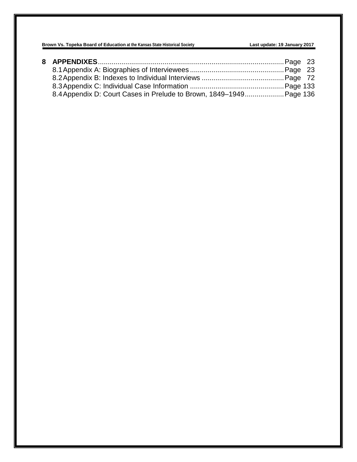| 8.4 Appendix D: Court Cases in Prelude to Brown, 1849–1949 Page 136 |  |
|---------------------------------------------------------------------|--|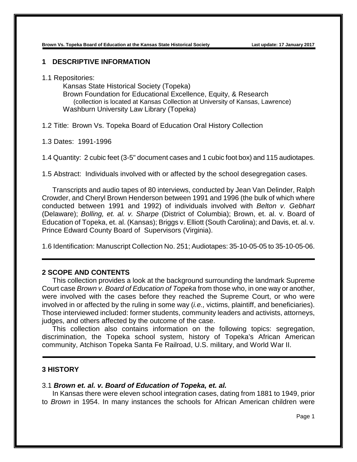# **1 DESCRIPTIVE INFORMATION**

1.1 Repositories:

Kansas State Historical Society (Topeka) Brown Foundation for Educational Excellence, Equity, & Research (collection is located at Kansas Collection at University of Kansas, Lawrence) Washburn University Law Library (Topeka)

1.2 Title: Brown Vs. Topeka Board of Education Oral History Collection

1.3 Dates: 1991-1996

1.4 Quantity: 2 cubic feet (3-5" document cases and 1 cubic foot box) and 115 audiotapes.

1.5 Abstract: Individuals involved with or affected by the school desegregation cases.

Transcripts and audio tapes of 80 interviews, conducted by Jean Van Delinder, Ralph Crowder, and Cheryl Brown Henderson between 1991 and 1996 (the bulk of which where conducted between 1991 and 1992) of individuals involved with *Belton v. Gebhart* (Delaware); *Bolling, et. al. v. Sharpe* (District of Columbia); Brown, et. al. v. Board of Education of Topeka, et. al. (Kansas); Briggs v. Elliott (South Carolina); and Davis, et. al. v. Prince Edward County Board of Supervisors (Virginia).

1.6 Identification: Manuscript Collection No. 251; Audiotapes: 35-10-05-05 to 35-10-05-06.

# **2 SCOPE AND CONTENTS**

This collection provides a look at the background surrounding the landmark Supreme Court case *Brown v. Board of Education of Topeka* from those who, in one way or another, were involved with the cases before they reached the Supreme Court, or who were involved in or affected by the ruling in some way (*i.e.,* victims, plaintiff, and beneficiaries). Those interviewed included: former students, community leaders and activists, attorneys, judges, and others affected by the outcome of the case.

This collection also contains information on the following topics: segregation, discrimination, the Topeka school system, history of Topeka's African American community, Atchison Topeka Santa Fe Railroad, U.S. military, and World War II.

# **3 HISTORY**

#### 3.1 *Brown et. al. v. Board of Education of Topeka, et. al.*

In Kansas there were eleven school integration cases, dating from 1881 to 1949, prior to *Brown* in 1954. In many instances the schools for African American children were

Page 1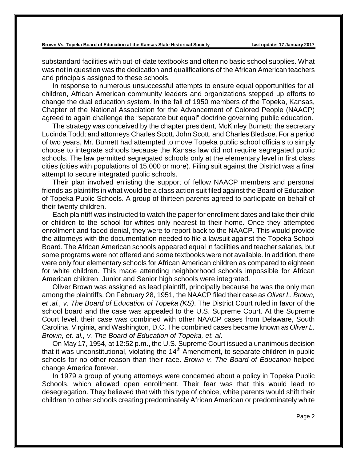substandard facilities with out-of-date textbooks and often no basic school supplies. What was not in question was the dedication and qualifications of the African American teachers and principals assigned to these schools.

In response to numerous unsuccessful attempts to ensure equal opportunities for all children, African American community leaders and organizations stepped up efforts to change the dual education system. In the fall of 1950 members of the Topeka, Kansas, Chapter of the National Association for the Advancement of Colored People (NAACP) agreed to again challenge the "separate but equal" doctrine governing public education.

The strategy was conceived by the chapter president, McKinley Burnett; the secretary Lucinda Todd; and attorneys Charles Scott, John Scott, and Charles Bledsoe. For a period of two years, Mr. Burnett had attempted to move Topeka public school officials to simply choose to integrate schools because the Kansas law did not require segregated public schools. The law permitted segregated schools only at the elementary level in first class cities (cities with populations of 15,000 or more). Filing suit against the District was a final attempt to secure integrated public schools.

Their plan involved enlisting the support of fellow NAACP members and personal friends as plaintiffs in what would be a class action suit filed against the Board of Education of Topeka Public Schools. A group of thirteen parents agreed to participate on behalf of their twenty children.

Each plaintiff was instructed to watch the paper for enrollment dates and take their child or children to the school for whites only nearest to their home. Once they attempted enrollment and faced denial, they were to report back to the NAACP. This would provide the attorneys with the documentation needed to file a lawsuit against the Topeka School Board. The African American schools appeared equal in facilities and teacher salaries, but some programs were not offered and some textbooks were not available. In addition, there were only four elementary schools for African American children as compared to eighteen for white children. This made attending neighborhood schools impossible for African American children. Junior and Senior high schools were integrated.

Oliver Brown was assigned as lead plaintiff, principally because he was the only man among the plaintiffs. On February 28, 1951, the NAACP filed their case as *Oliver L. Brown, et .al., v. The Board of Education of Topeka (KS)*. The District Court ruled in favor of the school board and the case was appealed to the U.S. Supreme Court. At the Supreme Court level, their case was combined with other NAACP cases from Delaware, South Carolina, Virginia, and Washington, D.C. The combined cases became known as *Oliver L. Brown, et. al., v. The Board of Education of Topeka, et. al*.

On May 17, 1954, at 12:52 p.m., the U.S. Supreme Court issued a unanimous decision that it was unconstitutional, violating the  $14<sup>th</sup>$  Amendment, to separate children in public schools for no other reason than their race. *Brown v. The Board of Education* helped change America forever.

In 1979 a group of young attorneys were concerned about a policy in Topeka Public Schools, which allowed open enrollment. Their fear was that this would lead to desegregation. They believed that with this type of choice, white parents would shift their children to other schools creating predominately African American or predominately white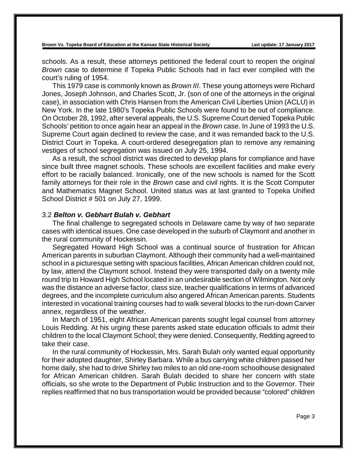schools. As a result, these attorneys petitioned the federal court to reopen the original *Brown* case to determine if Topeka Public Schools had in fact ever complied with the court's ruling of 1954.

This 1979 case is commonly known as *Brown III*. These young attorneys were Richard Jones, Joseph Johnson, and Charles Scott, Jr. (son of one of the attorneys in the original case), in association with Chris Hansen from the American Civil Liberties Union (ACLU) in New York. In the late 1980's Topeka Public Schools were found to be out of compliance. On October 28, 1992, after several appeals, the U.S. Supreme Court denied Topeka Public Schools' petition to once again hear an appeal in the *Brown* case. In June of 1993 the U.S. Supreme Court again declined to review the case, and it was remanded back to the U.S. District Court in Topeka. A court-ordered desegregation plan to remove any remaining vestiges of school segregation was issued on July 25, 1994.

As a result, the school district was directed to develop plans for compliance and have since built three magnet schools. These schools are excellent facilities and make every effort to be racially balanced. Ironically, one of the new schools is named for the Scott family attorneys for their role in the *Brown* case and civil rights. It is the Scott Computer and Mathematics Magnet School. United status was at last granted to Topeka Unified School District # 501 on July 27, 1999.

# 3.2 *Belton v. Gebhart Bulah v. Gebhart*

The final challenge to segregated schools in Delaware came by way of two separate cases with identical issues. One case developed in the suburb of Claymont and another in the rural community of Hockessin.

Segregated Howard High School was a continual source of frustration for African American parents in suburban Claymont. Although their community had a well-maintained school in a picturesque setting with spacious facilities, African American children could not, by law, attend the Claymont school. Instead they were transported daily on a twenty mile round trip to Howard High School located in an undesirable section of Wilmington. Not only was the distance an adverse factor, class size, teacher qualifications in terms of advanced degrees, and the incomplete curriculum also angered African American parents. Students interested in vocational training courses had to walk several blocks to the run-down Carver annex, regardless of the weather.

In March of 1951, eight African American parents sought legal counsel from attorney Louis Redding. At his urging these parents asked state education officials to admit their children to the local Claymont School; they were denied. Consequently, Redding agreed to take their case.

In the rural community of Hockessin, Mrs. Sarah Bulah only wanted equal opportunity for their adopted daughter, Shirley Barbara. While a bus carrying white children passed her home daily, she had to drive Shirley two miles to an old one-room schoolhouse designated for African American children. Sarah Bulah decided to share her concern with state officials, so she wrote to the Department of Public Instruction and to the Governor. Their replies reaffirmed that no bus transportation would be provided because "colored" children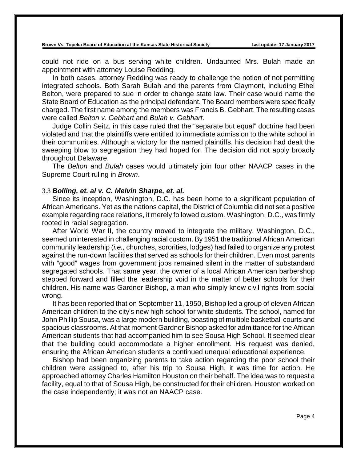could not ride on a bus serving white children. Undaunted Mrs. Bulah made an appointment with attorney Louise Redding.

In both cases, attorney Redding was ready to challenge the notion of not permitting integrated schools. Both Sarah Bulah and the parents from Claymont, including Ethel Belton, were prepared to sue in order to change state law. Their case would name the State Board of Education as the principal defendant. The Board members were specifically charged. The first name among the members was Francis B. Gebhart. The resulting cases were called *Belton v. Gebhart* and *Bulah v. Gebhart*.

Judge Collin Seitz, in this case ruled that the "separate but equal" doctrine had been violated and that the plaintiffs were entitled to immediate admission to the white school in their communities. Although a victory for the named plaintiffs, his decision had dealt the sweeping blow to segregation they had hoped for. The decision did not apply broadly throughout Delaware.

The *Belton* and *Bulah* cases would ultimately join four other NAACP cases in the Supreme Court ruling in *Brown*.

### 3.3 *Bolling, et. al v. C. Melvin Sharpe, et. al.*

Since its inception, Washington, D.C. has been home to a significant population of African Americans. Yet as the nations capital, the District of Columbia did not set a positive example regarding race relations, it merely followed custom. Washington, D.C., was firmly rooted in racial segregation.

After World War II, the country moved to integrate the military, Washington, D.C., seemed uninterested in challenging racial custom. By 1951 the traditional African American community leadership (*i.e.,* churches, sororities, lodges) had failed to organize any protest against the run-down facilities that served as schools for their children. Even most parents with "good" wages from government jobs remained silent in the matter of substandard segregated schools. That same year, the owner of a local African American barbershop stepped forward and filled the leadership void in the matter of better schools for their children. His name was Gardner Bishop, a man who simply knew civil rights from social wrong.

It has been reported that on September 11, 1950, Bishop led a group of eleven African American children to the city's new high school for white students. The school, named for John Phillip Sousa, was a large modern building, boasting of multiple basketball courts and spacious classrooms. At that moment Gardner Bishop asked for admittance for the African American students that had accompanied him to see Sousa High School. It seemed clear that the building could accommodate a higher enrollment. His request was denied, ensuring the African American students a continued unequal educational experience.

Bishop had been organizing parents to take action regarding the poor school their children were assigned to, after his trip to Sousa High, it was time for action. He approached attorney Charles Hamilton Houston on their behalf. The idea was to request a facility, equal to that of Sousa High, be constructed for their children. Houston worked on the case independently; it was not an NAACP case.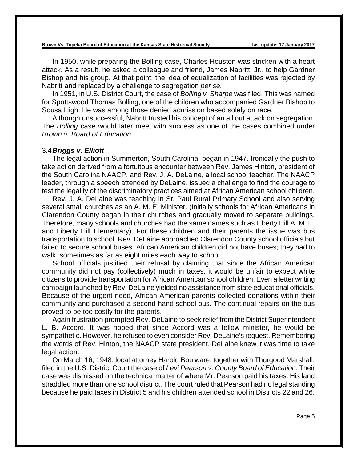In 1950, while preparing the Bolling case, Charles Houston was stricken with a heart attack. As a result, he asked a colleague and friend, James Nabritt, Jr., to help Gardner Bishop and his group. At that point, the idea of equalization of facilities was rejected by Nabritt and replaced by a challenge to segregation *per se.*

In 1951, in U.S. District Court, the case of *Bolling v. Sharpe* was filed. This was named for Spottswood Thomas Bolling, one of the children who accompanied Gardner Bishop to Sousa High. He was among those denied admission based solely on race.

Although unsuccessful, Nabritt trusted his concept of an all out attack on segregation. The *Bolling* case would later meet with success as one of the cases combined under *Brown v. Board of Education*.

#### 3.4*Briggs v. Elliott*

The legal action in Summerton, South Carolina, began in 1947. Ironically the push to take action derived from a fortuitous encounter between Rev. James Hinton, president of the South Carolina NAACP, and Rev. J. A. DeLaine, a local school teacher. The NAACP leader, through a speech attended by DeLaine, issued a challenge to find the courage to test the legality of the discriminatory practices aimed at African American school children.

Rev. J. A. DeLaine was teaching in St. Paul Rural Primary School and also serving several small churches as an A. M. E. Minister. (Initially schools for African Americans in Clarendon County began in their churches and gradually moved to separate buildings. Therefore, many schools and churches had the same names such as Liberty Hill A. M. E. and Liberty Hill Elementary). For these children and their parents the issue was bus transportation to school. Rev. DeLaine approached Clarendon County school officials but failed to secure school buses. African American children did not have buses; they had to walk, sometimes as far as eight miles each way to school.

School officials justified their refusal by claiming that since the African American community did not pay (collectively) much in taxes, it would be unfair to expect white citizens to provide transportation for African American school children. Even a letter writing campaign launched by Rev. DeLaine yielded no assistance from state educational officials. Because of the urgent need, African American parents collected donations within their community and purchased a second-hand school bus. The continual repairs on the bus proved to be too costly for the parents.

Again frustration prompted Rev. DeLaine to seek relief from the District Superintendent L. B. Accord. It was hoped that since Accord was a fellow minister, he would be sympathetic. However, he refused to even consider Rev. DeLaine's request. Remembering the words of Rev. Hinton, the NAACP state president, DeLaine knew it was time to take legal action.

On March 16, 1948, local attorney Harold Boulware, together with Thurgood Marshall, filed in the U.S. District Court the case of *Levi Pearson v. County Board of Education*. Their case was dismissed on the technical matter of where Mr. Pearson paid his taxes. His land straddled more than one school district. The court ruled that Pearson had no legal standing because he paid taxes in District 5 and his children attended school in Districts 22 and 26.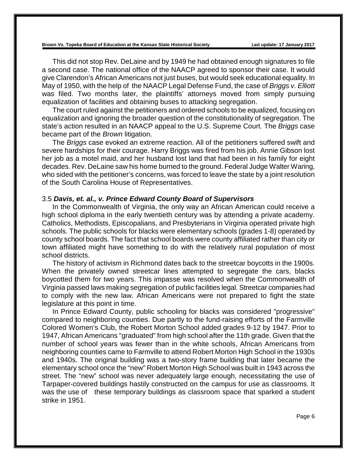This did not stop Rev. DeLaine and by 1949 he had obtained enough signatures to file a second case. The national office of the NAACP agreed to sponsor their case. It would give Clarendon's African Americans not just buses, but would seek educational equality. In May of 1950, with the help of the NAACP Legal Defense Fund, the case of *Briggs v. Elliott* was filed. Two months later, the plaintiffs' attorneys moved from simply pursuing equalization of facilities and obtaining buses to attacking segregation.

The court ruled against the petitioners and ordered schools to be equalized, focusing on equalization and ignoring the broader question of the constitutionality of segregation. The state's action resulted in an NAACP appeal to the U.S. Supreme Court. The *Briggs* case became part of the *Brown* litigation.

The *Briggs* case evoked an extreme reaction. All of the petitioners suffered swift and severe hardships for their courage. Harry Briggs was fired from his job. Annie Gibson lost her job as a motel maid, and her husband lost land that had been in his family for eight decades. Rev. DeLaine saw his home burned to the ground. Federal Judge Walter Waring, who sided with the petitioner's concerns, was forced to leave the state by a joint resolution of the South Carolina House of Representatives.

### 3.5 *Davis, et. al., v. Prince Edward County Board of Supervisors*

In the Commonwealth of Virginia, the only way an African American could receive a high school diploma in the early twentieth century was by attending a private academy. Catholics, Methodists, Episcopalians, and Presbyterians in Virginia operated private high schools. The public schools for blacks were elementary schools (grades 1-8) operated by county school boards. The fact that school boards were county affiliated rather than city or town affiliated might have something to do with the relatively rural population of most school districts.

The history of activism in Richmond dates back to the streetcar boycotts in the 1900s. When the privately owned streetcar lines attempted to segregate the cars, blacks boycotted them for two years. This impasse was resolved when the Commonwealth of Virginia passed laws making segregation of public facilities legal. Streetcar companies had to comply with the new law. African Americans were not prepared to fight the state legislature at this point in time.

In Prince Edward County, public schooling for blacks was considered "progressive" compared to neighboring counties. Due partly to the fund-raising efforts of the Farmville Colored Women's Club, the Robert Morton School added grades 9-12 by 1947. Prior to 1947, African Americans "graduated" from high school after the 11th grade. Given that the number of school years was fewer than in the white schools, African Americans from neighboring counties came to Farmville to attend Robert Morton High School in the 1930s and 1940s. The original building was a two-story frame building that later became the elementary school once the "new" Robert Morton High School was built in 1943 across the street. The "new" school was never adequately large enough, necessitating the use of Tarpaper-covered buildings hastily constructed on the campus for use as classrooms. It was the use of these temporary buildings as classroom space that sparked a student strike in 1951.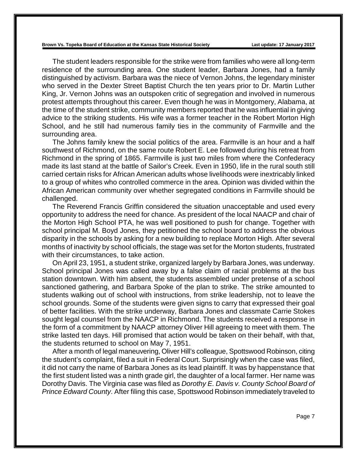The student leaders responsible for the strike were from families who were all long-term residence of the surrounding area. One student leader, Barbara Jones, had a family distinguished by activism. Barbara was the niece of Vernon Johns, the legendary minister who served in the Dexter Street Baptist Church the ten years prior to Dr. Martin Luther King, Jr. Vernon Johns was an outspoken critic of segregation and involved in numerous protest attempts throughout this career. Even though he was in Montgomery, Alabama, at the time of the student strike, community members reported that he was influential in giving advice to the striking students. His wife was a former teacher in the Robert Morton High School, and he still had numerous family ties in the community of Farmville and the surrounding area.

The Johns family knew the social politics of the area. Farmville is an hour and a half southwest of Richmond, on the same route Robert E. Lee followed during his retreat from Richmond in the spring of 1865. Farmville is just two miles from where the Confederacy made its last stand at the battle of Sailor's Creek. Even in 1950, life in the rural south still carried certain risks for African American adults whose livelihoods were inextricably linked to a group of whites who controlled commerce in the area. Opinion was divided within the African American community over whether segregated conditions in Farmville should be challenged.

The Reverend Francis Griffin considered the situation unacceptable and used every opportunity to address the need for chance. As president of the local NAACP and chair of the Morton High School PTA, he was well positioned to push for change. Together with school principal M. Boyd Jones, they petitioned the school board to address the obvious disparity in the schools by asking for a new building to replace Morton High. After several months of inactivity by school officials, the stage was set for the Morton students, frustrated with their circumstances, to take action.

On April 23, 1951, a student strike, organized largely by Barbara Jones, was underway. School principal Jones was called away by a false claim of racial problems at the bus station downtown. With him absent, the students assembled under pretense of a school sanctioned gathering, and Barbara Spoke of the plan to strike. The strike amounted to students walking out of school with instructions, from strike leadership, not to leave the school grounds. Some of the students were given signs to carry that expressed their goal of better facilities. With the strike underway, Barbara Jones and classmate Carrie Stokes sought legal counsel from the NAACP in Richmond. The students received a response in the form of a commitment by NAACP attorney Oliver Hill agreeing to meet with them. The strike lasted ten days. Hill promised that action would be taken on their behalf, with that, the students returned to school on May 7, 1951.

After a month of legal maneuvering, Oliver Hill's colleague, Spottswood Robinson, citing the student's complaint, filed a suit in Federal Court. Surprisingly when the case was filed, it did not carry the name of Barbara Jones as its lead plaintiff. It was by happenstance that the first student listed was a ninth grade girl, the daughter of a local farmer. Her name was Dorothy Davis. The Virginia case was filed as *Dorothy E. Davis v. County School Board of Prince Edward County*. After filing this case, Spottswood Robinson immediately traveled to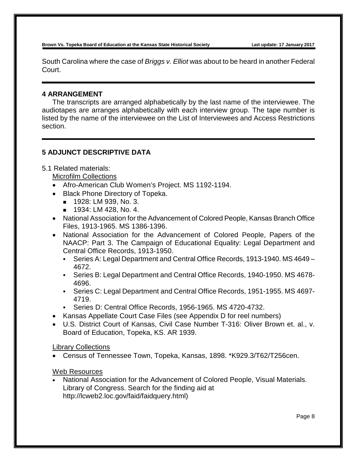South Carolina where the case of *Briggs v. Elliot* was about to be heard in another Federal Court.

# **4 ARRANGEMENT**

The transcripts are arranged alphabetically by the last name of the interviewee. The audiotapes are arranges alphabetically with each interview group. The tape number is listed by the name of the interviewee on the List of Interviewees and Access Restrictions section.

# **5 ADJUNCT DESCRIPTIVE DATA**

5.1 Related materials:

Microfilm Collections

- Afro-American Club Women's Project. MS 1192-1194.
- Black Phone Directory of Topeka.
	- **1928: LM 939, No. 3.**
	- **1934: LM 428, No. 4.**
- National Association for the Advancement of Colored People, Kansas Branch Office Files, 1913-1965. MS 1386-1396.
- National Association for the Advancement of Colored People, Papers of the NAACP: Part 3. The Campaign of Educational Equality: Legal Department and Central Office Records, 1913-1950.
	- Series A: Legal Department and Central Office Records, 1913-1940. MS 4649 4672.
	- Series B: Legal Department and Central Office Records, 1940-1950. MS 4678- 4696.
	- Series C: Legal Department and Central Office Records, 1951-1955. MS 4697- 4719.
	- Series D: Central Office Records, 1956-1965. MS 4720-4732.
- Kansas Appellate Court Case Files (see Appendix D for reel numbers)
- U.S. District Court of Kansas, Civil Case Number T-316: Oliver Brown et. al., v. Board of Education, Topeka, KS. AR 1939.

# Library Collections

• Census of Tennessee Town, Topeka, Kansas, 1898. \*K929.3/T62/T256cen.

# Web Resources

• National Association for the Advancement of Colored People, Visual Materials. Library of Congress. Search for the finding aid at http://lcweb2.loc.gov/faid/faidquery.html)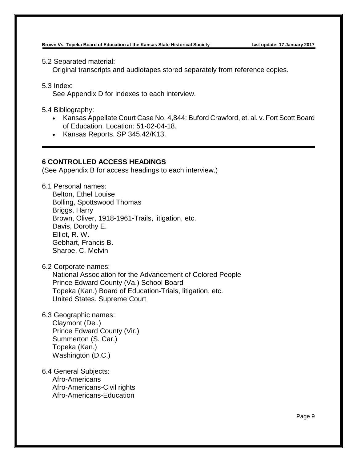5.2 Separated material:

Original transcripts and audiotapes stored separately from reference copies.

5.3 Index:

See Appendix D for indexes to each interview.

5.4 Bibliography:

- Kansas Appellate Court Case No. 4,844: Buford Crawford, et. al. v. Fort Scott Board of Education. Location: 51-02-04-18.
- Kansas Reports. SP 345.42/K13.

# **6 CONTROLLED ACCESS HEADINGS**

(See Appendix B for access headings to each interview.)

6.1 Personal names:

Belton, Ethel Louise Bolling, Spottswood Thomas Briggs, Harry Brown, Oliver, 1918-1961-Trails, litigation, etc. Davis, Dorothy E. Elliot, R. W. Gebhart, Francis B. Sharpe, C. Melvin

6.2 Corporate names:

National Association for the Advancement of Colored People Prince Edward County (Va.) School Board Topeka (Kan.) Board of Education-Trials, litigation, etc. United States. Supreme Court

6.3 Geographic names:

Claymont (Del.) Prince Edward County (Vir.) Summerton (S. Car.) Topeka (Kan.) Washington (D.C.)

6.4 General Subjects: Afro-Americans Afro-Americans-Civil rights Afro-Americans-Education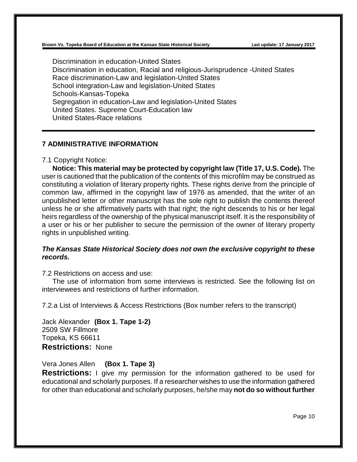Discrimination in education-United States Discrimination in education, Racial and religious-Jurisprudence -United States Race discrimination-Law and legislation-United States School integration-Law and legislation-United States Schools-Kansas-Topeka Segregation in education-Law and legislation-United States United States. Supreme Court-Education law United States-Race relations

# **7 ADMINISTRATIVE INFORMATION**

# 7.1 Copyright Notice:

**Notice: This material may be protected by copyright law (Title 17, U.S. Code).** The user is cautioned that the publication of the contents of this microfilm may be construed as constituting a violation of literary property rights. These rights derive from the principle of common law, affirmed in the copyright law of 1976 as amended, that the writer of an unpublished letter or other manuscript has the sole right to publish the contents thereof unless he or she affirmatively parts with that right; the right descends to his or her legal heirs regardless of the ownership of the physical manuscript itself. It is the responsibility of a user or his or her publisher to secure the permission of the owner of literary property rights in unpublished writing.

# *The Kansas State Historical Society does not own the exclusive copyright to these records.*

7.2 Restrictions on access and use:

The use of information from some interviews is restricted. See the following list on interviewees and restrictions of further information.

7.2.a List of Interviews & Access Restrictions (Box number refers to the transcript)

Jack Alexander **(Box 1. Tape 1-2)** 2509 SW Fillmore Topeka, KS 66611 **Restrictions:** None

Vera Jones Allen **(Box 1. Tape 3)**

**Restrictions:** I give my permission for the information gathered to be used for educational and scholarly purposes. If a researcher wishes to use the information gathered for other than educational and scholarly purposes, he/she may **not do so without further**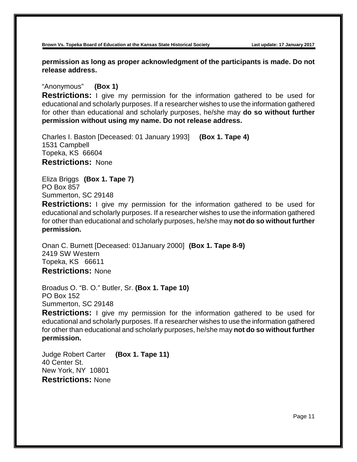**permission as long as proper acknowledgment of the participants is made. Do not release address.**

# "Anonymous" **(Box 1)**

**Restrictions:** I give my permission for the information gathered to be used for educational and scholarly purposes. If a researcher wishes to use the information gathered for other than educational and scholarly purposes, he/she may **do so without further permission without using my name. Do not release address.**

Charles I. Baston [Deceased: 01 January 1993] **(Box 1. Tape 4)** 1531 Campbell Topeka, KS 66604 **Restrictions:** None

Eliza Briggs **(Box 1. Tape 7)** PO Box 857 Summerton, SC 29148

**Restrictions:** I give my permission for the information gathered to be used for educational and scholarly purposes. If a researcher wishes to use the information gathered for other than educational and scholarly purposes, he/she may **not do so without further permission.**

Onan C. Burnett [Deceased: 01January 2000] **(Box 1. Tape 8-9)** 2419 SW Western Topeka, KS 66611 **Restrictions:** None

Broadus O. "B. O." Butler, Sr. **(Box 1. Tape 10)** PO Box 152 Summerton, SC 29148

**Restrictions:** I give my permission for the information gathered to be used for educational and scholarly purposes. If a researcher wishes to use the information gathered for other than educational and scholarly purposes, he/she may **not do so without further permission.** 

Judge Robert Carter **(Box 1. Tape 11)** 40 Center St. New York, NY 10801 **Restrictions:** None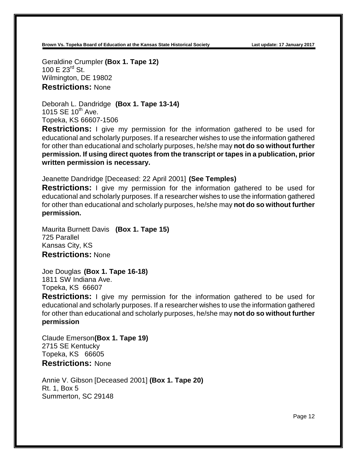Geraldine Crumpler **(Box 1. Tape 12)** 100 E  $23^{\text{rd}}$  St. Wilmington, DE 19802 **Restrictions:** None

Deborah L. Dandridge **(Box 1. Tape 13-14)** 1015 SE  $10^{th}$  Ave. Topeka, KS 66607-1506

**Restrictions:** I give my permission for the information gathered to be used for educational and scholarly purposes. If a researcher wishes to use the information gathered for other than educational and scholarly purposes, he/she may **not do so without further permission. If using direct quotes from the transcript or tapes in a publication, prior written permission is necessary.**

Jeanette Dandridge [Deceased: 22 April 2001] **(See Temples)**

**Restrictions:** I give my permission for the information gathered to be used for educational and scholarly purposes. If a researcher wishes to use the information gathered for other than educational and scholarly purposes, he/she may **not do so without further permission.**

Maurita Burnett Davis **(Box 1. Tape 15)** 725 Parallel Kansas City, KS **Restrictions:** None

Joe Douglas **(Box 1. Tape 16-18)** 1811 SW Indiana Ave. Topeka, KS 66607

**Restrictions:** I give my permission for the information gathered to be used for educational and scholarly purposes. If a researcher wishes to use the information gathered for other than educational and scholarly purposes, he/she may **not do so without further permission**

Claude Emerson**(Box 1. Tape 19)** 2715 SE Kentucky Topeka, KS 66605 **Restrictions:** None

Annie V. Gibson [Deceased 2001] **(Box 1. Tape 20)** Rt. 1, Box 5 Summerton, SC 29148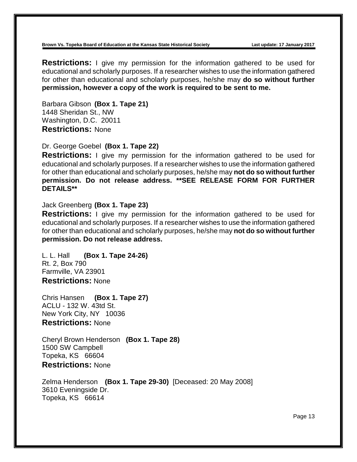**Restrictions:** I give my permission for the information gathered to be used for educational and scholarly purposes. If a researcher wishes to use the information gathered for other than educational and scholarly purposes, he/she may **do so without further permission, however a copy of the work is required to be sent to me.** 

Barbara Gibson **(Box 1. Tape 21)** 1448 Sheridan St., NW Washington, D.C. 20011 **Restrictions:** None

Dr. George Goebel **(Box 1. Tape 22)**

**Restrictions:** I give my permission for the information gathered to be used for educational and scholarly purposes. If a researcher wishes to use the information gathered for other than educational and scholarly purposes, he/she may **not do so without further permission. Do not release address. \*\*SEE RELEASE FORM FOR FURTHER DETAILS\*\***

# Jack Greenberg **(Box 1. Tape 23)**

**Restrictions:** I give my permission for the information gathered to be used for educational and scholarly purposes. If a researcher wishes to use the information gathered for other than educational and scholarly purposes, he/she may **not do so without further permission. Do not release address.**

L. L. Hall **(Box 1. Tape 24-26)** Rt. 2, Box 790 Farmville, VA 23901 **Restrictions:** None

Chris Hansen **(Box 1. Tape 27)** ACLU - 132 W. 43td St. New York City, NY 10036 **Restrictions:** None

Cheryl Brown Henderson **(Box 1. Tape 28)** 1500 SW Campbell Topeka, KS 66604 **Restrictions:** None

Zelma Henderson **(Box 1. Tape 29-30)** [Deceased: 20 May 2008] 3610 Eveningside Dr. Topeka, KS 66614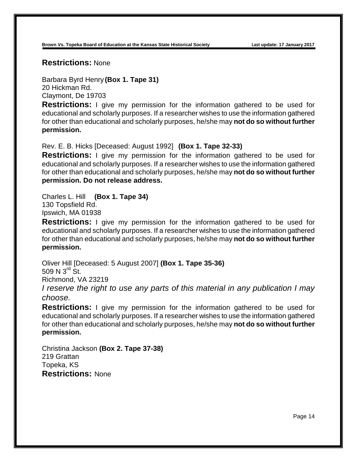**Restrictions:** None

Barbara Byrd Henry **(Box 1. Tape 31)** 20 Hickman Rd. Claymont, De 19703

**Restrictions:** I give my permission for the information gathered to be used for educational and scholarly purposes. If a researcher wishes to use the information gathered for other than educational and scholarly purposes, he/she may **not do so without further permission.** 

Rev. E. B. Hicks [Deceased: August 1992] **(Box 1. Tape 32-33)**

**Restrictions:** I give my permission for the information gathered to be used for educational and scholarly purposes. If a researcher wishes to use the information gathered for other than educational and scholarly purposes, he/she may **not do so without further permission. Do not release address.**

Charles L. Hill **(Box 1. Tape 34)** 130 Topsfield Rd. Ipswich, MA 01938

**Restrictions:** I give my permission for the information gathered to be used for educational and scholarly purposes. If a researcher wishes to use the information gathered for other than educational and scholarly purposes, he/she may **not do so without further permission.**

Oliver Hill [Deceased: 5 August 2007] **(Box 1. Tape 35-36)** 509 N  $3^{\text{rd}}$  St. Richmond, VA 23219 *I reserve the right to use any parts of this material in any publication I may* 

*choose.*

**Restrictions:** I give my permission for the information gathered to be used for educational and scholarly purposes. If a researcher wishes to use the information gathered for other than educational and scholarly purposes, he/she may **not do so without further permission.** 

Christina Jackson **(Box 2. Tape 37-38)** 219 Grattan Topeka, KS **Restrictions:** None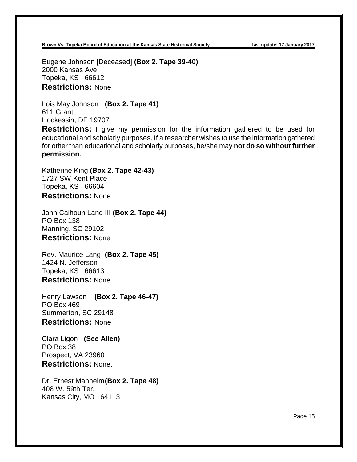Eugene Johnson [Deceased] **(Box 2. Tape 39-40)** 2000 Kansas Ave. Topeka, KS 66612 **Restrictions:** None

Lois May Johnson **(Box 2. Tape 41)** 611 Grant Hockessin, DE 19707

**Restrictions:** I give my permission for the information gathered to be used for educational and scholarly purposes. If a researcher wishes to use the information gathered for other than educational and scholarly purposes, he/she may **not do so without further permission.** 

Katherine King **(Box 2. Tape 42-43)** 1727 SW Kent Place Topeka, KS 66604 **Restrictions:** None

John Calhoun Land III **(Box 2. Tape 44)** PO Box 138 Manning, SC 29102 **Restrictions:** None

Rev. Maurice Lang **(Box 2. Tape 45)** 1424 N. Jefferson Topeka, KS 66613 **Restrictions:** None

Henry Lawson **(Box 2. Tape 46-47)** PO Box 469 Summerton, SC 29148 **Restrictions:** None

Clara Ligon **(See Allen)** PO Box 38 Prospect, VA 23960 **Restrictions:** None.

Dr. Ernest Manheim**(Box 2. Tape 48)** 408 W. 59th Ter. Kansas City, MO 64113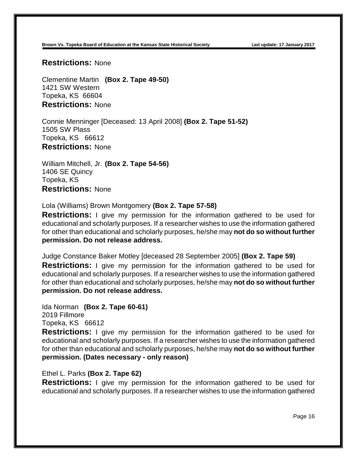**Restrictions:** None

Clementine Martin **(Box 2. Tape 49-50)** 1421 SW Western Topeka, KS 66604 **Restrictions:** None

Connie Menninger [Deceased: 13 April 2008] **(Box 2. Tape 51-52)** 1505 SW Plass Topeka, KS 66612 **Restrictions:** None

William Mitchell, Jr. **(Box 2. Tape 54-56)** 1406 SE Quincy Topeka, KS **Restrictions:** None

Lola (Williams) Brown Montgomery **(Box 2. Tape 57-58)**

**Restrictions:** I give my permission for the information gathered to be used for educational and scholarly purposes. If a researcher wishes to use the information gathered for other than educational and scholarly purposes, he/she may **not do so without further permission. Do not release address.**

Judge Constance Baker Motley [deceased 28 September 2005] **(Box 2. Tape 59) Restrictions:** I give my permission for the information gathered to be used for educational and scholarly purposes. If a researcher wishes to use the information gathered for other than educational and scholarly purposes, he/she may **not do so without further permission. Do not release address.**

Ida Norman **(Box 2. Tape 60-61)** 2019 Fillmore Topeka, KS 66612

**Restrictions:** I give my permission for the information gathered to be used for educational and scholarly purposes. If a researcher wishes to use the information gathered for other than educational and scholarly purposes, he/she may **not do so without further permission. (Dates necessary - only reason)**

# Ethel L. Parks **(Box 2. Tape 62)**

**Restrictions:** I give my permission for the information gathered to be used for educational and scholarly purposes. If a researcher wishes to use the information gathered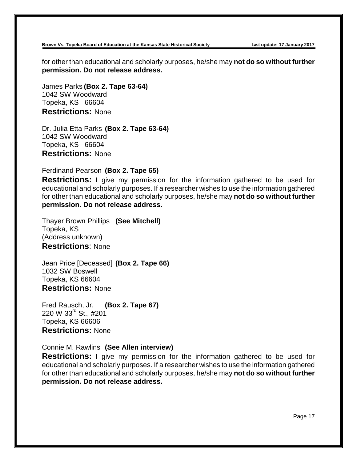for other than educational and scholarly purposes, he/she may **not do so without further permission. Do not release address.**

James Parks **(Box 2. Tape 63-64)** 1042 SW Woodward Topeka, KS 66604 **Restrictions:** None

Dr. Julia Etta Parks **(Box 2. Tape 63-64)** 1042 SW Woodward Topeka, KS 66604 **Restrictions:** None

Ferdinand Pearson **(Box 2. Tape 65)**

**Restrictions:** I give my permission for the information gathered to be used for educational and scholarly purposes. If a researcher wishes to use the information gathered for other than educational and scholarly purposes, he/she may **not do so without further permission. Do not release address.**

Thayer Brown Phillips **(See Mitchell)** Topeka, KS (Address unknown) **Restrictions**: None

Jean Price [Deceased] **(Box 2. Tape 66)** 1032 SW Boswell Topeka, KS 66604 **Restrictions:** None

Fred Rausch, Jr. **(Box 2. Tape 67)** 220 W 33rd St., #201 Topeka, KS 66606 **Restrictions:** None

Connie M. Rawlins **(See Allen interview)**

**Restrictions:** I give my permission for the information gathered to be used for educational and scholarly purposes. If a researcher wishes to use the information gathered for other than educational and scholarly purposes, he/she may **not do so without further permission. Do not release address.**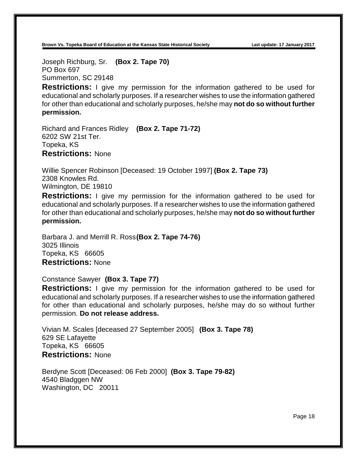Joseph Richburg, Sr. **(Box 2. Tape 70)** PO Box 697 Summerton, SC 29148

**Restrictions:** I give my permission for the information gathered to be used for educational and scholarly purposes. If a researcher wishes to use the information gathered for other than educational and scholarly purposes, he/she may **not do so without further permission.**

Richard and Frances Ridley **(Box 2. Tape 71-72)** 6202 SW 21st Ter. Topeka, KS **Restrictions:** None

Willie Spencer Robinson [Deceased: 19 October 1997] **(Box 2. Tape 73)** 2308 Knowles Rd. Wilmington, DE 19810

**Restrictions:** I give my permission for the information gathered to be used for educational and scholarly purposes. If a researcher wishes to use the information gathered for other than educational and scholarly purposes, he/she may **not do so without further permission.**

Barbara J. and Merrill R. Ross**(Box 2. Tape 74-76)** 3025 Illinois Topeka, KS 66605 **Restrictions:** None

Constance Sawyer **(Box 3. Tape 77)**

**Restrictions:** I give my permission for the information gathered to be used for educational and scholarly purposes. If a researcher wishes to use the information gathered for other than educational and scholarly purposes, he/she may do so without further permission. **Do not release address.**

Vivian M. Scales [deceased 27 September 2005] **(Box 3. Tape 78)** 629 SE Lafayette Topeka, KS 66605 **Restrictions:** None

Berdyne Scott [Deceased: 06 Feb 2000] **(Box 3. Tape 79-82)** 4540 Bladggen NW Washington, DC 20011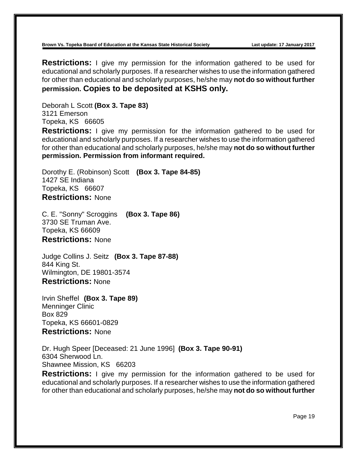**Restrictions:** I give my permission for the information gathered to be used for educational and scholarly purposes. If a researcher wishes to use the information gathered for other than educational and scholarly purposes, he/she may **not do so without further permission. Copies to be deposited at KSHS only.**

Deborah L Scott **(Box 3. Tape 83)** 3121 Emerson Topeka, KS 66605

**Restrictions:** I give my permission for the information gathered to be used for educational and scholarly purposes. If a researcher wishes to use the information gathered for other than educational and scholarly purposes, he/she may **not do so without further permission. Permission from informant required.**

Dorothy E. (Robinson) Scott **(Box 3. Tape 84-85)** 1427 SE Indiana Topeka, KS 66607 **Restrictions:** None

C. E. "Sonny" Scroggins **(Box 3. Tape 86)** 3730 SE Truman Ave. Topeka, KS 66609 **Restrictions:** None

Judge Collins J. Seitz **(Box 3. Tape 87-88)** 844 King St. Wilmington, DE 19801-3574 **Restrictions:** None

Irvin Sheffel **(Box 3. Tape 89)** Menninger Clinic Box 829 Topeka, KS 66601-0829 **Restrictions:** None

Dr. Hugh Speer [Deceased: 21 June 1996] **(Box 3. Tape 90-91)** 6304 Sherwood Ln. Shawnee Mission, KS 66203

**Restrictions:** I give my permission for the information gathered to be used for educational and scholarly purposes. If a researcher wishes to use the information gathered for other than educational and scholarly purposes, he/she may **not do so without further**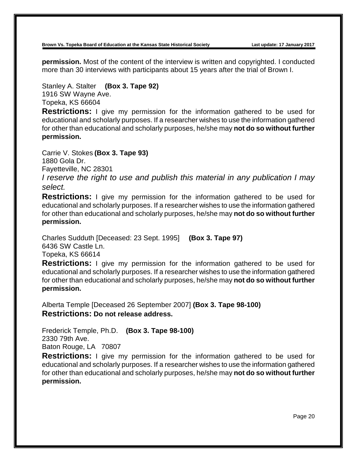**permission.** Most of the content of the interview is written and copyrighted. I conducted more than 30 interviews with participants about 15 years after the trial of Brown I.

Stanley A. Stalter **(Box 3. Tape 92)** 1916 SW Wayne Ave. Topeka, KS 66604

**Restrictions:** I give my permission for the information gathered to be used for educational and scholarly purposes. If a researcher wishes to use the information gathered for other than educational and scholarly purposes, he/she may **not do so without further permission.**

Carrie V. Stokes **(Box 3. Tape 93)** 1880 Gola Dr. Fayetteville, NC 28301 *I reserve the right to use and publish this material in any publication I may select.*

**Restrictions:** I give my permission for the information gathered to be used for educational and scholarly purposes. If a researcher wishes to use the information gathered for other than educational and scholarly purposes, he/she may **not do so without further permission.**

Charles Sudduth [Deceased: 23 Sept. 1995] **(Box 3. Tape 97)** 6436 SW Castle Ln.

Topeka, KS 66614

**Restrictions:** I give my permission for the information gathered to be used for educational and scholarly purposes. If a researcher wishes to use the information gathered for other than educational and scholarly purposes, he/she may **not do so without further permission.**

Alberta Temple [Deceased 26 September 2007] **(Box 3. Tape 98-100) Restrictions: Do not release address.**

Frederick Temple, Ph.D. **(Box 3. Tape 98-100)** 2330 79th Ave. Baton Rouge, LA 70807

**Restrictions:** I give my permission for the information gathered to be used for educational and scholarly purposes. If a researcher wishes to use the information gathered for other than educational and scholarly purposes, he/she may **not do so without further permission.**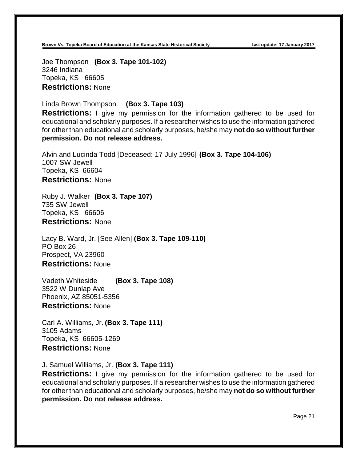Joe Thompson **(Box 3. Tape 101-102)** 3246 Indiana Topeka, KS 66605 **Restrictions:** None

Linda Brown Thompson **(Box 3. Tape 103)**

**Restrictions:** I give my permission for the information gathered to be used for educational and scholarly purposes. If a researcher wishes to use the information gathered for other than educational and scholarly purposes, he/she may **not do so without further permission. Do not release address.**

Alvin and Lucinda Todd [Deceased: 17 July 1996] **(Box 3. Tape 104-106)** 1007 SW Jewell Topeka, KS 66604 **Restrictions:** None

Ruby J. Walker **(Box 3. Tape 107)** 735 SW Jewell Topeka, KS 66606 **Restrictions:** None

Lacy B. Ward, Jr. [See Allen] **(Box 3. Tape 109-110)** PO Box 26 Prospect, VA 23960 **Restrictions:** None

Vadeth Whiteside **(Box 3. Tape 108)** 3522 W Dunlap Ave Phoenix, AZ 85051-5356 **Restrictions:** None

Carl A. Williams, Jr. **(Box 3. Tape 111)** 3105 Adams Topeka, KS 66605-1269 **Restrictions:** None

J. Samuel Williams, Jr. **(Box 3. Tape 111)**

**Restrictions:** I give my permission for the information gathered to be used for educational and scholarly purposes. If a researcher wishes to use the information gathered for other than educational and scholarly purposes, he/she may **not do so without further permission. Do not release address.**

Page 21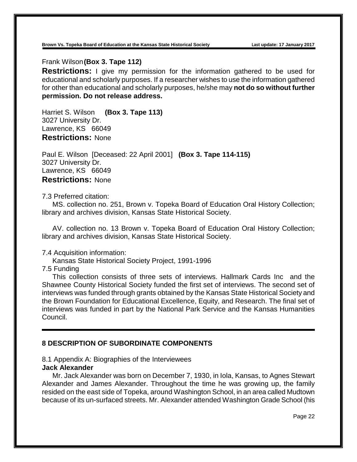## Frank Wilson**(Box 3. Tape 112)**

**Restrictions:** I give my permission for the information gathered to be used for educational and scholarly purposes. If a researcher wishes to use the information gathered for other than educational and scholarly purposes, he/she may **not do so without further permission. Do not release address.**

Harriet S. Wilson **(Box 3. Tape 113)** 3027 University Dr. Lawrence, KS 66049 **Restrictions:** None

Paul E. Wilson [Deceased: 22 April 2001] **(Box 3. Tape 114-115)** 3027 University Dr. Lawrence, KS 66049 **Restrictions:** None

7.3 Preferred citation:

MS. collection no. 251, Brown v. Topeka Board of Education Oral History Collection; library and archives division, Kansas State Historical Society.

AV. collection no. 13 Brown v. Topeka Board of Education Oral History Collection; library and archives division, Kansas State Historical Society.

#### 7.4 Acquisition information:

Kansas State Historical Society Project, 1991-1996

7.5 Funding

This collection consists of three sets of interviews. Hallmark Cards Inc and the Shawnee County Historical Society funded the first set of interviews. The second set of interviews was funded through grants obtained by the Kansas State Historical Society and the Brown Foundation for Educational Excellence, Equity, and Research. The final set of interviews was funded in part by the National Park Service and the Kansas Humanities Council.

# **8 DESCRIPTION OF SUBORDINATE COMPONENTS**

#### 8.1 Appendix A: Biographies of the Interviewees **Jack Alexander**

Mr. Jack Alexander was born on December 7, 1930, in Iola, Kansas, to Agnes Stewart Alexander and James Alexander. Throughout the time he was growing up, the family resided on the east side of Topeka, around Washington School, in an area called Mudtown because of its un-surfaced streets. Mr. Alexander attended Washington Grade School (his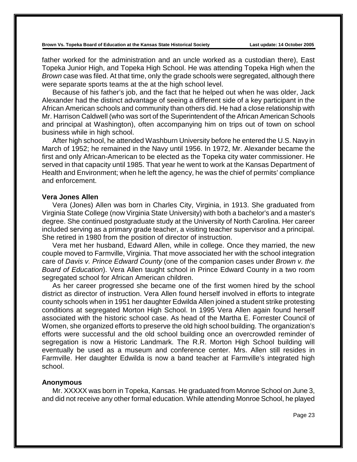father worked for the administration and an uncle worked as a custodian there), East Topeka Junior High, and Topeka High School. He was attending Topeka High when the *Brown* case was filed. At that time, only the grade schools were segregated, although there were separate sports teams at the at the high school level.

Because of his father's job, and the fact that he helped out when he was older, Jack Alexander had the distinct advantage of seeing a different side of a key participant in the African American schools and community than others did. He had a close relationship with Mr. Harrison Caldwell (who was sort of the Superintendent of the African American Schools and principal at Washington), often accompanying him on trips out of town on school business while in high school.

After high school, he attended Washburn University before he entered the U.S. Navy in March of 1952; he remained in the Navy until 1956. In 1972, Mr. Alexander became the first and only African-American to be elected as the Topeka city water commissioner. He served in that capacity until 1985. That year he went to work at the Kansas Department of Health and Environment; when he left the agency, he was the chief of permits' compliance and enforcement.

# **Vera Jones Allen**

Vera (Jones) Allen was born in Charles City, Virginia, in 1913. She graduated from Virginia State College (now Virginia State University) with both a bachelor's and a master's degree. She continued postgraduate study at the University of North Carolina. Her career included serving as a primary grade teacher, a visiting teacher supervisor and a principal. She retired in 1980 from the position of director of instruction.

Vera met her husband, Edward Allen, while in college. Once they married, the new couple moved to Farmville, Virginia. That move associated her with the school integration care of *Davis v. Prince Edward County* (one of the companion cases under *Brown v. the Board of Education*). Vera Allen taught school in Prince Edward County in a two room segregated school for African American children.

As her career progressed she became one of the first women hired by the school district as director of instruction. Vera Allen found herself involved in efforts to integrate county schools when in 1951 her daughter Edwilda Allen joined a student strike protesting conditions at segregated Morton High School. In 1995 Vera Allen again found herself associated with the historic school case. As head of the Martha E. Forrester Council of Women, she organized efforts to preserve the old high school building. The organization's efforts were successful and the old school building once an overcrowded reminder of segregation is now a Historic Landmark. The R.R. Morton High School building will eventually be used as a museum and conference center. Mrs. Allen still resides in Farmville. Her daughter Edwilda is now a band teacher at Farmville's integrated high school.

#### **Anonymous**

Mr. XXXXX was born in Topeka, Kansas. He graduated from Monroe School on June 3, and did not receive any other formal education. While attending Monroe School, he played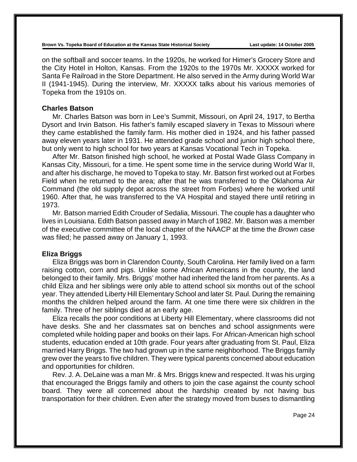on the softball and soccer teams. In the 1920s, he worked for Himer's Grocery Store and the City Hotel in Holton, Kansas. From the 1920s to the 1970s Mr. XXXXX worked for Santa Fe Railroad in the Store Department. He also served in the Army during World War II (1941-1945). During the interview, Mr. XXXXX talks about his various memories of Topeka from the 1910s on.

### **Charles Batson**

Mr. Charles Batson was born in Lee's Summit, Missouri, on April 24, 1917, to Bertha Dysort and Irvin Batson. His father's family escaped slavery in Texas to Missouri where they came established the family farm. His mother died in 1924, and his father passed away eleven years later in 1931. He attended grade school and junior high school there, but only went to high school for two years at Kansas Vocational Tech in Topeka.

After Mr. Batson finished high school, he worked at Postal Wade Glass Company in Kansas City, Missouri, for a time. He spent some time in the service during World War II, and after his discharge, he moved to Topeka to stay. Mr. Batson first worked out at Forbes Field when he returned to the area; after that he was transferred to the Oklahoma Air Command (the old supply depot across the street from Forbes) where he worked until 1960. After that, he was transferred to the VA Hospital and stayed there until retiring in 1973.

Mr. Batson married Edith Crouder of Sedalia, Missouri. The couple has a daughter who lives in Louisiana. Edith Batson passed away in March of 1982. Mr. Batson was a member of the executive committee of the local chapter of the NAACP at the time the *Brown* case was filed; he passed away on January 1, 1993.

### **Eliza Briggs**

Eliza Briggs was born in Clarendon County, South Carolina. Her family lived on a farm raising cotton, corn and pigs. Unlike some African Americans in the county, the land belonged to their family. Mrs. Briggs' mother had inherited the land from her parents. As a child Eliza and her siblings were only able to attend school six months out of the school year. They attended Liberty Hill Elementary School and later St. Paul. During the remaining months the children helped around the farm. At one time there were six children in the family. Three of her siblings died at an early age.

Eliza recalls the poor conditions at Liberty Hill Elementary, where classrooms did not have desks. She and her classmates sat on benches and school assignments were completed while holding paper and books on their laps. For African-American high school students, education ended at 10th grade. Four years after graduating from St. Paul, Eliza married Harry Briggs. The two had grown up in the same neighborhood. The Briggs family grew over the years to five children. They were typical parents concerned about education and opportunities for children.

Rev. J. A. DeLaine was a man Mr. & Mrs. Briggs knew and respected. It was his urging that encouraged the Briggs family and others to join the case against the county school board. They were all concerned about the hardship created by not having bus transportation for their children. Even after the strategy moved from buses to dismantling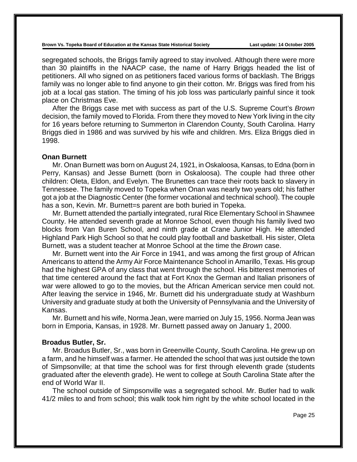segregated schools, the Briggs family agreed to stay involved. Although there were more than 30 plaintiffs in the NAACP case, the name of Harry Briggs headed the list of petitioners. All who signed on as petitioners faced various forms of backlash. The Briggs family was no longer able to find anyone to gin their cotton. Mr. Briggs was fired from his job at a local gas station. The timing of his job loss was particularly painful since it took place on Christmas Eve.

After the Briggs case met with success as part of the U.S. Supreme Court's *Brown* decision, the family moved to Florida. From there they moved to New York living in the city for 16 years before returning to Summerton in Clarendon County, South Carolina. Harry Briggs died in 1986 and was survived by his wife and children. Mrs. Eliza Briggs died in 1998.

#### **Onan Burnett**

Mr. Onan Burnett was born on August 24, 1921, in Oskaloosa, Kansas, to Edna (born in Perry, Kansas) and Jesse Burnett (born in Oskaloosa). The couple had three other children: Oleta, Eldon, and Evelyn. The Brunettes can trace their roots back to slavery in Tennessee. The family moved to Topeka when Onan was nearly two years old; his father got a job at the Diagnostic Center (the former vocational and technical school). The couple has a son, Kevin. Mr. Burnett=s parent are both buried in Topeka.

Mr. Burnett attended the partially integrated, rural Rice Elementary School in Shawnee County. He attended seventh grade at Monroe School, even though his family lived two blocks from Van Buren School, and ninth grade at Crane Junior High. He attended Highland Park High School so that he could play football and basketball. His sister, Oleta Burnett, was a student teacher at Monroe School at the time the *Brown* case.

Mr. Burnett went into the Air Force in 1941, and was among the first group of African Americans to attend the Army Air Force Maintenance School in Amarillo, Texas. His group had the highest GPA of any class that went through the school. His bitterest memories of that time centered around the fact that at Fort Knox the German and Italian prisoners of war were allowed to go to the movies, but the African American service men could not. After leaving the service in 1946, Mr. Burnett did his undergraduate study at Washburn University and graduate study at both the University of Pennsylvania and the University of Kansas.

Mr. Burnett and his wife, Norma Jean, were married on July 15, 1956. Norma Jean was born in Emporia, Kansas, in 1928. Mr. Burnett passed away on January 1, 2000.

#### **Broadus Butler, Sr.**

Mr. Broadus Butler, Sr., was born in Greenville County, South Carolina. He grew up on a farm, and he himself was a farmer. He attended the school that was just outside the town of Simpsonville; at that time the school was for first through eleventh grade (students graduated after the eleventh grade). He went to college at South Carolina State after the end of World War II.

The school outside of Simpsonville was a segregated school. Mr. Butler had to walk 41/2 miles to and from school; this walk took him right by the white school located in the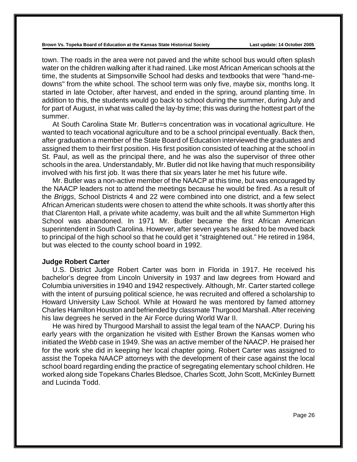town. The roads in the area were not paved and the white school bus would often splash water on the children walking after it had rained. Like most African American schools at the time, the students at Simpsonville School had desks and textbooks that were "hand-medowns" from the white school. The school term was only five, maybe six, months long. It started in late October, after harvest, and ended in the spring, around planting time. In addition to this, the students would go back to school during the summer, during July and for part of August, in what was called the lay-by time; this was during the hottest part of the summer.

At South Carolina State Mr. Butler=s concentration was in vocational agriculture. He wanted to teach vocational agriculture and to be a school principal eventually. Back then, after graduation a member of the State Board of Education interviewed the graduates and assigned them to their first position. His first position consisted of teaching at the school in St. Paul, as well as the principal there, and he was also the supervisor of three other schools in the area. Understandably, Mr. Butler did not like having that much responsibility involved with his first job. It was there that six years later he met his future wife.

Mr. Butler was a non-active member of the NAACP at this time, but was encouraged by the NAACP leaders not to attend the meetings because he would be fired. As a result of the *Briggs*, School Districts 4 and 22 were combined into one district, and a few select African American students were chosen to attend the white schools. It was shortly after this that Clarenton Hall, a private white academy, was built and the all white Summerton High School was abandoned. In 1971 Mr. Butler became the first African American superintendent in South Carolina. However, after seven years he asked to be moved back to principal of the high school so that he could get it "straightened out." He retired in 1984, but was elected to the county school board in 1992.

#### **Judge Robert Carter**

U.S. District Judge Robert Carter was born in Florida in 1917. He received his bachelor's degree from Lincoln University in 1937 and law degrees from Howard and Columbia universities in 1940 and 1942 respectively. Although, Mr. Carter started college with the intent of pursuing political science, he was recruited and offered a scholarship to Howard University Law School. While at Howard he was mentored by famed attorney Charles Hamilton Houston and befriended by classmate Thurgood Marshall. After receiving his law degrees he served in the Air Force during World War II.

He was hired by Thurgood Marshall to assist the legal team of the NAACP. During his early years with the organization he visited with Esther Brown the Kansas women who initiated the *Webb* case in 1949. She was an active member of the NAACP. He praised her for the work she did in keeping her local chapter going. Robert Carter was assigned to assist the Topeka NAACP attorneys with the development of their case against the local school board regarding ending the practice of segregating elementary school children. He worked along side Topekans Charles Bledsoe, Charles Scott, John Scott, McKinley Burnett and Lucinda Todd.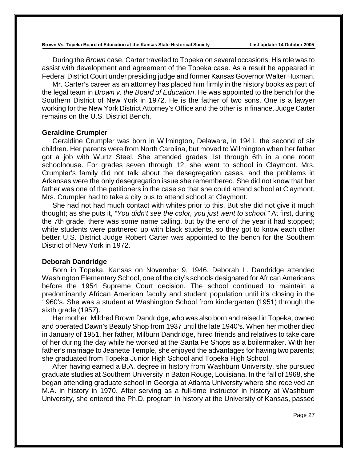During the *Brown* case, Carter traveled to Topeka on several occasions. His role was to assist with development and agreement of the Topeka case. As a result he appeared in Federal District Court under presiding judge and former Kansas Governor Walter Huxman.

Mr. Carter's career as an attorney has placed him firmly in the history books as part of the legal team in *Brown v. the Board of Education*. He was appointed to the bench for the Southern District of New York in 1972. He is the father of two sons. One is a lawyer working for the New York District Attorney's Office and the other is in finance. Judge Carter remains on the U.S. District Bench.

#### **Geraldine Crumpler**

Geraldine Crumpler was born in Wilmington, Delaware, in 1941, the second of six children. Her parents were from North Carolina, but moved to Wilmington when her father got a job with Wurtz Steel. She attended grades 1st through 6th in a one room schoolhouse. For grades seven through 12, she went to school in Claymont. Mrs. Crumpler's family did not talk about the desegregation cases, and the problems in Arkansas were the only desegregation issue she remembered. She did not know that her father was one of the petitioners in the case so that she could attend school at Claymont. Mrs. Crumpler had to take a city bus to attend school at Claymont.

She had not had much contact with whites prior to this. But she did not give it much thought; as she puts it, *"You didn't see the color, you just went to school."* At first, during the 7th grade, there was some name calling, but by the end of the year it had stopped; white students were partnered up with black students, so they got to know each other better. U.S. District Judge Robert Carter was appointed to the bench for the Southern District of New York in 1972.

#### **Deborah Dandridge**

Born in Topeka, Kansas on November 9, 1946, Deborah L. Dandridge attended Washington Elementary School, one of the city's schools designated for African Americans before the 1954 Supreme Court decision. The school continued to maintain a predominantly African American faculty and student population until it's closing in the 1960's. She was a student at Washington School from kindergarten (1951) through the sixth grade (1957).

Her mother, Mildred Brown Dandridge, who was also born and raised in Topeka, owned and operated Dawn's Beauty Shop from 1937 until the late 1940's. When her mother died in January of 1951, her father, Milburn Dandridge, hired friends and relatives to take care of her during the day while he worked at the Santa Fe Shops as a boilermaker. With her father's marriage to Jeanette Temple, she enjoyed the advantages for having two parents; she graduated from Topeka Junior High School and Topeka High School.

After having earned a B.A. degree in history from Washburn University, she pursued graduate studies at Southern University in Baton Rouge, Louisiana. In the fall of 1968, she began attending graduate school in Georgia at Atlanta University where she received an M.A. in history in 1970. After serving as a full-time instructor in history at Washburn University, she entered the Ph.D. program in history at the University of Kansas, passed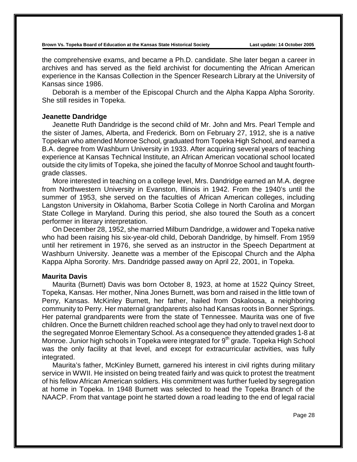the comprehensive exams, and became a Ph.D. candidate. She later began a career in archives and has served as the field archivist for documenting the African American experience in the Kansas Collection in the Spencer Research Library at the University of Kansas since 1986.

Deborah is a member of the Episcopal Church and the Alpha Kappa Alpha Sorority. She still resides in Topeka.

### **Jeanette Dandridge**

Jeanette Ruth Dandridge is the second child of Mr. John and Mrs. Pearl Temple and the sister of James, Alberta, and Frederick. Born on February 27, 1912, she is a native Topekan who attended Monroe School, graduated from Topeka High School, and earned a B.A. degree from Washburn University in 1933. After acquiring several years of teaching experience at Kansas Technical Institute, an African American vocational school located outside the city limits of Topeka, she joined the faculty of Monroe School and taught fourthgrade classes.

More interested in teaching on a college level, Mrs. Dandridge earned an M.A. degree from Northwestern University in Evanston, Illinois in 1942. From the 1940's until the summer of 1953, she served on the faculties of African American colleges, including Langston University in Oklahoma, Barber Scotia College in North Carolina and Morgan State College in Maryland. During this period, she also toured the South as a concert performer in literary interpretation.

On December 28, 1952, she married Milburn Dandridge, a widower and Topeka native who had been raising his six-year-old child, Deborah Dandridge, by himself. From 1959 until her retirement in 1976, she served as an instructor in the Speech Department at Washburn University. Jeanette was a member of the Episcopal Church and the Alpha Kappa Alpha Sorority. Mrs. Dandridge passed away on April 22, 2001, in Topeka.

## **Maurita Davis**

Maurita (Burnett) Davis was born October 8, 1923, at home at 1522 Quincy Street, Topeka, Kansas. Her mother, Nina Jones Burnett, was born and raised in the little town of Perry, Kansas. McKinley Burnett, her father, hailed from Oskaloosa, a neighboring community to Perry. Her maternal grandparents also had Kansas roots in Bonner Springs. Her paternal grandparents were from the state of Tennessee. Maurita was one of five children. Once the Burnett children reached school age they had only to travel next door to the segregated Monroe Elementary School. As a consequence they attended grades 1-8 at Monroe. Junior high schools in Topeka were integrated for  $9<sup>th</sup>$  grade. Topeka High School was the only facility at that level, and except for extracurricular activities, was fully integrated.

Maurita's father, McKinley Burnett, garnered his interest in civil rights during military service in WWII. He insisted on being treated fairly and was quick to protest the treatment of his fellow African American soldiers. His commitment was further fueled by segregation at home in Topeka. In 1948 Burnett was selected to head the Topeka Branch of the NAACP. From that vantage point he started down a road leading to the end of legal racial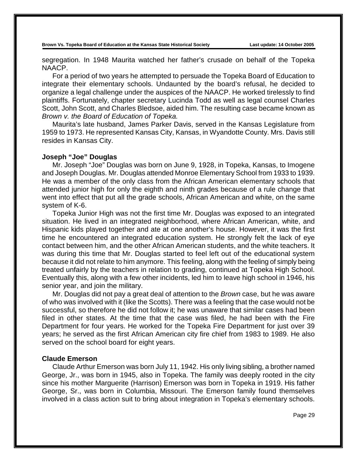segregation. In 1948 Maurita watched her father's crusade on behalf of the Topeka NAACP.

For a period of two years he attempted to persuade the Topeka Board of Education to integrate their elementary schools. Undaunted by the board's refusal, he decided to organize a legal challenge under the auspices of the NAACP. He worked tirelessly to find plaintiffs. Fortunately, chapter secretary Lucinda Todd as well as legal counsel Charles Scott, John Scott, and Charles Bledsoe, aided him. The resulting case became known as *Brown v. the Board of Education of Topeka.*

Maurita's late husband, James Parker Davis, served in the Kansas Legislature from 1959 to 1973. He represented Kansas City, Kansas, in Wyandotte County. Mrs. Davis still resides in Kansas City.

## **Joseph "Joe" Douglas**

Mr. Joseph "Joe" Douglas was born on June 9, 1928, in Topeka, Kansas, to Imogene and Joseph Douglas. Mr. Douglas attended Monroe Elementary School from 1933 to 1939. He was a member of the only class from the African American elementary schools that attended junior high for only the eighth and ninth grades because of a rule change that went into effect that put all the grade schools, African American and white, on the same system of K-6.

Topeka Junior High was not the first time Mr. Douglas was exposed to an integrated situation. He lived in an integrated neighborhood, where African American, white, and Hispanic kids played together and ate at one another's house. However, it was the first time he encountered an integrated education system. He strongly felt the lack of eye contact between him, and the other African American students, and the white teachers. It was during this time that Mr. Douglas started to feel left out of the educational system because it did not relate to him anymore. This feeling, along with the feeling of simply being treated unfairly by the teachers in relation to grading, continued at Topeka High School. Eventually this, along with a few other incidents, led him to leave high school in 1946, his senior year, and join the military.

Mr. Douglas did not pay a great deal of attention to the *Brown* case, but he was aware of who was involved with it (like the Scotts). There was a feeling that the case would not be successful, so therefore he did not follow it; he was unaware that similar cases had been filed in other states. At the time that the case was filed, he had been with the Fire Department for four years. He worked for the Topeka Fire Department for just over 39 years; he served as the first African American city fire chief from 1983 to 1989. He also served on the school board for eight years.

### **Claude Emerson**

Claude Arthur Emerson was born July 11, 1942. His only living sibling, a brother named George, Jr., was born in 1945, also in Topeka. The family was deeply rooted in the city since his mother Marguerite (Harrison) Emerson was born in Topeka in 1919. His father George, Sr., was born in Columbia, Missouri. The Emerson family found themselves involved in a class action suit to bring about integration in Topeka's elementary schools.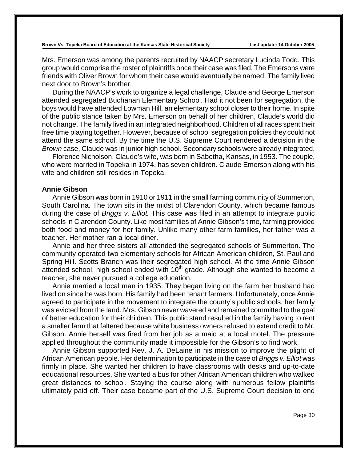Mrs. Emerson was among the parents recruited by NAACP secretary Lucinda Todd. This group would comprise the roster of plaintiffs once their case was filed. The Emersons were friends with Oliver Brown for whom their case would eventually be named. The family lived next door to Brown's brother.

During the NAACP's work to organize a legal challenge, Claude and George Emerson attended segregated Buchanan Elementary School. Had it not been for segregation, the boys would have attended Lowman Hill, an elementary school closer to their home. In spite of the public stance taken by Mrs. Emerson on behalf of her children, Claude's world did not change. The family lived in an integrated neighborhood. Children of all races spent their free time playing together. However, because of school segregation policies they could not attend the same school. By the time the U.S. Supreme Court rendered a decision in the *Brown* case, Claude was in junior high school. Secondary schools were already integrated.

Florence Nicholson, Claude's wife, was born in Sabetha, Kansas, in 1953. The couple, who were married in Topeka in 1974, has seven children. Claude Emerson along with his wife and children still resides in Topeka.

## **Annie Gibson**

Annie Gibson was born in 1910 or 1911 in the small farming community of Summerton, South Carolina. The town sits in the midst of Clarendon County, which became famous during the case of *Briggs v. Elliot.* This case was filed in an attempt to integrate public schools in Clarendon County. Like most families of Annie Gibson's time, farming provided both food and money for her family. Unlike many other farm families, her father was a teacher. Her mother ran a local diner.

Annie and her three sisters all attended the segregated schools of Summerton. The community operated two elementary schools for African American children, St. Paul and Spring Hill. Scotts Branch was their segregated high school. At the time Annie Gibson attended school, high school ended with  $10<sup>th</sup>$  grade. Although she wanted to become a teacher, she never pursued a college education.

Annie married a local man in 1935. They began living on the farm her husband had lived on since he was born. His family had been tenant farmers. Unfortunately, once Annie agreed to participate in the movement to integrate the county's public schools, her family was evicted from the land. Mrs. Gibson never wavered and remained committed to the goal of better education for their children. This public stand resulted in the family having to rent a smaller farm that faltered because white business owners refused to extend credit to Mr. Gibson. Annie herself was fired from her job as a maid at a local motel. The pressure applied throughout the community made it impossible for the Gibson's to find work.

Annie Gibson supported Rev. J. A. DeLaine in his mission to improve the plight of African American people. Her determination to participate in the case of *Briggs v. Elliot* was firmly in place. She wanted her children to have classrooms with desks and up-to-date educational resources. She wanted a bus for other African American children who walked great distances to school. Staying the course along with numerous fellow plaintiffs ultimately paid off. Their case became part of the U.S. Supreme Court decision to end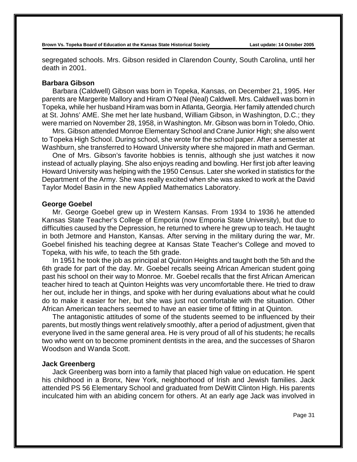segregated schools. Mrs. Gibson resided in Clarendon County, South Carolina, until her death in 2001.

### **Barbara Gibson**

Barbara (Caldwell) Gibson was born in Topeka, Kansas, on December 21, 1995. Her parents are Margerite Mallory and Hiram O'Neal (Neal) Caldwell. Mrs. Caldwell was born in Topeka, while her husband Hiram was born in Atlanta, Georgia. Her family attended church at St. Johns' AME. She met her late husband, William Gibson, in Washington, D.C.; they were married on November 28, 1958, in Washington. Mr. Gibson was born in Toledo, Ohio.

Mrs. Gibson attended Monroe Elementary School and Crane Junior High; she also went to Topeka High School. During school, she wrote for the school paper. After a semester at Washburn, she transferred to Howard University where she majored in math and German.

One of Mrs. Gibson's favorite hobbies is tennis, although she just watches it now instead of actually playing. She also enjoys reading and bowling. Her first job after leaving Howard University was helping with the 1950 Census. Later she worked in statistics for the Department of the Army. She was really excited when she was asked to work at the David Taylor Model Basin in the new Applied Mathematics Laboratory.

### **George Goebel**

Mr. George Goebel grew up in Western Kansas. From 1934 to 1936 he attended Kansas State Teacher's College of Emporia (now Emporia State University), but due to difficulties caused by the Depression, he returned to where he grew up to teach. He taught in both Jetmore and Hanston, Kansas. After serving in the military during the war, Mr. Goebel finished his teaching degree at Kansas State Teacher's College and moved to Topeka, with his wife, to teach the 5th grade.

In 1951 he took the job as principal at Quinton Heights and taught both the 5th and the 6th grade for part of the day. Mr. Goebel recalls seeing African American student going past his school on their way to Monroe. Mr. Goebel recalls that the first African American teacher hired to teach at Quinton Heights was very uncomfortable there. He tried to draw her out, include her in things, and spoke with her during evaluations about what he could do to make it easier for her, but she was just not comfortable with the situation. Other African American teachers seemed to have an easier time of fitting in at Quinton.

The antagonistic attitudes of some of the students seemed to be influenced by their parents, but mostly things went relatively smoothly, after a period of adjustment, given that everyone lived in the same general area. He is very proud of all of his students; he recalls two who went on to become prominent dentists in the area, and the successes of Sharon Woodson and Wanda Scott.

#### **Jack Greenberg**

Jack Greenberg was born into a family that placed high value on education. He spent his childhood in a Bronx, New York, neighborhood of Irish and Jewish families. Jack attended PS 56 Elementary School and graduated from DeWitt Clinton High. His parents inculcated him with an abiding concern for others. At an early age Jack was involved in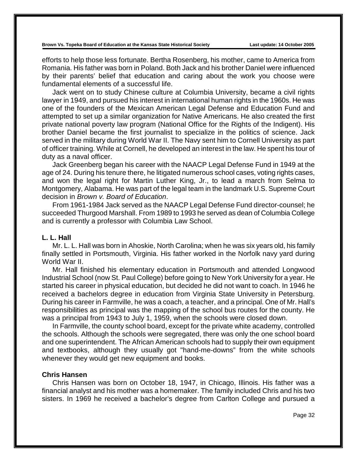efforts to help those less fortunate. Bertha Rosenberg, his mother, came to America from Romania. His father was born in Poland. Both Jack and his brother Daniel were influenced by their parents' belief that education and caring about the work you choose were fundamental elements of a successful life.

Jack went on to study Chinese culture at Columbia University, became a civil rights lawyer in 1949, and pursued his interest in international human rights in the 1960s. He was one of the founders of the Mexican American Legal Defense and Education Fund and attempted to set up a similar organization for Native Americans. He also created the first private national poverty law program (National Office for the Rights of the Indigent). His brother Daniel became the first journalist to specialize in the politics of science. Jack served in the military during World War II. The Navy sent him to Cornell University as part of officer training. While at Cornell, he developed an interest in the law. He spent his tour of duty as a naval officer.

Jack Greenberg began his career with the NAACP Legal Defense Fund in 1949 at the age of 24. During his tenure there, he litigated numerous school cases, voting rights cases, and won the legal right for Martin Luther King, Jr., to lead a march from Selma to Montgomery, Alabama. He was part of the legal team in the landmark U.S. Supreme Court decision in *Brown v. Board of Education*.

From 1961-1984 Jack served as the NAACP Legal Defense Fund director-counsel; he succeeded Thurgood Marshall. From 1989 to 1993 he served as dean of Columbia College and is currently a professor with Columbia Law School.

# **L. L. Hall**

Mr. L. L. Hall was born in Ahoskie, North Carolina; when he was six years old, his family finally settled in Portsmouth, Virginia. His father worked in the Norfolk navy yard during World War II.

Mr. Hall finished his elementary education in Portsmouth and attended Longwood Industrial School (now St. Paul College) before going to New York University for a year. He started his career in physical education, but decided he did not want to coach. In 1946 he received a bachelors degree in education from Virginia State University in Petersburg. During his career in Farmville, he was a coach, a teacher, and a principal. One of Mr. Hall's responsibilities as principal was the mapping of the school bus routes for the county. He was a principal from 1943 to July 1, 1959, when the schools were closed down.

In Farmville, the county school board, except for the private white academy, controlled the schools. Although the schools were segregated, there was only the one school board and one superintendent. The African American schools had to supply their own equipment and textbooks, although they usually got "hand-me-downs" from the white schools whenever they would get new equipment and books.

### **Chris Hansen**

Chris Hansen was born on October 18, 1947, in Chicago, Illinois. His father was a financial analyst and his mother was a homemaker. The family included Chris and his two sisters. In 1969 he received a bachelor's degree from Carlton College and pursued a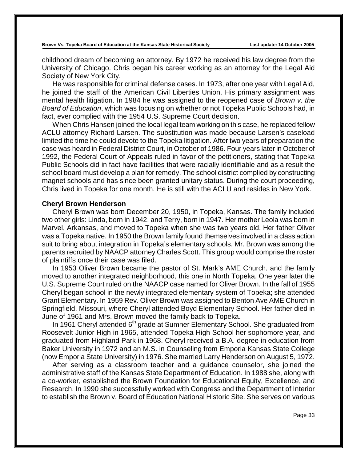childhood dream of becoming an attorney. By 1972 he received his law degree from the University of Chicago. Chris began his career working as an attorney for the Legal Aid Society of New York City.

He was responsible for criminal defense cases. In 1973, after one year with Legal Aid, he joined the staff of the American Civil Liberties Union. His primary assignment was mental health litigation. In 1984 he was assigned to the reopened case of *Brown v. the Board of Education*, which was focusing on whether or not Topeka Public Schools had, in fact, ever complied with the 1954 U.S. Supreme Court decision.

When Chris Hansen joined the local legal team working on this case, he replaced fellow ACLU attorney Richard Larsen. The substitution was made because Larsen's caseload limited the time he could devote to the Topeka litigation. After two years of preparation the case was heard in Federal District Court, in October of 1986. Four years later in October of 1992, the Federal Court of Appeals ruled in favor of the petitioners, stating that Topeka Public Schools did in fact have facilities that were racially identifiable and as a result the school board must develop a plan for remedy. The school district complied by constructing magnet schools and has since been granted unitary status. During the court proceeding, Chris lived in Topeka for one month. He is still with the ACLU and resides in New York.

### **Cheryl Brown Henderson**

Cheryl Brown was born December 20, 1950, in Topeka, Kansas. The family included two other girls: Linda, born in 1942, and Terry, born in 1947. Her mother Leola was born in Marvel, Arkansas, and moved to Topeka when she was two years old. Her father Oliver was a Topeka native. In 1950 the Brown family found themselves involved in a class action suit to bring about integration in Topeka's elementary schools. Mr. Brown was among the parents recruited by NAACP attorney Charles Scott. This group would comprise the roster of plaintiffs once their case was filed.

In 1953 Oliver Brown became the pastor of St. Mark's AME Church, and the family moved to another integrated neighborhood, this one in North Topeka. One year later the U.S. Supreme Court ruled on the NAACP case named for Oliver Brown. In the fall of 1955 Cheryl began school in the newly integrated elementary system of Topeka; she attended Grant Elementary. In 1959 Rev. Oliver Brown was assigned to Benton Ave AME Church in Springfield, Missouri, where Cheryl attended Boyd Elementary School. Her father died in June of 1961 and Mrs. Brown moved the family back to Topeka.

In 1961 Cheryl attended 6<sup>th</sup> grade at Sumner Elementary School. She graduated from Roosevelt Junior High in 1965, attended Topeka High School her sophomore year, and graduated from Highland Park in 1968. Cheryl received a B.A. degree in education from Baker University in 1972 and an M.S. in Counseling from Emporia Kansas State College (now Emporia State University) in 1976. She married Larry Henderson on August 5, 1972.

After serving as a classroom teacher and a guidance counselor, she joined the administrative staff of the Kansas State Department of Education. In 1988 she, along with a co-worker, established the Brown Foundation for Educational Equity, Excellence, and Research. In 1990 she successfully worked with Congress and the Department of Interior to establish the Brown v. Board of Education National Historic Site. She serves on various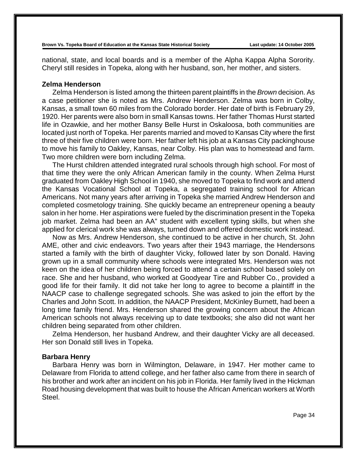national, state, and local boards and is a member of the Alpha Kappa Alpha Sorority. Cheryl still resides in Topeka, along with her husband, son, her mother, and sisters.

### **Zelma Henderson**

Zelma Henderson is listed among the thirteen parent plaintiffs in the *Brown* decision. As a case petitioner she is noted as Mrs. Andrew Henderson. Zelma was born in Colby, Kansas, a small town 60 miles from the Colorado border. Her date of birth is February 29, 1920. Her parents were also born in small Kansas towns. Her father Thomas Hurst started life in Ozawkie, and her mother Bansy Belle Hurst in Oskaloosa, both communities are located just north of Topeka. Her parents married and moved to Kansas City where the first three of their five children were born. Her father left his job at a Kansas City packinghouse to move his family to Oakley, Kansas, near Colby. His plan was to homestead and farm. Two more children were born including Zelma.

The Hurst children attended integrated rural schools through high school. For most of that time they were the only African American family in the county. When Zelma Hurst graduated from Oakley High School in 1940, she moved to Topeka to find work and attend the Kansas Vocational School at Topeka, a segregated training school for African Americans. Not many years after arriving in Topeka she married Andrew Henderson and completed cosmetology training. She quickly became an entrepreneur opening a beauty salon in her home. Her aspirations were fueled by the discrimination present in the Topeka job market. Zelma had been an AA" student with excellent typing skills, but when she applied for clerical work she was always, turned down and offered domestic work instead.

Now as Mrs. Andrew Henderson, she continued to be active in her church, St. John AME, other and civic endeavors. Two years after their 1943 marriage, the Hendersons started a family with the birth of daughter Vicky, followed later by son Donald. Having grown up in a small community where schools were integrated Mrs. Henderson was not keen on the idea of her children being forced to attend a certain school based solely on race. She and her husband, who worked at Goodyear Tire and Rubber Co., provided a good life for their family. It did not take her long to agree to become a plaintiff in the NAACP case to challenge segregated schools. She was asked to join the effort by the Charles and John Scott. In addition, the NAACP President, McKinley Burnett, had been a long time family friend. Mrs. Henderson shared the growing concern about the African American schools not always receiving up to date textbooks; she also did not want her children being separated from other children.

Zelma Henderson, her husband Andrew, and their daughter Vicky are all deceased. Her son Donald still lives in Topeka.

#### **Barbara Henry**

Barbara Henry was born in Wilmington, Delaware, in 1947. Her mother came to Delaware from Florida to attend college, and her father also came from there in search of his brother and work after an incident on his job in Florida. Her family lived in the Hickman Road housing development that was built to house the African American workers at Worth Steel.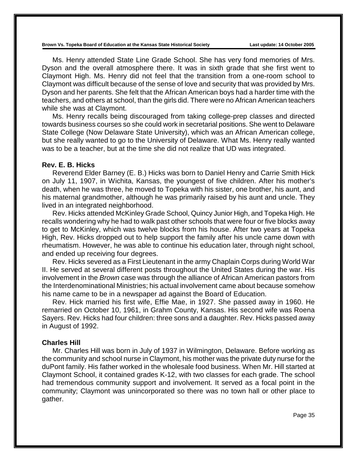Ms. Henry attended State Line Grade School. She has very fond memories of Mrs. Dyson and the overall atmosphere there. It was in sixth grade that she first went to Claymont High. Ms. Henry did not feel that the transition from a one-room school to Claymont was difficult because of the sense of love and security that was provided by Mrs. Dyson and her parents. She felt that the African American boys had a harder time with the teachers, and others at school, than the girls did. There were no African American teachers while she was at Claymont.

Ms. Henry recalls being discouraged from taking college-prep classes and directed towards business courses so she could work in secretarial positions. She went to Delaware State College (Now Delaware State University), which was an African American college, but she really wanted to go to the University of Delaware. What Ms. Henry really wanted was to be a teacher, but at the time she did not realize that UD was integrated.

#### **Rev. E. B. Hicks**

Reverend Elder Barney (E. B.) Hicks was born to Daniel Henry and Carrie Smith Hick on July 11, 1907, in Wichita, Kansas, the youngest of five children. After his mother's death, when he was three, he moved to Topeka with his sister, one brother, his aunt, and his maternal grandmother, although he was primarily raised by his aunt and uncle. They lived in an integrated neighborhood.

Rev. Hicks attended McKinley Grade School, Quincy Junior High, and Topeka High. He recalls wondering why he had to walk past other schools that were four or five blocks away to get to McKinley, which was twelve blocks from his house. After two years at Topeka High, Rev. Hicks dropped out to help support the family after his uncle came down with rheumatism. However, he was able to continue his education later, through night school, and ended up receiving four degrees.

Rev. Hicks severed as a First Lieutenant in the army Chaplain Corps during World War II. He served at several different posts throughout the United States during the war. His involvement in the *Brown* case was through the alliance of African American pastors from the Interdenominational Ministries; his actual involvement came about because somehow his name came to be in a newspaper ad against the Board of Education.

Rev. Hick married his first wife, Effie Mae, in 1927. She passed away in 1960. He remarried on October 10, 1961, in Grahm County, Kansas. His second wife was Roena Sayers. Rev. Hicks had four children: three sons and a daughter. Rev. Hicks passed away in August of 1992.

### **Charles Hill**

Mr. Charles Hill was born in July of 1937 in Wilmington, Delaware. Before working as the community and school nurse in Claymont, his mother was the private duty nurse for the duPont family. His father worked in the wholesale food business. When Mr. Hill started at Claymont School, it contained grades K-12, with two classes for each grade. The school had tremendous community support and involvement. It served as a focal point in the community; Claymont was unincorporated so there was no town hall or other place to gather.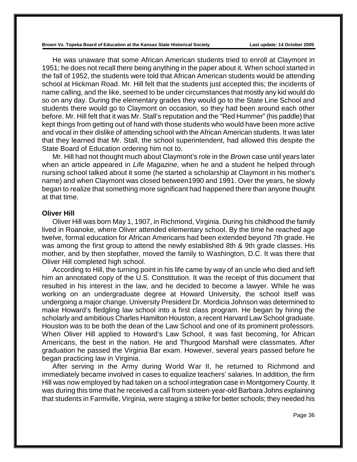He was unaware that some African American students tried to enroll at Claymont in 1951; he does not recall there being anything in the paper about it. When school started in the fall of 1952, the students were told that African American students would be attending school at Hickman Road. Mr. Hill felt that the students just accepted this; the incidents of name calling, and the like, seemed to be under circumstances that mostly any kid would do so on any day. During the elementary grades they would go to the State Line School and students there would go to Claymont on occasion, so they had been around each other before. Mr. Hill felt that it was Mr. Stall's reputation and the "Red Hummer" (his paddle) that kept things from getting out of hand with those students who would have been more active and vocal in their dislike of attending school with the African American students. It was later that they learned that Mr. Stall, the school superintendent, had allowed this despite the State Board of Education ordering him not to.

Mr. Hill had not thought much about Claymont's role in the *Brown* case until years later when an article appeared in *Life Magazine*, when he and a student he helped through nursing school talked about it some (he started a scholarship at Claymont in his mother's name) and when Claymont was closed between1990 and 1991. Over the years, he slowly began to realize that something more significant had happened there than anyone thought at that time.

### **Oliver Hill**

Oliver Hill was born May 1, 1907, in Richmond, Virginia. During his childhood the family lived in Roanoke, where Oliver attended elementary school. By the time he reached age twelve, formal education for African Americans had been extended beyond 7th grade. He was among the first group to attend the newly established 8th & 9th grade classes. His mother, and by then stepfather, moved the family to Washington, D.C. It was there that Oliver Hill completed high school.

According to Hill, the turning point in his life came by way of an uncle who died and left him an annotated copy of the U.S. Constitution. It was the receipt of this document that resulted in his interest in the law, and he decided to become a lawyer. While he was working on an undergraduate degree at Howard University, the school itself was undergoing a major change. University President Dr. Mordicia Johnson was determined to make Howard's fledgling law school into a first class program. He began by hiring the scholarly and ambitious Charles Hamilton Houston, a recent Harvard Law School graduate. Houston was to be both the dean of the Law School and one of its prominent professors. When Oliver Hill applied to Howard's Law School, it was fast becoming, for African Americans, the best in the nation. He and Thurgood Marshall were classmates. After graduation he passed the Virginia Bar exam. However, several years passed before he began practicing law in Virginia.

After serving in the Army during World War II, he returned to Richmond and immediately became involved in cases to equalize teachers' salaries. In addition, the firm Hill was now employed by had taken on a school integration case in Montgomery County. It was during this time that he received a call from sixteen-year-old Barbara Johns explaining that students in Farmville, Virginia, were staging a strike for better schools; they needed his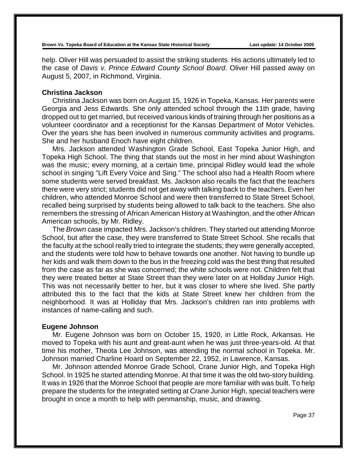help. Oliver Hill was persuaded to assist the striking students. His actions ultimately led to the case of *Davis v. Prince Edward County School Board*. Oliver Hill passed away on August 5, 2007, in Richmond, Virginia.

### **Christina Jackson**

Christina Jackson was born on August 15, 1926 in Topeka, Kansas. Her parents were Georgia and Jess Edwards. She only attended school through the 11th grade, having dropped out to get married, but received various kinds of training through her positions as a volunteer coordinator and a receptionist for the Kansas Department of Motor Vehicles. Over the years she has been involved in numerous community activities and programs. She and her husband Enoch have eight children.

Mrs. Jackson attended Washington Grade School, East Topeka Junior High, and Topeka High School. The thing that stands out the most in her mind about Washington was the music; every morning, at a certain time, principal Ridley would lead the whole school in singing "Lift Every Voice and Sing." The school also had a Health Room where some students were served breakfast. Ms. Jackson also recalls the fact that the teachers there were very strict; students did not get away with talking back to the teachers. Even her children, who attended Monroe School and were then transferred to State Street School, recalled being surprised by students being allowed to talk back to the teachers. She also remembers the stressing of African American History at Washington, and the other African American schools, by Mr. Ridley.

The *Brown* case impacted Mrs. Jackson's children. They started out attending Monroe School, but after the case, they were transferred to State Street School. She recalls that the faculty at the school really tried to integrate the students; they were generally accepted, and the students were told how to behave towards one another. Not having to bundle up her kids and walk them down to the bus in the freezing cold was the best thing that resulted from the case as far as she was concerned; the white schools were not. Children felt that they were treated better at State Street than they were later on at Holliday Junior High. This was not necessarily better to her, but it was closer to where she lived. She partly attributed this to the fact that the kids at State Street knew her children from the neighborhood. It was at Holliday that Mrs. Jackson's children ran into problems with instances of name-calling and such.

## **Eugene Johnson**

Mr. Eugene Johnson was born on October 15, 1920, in Little Rock, Arkansas. He moved to Topeka with his aunt and great-aunt when he was just three-years-old. At that time his mother, Theota Lee Johnson, was attending the normal school in Topeka. Mr. Johnson married Charline Hoard on September 22, 1952, in Lawrence, Kansas.

Mr. Johnson attended Monroe Grade School, Crane Junior High, and Topeka High School. In 1925 he started attending Monroe. At that time it was the old two-story building. It was in 1926 that the Monroe School that people are more familiar with was built. To help prepare the students for the integrated setting at Crane Junior High, special teachers were brought in once a month to help with penmanship, music, and drawing.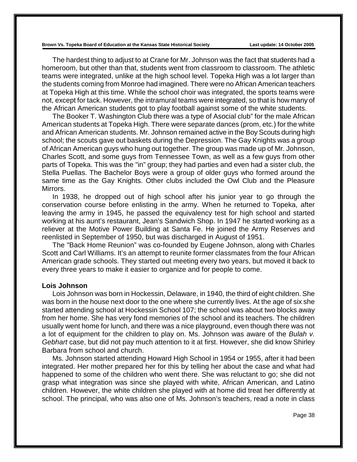The hardest thing to adjust to at Crane for Mr. Johnson was the fact that students had a homeroom, but other than that, students went from classroom to classroom. The athletic teams were integrated, unlike at the high school level. Topeka High was a lot larger than the students coming from Monroe had imagined. There were no African American teachers at Topeka High at this time. While the school choir was integrated, the sports teams were not, except for tack. However, the intramural teams were integrated, so that is how many of the African American students got to play football against some of the white students.

The Booker T. Washington Club there was a type of Asocial club" for the male African American students at Topeka High. There were separate dances (prom, etc.) for the white and African American students. Mr. Johnson remained active in the Boy Scouts during high school; the scouts gave out baskets during the Depression. The Gay Knights was a group of African American guys who hung out together. The group was made up of Mr. Johnson, Charles Scott, and some guys from Tennessee Town, as well as a few guys from other parts of Topeka. This was the "in" group; they had parties and even had a sister club, the Stella Puellas. The Bachelor Boys were a group of older guys who formed around the same time as the Gay Knights. Other clubs included the Owl Club and the Pleasure Mirrors.

In 1938, he dropped out of high school after his junior year to go through the conservation course before enlisting in the army. When he returned to Topeka, after leaving the army in 1945, he passed the equivalency test for high school and started working at his aunt's restaurant, Jean's Sandwich Shop. In 1947 he started working as a reliever at the Motive Power Building at Santa Fe. He joined the Army Reserves and reenlisted in September of 1950, but was discharged in August of 1951.

The "Back Home Reunion" was co-founded by Eugene Johnson, along with Charles Scott and Carl Williams. It's an attempt to reunite former classmates from the four African American grade schools. They started out meeting every two years, but moved it back to every three years to make it easier to organize and for people to come.

### **Lois Johnson**

Lois Johnson was born in Hockessin, Delaware, in 1940, the third of eight children. She was born in the house next door to the one where she currently lives. At the age of six she started attending school at Hockessin School 107; the school was about two blocks away from her home. She has very fond memories of the school and its teachers. The children usually went home for lunch, and there was a nice playground, even though there was not a lot of equipment for the children to play on. Ms. Johnson was aware of the *Bulah v. Gebhart* case, but did not pay much attention to it at first. However, she did know Shirley Barbara from school and church.

Ms. Johnson started attending Howard High School in 1954 or 1955, after it had been integrated. Her mother prepared her for this by telling her about the case and what had happened to some of the children who went there. She was reluctant to go; she did not grasp what integration was since she played with white, African American, and Latino children. However, the white children she played with at home did treat her differently at school. The principal, who was also one of Ms. Johnson's teachers, read a note in class

Page 38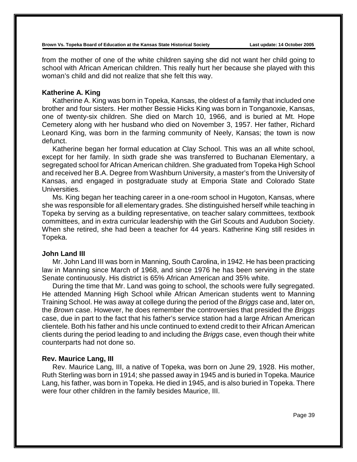from the mother of one of the white children saying she did not want her child going to school with African American children. This really hurt her because she played with this woman's child and did not realize that she felt this way.

## **Katherine A. King**

Katherine A. King was born in Topeka, Kansas, the oldest of a family that included one brother and four sisters. Her mother Bessie Hicks King was born in Tonganoxie, Kansas, one of twenty-six children. She died on March 10, 1966, and is buried at Mt. Hope Cemetery along with her husband who died on November 3, 1957. Her father, Richard Leonard King, was born in the farming community of Neely, Kansas; the town is now defunct.

Katherine began her formal education at Clay School. This was an all white school, except for her family. In sixth grade she was transferred to Buchanan Elementary, a segregated school for African American children. She graduated from Topeka High School and received her B.A. Degree from Washburn University, a master's from the University of Kansas, and engaged in postgraduate study at Emporia State and Colorado State Universities.

Ms. King began her teaching career in a one-room school in Hugoton, Kansas, where she was responsible for all elementary grades. She distinguished herself while teaching in Topeka by serving as a building representative, on teacher salary committees, textbook committees, and in extra curricular leadership with the Girl Scouts and Audubon Society. When she retired, she had been a teacher for 44 years. Katherine King still resides in Topeka.

## **John Land III**

Mr. John Land III was born in Manning, South Carolina, in 1942. He has been practicing law in Manning since March of 1968, and since 1976 he has been serving in the state Senate continuously. His district is 65% African American and 35% white.

During the time that Mr. Land was going to school, the schools were fully segregated. He attended Manning High School while African American students went to Manning Training School. He was away at college during the period of the *Briggs* case and, later on, the *Brown* case. However, he does remember the controversies that presided the *Briggs* case, due in part to the fact that his father's service station had a large African American clientele. Both his father and his uncle continued to extend credit to their African American clients during the period leading to and including the *Briggs* case, even though their white counterparts had not done so.

### **Rev. Maurice Lang, III**

Rev. Maurice Lang, III, a native of Topeka, was born on June 29, 1928. His mother, Ruth Sterling was born in 1914; she passed away in 1945 and is buried in Topeka. Maurice Lang, his father, was born in Topeka. He died in 1945, and is also buried in Topeka. There were four other children in the family besides Maurice, III.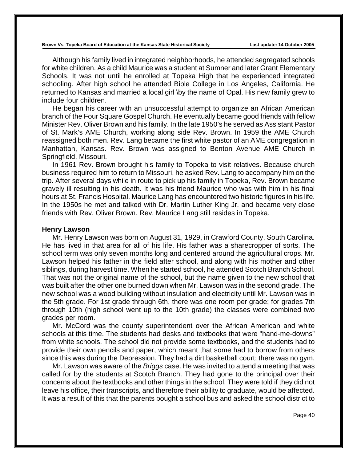Although his family lived in integrated neighborhoods, he attended segregated schools for white children. As a child Maurice was a student at Sumner and later Grant Elementary Schools. It was not until he enrolled at Topeka High that he experienced integrated schooling. After high school he attended Bible College in Los Angeles, California. He returned to Kansas and married a local girl \by the name of Opal. His new family grew to include four children.

He began his career with an unsuccessful attempt to organize an African American branch of the Four Square Gospel Church. He eventually became good friends with fellow Minister Rev. Oliver Brown and his family. In the late 1950's he served as Assistant Pastor of St. Mark's AME Church, working along side Rev. Brown. In 1959 the AME Church reassigned both men. Rev. Lang became the first white pastor of an AME congregation in Manhattan, Kansas. Rev. Brown was assigned to Benton Avenue AME Church in Springfield, Missouri.

In 1961 Rev. Brown brought his family to Topeka to visit relatives. Because church business required him to return to Missouri, he asked Rev. Lang to accompany him on the trip. After several days while in route to pick up his family in Topeka, Rev. Brown became gravely ill resulting in his death. It was his friend Maurice who was with him in his final hours at St. Francis Hospital. Maurice Lang has encountered two historic figures in his life. In the 1950s he met and talked with Dr. Martin Luther King Jr. and became very close friends with Rev. Oliver Brown. Rev. Maurice Lang still resides in Topeka.

#### **Henry Lawson**

Mr. Henry Lawson was born on August 31, 1929, in Crawford County, South Carolina. He has lived in that area for all of his life. His father was a sharecropper of sorts. The school term was only seven months long and centered around the agricultural crops. Mr. Lawson helped his father in the field after school, and along with his mother and other siblings, during harvest time. When he started school, he attended Scotch Branch School. That was not the original name of the school, but the name given to the new school that was built after the other one burned down when Mr. Lawson was in the second grade. The new school was a wood building without insulation and electricity until Mr. Lawson was in the 5th grade. For 1st grade through 6th, there was one room per grade; for grades 7th through 10th (high school went up to the 10th grade) the classes were combined two grades per room.

Mr. McCord was the county superintendent over the African American and white schools at this time. The students had desks and textbooks that were "hand-me-downs" from white schools. The school did not provide some textbooks, and the students had to provide their own pencils and paper, which meant that some had to borrow from others since this was during the Depression. They had a dirt basketball court; there was no gym.

Mr. Lawson was aware of the *Briggs* case. He was invited to attend a meeting that was called for by the students at Scotch Branch. They had gone to the principal over their concerns about the textbooks and other things in the school. They were told if they did not leave his office, their transcripts, and therefore their ability to graduate, would be affected. It was a result of this that the parents bought a school bus and asked the school district to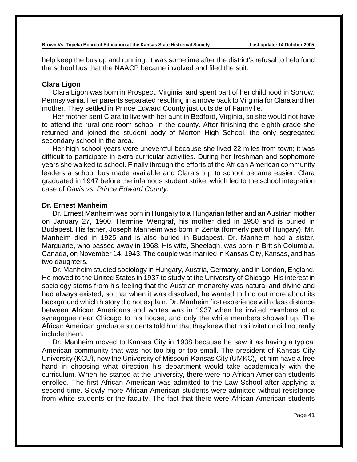help keep the bus up and running. It was sometime after the district's refusal to help fund the school bus that the NAACP became involved and filed the suit.

## **Clara Ligon**

Clara Ligon was born in Prospect, Virginia, and spent part of her childhood in Sorrow, Pennsylvania. Her parents separated resulting in a move back to Virginia for Clara and her mother. They settled in Prince Edward County just outside of Farmville.

Her mother sent Clara to live with her aunt in Bedford, Virginia, so she would not have to attend the rural one-room school in the county. After finishing the eighth grade she returned and joined the student body of Morton High School, the only segregated secondary school in the area.

Her high school years were uneventful because she lived 22 miles from town; it was difficult to participate in extra curricular activities. During her freshman and sophomore years she walked to school. Finally through the efforts of the African American community leaders a school bus made available and Clara's trip to school became easier. Clara graduated in 1947 before the infamous student strike, which led to the school integration case of *Davis vs. Prince Edward County*.

## **Dr. Ernest Manheim**

Dr. Ernest Manheim was born in Hungary to a Hungarian father and an Austrian mother on January 27, 1900. Hermine Wengraf, his mother died in 1950 and is buried in Budapest. His father, Joseph Manheim was born in Zenta (formerly part of Hungary). Mr. Manheim died in 1925 and is also buried in Budapest. Dr. Manheim had a sister, Marguarie, who passed away in 1968. His wife, Sheelagh, was born in British Columbia, Canada, on November 14, 1943. The couple was married in Kansas City, Kansas, and has two daughters.

Dr. Manheim studied sociology in Hungary, Austria, Germany, and in London, England. He moved to the United States in 1937 to study at the University of Chicago. His interest in sociology stems from his feeling that the Austrian monarchy was natural and divine and had always existed, so that when it was dissolved, he wanted to find out more about its background which history did not explain. Dr. Manheim first experience with class distance between African Americans and whites was in 1937 when he invited members of a synagogue near Chicago to his house, and only the white members showed up. The African American graduate students told him that they knew that his invitation did not really include them.

Dr. Manheim moved to Kansas City in 1938 because he saw it as having a typical American community that was not too big or too small. The president of Kansas City University (KCU), now the University of Missouri-Kansas City (UMKC), let him have a free hand in choosing what direction his department would take academically with the curriculum. When he started at the university, there were no African American students enrolled. The first African American was admitted to the Law School after applying a second time. Slowly more African American students were admitted without resistance from white students or the faculty. The fact that there were African American students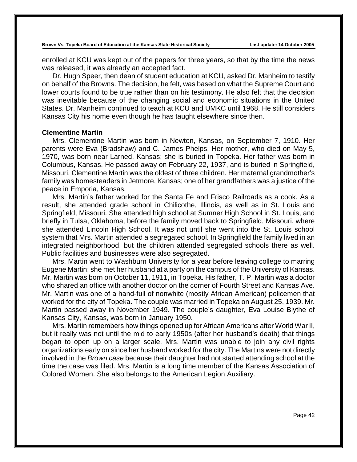enrolled at KCU was kept out of the papers for three years, so that by the time the news was released, it was already an accepted fact.

Dr. Hugh Speer, then dean of student education at KCU, asked Dr. Manheim to testify on behalf of the Browns. The decision, he felt, was based on what the Supreme Court and lower courts found to be true rather than on his testimony. He also felt that the decision was inevitable because of the changing social and economic situations in the United States. Dr. Manheim continued to teach at KCU and UMKC until 1968. He still considers Kansas City his home even though he has taught elsewhere since then.

#### **Clementine Martin**

Mrs. Clementine Martin was born in Newton, Kansas, on September 7, 1910. Her parents were Eva (Bradshaw) and C. James Phelps. Her mother, who died on May 5, 1970, was born near Larned, Kansas; she is buried in Topeka. Her father was born in Columbus, Kansas. He passed away on February 22, 1937, and is buried in Springfield, Missouri. Clementine Martin was the oldest of three children. Her maternal grandmother's family was homesteaders in Jetmore, Kansas; one of her grandfathers was a justice of the peace in Emporia, Kansas.

Mrs. Martin's father worked for the Santa Fe and Frisco Railroads as a cook. As a result, she attended grade school in Chilicothe, Illinois, as well as in St. Louis and Springfield, Missouri. She attended high school at Sumner High School in St. Louis, and briefly in Tulsa, Oklahoma, before the family moved back to Springfield, Missouri, where she attended Lincoln High School. It was not until she went into the St. Louis school system that Mrs. Martin attended a segregated school. In Springfield the family lived in an integrated neighborhood, but the children attended segregated schools there as well. Public facilities and businesses were also segregated.

Mrs. Martin went to Washburn University for a year before leaving college to marring Eugene Martin; she met her husband at a party on the campus of the University of Kansas. Mr. Martin was born on October 11, 1911, in Topeka. His father, T. P. Martin was a doctor who shared an office with another doctor on the corner of Fourth Street and Kansas Ave. Mr. Martin was one of a hand-full of nonwhite (mostly African American) policemen that worked for the city of Topeka. The couple was married in Topeka on August 25, 1939. Mr. Martin passed away in November 1949. The couple's daughter, Eva Louise Blythe of Kansas City, Kansas, was born in January 1950.

Mrs. Martin remembers how things opened up for African Americans after World War II, but it really was not until the mid to early 1950s (after her husband's death) that things began to open up on a larger scale. Mrs. Martin was unable to join any civil rights organizations early on since her husband worked for the city. The Martins were not directly involved in the *Brown case* because their daughter had not started attending school at the time the case was filed. Mrs. Martin is a long time member of the Kansas Association of Colored Women. She also belongs to the American Legion Auxiliary.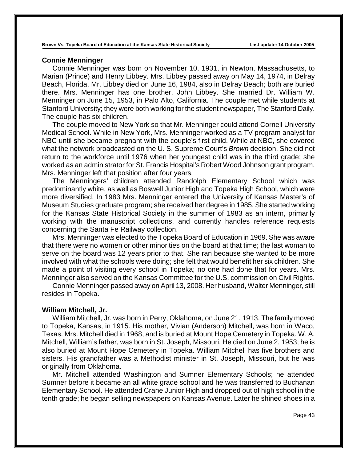#### **Connie Menninger**

Connie Menninger was born on November 10, 1931, in Newton, Massachusetts, to Marian (Prince) and Henry Libbey. Mrs. Libbey passed away on May 14, 1974, in Delray Beach, Florida. Mr. Libbey died on June 16, 1984, also in Delray Beach; both are buried there. Mrs. Menninger has one brother, John Libbey. She married Dr. William W. Menninger on June 15, 1953, in Palo Alto, California. The couple met while students at Stanford University; they were both working for the student newspaper, The Stanford Daily. The couple has six children.

The couple moved to New York so that Mr. Menninger could attend Cornell University Medical School. While in New York, Mrs. Menninger worked as a TV program analyst for NBC until she became pregnant with the couple's first child. While at NBC, she covered what the network broadcasted on the U. S. Supreme Court's *Brown* decision. She did not return to the workforce until 1976 when her youngest child was in the third grade; she worked as an administrator for St. Francis Hospital's Robert Wood Johnson grant program. Mrs. Menninger left that position after four years.

The Menningers' children attended Randolph Elementary School which was predominantly white, as well as Boswell Junior High and Topeka High School, which were more diversified. In 1983 Mrs. Menninger entered the University of Kansas Master's of Museum Studies graduate program; she received her degree in 1985. She started working for the Kansas State Historical Society in the summer of 1983 as an intern, primarily working with the manuscript collections, and currently handles reference requests concerning the Santa Fe Railway collection.

Mrs. Menninger was elected to the Topeka Board of Education in 1969. She was aware that there were no women or other minorities on the board at that time; the last woman to serve on the board was 12 years prior to that. She ran because she wanted to be more involved with what the schools were doing; she felt that would benefit her six children. She made a point of visiting every school in Topeka; no one had done that for years. Mrs. Menninger also served on the Kansas Committee for the U.S. commission on Civil Rights.

Connie Menninger passed away on April 13, 2008. Her husband, Walter Menninger, still resides in Topeka.

#### **William Mitchell, Jr.**

William Mitchell, Jr. was born in Perry, Oklahoma, on June 21, 1913. The family moved to Topeka, Kansas, in 1915. His mother, Vivian (Anderson) Mitchell, was born in Waco, Texas. Mrs. Mitchell died in 1968, and is buried at Mount Hope Cemetery in Topeka. W. A. Mitchell, William's father, was born in St. Joseph, Missouri. He died on June 2, 1953; he is also buried at Mount Hope Cemetery in Topeka. William Mitchell has five brothers and sisters. His grandfather was a Methodist minister in St. Joseph, Missouri, but he was originally from Oklahoma.

Mr. Mitchell attended Washington and Sumner Elementary Schools; he attended Sumner before it became an all white grade school and he was transferred to Buchanan Elementary School. He attended Crane Junior High and dropped out of high school in the tenth grade; he began selling newspapers on Kansas Avenue. Later he shined shoes in a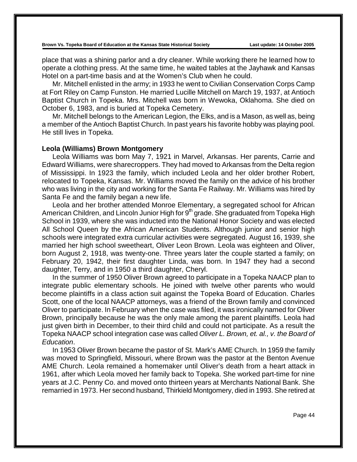place that was a shining parlor and a dry cleaner. While working there he learned how to operate a clothing press. At the same time, he waited tables at the Jayhawk and Kansas Hotel on a part-time basis and at the Women's Club when he could.

Mr. Mitchell enlisted in the army; in 1933 he went to Civilian Conservation Corps Camp at Fort Riley on Camp Funston. He married Lucille Mitchell on March 19, 1937, at Antioch Baptist Church in Topeka. Mrs. Mitchell was born in Wewoka, Oklahoma. She died on October 6, 1983, and is buried at Topeka Cemetery.

Mr. Mitchell belongs to the American Legion, the Elks, and is a Mason, as well as, being a member of the Antioch Baptist Church. In past years his favorite hobby was playing pool. He still lives in Topeka.

### **Leola (Williams) Brown Montgomery**

Leola Williams was born May 7, 1921 in Marvel, Arkansas. Her parents, Carrie and Edward Williams, were sharecroppers. They had moved to Arkansas from the Delta region of Mississippi. In 1923 the family, which included Leola and her older brother Robert, relocated to Topeka, Kansas. Mr. Williams moved the family on the advice of his brother who was living in the city and working for the Santa Fe Railway. Mr. Williams was hired by Santa Fe and the family began a new life.

Leola and her brother attended Monroe Elementary, a segregated school for African American Children, and Lincoln Junior High for  $9<sup>th</sup>$  grade. She graduated from Topeka High School in 1939, where she was inducted into the National Honor Society and was elected All School Queen by the African American Students. Although junior and senior high schools were integrated extra curricular activities were segregated. August 16, 1939, she married her high school sweetheart, Oliver Leon Brown. Leola was eighteen and Oliver, born August 2, 1918, was twenty-one. Three years later the couple started a family; on February 20, 1942, their first daughter Linda, was born. In 1947 they had a second daughter, Terry, and in 1950 a third daughter, Cheryl.

In the summer of 1950 Oliver Brown agreed to participate in a Topeka NAACP plan to integrate public elementary schools. He joined with twelve other parents who would become plaintiffs in a class action suit against the Topeka Board of Education. Charles Scott, one of the local NAACP attorneys, was a friend of the Brown family and convinced Oliver to participate. In February when the case was filed, it was ironically named for Oliver Brown, principally because he was the only male among the parent plaintiffs. Leola had just given birth in December, to their third child and could not participate. As a result the Topeka NAACP school integration case was called *Oliver L. Brown, et. al., v. the Board of Education*.

In 1953 Oliver Brown became the pastor of St. Mark's AME Church. In 1959 the family was moved to Springfield, Missouri, where Brown was the pastor at the Benton Avenue AME Church. Leola remained a homemaker until Oliver's death from a heart attack in 1961, after which Leola moved her family back to Topeka. She worked part-time for nine years at J.C. Penny Co. and moved onto thirteen years at Merchants National Bank. She remarried in 1973. Her second husband, Thirkield Montgomery, died in 1993. She retired at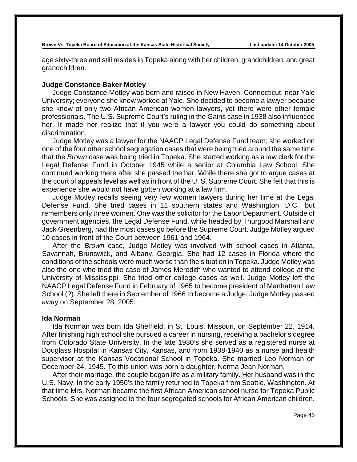age sixty-three and still resides in Topeka along with her children, grandchildren, and great grandchildren.

### **Judge Constance Baker Motley**

Judge Constance Motley was born and raised in New Haven, Connecticut, near Yale University; everyone she knew worked at Yale. She decided to become a lawyer because she knew of only two African American women lawyers, yet there were other female professionals. The U.S. Supreme Court's ruling in the Gains case in 1938 also influenced her. It made her realize that if you were a lawyer you could do something about discrimination.

Judge Motley was a lawyer for the NAACP Legal Defense Fund team; she worked on one of the four other school segregation cases that were being tried around the same time that the *Brown* case was being tried in Topeka. She started working as a law clerk for the Legal Defense Fund in October 1945 while a senior at Columbia Law School. She continued working there after she passed the bar. While there she got to argue cases at the court of appeals level as well as in front of the U. S. Supreme Court. She felt that this is experience she would not have gotten working at a law firm.

Judge Motley recalls seeing very few women lawyers during her time at the Legal Defense Fund. She tried cases in 11 southern states and Washington, D.C., but remembers only three women. One was the solicitor for the Labor Department. Outside of government agencies, the Legal Defense Fund, while headed by Thurgood Marshall and Jack Greenberg, had the most cases go before the Supreme Court. Judge Motley argued 10 cases in front of the Court between 1961 and 1964.

After the *Brown* case, Judge Motley was involved with school cases in Atlanta, Savannah, Brunswick, and Albany, Georgia. She had 12 cases in Florida where the conditions of the schools were much worse than the situation in Topeka. Judge Motley was also the one who tried the case of James Meredith who wanted to attend college at the University of Mississippi. She tried other college cases as well. Judge Motley left the NAACP Legal Defense Fund in February of 1965 to become president of Manhattan Law School (?). She left there in September of 1966 to become a Judge. Judge Motley passed away on September 28, 2005.

### **Ida Norman**

Ida Norman was born Ida Sheffield, in St. Louis, Missouri, on September 22, 1914. After finishing high school she pursued a career in nursing, receiving a bachelor's degree from Colorado State University. In the late 1930's she served as a registered nurse at Douglass Hospital in Kansas City, Kansas, and from 1938-1940 as a nurse and health supervisor at the Kansas Vocational School in Topeka. She married Leo Norman on December 24, 1945. To this union was born a daughter, Norma Jean Norman.

After their marriage, the couple began life as a military family. Her husband was in the U.S. Navy. In the early 1950's the family returned to Topeka from Seattle, Washington. At that time Mrs. Norman became the first African American school nurse for Topeka Public Schools. She was assigned to the four segregated schools for African American children.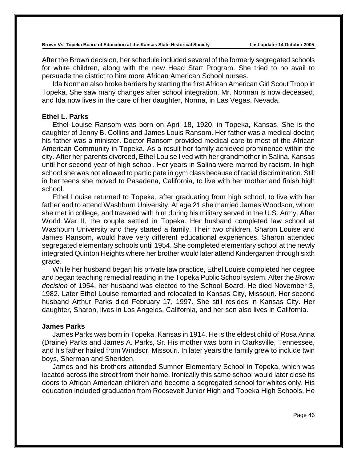After the Brown decision, her schedule included several of the formerly segregated schools for white children, along with the new Head Start Program. She tried to no avail to persuade the district to hire more African American School nurses.

Ida Norman also broke barriers by starting the first African American Girl Scout Troop in Topeka. She saw many changes after school integration. Mr. Norman is now deceased, and Ida now lives in the care of her daughter, Norma, in Las Vegas, Nevada.

## **Ethel L. Parks**

Ethel Louise Ransom was born on April 18, 1920, in Topeka, Kansas. She is the daughter of Jenny B. Collins and James Louis Ransom. Her father was a medical doctor; his father was a minister. Doctor Ransom provided medical care to most of the African American Community in Topeka. As a result her family achieved prominence within the city. After her parents divorced, Ethel Louise lived with her grandmother in Salina, Kansas until her second year of high school. Her years in Salina were marred by racism. In high school she was not allowed to participate in gym class because of racial discrimination. Still in her teens she moved to Pasadena, California, to live with her mother and finish high school.

Ethel Louise returned to Topeka, after graduating from high school, to live with her father and to attend Washburn University. At age 21 she married James Woodson, whom she met in college, and traveled with him during his military served in the U.S. Army. After World War II, the couple settled in Topeka. Her husband completed law school at Washburn University and they started a family. Their two children, Sharon Louise and James Ransom, would have very different educational experiences. Sharon attended segregated elementary schools until 1954. She completed elementary school at the newly integrated Quinton Heights where her brother would later attend Kindergarten through sixth grade.

While her husband began his private law practice, Ethel Louise completed her degree and began teaching remedial reading in the Topeka Public School system. After the *Brown decision* of 1954, her husband was elected to the School Board. He died November 3, 1982. Later Ethel Louise remarried and relocated to Kansas City, Missouri. Her second husband Arthur Parks died February 17, 1997. She still resides in Kansas City. Her daughter, Sharon, lives in Los Angeles, California, and her son also lives in California.

# **James Parks**

James Parks was born in Topeka, Kansas in 1914. He is the eldest child of Rosa Anna (Draine) Parks and James A. Parks, Sr. His mother was born in Clarksville, Tennessee, and his father hailed from Windsor, Missouri. In later years the family grew to include twin boys, Sherman and Sheriden.

James and his brothers attended Sumner Elementary School in Topeka, which was located across the street from their home. Ironically this same school would later close its doors to African American children and become a segregated school for whites only. His education included graduation from Roosevelt Junior High and Topeka High Schools. He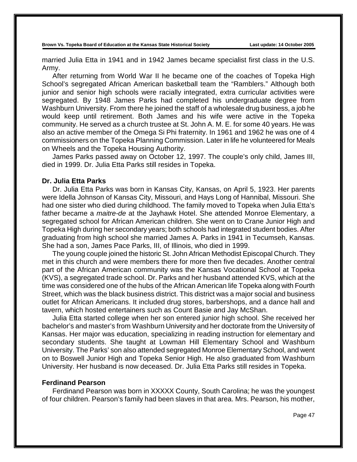married Julia Etta in 1941 and in 1942 James became specialist first class in the U.S. Army.

After returning from World War II he became one of the coaches of Topeka High School's segregated African American basketball team the "Ramblers." Although both junior and senior high schools were racially integrated, extra curricular activities were segregated. By 1948 James Parks had completed his undergraduate degree from Washburn University. From there he joined the staff of a wholesale drug business, a job he would keep until retirement. Both James and his wife were active in the Topeka community. He served as a church trustee at St. John A. M. E. for some 40 years. He was also an active member of the Omega Si Phi fraternity. In 1961 and 1962 he was one of 4 commissioners on the Topeka Planning Commission. Later in life he volunteered for Meals on Wheels and the Topeka Housing Authority.

James Parks passed away on October 12, 1997. The couple's only child, James III, died in 1999. Dr. Julia Etta Parks still resides in Topeka.

## **Dr. Julia Etta Parks**

Dr. Julia Etta Parks was born in Kansas City, Kansas, on April 5, 1923. Her parents were Idella Johnson of Kansas City, Missouri, and Hays Long of Hannibal, Missouri. She had one sister who died during childhood. The family moved to Topeka when Julia Etta's father became a *maitre-de* at the Jayhawk Hotel. She attended Monroe Elementary, a segregated school for African American children. She went on to Crane Junior High and Topeka High during her secondary years; both schools had integrated student bodies. After graduating from high school she married James A. Parks in 1941 in Tecumseh, Kansas. She had a son, James Pace Parks, III, of Illinois, who died in 1999.

The young couple joined the historic St. John African Methodist Episcopal Church. They met in this church and were members there for more then five decades. Another central part of the African American community was the Kansas Vocational School at Topeka (KVS), a segregated trade school. Dr. Parks and her husband attended KVS, which at the time was considered one of the hubs of the African American life Topeka along with Fourth Street, which was the black business district. This district was a major social and business outlet for African Americans. It included drug stores, barbershops, and a dance hall and tavern, which hosted entertainers such as Count Basie and Jay McShan.

Julia Etta started college when her son entered junior high school. She received her bachelor's and master's from Washburn University and her doctorate from the University of Kansas. Her major was education, specializing in reading instruction for elementary and secondary students. She taught at Lowman Hill Elementary School and Washburn University. The Parks' son also attended segregated Monroe Elementary School, and went on to Boswell Junior High and Topeka Senior High. He also graduated from Washburn University. Her husband is now deceased. Dr. Julia Etta Parks still resides in Topeka.

## **Ferdinand Pearson**

Ferdinand Pearson was born in XXXXX County, South Carolina; he was the youngest of four children. Pearson's family had been slaves in that area. Mrs. Pearson, his mother,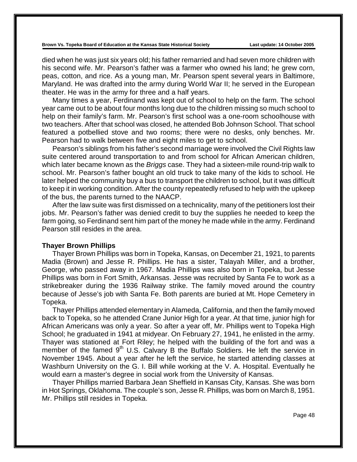died when he was just six years old; his father remarried and had seven more children with his second wife. Mr. Pearson's father was a farmer who owned his land; he grew corn, peas, cotton, and rice. As a young man, Mr. Pearson spent several years in Baltimore, Maryland. He was drafted into the army during World War II; he served in the European theater. He was in the army for three and a half years.

Many times a year, Ferdinand was kept out of school to help on the farm. The school year came out to be about four months long due to the children missing so much school to help on their family's farm. Mr. Pearson's first school was a one-room schoolhouse with two teachers. After that school was closed, he attended Bob Johnson School. That school featured a potbellied stove and two rooms; there were no desks, only benches. Mr. Pearson had to walk between five and eight miles to get to school.

Pearson's siblings from his father's second marriage were involved the Civil Rights law suite centered around transportation to and from school for African American children, which later became known as the *Briggs* case. They had a sixteen-mile round-trip walk to school. Mr. Pearson's father bought an old truck to take many of the kids to school. He later helped the community buy a bus to transport the children to school, but it was difficult to keep it in working condition. After the county repeatedly refused to help with the upkeep of the bus, the parents turned to the NAACP.

After the law suite was first dismissed on a technicality, many of the petitioners lost their jobs. Mr. Pearson's father was denied credit to buy the supplies he needed to keep the farm going, so Ferdinand sent him part of the money he made while in the army. Ferdinand Pearson still resides in the area.

#### **Thayer Brown Phillips**

Thayer Brown Phillips was born in Topeka, Kansas, on December 21, 1921, to parents Madia (Brown) and Jesse R. Phillips. He has a sister, Talayah Miller, and a brother, George, who passed away in 1967. Madia Phillips was also born in Topeka, but Jesse Phillips was born in Fort Smith, Arkansas. Jesse was recruited by Santa Fe to work as a strikebreaker during the 1936 Railway strike. The family moved around the country because of Jesse's job with Santa Fe. Both parents are buried at Mt. Hope Cemetery in Topeka.

Thayer Phillips attended elementary in Alameda, California, and then the family moved back to Topeka, so he attended Crane Junior High for a year. At that time, junior high for African Americans was only a year. So after a year off, Mr. Phillips went to Topeka High School; he graduated in 1941 at midyear. On February 27, 1941, he enlisted in the army. Thayer was stationed at Fort Riley; he helped with the building of the fort and was a member of the famed  $9<sup>th</sup>$  U.S. Calvary B the Buffalo Soldiers. He left the service in November 1945. About a year after he left the service, he started attending classes at Washburn University on the G. I. Bill while working at the V. A. Hospital. Eventually he would earn a master's degree in social work from the University of Kansas.

Thayer Phillips married Barbara Jean Sheffield in Kansas City, Kansas. She was born in Hot Springs, Oklahoma. The couple's son, Jesse R. Phillips, was born on March 8, 1951. Mr. Phillips still resides in Topeka.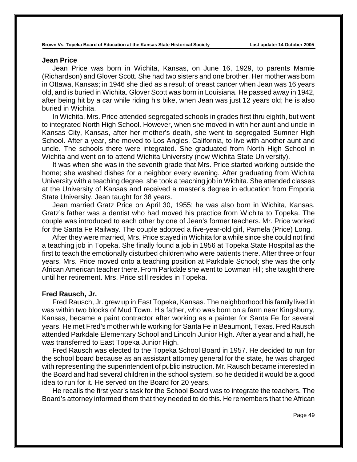#### **Jean Price**

Jean Price was born in Wichita, Kansas, on June 16, 1929, to parents Mamie (Richardson) and Glover Scott. She had two sisters and one brother. Her mother was born in Ottawa, Kansas; in 1946 she died as a result of breast cancer when Jean was 16 years old, and is buried in Wichita. Glover Scott was born in Louisiana. He passed away in 1942, after being hit by a car while riding his bike, when Jean was just 12 years old; he is also buried in Wichita.

In Wichita, Mrs. Price attended segregated schools in grades first thru eighth, but went to integrated North High School. However, when she moved in with her aunt and uncle in Kansas City, Kansas, after her mother's death, she went to segregated Sumner High School. After a year, she moved to Los Angles, California, to live with another aunt and uncle. The schools there were integrated. She graduated from North High School in Wichita and went on to attend Wichita University (now Wichita State University).

It was when she was in the seventh grade that Mrs. Price started working outside the home; she washed dishes for a neighbor every evening. After graduating from Wichita University with a teaching degree, she took a teaching job in Wichita. She attended classes at the University of Kansas and received a master's degree in education from Emporia State University. Jean taught for 38 years.

Jean married Gratz Price on April 30, 1955; he was also born in Wichita, Kansas. Gratz's father was a dentist who had moved his practice from Wichita to Topeka. The couple was introduced to each other by one of Jean's former teachers. Mr. Price worked for the Santa Fe Railway. The couple adopted a five-year-old girl, Pamela (Price) Long.

After they were married, Mrs. Price stayed in Wichita for a while since she could not find a teaching job in Topeka. She finally found a job in 1956 at Topeka State Hospital as the first to teach the emotionally disturbed children who were patients there. After three or four years, Mrs. Price moved onto a teaching position at Parkdale School; she was the only African American teacher there. From Parkdale she went to Lowman Hill; she taught there until her retirement. Mrs. Price still resides in Topeka.

#### **Fred Rausch, Jr.**

Fred Rausch, Jr. grew up in East Topeka, Kansas. The neighborhood his family lived in was within two blocks of Mud Town. His father, who was born on a farm near Kingsburry, Kansas, became a paint contractor after working as a painter for Santa Fe for several years. He met Fred's mother while working for Santa Fe in Beaumont, Texas. Fred Rausch attended Parkdale Elementary School and Lincoln Junior High. After a year and a half, he was transferred to East Topeka Junior High.

Fred Rausch was elected to the Topeka School Board in 1957. He decided to run for the school board because as an assistant attorney general for the state, he was charged with representing the superintendent of public instruction. Mr. Rausch became interested in the Board and had several children in the school system, so he decided it would be a good idea to run for it. He served on the Board for 20 years.

He recalls the first year's task for the School Board was to integrate the teachers. The Board's attorney informed them that they needed to do this. He remembers that the African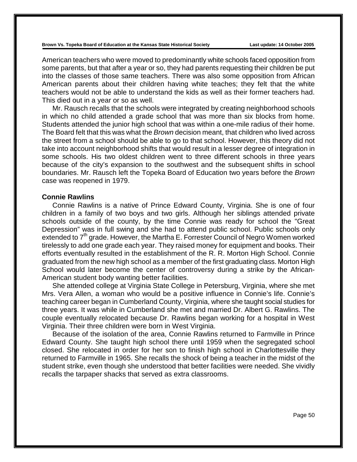American teachers who were moved to predominantly white schools faced opposition from some parents, but that after a year or so, they had parents requesting their children be put into the classes of those same teachers. There was also some opposition from African American parents about their children having white teaches; they felt that the white teachers would not be able to understand the kids as well as their former teachers had. This died out in a year or so as well.

Mr. Rausch recalls that the schools were integrated by creating neighborhood schools in which no child attended a grade school that was more than six blocks from home. Students attended the junior high school that was within a one-mile radius of their home. The Board felt that this was what the *Brown* decision meant, that children who lived across the street from a school should be able to go to that school. However, this theory did not take into account neighborhood shifts that would result in a lesser degree of integration in some schools. His two oldest children went to three different schools in three years because of the city's expansion to the southwest and the subsequent shifts in school boundaries. Mr. Rausch left the Topeka Board of Education two years before the *Brown* case was reopened in 1979.

#### **Connie Rawlins**

Connie Rawlins is a native of Prince Edward County, Virginia. She is one of four children in a family of two boys and two girls. Although her siblings attended private schools outside of the county, by the time Connie was ready for school the "Great Depression" was in full swing and she had to attend public school. Public schools only extended to  $7<sup>th</sup>$  grade. However, the Martha E. Forrester Council of Negro Women worked tirelessly to add one grade each year. They raised money for equipment and books. Their efforts eventually resulted in the establishment of the R. R. Morton High School. Connie graduated from the new high school as a member of the first graduating class. Morton High School would later become the center of controversy during a strike by the African-American student body wanting better facilities.

She attended college at Virginia State College in Petersburg, Virginia, where she met Mrs. Vera Allen, a woman who would be a positive influence in Connie's life. Connie's teaching career began in Cumberland County, Virginia, where she taught social studies for three years. It was while in Cumberland she met and married Dr. Albert G. Rawlins. The couple eventually relocated because Dr. Rawlins began working for a hospital in West Virginia. Their three children were born in West Virginia.

Because of the isolation of the area, Connie Rawlins returned to Farmville in Prince Edward County. She taught high school there until 1959 when the segregated school closed. She relocated in order for her son to finish high school in Charlottesville they returned to Farmville in 1965. She recalls the shock of being a teacher in the midst of the student strike, even though she understood that better facilities were needed. She vividly recalls the tarpaper shacks that served as extra classrooms.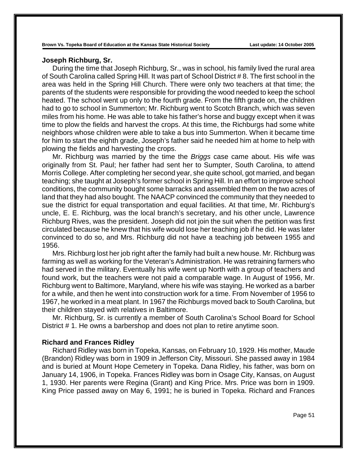# **Joseph Richburg, Sr.**

During the time that Joseph Richburg, Sr., was in school, his family lived the rural area of South Carolina called Spring Hill. It was part of School District # 8. The first school in the area was held in the Spring Hill Church. There were only two teachers at that time; the parents of the students were responsible for providing the wood needed to keep the school heated. The school went up only to the fourth grade. From the fifth grade on, the children had to go to school in Summerton; Mr. Richburg went to Scotch Branch, which was seven miles from his home. He was able to take his father's horse and buggy except when it was time to plow the fields and harvest the crops. At this time, the Richburgs had some white neighbors whose children were able to take a bus into Summerton. When it became time for him to start the eighth grade, Joseph's father said he needed him at home to help with plowing the fields and harvesting the crops.

Mr. Richburg was married by the time the *Briggs* case came about. His wife was originally from St. Paul; her father had sent her to Sumpter, South Carolina, to attend Morris College. After completing her second year, she quite school, got married, and began teaching; she taught at Joseph's former school in Spring Hill. In an effort to improve school conditions, the community bought some barracks and assembled them on the two acres of land that they had also bought. The NAACP convinced the community that they needed to sue the district for equal transportation and equal facilities. At that time, Mr. Richburg's uncle, E. E. Richburg, was the local branch's secretary, and his other uncle, Lawrence Richburg Rives, was the president. Joseph did not join the suit when the petition was first circulated because he knew that his wife would lose her teaching job if he did. He was later convinced to do so, and Mrs. Richburg did not have a teaching job between 1955 and 1956.

Mrs. Richburg lost her job right after the family had built a new house. Mr. Richburg was farming as well as working for the Veteran's Administration. He was retraining farmers who had served in the military. Eventually his wife went up North with a group of teachers and found work, but the teachers were not paid a comparable wage. In August of 1956, Mr. Richburg went to Baltimore, Maryland, where his wife was staying. He worked as a barber for a while, and then he went into construction work for a time. From November of 1956 to 1967, he worked in a meat plant. In 1967 the Richburgs moved back to South Carolina, but their children stayed with relatives in Baltimore.

Mr. Richburg, Sr. is currently a member of South Carolina's School Board for School District # 1. He owns a barbershop and does not plan to retire anytime soon.

### **Richard and Frances Ridley**

Richard Ridley was born in Topeka, Kansas, on February 10, 1929. His mother, Maude (Brandon) Ridley was born in 1909 in Jefferson City, Missouri. She passed away in 1984 and is buried at Mount Hope Cemetery in Topeka. Dana Ridley, his father, was born on January 14, 1906, in Topeka. Frances Ridley was born in Osage City, Kansas, on August 1, 1930. Her parents were Regina (Grant) and King Price. Mrs. Price was born in 1909. King Price passed away on May 6, 1991; he is buried in Topeka. Richard and Frances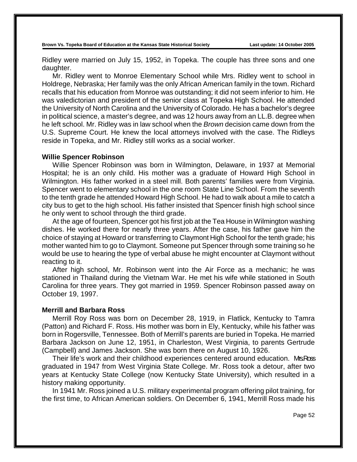Ridley were married on July 15, 1952, in Topeka. The couple has three sons and one daughter.

Mr. Ridley went to Monroe Elementary School while Mrs. Ridley went to school in Holdrege, Nebraska; Her family was the only African American family in the town. Richard recalls that his education from Monroe was outstanding; it did not seem inferior to him. He was valedictorian and president of the senior class at Topeka High School. He attended the University of North Carolina and the University of Colorado. He has a bachelor's degree in political science, a master's degree, and was 12 hours away from an LL.B. degree when he left school. Mr. Ridley was in law school when the *Brown* decision came down from the U.S. Supreme Court. He knew the local attorneys involved with the case. The Ridleys reside in Topeka, and Mr. Ridley still works as a social worker.

#### **Willie Spencer Robinson**

Willie Spencer Robinson was born in Wilmington, Delaware, in 1937 at Memorial Hospital; he is an only child. His mother was a graduate of Howard High School in Wilmington. His father worked in a steel mill. Both parents' families were from Virginia. Spencer went to elementary school in the one room State Line School. From the seventh to the tenth grade he attended Howard High School. He had to walk about a mile to catch a city bus to get to the high school. His father insisted that Spencer finish high school since he only went to school through the third grade.

At the age of fourteen, Spencer got his first job at the Tea House in Wilmington washing dishes. He worked there for nearly three years. After the case, his father gave him the choice of staying at Howard or transferring to Claymont High School for the tenth grade; his mother wanted him to go to Claymont. Someone put Spencer through some training so he would be use to hearing the type of verbal abuse he might encounter at Claymont without reacting to it.

After high school, Mr. Robinson went into the Air Force as a mechanic; he was stationed in Thailand during the Vietnam War. He met his wife while stationed in South Carolina for three years. They got married in 1959. Spencer Robinson passed away on October 19, 1997.

### **Merrill and Barbara Ross**

Merrill Roy Ross was born on December 28, 1919, in Flatlick, Kentucky to Tamra (Patton) and Richard F. Ross. His mother was born in Ely, Kentucky, while his father was born in Rogersville, Tennessee. Both of Merrill's parents are buried in Topeka. He married Barbara Jackson on June 12, 1951, in Charleston, West Virginia, to parents Gertrude (Campbell) and James Jackson. She was born there on August 10, 1926.

Their life's work and their childhood experiences centered around education. MSRoss graduated in 1947 from West Virginia State College. Mr. Ross took a detour, after two years at Kentucky State College (now Kentucky State University), which resulted in a history making opportunity.

In 1941 Mr. Ross joined a U.S. military experimental program offering pilot training, for the first time, to African American soldiers. On December 6, 1941, Merrill Ross made his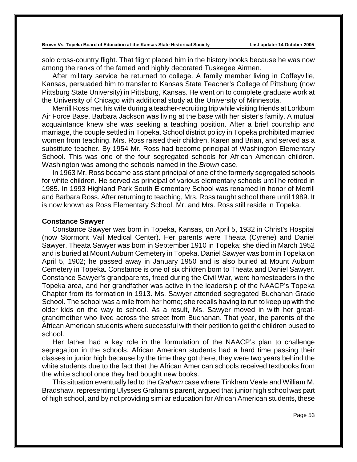solo cross-country flight. That flight placed him in the history books because he was now among the ranks of the famed and highly decorated Tuskegee Airmen.

After military service he returned to college. A family member living in Coffeyville, Kansas, persuaded him to transfer to Kansas State Teacher's College of Pittsburg (now Pittsburg State University) in Pittsburg, Kansas. He went on to complete graduate work at the University of Chicago with additional study at the University of Minnesota.

Merrill Ross met his wife during a teacher-recruiting trip while visiting friends at Lorkburn Air Force Base. Barbara Jackson was living at the base with her sister's family. A mutual acquaintance knew she was seeking a teaching position. After a brief courtship and marriage, the couple settled in Topeka. School district policy in Topeka prohibited married women from teaching. Mrs. Ross raised their children, Karen and Brian, and served as a substitute teacher. By 1954 Mr. Ross had become principal of Washington Elementary School. This was one of the four segregated schools for African American children. Washington was among the schools named in the *Brown* case.

In 1963 Mr. Ross became assistant principal of one of the formerly segregated schools for white children. He served as principal of various elementary schools until he retired in 1985. In 1993 Highland Park South Elementary School was renamed in honor of Merrill and Barbara Ross. After returning to teaching, Mrs. Ross taught school there until 1989. It is now known as Ross Elementary School. Mr. and Mrs. Ross still reside in Topeka.

### **Constance Sawyer**

Constance Sawyer was born in Topeka, Kansas, on April 5, 1932 in Christ's Hospital (now Stormont Vail Medical Center). Her parents were Theata (Cyrene) and Daniel Sawyer. Theata Sawyer was born in September 1910 in Topeka; she died in March 1952 and is buried at Mount Auburn Cemetery in Topeka. Daniel Sawyer was born in Topeka on April 5, 1902; he passed away in January 1950 and is also buried at Mount Auburn Cemetery in Topeka. Constance is one of six children born to Theata and Daniel Sawyer. Constance Sawyer's grandparents, freed during the Civil War, were homesteaders in the Topeka area, and her grandfather was active in the leadership of the NAACP's Topeka Chapter from its formation in 1913. Ms. Sawyer attended segregated Buchanan Grade School. The school was a mile from her home; she recalls having to run to keep up with the older kids on the way to school. As a result, Ms. Sawyer moved in with her greatgrandmother who lived across the street from Buchanan. That year, the parents of the African American students where successful with their petition to get the children bused to school.

Her father had a key role in the formulation of the NAACP's plan to challenge segregation in the schools. African American students had a hard time passing their classes in junior high because by the time they got there, they were two years behind the white students due to the fact that the African American schools received textbooks from the white school once they had bought new books.

This situation eventually led to the *Graham* case where Tinkham Veale and William M. Bradshaw, representing Ulysses Graham's parent, argued that junior high school was part of high school, and by not providing similar education for African American students, these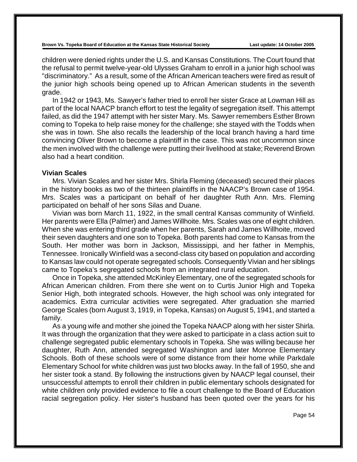children were denied rights under the U.S. and Kansas Constitutions. The Court found that the refusal to permit twelve-year-old Ulysses Graham to enroll in a junior high school was "discriminatory." As a result, some of the African American teachers were fired as result of the junior high schools being opened up to African American students in the seventh grade.

In 1942 or 1943, Ms. Sawyer's father tried to enroll her sister Grace at Lowman Hill as part of the local NAACP branch effort to test the legality of segregation itself. This attempt failed, as did the 1947 attempt with her sister Mary. Ms. Sawyer remembers Esther Brown coming to Topeka to help raise money for the challenge; she stayed with the Todds when she was in town. She also recalls the leadership of the local branch having a hard time convincing Oliver Brown to become a plaintiff in the case. This was not uncommon since the men involved with the challenge were putting their livelihood at stake; Reverend Brown also had a heart condition.

## **Vivian Scales**

Mrs. Vivian Scales and her sister Mrs. Shirla Fleming (deceased) secured their places in the history books as two of the thirteen plaintiffs in the NAACP's Brown case of 1954. Mrs. Scales was a participant on behalf of her daughter Ruth Ann. Mrs. Fleming participated on behalf of her sons Silas and Duane.

Vivian was born March 11, 1922, in the small central Kansas community of Winfield. Her parents were Ella (Palmer) and James Willhoite. Mrs. Scales was one of eight children. When she was entering third grade when her parents, Sarah and James Willhoite, moved their seven daughters and one son to Topeka. Both parents had come to Kansas from the South. Her mother was born in Jackson, Mississippi, and her father in Memphis, Tennessee. Ironically Winfield was a second-class city based on population and according to Kansas law could not operate segregated schools. Consequently Vivian and her siblings came to Topeka's segregated schools from an integrated rural education.

Once in Topeka, she attended McKinley Elementary, one of the segregated schools for African American children. From there she went on to Curtis Junior High and Topeka Senior High, both integrated schools. However, the high school was only integrated for academics. Extra curricular activities were segregated. After graduation she married George Scales (born August 3, 1919, in Topeka, Kansas) on August 5, 1941, and started a family.

As a young wife and mother she joined the Topeka NAACP along with her sister Shirla. It was through the organization that they were asked to participate in a class action suit to challenge segregated public elementary schools in Topeka. She was willing because her daughter, Ruth Ann, attended segregated Washington and later Monroe Elementary Schools. Both of these schools were of some distance from their home while Parkdale Elementary School for white children was just two blocks away. In the fall of 1950, she and her sister took a stand. By following the instructions given by NAACP legal counsel, their unsuccessful attempts to enroll their children in public elementary schools designated for white children only provided evidence to file a court challenge to the Board of Education racial segregation policy. Her sister's husband has been quoted over the years for his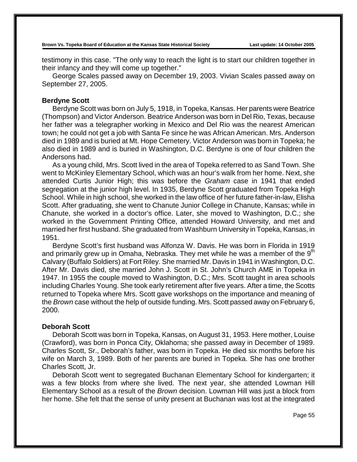testimony in this case. "The only way to reach the light is to start our children together in their infancy and they will come up together."

George Scales passed away on December 19, 2003. Vivian Scales passed away on September 27, 2005.

### **Berdyne Scott**

Berdyne Scott was born on July 5, 1918, in Topeka, Kansas. Her parents were Beatrice (Thompson) and Victor Anderson. Beatrice Anderson was born in Del Rio, Texas, because her father was a telegrapher working in Mexico and Del Rio was the nearest American town; he could not get a job with Santa Fe since he was African American. Mrs. Anderson died in 1989 and is buried at Mt. Hope Cemetery. Victor Anderson was born in Topeka; he also died in 1989 and is buried in Washington, D.C. Berdyne is one of four children the Andersons had.

As a young child, Mrs. Scott lived in the area of Topeka referred to as Sand Town. She went to McKinley Elementary School, which was an hour's walk from her home. Next, she attended Curtis Junior High; this was before the *Graham* case in 1941 that ended segregation at the junior high level. In 1935, Berdyne Scott graduated from Topeka High School. While in high school, she worked in the law office of her future father-in-law, Elisha Scott. After graduating, she went to Chanute Junior College in Chanute, Kansas; while in Chanute, she worked in a doctor's office. Later, she moved to Washington, D.C.; she worked in the Government Printing Office, attended Howard University, and met and married her first husband. She graduated from Washburn University in Topeka, Kansas, in 1951.

Berdyne Scott's first husband was Alfonza W. Davis. He was born in Florida in 1919 and primarily grew up in Omaha, Nebraska. They met while he was a member of the  $9<sup>th</sup>$ Calvary (Buffalo Soldiers) at Fort Riley. She married Mr. Davis in 1941 in Washington, D.C. After Mr. Davis died, she married John J. Scott in St. John's Church AME in Topeka in 1947. In 1955 the couple moved to Washington, D.C.; Mrs. Scott taught in area schools including Charles Young. She took early retirement after five years. After a time, the Scotts returned to Topeka where Mrs. Scott gave workshops on the importance and meaning of the *Brown* case without the help of outside funding. Mrs. Scott passed away on February 6, 2000.

### **Deborah Scott**

Deborah Scott was born in Topeka, Kansas, on August 31, 1953. Here mother, Louise (Crawford), was born in Ponca City, Oklahoma; she passed away in December of 1989. Charles Scott, Sr., Deborah's father, was born in Topeka. He died six months before his wife on March 3, 1989. Both of her parents are buried in Topeka. She has one brother Charles Scott, Jr.

Deborah Scott went to segregated Buchanan Elementary School for kindergarten; it was a few blocks from where she lived. The next year, she attended Lowman Hill Elementary School as a result of the *Brown* decision. Lowman Hill was just a block from her home. She felt that the sense of unity present at Buchanan was lost at the integrated

Page 55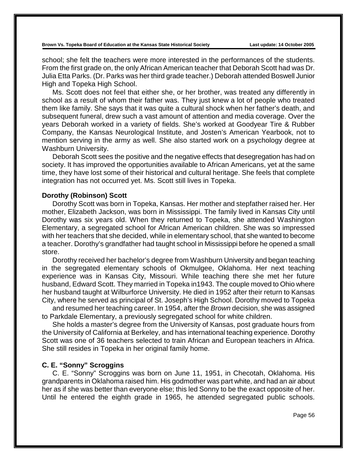school; she felt the teachers were more interested in the performances of the students. From the first grade on, the only African American teacher that Deborah Scott had was Dr. Julia Etta Parks. (Dr. Parks was her third grade teacher.) Deborah attended Boswell Junior High and Topeka High School.

Ms. Scott does not feel that either she, or her brother, was treated any differently in school as a result of whom their father was. They just knew a lot of people who treated them like family. She says that it was quite a cultural shock when her father's death, and subsequent funeral, drew such a vast amount of attention and media coverage. Over the years Deborah worked in a variety of fields. She's worked at Goodyear Tire & Rubber Company, the Kansas Neurological Institute, and Josten's American Yearbook, not to mention serving in the army as well. She also started work on a psychology degree at Washburn University.

Deborah Scott sees the positive and the negative effects that desegregation has had on society. It has improved the opportunities available to African Americans, yet at the same time, they have lost some of their historical and cultural heritage. She feels that complete integration has not occurred yet. Ms. Scott still lives in Topeka.

#### **Dorothy (Robinson) Scott**

Dorothy Scott was born in Topeka, Kansas. Her mother and stepfather raised her. Her mother, Elizabeth Jackson, was born in Mississippi. The family lived in Kansas City until Dorothy was six years old. When they returned to Topeka, she attended Washington Elementary, a segregated school for African American children. She was so impressed with her teachers that she decided, while in elementary school, that she wanted to become a teacher. Dorothy's grandfather had taught school in Mississippi before he opened a small store.

Dorothy received her bachelor's degree from Washburn University and began teaching in the segregated elementary schools of Okmulgee, Oklahoma. Her next teaching experience was in Kansas City, Missouri. While teaching there she met her future husband, Edward Scott. They married in Topeka in1943. The couple moved to Ohio where her husband taught at Wilburforce University. He died in 1952 after their return to Kansas City, where he served as principal of St. Joseph's High School. Dorothy moved to Topeka

and resumed her teaching career. In 1954, after the *Brown* decision, she was assigned to Parkdale Elementary, a previously segregated school for white children.

She holds a master's degree from the University of Kansas, post graduate hours from the University of California at Berkeley, and has international teaching experience. Dorothy Scott was one of 36 teachers selected to train African and European teachers in Africa. She still resides in Topeka in her original family home.

#### **C. E. "Sonny" Scroggins**

C. E. "Sonny" Scroggins was born on June 11, 1951, in Checotah, Oklahoma. His grandparents in Oklahoma raised him. His godmother was part white, and had an air about her as if she was better than everyone else; this led Sonny to be the exact opposite of her. Until he entered the eighth grade in 1965, he attended segregated public schools.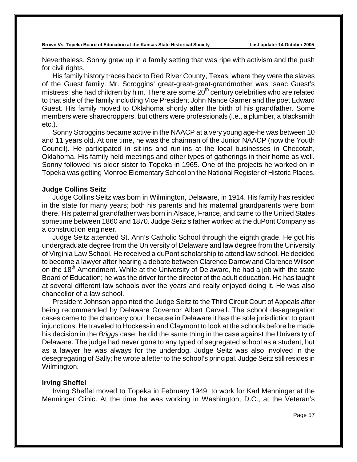Nevertheless, Sonny grew up in a family setting that was ripe with activism and the push for civil rights.

His family history traces back to Red River County, Texas, where they were the slaves of the Guest family. Mr. Scroggins' great-great-great-grandmother was Isaac Guest's mistress; she had children by him. There are some  $20<sup>th</sup>$  century celebrities who are related to that side of the family including Vice President John Nance Garner and the poet Edward Guest. His family moved to Oklahoma shortly after the birth of his grandfather. Some members were sharecroppers, but others were professionals (i.e., a plumber, a blacksmith etc.).

Sonny Scroggins became active in the NAACP at a very young age-he was between 10 and 11 years old. At one time, he was the chairman of the Junior NAACP (now the Youth Council). He participated in sit-ins and run-ins at the local businesses in Checotah, Oklahoma. His family held meetings and other types of gatherings in their home as well. Sonny followed his older sister to Topeka in 1965. One of the projects he worked on in Topeka was getting Monroe Elementary School on the National Register of Historic Places.

#### **Judge Collins Seitz**

Judge Collins Seitz was born in Wilmington, Delaware, in 1914. His family has resided in the state for many years; both his parents and his maternal grandparents were born there. His paternal grandfather was born in Alsace, France, and came to the United States sometime between 1860 and 1870. Judge Seitz's father worked at the duPont Company as a construction engineer.

Judge Seitz attended St. Ann's Catholic School through the eighth grade. He got his undergraduate degree from the University of Delaware and law degree from the University of Virginia Law School. He received a duPont scholarship to attend law school. He decided to become a lawyer after hearing a debate between Clarence Darrow and Clarence Wilson on the 18<sup>th</sup> Amendment. While at the University of Delaware, he had a job with the state Board of Education; he was the driver for the director of the adult education. He has taught at several different law schools over the years and really enjoyed doing it. He was also chancellor of a law school.

President Johnson appointed the Judge Seitz to the Third Circuit Court of Appeals after being recommended by Delaware Governor Albert Carvell. The school desegregation cases came to the chancery court because in Delaware it has the sole jurisdiction to grant injunctions. He traveled to Hockessin and Claymont to look at the schools before he made his decision in the *Briggs* case; he did the same thing in the case against the University of Delaware. The judge had never gone to any typed of segregated school as a student, but as a lawyer he was always for the underdog. Judge Seitz was also involved in the desegregating of Sally; he wrote a letter to the school's principal. Judge Seitz still resides in Wilmington.

#### **Irving Sheffel**

Irving Sheffel moved to Topeka in February 1949, to work for Karl Menninger at the Menninger Clinic. At the time he was working in Washington, D.C., at the Veteran's

Page 57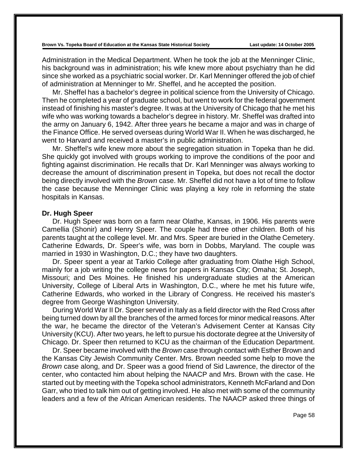Administration in the Medical Department. When he took the job at the Menninger Clinic, his background was in administration; his wife knew more about psychiatry than he did since she worked as a psychiatric social worker. Dr. Karl Menninger offered the job of chief of administration at Menninger to Mr. Sheffel, and he accepted the position.

Mr. Sheffel has a bachelor's degree in political science from the University of Chicago. Then he completed a year of graduate school, but went to work for the federal government instead of finishing his master's degree. It was at the University of Chicago that he met his wife who was working towards a bachelor's degree in history. Mr. Sheffel was drafted into the army on January 6, 1942. After three years he became a major and was in charge of the Finance Office. He served overseas during World War II. When he was discharged, he went to Harvard and received a master's in public administration.

Mr. Sheffel's wife knew more about the segregation situation in Topeka than he did. She quickly got involved with groups working to improve the conditions of the poor and fighting against discrimination. He recalls that Dr. Karl Menninger was always working to decrease the amount of discrimination present in Topeka, but does not recall the doctor being directly involved with the *Brown* case. Mr. Sheffel did not have a lot of time to follow the case because the Menninger Clinic was playing a key role in reforming the state hospitals in Kansas.

### **Dr. Hugh Speer**

Dr. Hugh Speer was born on a farm near Olathe, Kansas, in 1906. His parents were Camellia (Shonir) and Henry Speer. The couple had three other children. Both of his parents taught at the college level. Mr. and Mrs. Speer are buried in the Olathe Cemetery. Catherine Edwards, Dr. Speer's wife, was born in Dobbs, Maryland. The couple was married in 1930 in Washington, D.C.; they have two daughters.

Dr. Speer spent a year at Tarkio College after graduating from Olathe High School, mainly for a job writing the college news for papers in Kansas City; Omaha; St. Joseph, Missouri; and Des Moines. He finished his undergraduate studies at the American University, College of Liberal Arts in Washington, D.C., where he met his future wife, Catherine Edwards, who worked in the Library of Congress. He received his master's degree from George Washington University.

During World War II Dr. Speer served in Italy as a field director with the Red Cross after being turned down by all the branches of the armed forces for minor medical reasons. After the war, he became the director of the Veteran's Advisement Center at Kansas City University (KCU). After two years, he left to pursue his doctorate degree at the University of Chicago. Dr. Speer then returned to KCU as the chairman of the Education Department.

Dr. Speer became involved with the *Brown* case through contact with Esther Brown and the Kansas City Jewish Community Center. Mrs. Brown needed some help to move the *Brown* case along, and Dr. Speer was a good friend of Sid Lawrence, the director of the center, who contacted him about helping the NAACP and Mrs. Brown with the case. He started out by meeting with the Topeka school administrators, Kenneth McFarland and Don Garr, who tried to talk him out of getting involved. He also met with some of the community leaders and a few of the African American residents. The NAACP asked three things of

Page 58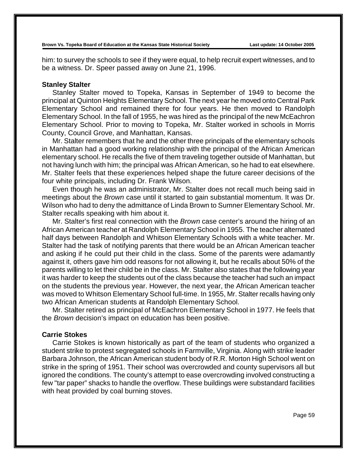him: to survey the schools to see if they were equal, to help recruit expert witnesses, and to be a witness. Dr. Speer passed away on June 21, 1996.

### **Stanley Stalter**

Stanley Stalter moved to Topeka, Kansas in September of 1949 to become the principal at Quinton Heights Elementary School. The next year he moved onto Central Park Elementary School and remained there for four years. He then moved to Randolph Elementary School. In the fall of 1955, he was hired as the principal of the new McEachron Elementary School. Prior to moving to Topeka, Mr. Stalter worked in schools in Morris County, Council Grove, and Manhattan, Kansas.

Mr. Stalter remembers that he and the other three principals of the elementary schools in Manhattan had a good working relationship with the principal of the African American elementary school. He recalls the five of them traveling together outside of Manhattan, but not having lunch with him; the principal was African American, so he had to eat elsewhere. Mr. Stalter feels that these experiences helped shape the future career decisions of the four white principals, including Dr. Frank Wilson.

Even though he was an administrator, Mr. Stalter does not recall much being said in meetings about the *Brown* case until it started to gain substantial momentum. It was Dr. Wilson who had to deny the admittance of Linda Brown to Sumner Elementary School. Mr. Stalter recalls speaking with him about it.

Mr. Stalter's first real connection with the *Brown* case center's around the hiring of an African American teacher at Randolph Elementary School in 1955. The teacher alternated half days between Randolph and Whitson Elementary Schools with a white teacher. Mr. Stalter had the task of notifying parents that there would be an African American teacher and asking if he could put their child in the class. Some of the parents were adamantly against it, others gave him odd reasons for not allowing it, but he recalls about 50% of the parents willing to let their child be in the class. Mr. Stalter also states that the following year it was harder to keep the students out of the class because the teacher had such an impact on the students the previous year. However, the next year, the African American teacher was moved to Whitson Elementary School full-time. In 1955, Mr. Stalter recalls having only two African American students at Randolph Elementary School.

Mr. Stalter retired as principal of McEachron Elementary School in 1977. He feels that the *Brown* decision's impact on education has been positive.

## **Carrie Stokes**

Carrie Stokes is known historically as part of the team of students who organized a student strike to protest segregated schools in Farmville, Virginia. Along with strike leader Barbara Johnson, the African American student body of R.R. Morton High School went on strike in the spring of 1951. Their school was overcrowded and county supervisors all but ignored the conditions. The county's attempt to ease overcrowding involved constructing a few "tar paper" shacks to handle the overflow. These buildings were substandard facilities with heat provided by coal burning stoves.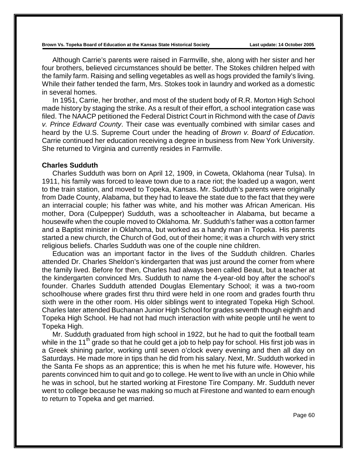Although Carrie's parents were raised in Farmville, she, along with her sister and her four brothers, believed circumstances should be better. The Stokes children helped with the family farm. Raising and selling vegetables as well as hogs provided the family's living. While their father tended the farm, Mrs. Stokes took in laundry and worked as a domestic in several homes.

In 1951, Carrie, her brother, and most of the student body of R.R. Morton High School made history by staging the strike. As a result of their effort, a school integration case was filed. The NAACP petitioned the Federal District Court in Richmond with the case of *Davis v. Prince Edward County*. Their case was eventually combined with similar cases and heard by the U.S. Supreme Court under the heading of *Brown v. Board of Education*. Carrie continued her education receiving a degree in business from New York University. She returned to Virginia and currently resides in Farmville.

#### **Charles Sudduth**

Charles Sudduth was born on April 12, 1909, in Coweta, Oklahoma (near Tulsa). In 1911, his family was forced to leave town due to a race riot; the loaded up a wagon, went to the train station, and moved to Topeka, Kansas. Mr. Sudduth's parents were originally from Dade County, Alabama, but they had to leave the state due to the fact that they were an interracial couple; his father was white, and his mother was African American. His mother, Dora (Culpepper) Sudduth, was a schoolteacher in Alabama, but became a housewife when the couple moved to Oklahoma. Mr. Sudduth's father was a cotton farmer and a Baptist minister in Oklahoma, but worked as a handy man in Topeka. His parents started a new church, the Church of God, out of their home; it was a church with very strict religious beliefs. Charles Sudduth was one of the couple nine children.

Education was an important factor in the lives of the Sudduth children. Charles attended Dr. Charles Sheldon's kindergarten that was just around the corner from where the family lived. Before for then, Charles had always been called Beaut, but a teacher at the kindergarten convinced Mrs. Sudduth to name the 4-year-old boy after the school's founder. Charles Sudduth attended Douglas Elementary School; it was a two-room schoolhouse where grades first thru third were held in one room and grades fourth thru sixth were in the other room. His older siblings went to integrated Topeka High School. Charles later attended Buchanan Junior High School for grades seventh though eighth and Topeka High School. He had not had much interaction with white people until he went to Topeka High.

Mr. Sudduth graduated from high school in 1922, but he had to quit the football team while in the 11<sup>th</sup> grade so that he could get a job to help pay for school. His first job was in a Greek shining parlor, working until seven o'clock every evening and then all day on Saturdays. He made more in tips than he did from his salary. Next, Mr. Sudduth worked in the Santa Fe shops as an apprentice; this is when he met his future wife. However, his parents convinced him to quit and go to college. He went to live with an uncle in Ohio while he was in school, but he started working at Firestone Tire Company. Mr. Sudduth never went to college because he was making so much at Firestone and wanted to earn enough to return to Topeka and get married.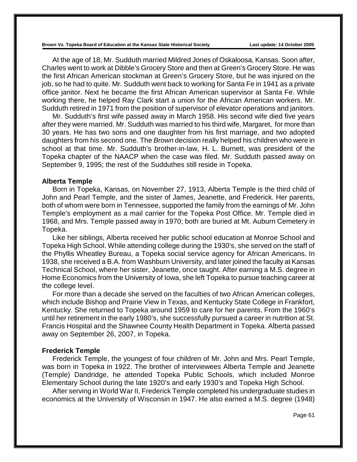At the age of 18, Mr. Sudduth married Mildred Jones of Oskaloosa, Kansas. Soon after, Charles went to work at Dibble's Grocery Store and then at Green's Grocery Store. He was the first African American stockman at Green's Grocery Store, but he was injured on the job, so he had to quite. Mr. Sudduth went back to working for Santa Fe in 1941 as a private office janitor. Next he became the first African American supervisor at Santa Fe. While working there, he helped Ray Clark start a union for the African American workers. Mr. Sudduth retired in 1971 from the position of supervisor of elevator operations and janitors.

Mr. Sudduth's first wife passed away in March 1958. His second wife died five years after they were married. Mr. Sudduth was married to his third wife, Margaret, for more than 30 years. He has two sons and one daughter from his first marriage, and two adopted daughters from his second one. The *Brown* decision really helped his children who were in school at that time. Mr. Sudduth's brother-in-law, H. L. Burnett, was president of the Topeka chapter of the NAACP when the case was filed. Mr. Sudduth passed away on September 9, 1995; the rest of the Sudduthes still reside in Topeka.

#### **Alberta Temple**

Born in Topeka, Kansas, on November 27, 1913, Alberta Temple is the third child of John and Pearl Temple, and the sister of James, Jeanette, and Frederick. Her parents, both of whom were born in Tennessee, supported the family from the earnings of Mr. John Temple's employment as a mail carrier for the Topeka Post Office. Mr. Temple died in 1968, and Mrs. Temple passed away in 1970; both are buried at Mt. Auburn Cemetery in Topeka.

Like her siblings, Alberta received her public school education at Monroe School and Topeka High School. While attending college during the 1930's, she served on the staff of the Phyllis Wheatley Bureau, a Topeka social service agency for African Americans. In 1938, she received a B.A. from Washburn University, and later joined the faculty at Kansas Technical School, where her sister, Jeanette, once taught. After earning a M.S. degree in Home Economics from the University of Iowa, she left Topeka to pursue teaching career at the college level.

For more than a decade she served on the faculties of two African American colleges, which include Bishop and Prairie View in Texas, and Kentucky State College in Frankfort, Kentucky. She returned to Topeka around 1959 to care for her parents. From the 1960's until her retirement in the early 1980's, she successfully pursued a career in nutrition at St. Francis Hospital and the Shawnee County Health Department in Topeka. Alberta passed away on September 26, 2007, in Topeka.

#### **Frederick Temple**

Frederick Temple, the youngest of four children of Mr. John and Mrs. Pearl Temple, was born in Topeka in 1922. The brother of interviewees Alberta Temple and Jeanette (Temple) Dandridge, he attended Topeka Public Schools, which included Monroe Elementary School during the late 1920's and early 1930's and Topeka High School.

After serving in World War II, Frederick Temple completed his undergraduate studies in economics at the University of Wisconsin in 1947. He also earned a M.S. degree (1948)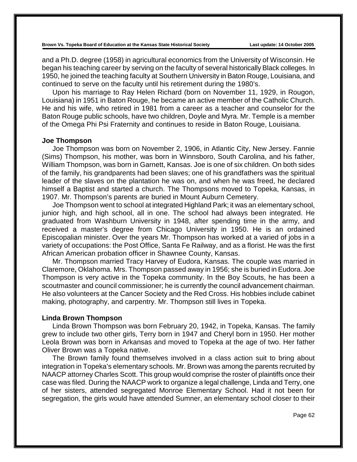and a Ph.D. degree (1958) in agricultural economics from the University of Wisconsin. He began his teaching career by serving on the faculty of several historically Black colleges. In 1950, he joined the teaching faculty at Southern University in Baton Rouge, Louisiana, and continued to serve on the faculty until his retirement during the 1980's.

Upon his marriage to Ray Helen Richard (born on November 11, 1929, in Rougon, Louisiana) in 1951 in Baton Rouge, he became an active member of the Catholic Church. He and his wife, who retired in 1981 from a career as a teacher and counselor for the Baton Rouge public schools, have two children, Doyle and Myra. Mr. Temple is a member of the Omega Phi Psi Fraternity and continues to reside in Baton Rouge, Louisiana.

### **Joe Thompson**

Joe Thompson was born on November 2, 1906, in Atlantic City, New Jersey. Fannie (Sims) Thompson, his mother, was born in Winnsboro, South Carolina, and his father, William Thompson, was born in Garnett, Kansas. Joe is one of six children. On both sides of the family, his grandparents had been slaves; one of his grandfathers was the spiritual leader of the slaves on the plantation he was on, and when he was freed, he declared himself a Baptist and started a church. The Thompsons moved to Topeka, Kansas, in 1907. Mr. Thompson's parents are buried in Mount Auburn Cemetery.

Joe Thompson went to school at integrated Highland Park; it was an elementary school, junior high, and high school, all in one. The school had always been integrated. He graduated from Washburn University in 1948, after spending time in the army, and received a master's degree from Chicago University in 1950. He is an ordained Episcopalian minister. Over the years Mr. Thompson has worked at a varied of jobs in a variety of occupations: the Post Office, Santa Fe Railway, and as a florist. He was the first African American probation officer in Shawnee County, Kansas.

Mr. Thompson married Tracy Harvey of Eudora, Kansas. The couple was married in Claremore, Oklahoma. Mrs. Thompson passed away in 1956; she is buried in Eudora. Joe Thompson is very active in the Topeka community. In the Boy Scouts, he has been a scoutmaster and council commissioner; he is currently the council advancement chairman. He also volunteers at the Cancer Society and the Red Cross. His hobbies include cabinet making, photography, and carpentry. Mr. Thompson still lives in Topeka.

### **Linda Brown Thompson**

Linda Brown Thompson was born February 20, 1942, in Topeka, Kansas. The family grew to include two other girls, Terry born in 1947 and Cheryl born in 1950. Her mother Leola Brown was born in Arkansas and moved to Topeka at the age of two. Her father Oliver Brown was a Topeka native.

The Brown family found themselves involved in a class action suit to bring about integration in Topeka's elementary schools. Mr. Brown was among the parents recruited by NAACP attorney Charles Scott. This group would comprise the roster of plaintiffs once their case was filed. During the NAACP work to organize a legal challenge, Linda and Terry, one of her sisters, attended segregated Monroe Elementary School. Had it not been for segregation, the girls would have attended Sumner, an elementary school closer to their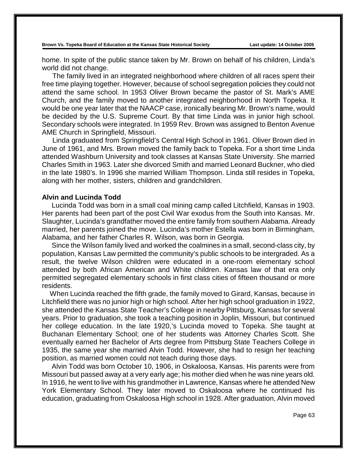home. In spite of the public stance taken by Mr. Brown on behalf of his children, Linda's world did not change.

The family lived in an integrated neighborhood where children of all races spent their free time playing together. However, because of school segregation policies they could not attend the same school. In 1953 Oliver Brown became the pastor of St. Mark's AME Church, and the family moved to another integrated neighborhood in North Topeka. It would be one year later that the NAACP case, ironically bearing Mr. Brown's name, would be decided by the U.S. Supreme Court. By that time Linda was in junior high school. Secondary schools were integrated. In 1959 Rev. Brown was assigned to Benton Avenue AME Church in Springfield, Missouri.

Linda graduated from Springfield's Central High School in 1961. Oliver Brown died in June of 1961, and Mrs. Brown moved the family back to Topeka. For a short time Linda attended Washburn University and took classes at Kansas State University. She married Charles Smith in 1963. Later she divorced Smith and married Leonard Buckner, who died in the late 1980's. In 1996 she married William Thompson. Linda still resides in Topeka, along with her mother, sisters, children and grandchildren.

### **Alvin and Lucinda Todd**

 Lucinda Todd was born in a small coal mining camp called Litchfield, Kansas in 1903. Her parents had been part of the post Civil War exodus from the South into Kansas. Mr. Slaughter, Lucinda's grandfather moved the entire family from southern Alabama. Already married, her parents joined the move. Lucinda's mother Estella was born in Birmingham, Alabama, and her father Charles R. Wilson, was born in Georgia.

 Since the Wilson family lived and worked the coalmines in a small, second-class city, by population, Kansas Law permitted the community's public schools to be intergraded. As a result, the twelve Wilson children were educated in a one-room elementary school attended by both African American and White children. Kansas law of that era only permitted segregated elementary schools in first class cities of fifteen thousand or more residents.

 When Lucinda reached the fifth grade, the family moved to Girard, Kansas, because in Litchfield there was no junior high or high school. After her high school graduation in 1922, she attended the Kansas State Teacher's College in nearby Pittsburg, Kansas for several years. Prior to graduation, she took a teaching position in Joplin, Missouri, but continued her college education. In the late 1920,'s Lucinda moved to Topeka. She taught at Buchanan Elementary School; one of her students was Attorney Charles Scott. She eventually earned her Bachelor of Arts degree from Pittsburg State Teachers College in 1935, the same year she married Alvin Todd. However, she had to resign her teaching position, as married women could not teach during those days.

 Alvin Todd was born October 10, 1906, in Oskaloosa, Kansas. His parents were from Missouri but passed away at a very early age; his mother died when he was nine years old. In 1916, he went to live with his grandmother in Lawrence, Kansas where he attended New York Elementary School. They later moved to Oskaloosa where he continued his education, graduating from Oskaloosa High school in 1928. After graduation, Alvin moved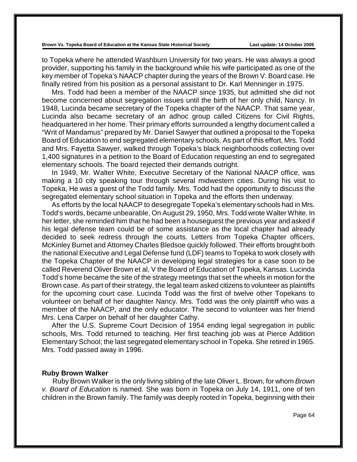to Topeka where he attended Washburn University for two years. He was always a good provider, supporting his family in the background while his wife participated as one of the key member of Topeka's NAACP chapter during the years of the Brown V. Board case. He finally retired from his position as a personal assistant to Dr. Karl Menninger in 1975.

 Mrs. Todd had been a member of the NAACP since 1935, but admitted she did not become concerned about segregation issues until the birth of her only child, Nancy. In 1948, Lucinda became secretary of the Topeka chapter of the NAACP. That same year, Lucinda also became secretary of an adhoc group called Citizens for Civil Rights, headquartered in her home. Their primary efforts surrounded a lengthy document called a "Writ of Mandamus" prepared by Mr. Daniel Sawyer that outlined a proposal to the Topeka Board of Education to end segregated elementary schools. As part of this effort, Mrs. Todd and Mrs. Fayetta Sawyer, walked through Topeka's black neighborhoods collecting over 1,400 signatures in a petition to the Board of Education requesting an end to segregated elementary schools. The board rejected their demands outright.

 In 1949, Mr. Walter White, Executive Secretary of the National NAACP office, was making a 10 city speaking tour through several midwestern cities. During his visit to Topeka, He was a guest of the Todd family. Mrs. Todd had the opportunity to discuss the segregated elementary school situation in Topeka and the efforts then underway.

 As efforts by the local NAACP to desegregate Topeka's elementary schools had in Mrs. Todd's words, became unbearable, On August 29, 1950, Mrs. Todd wrote Walter White. In her letter, she reminded him that he had been a houseguest the previous year and asked if his legal defense team could be of some assistance as the local chapter had already decided to seek redress through the courts. Letters from Topeka Chapter officers, McKinley Burnet and Attorney Charles Bledsoe quickly followed. Their efforts brought both the national Executive and Legal Defense fund (LDF) teams to Topeka to work closely with the Topeka Chapter of the NAACP in developing legal strategies for a case soon to be called Reverend Oliver Brown et al, V the Board of Education of Topeka, Kansas. Lucinda Todd's home became the site of the strategy meetings that set the wheels in motion for the Brown case. As part of their strategy, the legal team asked citizens to volunteer as plaintiffs for the upcoming court case. Lucinda Todd was the first of twelve other Topekans to volunteer on behalf of her daughter Nancy. Mrs. Todd was the only plaintiff who was a member of the NAACP, and the only educator. The second to volunteer was her friend Mrs. Lena Carper on behalf of her daughter Cathy.

 After the U.S. Supreme Court Decision of 1954 ending legal segregation in public schools, Mrs. Todd returned to teaching. Her first teaching job was at Pierce Addition Elementary School; the last segregated elementary school in Topeka. She retired in 1965. Mrs. Todd passed away in 1996.

### **Ruby Brown Walker**

Ruby Brown Walker is the only living sibling of the late Oliver L. Brown, for whom *Brown v. Board of Education* is named*.* She was born in Topeka on July 14, 1911, one of ten children in the Brown family. The family was deeply rooted in Topeka, beginning with their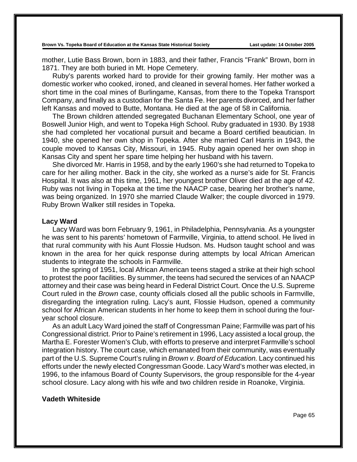mother, Lutie Bass Brown, born in 1883, and their father, Francis "Frank" Brown, born in 1871. They are both buried in Mt. Hope Cemetery.

Ruby's parents worked hard to provide for their growing family. Her mother was a domestic worker who cooked, ironed, and cleaned in several homes. Her father worked a short time in the coal mines of Burlingame, Kansas, from there to the Topeka Transport Company, and finally as a custodian for the Santa Fe. Her parents divorced, and her father left Kansas and moved to Butte, Montana. He died at the age of 58 in California.

The Brown children attended segregated Buchanan Elementary School, one year of Boswell Junior High, and went to Topeka High School. Ruby graduated in 1930. By 1938 she had completed her vocational pursuit and became a Board certified beautician. In 1940, she opened her own shop in Topeka. After she married Carl Harris in 1943, the couple moved to Kansas City, Missouri, in 1945. Ruby again opened her own shop in Kansas City and spent her spare time helping her husband with his tavern.

She divorced Mr. Harris in 1958, and by the early 1960's she had returned to Topeka to care for her ailing mother. Back in the city, she worked as a nurse's aide for St. Francis Hospital. It was also at this time, 1961, her youngest brother Oliver died at the age of 42. Ruby was not living in Topeka at the time the NAACP case, bearing her brother's name, was being organized. In 1970 she married Claude Walker; the couple divorced in 1979. Ruby Brown Walker still resides in Topeka.

#### **Lacy Ward**

Lacy Ward was born February 9, 1961, in Philadelphia, Pennsylvania. As a youngster he was sent to his parents' hometown of Farmville, Virginia, to attend school. He lived in that rural community with his Aunt Flossie Hudson. Ms. Hudson taught school and was known in the area for her quick response during attempts by local African American students to integrate the schools in Farmville.

In the spring of 1951, local African American teens staged a strike at their high school to protest the poor facilities. By summer, the teens had secured the services of an NAACP attorney and their case was being heard in Federal District Court. Once the U.S. Supreme Court ruled in the *Brown* case, county officials closed all the public schools in Farmville, disregarding the integration ruling. Lacy's aunt, Flossie Hudson, opened a community school for African American students in her home to keep them in school during the fouryear school closure.

As an adult Lacy Ward joined the staff of Congressman Paine; Farmville was part of his Congressional district. Prior to Paine's retirement in 1996, Lacy assisted a local group, the Martha E. Forester Women's Club, with efforts to preserve and interpret Farmville's school integration history. The court case, which emanated from their community, was eventually part of the U.S. Supreme Court's ruling in *Brown v. Board of Education.* Lacy continued his efforts under the newly elected Congressman Goode. Lacy Ward's mother was elected, in 1996, to the infamous Board of County Supervisors, the group responsible for the 4-year school closure. Lacy along with his wife and two children reside in Roanoke, Virginia.

### **Vadeth Whiteside**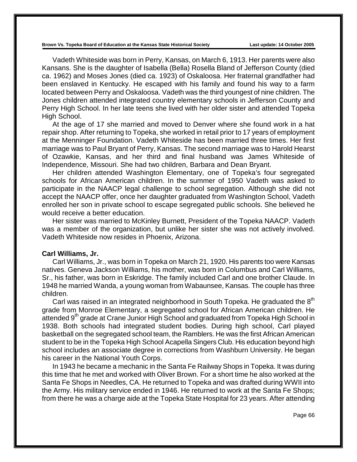Vadeth Whiteside was born in Perry, Kansas, on March 6, 1913. Her parents were also Kansans. She is the daughter of Isabella (Bella) Rosella Bland of Jefferson County (died ca. 1962) and Moses Jones (died ca. 1923) of Oskaloosa. Her fraternal grandfather had been enslaved in Kentucky. He escaped with his family and found his way to a farm located between Perry and Oskaloosa. Vadeth was the third youngest of nine children. The Jones children attended integrated country elementary schools in Jefferson County and Perry High School. In her late teens she lived with her older sister and attended Topeka High School.

At the age of 17 she married and moved to Denver where she found work in a hat repair shop. After returning to Topeka, she worked in retail prior to 17 years of employment at the Menninger Foundation. Vadeth Whiteside has been married three times. Her first marriage was to Paul Bryant of Perry, Kansas. The second marriage was to Harold Hearst of Ozawkie, Kansas, and her third and final husband was James Whiteside of Independence, Missouri. She had two children, Barbara and Dean Bryant.

Her children attended Washington Elementary, one of Topeka's four segregated schools for African American children. In the summer of 1950 Vadeth was asked to participate in the NAACP legal challenge to school segregation. Although she did not accept the NAACP offer, once her daughter graduated from Washington School, Vadeth enrolled her son in private school to escape segregated public schools. She believed he would receive a better education.

Her sister was married to McKinley Burnett, President of the Topeka NAACP. Vadeth was a member of the organization, but unlike her sister she was not actively involved. Vadeth Whiteside now resides in Phoenix, Arizona.

#### **Carl Williams, Jr.**

Carl Williams, Jr., was born in Topeka on March 21, 1920. His parents too were Kansas natives. Geneva Jackson Williams, his mother, was born in Columbus and Carl Williams, Sr., his father, was born in Eskridge. The family included Carl and one brother Claude. In 1948 he married Wanda, a young woman from Wabaunsee, Kansas. The couple has three children.

Carl was raised in an integrated neighborhood in South Topeka. He graduated the  $8<sup>th</sup>$ grade from Monroe Elementary, a segregated school for African American children. He attended 9<sup>th</sup> grade at Crane Junior High School and graduated from Topeka High School in 1938. Both schools had integrated student bodies. During high school, Carl played basketball on the segregated school team, the Ramblers. He was the first African American student to be in the Topeka High School Acapella Singers Club. His education beyond high school includes an associate degree in corrections from Washburn University. He began his career in the National Youth Corps.

In 1943 he became a mechanic in the Santa Fe Railway Shops in Topeka. It was during this time that he met and worked with Oliver Brown. For a short time he also worked at the Santa Fe Shops in Needles, CA. He returned to Topeka and was drafted during WWII into the Army. His military service ended in 1946. He returned to work at the Santa Fe Shops; from there he was a charge aide at the Topeka State Hospital for 23 years. After attending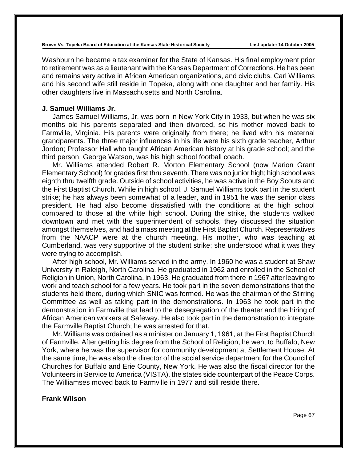Washburn he became a tax examiner for the State of Kansas. His final employment prior to retirement was as a lieutenant with the Kansas Department of Corrections. He has been and remains very active in African American organizations, and civic clubs. Carl Williams and his second wife still reside in Topeka, along with one daughter and her family. His other daughters live in Massachusetts and North Carolina.

# **J. Samuel Williams Jr.**

James Samuel Williams, Jr. was born in New York City in 1933, but when he was six months old his parents separated and then divorced, so his mother moved back to Farmville, Virginia. His parents were originally from there; he lived with his maternal grandparents. The three major influences in his life were his sixth grade teacher, Arthur Jordon; Professor Hall who taught African American history at his grade school; and the third person, George Watson, was his high school football coach.

Mr. Williams attended Robert R. Morton Elementary School (now Marion Grant Elementary School) for grades first thru seventh. There was no junior high; high school was eighth thru twelfth grade. Outside of school activities, he was active in the Boy Scouts and the First Baptist Church. While in high school, J. Samuel Williams took part in the student strike; he has always been somewhat of a leader, and in 1951 he was the senior class president. He had also become dissatisfied with the conditions at the high school compared to those at the white high school. During the strike, the students walked downtown and met with the superintendent of schools, they discussed the situation amongst themselves, and had a mass meeting at the First Baptist Church. Representatives from the NAACP were at the church meeting. His mother, who was teaching at Cumberland, was very supportive of the student strike; she understood what it was they were trying to accomplish.

After high school, Mr. Williams served in the army. In 1960 he was a student at Shaw University in Raleigh, North Carolina. He graduated in 1962 and enrolled in the School of Religion in Union, North Carolina, in 1963. He graduated from there in 1967 after leaving to work and teach school for a few years. He took part in the seven demonstrations that the students held there, during which SNIC was formed. He was the chairman of the Stirring Committee as well as taking part in the demonstrations. In 1963 he took part in the demonstration in Farmville that lead to the desegregation of the theater and the hiring of African American workers at Safeway. He also took part in the demonstration to integrate the Farmville Baptist Church; he was arrested for that.

Mr. Williams was ordained as a minister on January 1, 1961, at the First Baptist Church of Farmville. After getting his degree from the School of Religion, he went to Buffalo, New York, where he was the supervisor for community development at Settlement House. At the same time, he was also the director of the social service department for the Council of Churches for Buffalo and Erie County, New York. He was also the fiscal director for the Volunteers in Service to America (VISTA), the states side counterpart of the Peace Corps. The Williamses moved back to Farmville in 1977 and still reside there.

# **Frank Wilson**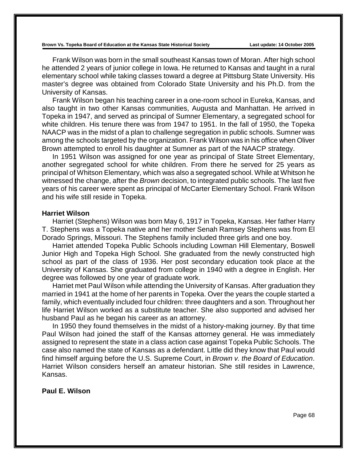Frank Wilson was born in the small southeast Kansas town of Moran. After high school he attended 2 years of junior college in Iowa. He returned to Kansas and taught in a rural elementary school while taking classes toward a degree at Pittsburg State University. His master's degree was obtained from Colorado State University and his Ph.D. from the University of Kansas.

Frank Wilson began his teaching career in a one-room school in Eureka, Kansas, and also taught in two other Kansas communities, Augusta and Manhattan. He arrived in Topeka in 1947, and served as principal of Sumner Elementary, a segregated school for white children. His tenure there was from 1947 to 1951. In the fall of 1950, the Topeka NAACP was in the midst of a plan to challenge segregation in public schools. Sumner was among the schools targeted by the organization. Frank Wilson was in his office when Oliver Brown attempted to enroll his daughter at Sumner as part of the NAACP strategy.

In 1951 Wilson was assigned for one year as principal of State Street Elementary, another segregated school for white children. From there he served for 25 years as principal of Whitson Elementary, which was also a segregated school. While at Whitson he witnessed the change, after the *Brown* decision, to integrated public schools. The last five years of his career were spent as principal of McCarter Elementary School. Frank Wilson and his wife still reside in Topeka.

# **Harriet Wilson**

Harriet (Stephens) Wilson was born May 6, 1917 in Topeka, Kansas. Her father Harry T. Stephens was a Topeka native and her mother Senah Ramsey Stephens was from El Dorado Springs, Missouri. The Stephens family included three girls and one boy.

Harriet attended Topeka Public Schools including Lowman Hill Elementary, Boswell Junior High and Topeka High School. She graduated from the newly constructed high school as part of the class of 1936. Her post secondary education took place at the University of Kansas. She graduated from college in 1940 with a degree in English. Her degree was followed by one year of graduate work.

Harriet met Paul Wilson while attending the University of Kansas. After graduation they married in 1941 at the home of her parents in Topeka. Over the years the couple started a family, which eventually included four children: three daughters and a son. Throughout her life Harriet Wilson worked as a substitute teacher. She also supported and advised her husband Paul as he began his career as an attorney.

In 1950 they found themselves in the midst of a history-making journey. By that time Paul Wilson had joined the staff of the Kansas attorney general. He was immediately assigned to represent the state in a class action case against Topeka Public Schools. The case also named the state of Kansas as a defendant. Little did they know that Paul would find himself arguing before the U.S. Supreme Court, in *Brown v. the Board of Education*. Harriet Wilson considers herself an amateur historian. She still resides in Lawrence, Kansas.

## **Paul E. Wilson**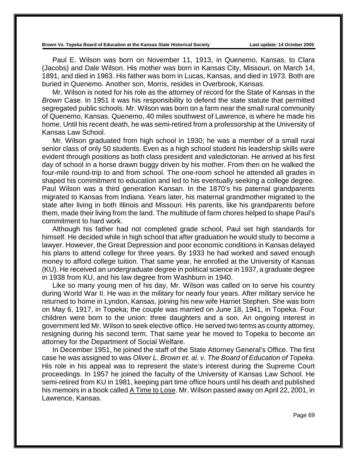Paul E. Wilson was born on November 11, 1913, in Quenemo, Kansas, to Clara (Jacobs) and Dale Wilson. His mother was born in Kansas City, Missouri, on March 14, 1891, and died in 1963. His father was born in Lucas, Kansas, and died in 1973. Both are buried in Quenemo. Another son, Morris, resides in Overbrook, Kansas.

Mr. Wilson is noted for his role as the attorney of record for the State of Kansas in the *Brown* Case. In 1951 it was his responsibility to defend the state statute that permitted segregated public schools. Mr. Wilson was born on a farm near the small rural community of Quenemo, Kansas. Quenemo, 40 miles southwest of Lawrence, is where he made his home. Until his recent death, he was semi-retired from a professorship at the University of Kansas Law School.

Mr. Wilson graduated from high school in 1930; he was a member of a small rural senior class of only 50 students. Even as a high school student his leadership skills were evident through positions as both class president and valedictorian. He arrived at his first day of school in a horse drawn buggy driven by his mother. From then on he walked the four-mile round-trip to and from school. The one-room school he attended all grades in shaped his commitment to education and led to his eventually seeking a college degree. Paul Wilson was a third generation Kansan. In the 1870's his paternal grandparents migrated to Kansas from Indiana. Years later, his maternal grandmother migrated to the state after living in both Illinois and Missouri. His parents, like his grandparents before them, made their living from the land. The multitude of farm chores helped to shape Paul's commitment to hard work.

Although his father had not completed grade school, Paul set high standards for himself. He decided while in high school that after graduation he would study to become a lawyer. However, the Great Depression and poor economic conditions in Kansas delayed his plans to attend college for three years. By 1933 he had worked and saved enough money to afford college tuition. That same year, he enrolled at the University of Kansas (KU). He received an undergraduate degree in political science in 1937, a graduate degree in 1938 from KU, and his law degree from Washburn in 1940.

Like so many young men of his day, Mr. Wilson was called on to serve his country during World War II. He was in the military for nearly four years. After military service he returned to home in Lyndon, Kansas, joining his new wife Harriet Stephen. She was born on May 6, 1917, in Topeka; the couple was married on June 18, 1941, in Topeka. Four children were born to the union: three daughters and a son. An ongoing interest in government led Mr. Wilson to seek elective office. He served two terms as county attorney, resigning during his second term. That same year he moved to Topeka to become an attorney for the Department of Social Welfare.

In December 1951, he joined the staff of the State Attorney General's Office. The first case he was assigned to was *Oliver L. Brown et. al. v. The Board of Education of Topeka*. His role in his appeal was to represent the state's interest during the Supreme Court proceedings. In 1957 he joined the faculty of the University of Kansas Law School. He semi-retired from KU in 1981, keeping part time office hours until his death and published his memoirs in a book called A Time to Lose. Mr. Wilson passed away on April 22, 2001, in Lawrence, Kansas.

Page 69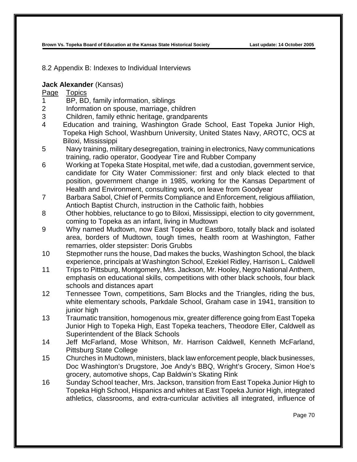8.2 Appendix B: Indexes to Individual Interviews

#### **Jack Alexander** (Kansas)

- 1 BP, BD, family information, siblings
- 2 Information on spouse, marriage, children
- 3 Children, family ethnic heritage, grandparents
- 4 Education and training, Washington Grade School, East Topeka Junior High, Topeka High School, Washburn University, United States Navy, AROTC, OCS at Biloxi, Mississippi
- 5 Navy training, military desegregation, training in electronics, Navy communications training, radio operator, Goodyear Tire and Rubber Company
- 6 Working at Topeka State Hospital, met wife, dad a custodian, government service, candidate for City Water Commissioner: first and only black elected to that position, government change in 1985, working for the Kansas Department of Health and Environment, consulting work, on leave from Goodyear
- 7 Barbara Sabol, Chief of Permits Compliance and Enforcement, religious affiliation, Antioch Baptist Church, instruction in the Catholic faith, hobbies
- 8 Other hobbies, reluctance to go to Biloxi, Mississippi, election to city government, coming to Topeka as an infant, living in Mudtown
- 9 Why named Mudtown, now East Topeka or Eastboro, totally black and isolated area, borders of Mudtown, tough times, health room at Washington, Father remarries, older stepsister: Doris Grubbs
- 10 Stepmother runs the house, Dad makes the bucks, Washington School, the black experience, principals at Washington School, Ezekiel Ridley, Harrison L. Caldwell
- 11 Trips to Pittsburg, Montgomery, Mrs. Jackson, Mr. Hooley, Negro National Anthem, emphasis on educational skills, competitions with other black schools, four black schools and distances apart
- 12 Tennessee Town, competitions, Sam Blocks and the Triangles, riding the bus, white elementary schools, Parkdale School, Graham case in 1941, transition to junior high
- 13 Traumatic transition, homogenous mix, greater difference going from East Topeka Junior High to Topeka High, East Topeka teachers, Theodore Eller, Caldwell as Superintendent of the Black Schools
- 14 Jeff McFarland, Mose Whitson, Mr. Harrison Caldwell, Kenneth McFarland, Pittsburg State College
- 15 Churches in Mudtown, ministers, black law enforcement people, black businesses, Doc Washington's Drugstore, Joe Andy's BBQ, Wright's Grocery, Simon Hoe's grocery, automotive shops, Cap Baldwin's Skating Rink
- 16 Sunday School teacher, Mrs. Jackson, transition from East Topeka Junior High to Topeka High School, Hispanics and whites at East Topeka Junior High, integrated athletics, classrooms, and extra-curricular activities all integrated, influence of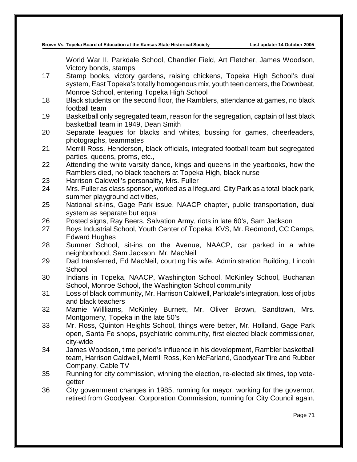World War II, Parkdale School, Chandler Field, Art Fletcher, James Woodson, Victory bonds, stamps

- 17 Stamp books, victory gardens, raising chickens, Topeka High School's dual system, East Topeka's totally homogenous mix, youth teen centers, the Downbeat, Monroe School, entering Topeka High School
- 18 Black students on the second floor, the Ramblers, attendance at games, no black football team
- 19 Basketball only segregated team, reason for the segregation, captain of last black basketball team in 1949, Dean Smith
- 20 Separate leagues for blacks and whites, bussing for games, cheerleaders, photographs, teammates
- 21 Merrill Ross, Henderson, black officials, integrated football team but segregated parties, queens, proms, etc.,
- 22 Attending the white varsity dance, kings and queens in the yearbooks, how the Ramblers died, no black teachers at Topeka High, black nurse
- 23 Harrison Caldwell's personality, Mrs. Fuller
- 24 Mrs. Fuller as class sponsor, worked as a lifeguard, City Park as a total black park, summer playground activities,
- 25 National sit-ins, Gage Park issue, NAACP chapter, public transportation, dual system as separate but equal
- 26 Posted signs, Ray Beers, Salvation Army, riots in late 60's, Sam Jackson
- 27 Boys Industrial School, Youth Center of Topeka, KVS, Mr. Redmond, CC Camps, Edward Hughes
- 28 Sumner School, sit-ins on the Avenue, NAACP, car parked in a white neighborhood, Sam Jackson, Mr. MacNeil
- 29 Dad transferred, Ed MacNeil, courting his wife, Administration Building, Lincoln **School**
- 30 Indians in Topeka, NAACP, Washington School, McKinley School, Buchanan School, Monroe School, the Washington School community
- 31 Loss of black community, Mr. Harrison Caldwell, Parkdale's integration, loss of jobs and black teachers
- 32 Mamie Willliams, McKinley Burnett, Mr. Oliver Brown, Sandtown, Mrs. Montgomery, Topeka in the late 50's
- 33 Mr. Ross, Quinton Heights School, things were better, Mr. Holland, Gage Park open, Santa Fe shops, psychiatric community, first elected black commissioner, city-wide
- 34 James Woodson, time period's influence in his development, Rambler basketball team, Harrison Caldwell, Merrill Ross, Ken McFarland, Goodyear Tire and Rubber Company, Cable TV
- 35 Running for city commission, winning the election, re-elected six times, top votegetter
- 36 City government changes in 1985, running for mayor, working for the governor, retired from Goodyear, Corporation Commission, running for City Council again,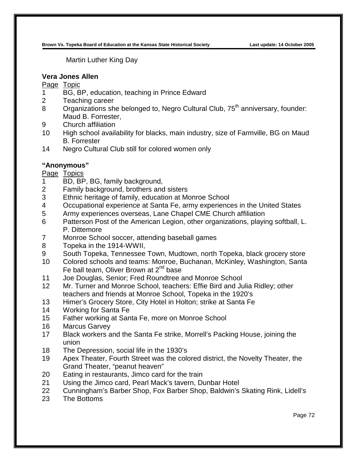Martin Luther King Day

#### **Vera Jones Allen**

#### Page Topic

- BG, BP, education, teaching in Prince Edward
- Teaching career
- 8 Organizations she belonged to, Negro Cultural Club, 75<sup>th</sup> anniversary, founder: Maud B. Forrester,
- Church affiliation
- High school availability for blacks, main industry, size of Farmville, BG on Maud B. Forrester
- 14 Negro Cultural Club still for colored women only

## **"Anonymous"**

- BD, BP, BG, family background,
- Family background, brothers and sisters
- Ethnic heritage of family, education at Monroe School
- Occupational experience at Santa Fe, army experiences in the United States
- Army experiences overseas, Lane Chapel CME Church affiliation
- Patterson Post of the American Legion, other organizations, playing softball, L. P. Dittemore
- Monroe School soccer, attending baseball games
- Topeka in the 1914-WWII,
- South Topeka, Tennessee Town, Mudtown, north Topeka, black grocery store
- Colored schools and teams: Monroe, Buchanan, McKinley, Washington, Santa Fe ball team, Oliver Brown at 2<sup>nd</sup> base
- Joe Douglas, Senior; Fred Roundtree and Monroe School
- Mr. Turner and Monroe School, teachers: Effie Bird and Julia Ridley; other teachers and friends at Monroe School, Topeka in the 1920's
- Himer's Grocery Store, City Hotel in Holton; strike at Santa Fe
- Working for Santa Fe
- Father working at Santa Fe, more on Monroe School
- Marcus Garvey
- Black workers and the Santa Fe strike, Morrell's Packing House, joining the union
- The Depression, social life in the 1930's
- Apex Theater, Fourth Street was the colored district, the Novelty Theater, the Grand Theater, "peanut heaven"
- Eating in restaurants, Jimco card for the train
- Using the Jimco card, Pearl Mack's tavern, Dunbar Hotel
- Cunningham's Barber Shop, Fox Barber Shop, Baldwin's Skating Rink, Lidell's
- The Bottoms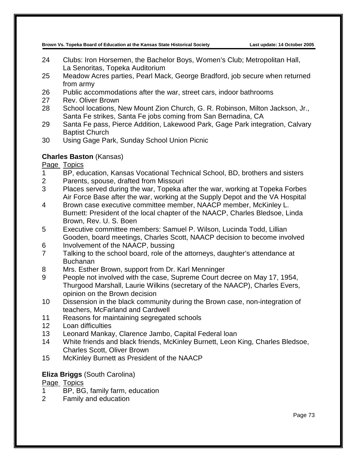- 24 Clubs: Iron Horsemen, the Bachelor Boys, Women's Club; Metropolitan Hall, La Senoritas, Topeka Auditorium
- 25 Meadow Acres parties, Pearl Mack, George Bradford, job secure when returned from army
- 26 Public accommodations after the war, street cars, indoor bathrooms
- 27 Rev. Oliver Brown
- 28 School locations, New Mount Zion Church, G. R. Robinson, Milton Jackson, Jr., Santa Fe strikes, Santa Fe jobs coming from San Bernadina, CA
- 29 Santa Fe pass, Pierce Addition, Lakewood Park, Gage Park integration, Calvary Baptist Church
- 30 Using Gage Park, Sunday School Union Picnic

## **Charles Baston** (Kansas)

Page Topics

- 1 BP, education, Kansas Vocational Technical School, BD, brothers and sisters
- 2 Parents, spouse, drafted from Missouri
- 3 Places served during the war, Topeka after the war, working at Topeka Forbes Air Force Base after the war, working at the Supply Depot and the VA Hospital
- 4 Brown case executive committee member, NAACP member, McKinley L. Burnett: President of the local chapter of the NAACP, Charles Bledsoe, Linda Brown, Rev. U. S. Boen
- 5 Executive committee members: Samuel P. Wilson, Lucinda Todd, Lillian Gooden, board meetings, Charles Scott, NAACP decision to become involved
- 6 Involvement of the NAACP, bussing
- 7 Talking to the school board, role of the attorneys, daughter's attendance at Buchanan
- 8 Mrs. Esther Brown, support from Dr. Karl Menninger
- 9 People not involved with the case, Supreme Court decree on May 17, 1954, Thurgood Marshall, Laurie Wilkins (secretary of the NAACP), Charles Evers, opinion on the Brown decision
- 10 Dissension in the black community during the Brown case, non-integration of teachers, McFarland and Cardwell
- 11 Reasons for maintaining segregated schools
- 12 Loan difficulties
- 13 Leonard Mankay, Clarence Jambo, Capital Federal loan
- 14 White friends and black friends, McKinley Burnett, Leon King, Charles Bledsoe, Charles Scott, Oliver Brown
- 15 McKinley Burnett as President of the NAACP

## **Eliza Briggs** (South Carolina)

- 1 BP, BG, family farm, education
- 2 Family and education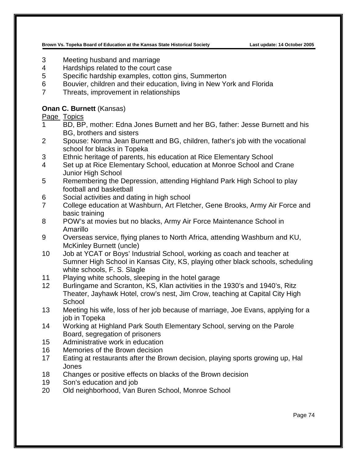- 3 Meeting husband and marriage
- 4 Hardships related to the court case
- 5 Specific hardship examples, cotton gins, Summerton
- 6 Bouvier, children and their education, living in New York and Florida
- 7 Threats, improvement in relationships

### **Onan C. Burnett** (Kansas)

- 1 BD, BP, mother: Edna Jones Burnett and her BG, father: Jesse Burnett and his BG, brothers and sisters
- 2 Spouse: Norma Jean Burnett and BG, children, father's job with the vocational school for blacks in Topeka
- 3 Ethnic heritage of parents, his education at Rice Elementary School
- 4 Set up at Rice Elementary School, education at Monroe School and Crane Junior High School
- 5 Remembering the Depression, attending Highland Park High School to play football and basketball
- 6 Social activities and dating in high school
- 7 College education at Washburn, Art Fletcher, Gene Brooks, Army Air Force and basic training
- 8 POW's at movies but no blacks, Army Air Force Maintenance School in Amarillo
- 9 Overseas service, flying planes to North Africa, attending Washburn and KU, McKinley Burnett (uncle)
- 10 Job at YCAT or Boys' Industrial School, working as coach and teacher at Sumner High School in Kansas City, KS, playing other black schools, scheduling white schools, F. S. Slagle
- 11 Playing white schools, sleeping in the hotel garage
- 12 Burlingame and Scranton, KS, Klan activities in the 1930's and 1940's, Ritz Theater, Jayhawk Hotel, crow's nest, Jim Crow, teaching at Capital City High **School**
- 13 Meeting his wife, loss of her job because of marriage, Joe Evans, applying for a job in Topeka
- 14 Working at Highland Park South Elementary School, serving on the Parole Board, segregation of prisoners
- 15 Administrative work in education
- 16 Memories of the Brown decision
- 17 Eating at restaurants after the Brown decision, playing sports growing up, Hal Jones
- 18 Changes or positive effects on blacks of the Brown decision
- 19 Son's education and job
- 20 Old neighborhood, Van Buren School, Monroe School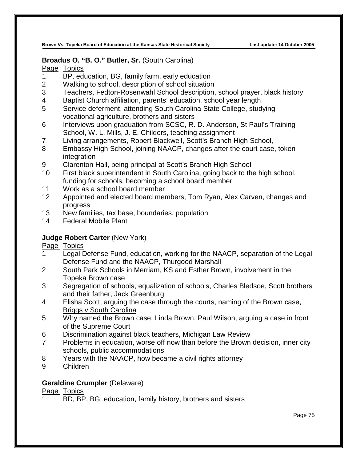### **Broadus O. "B. O." Butler, Sr.** (South Carolina)

Page Topics

- 1 BP, education, BG, family farm, early education
- 2 Walking to school, description of school situation
- 3 Teachers, Fedton-Rosenwahl School description, school prayer, black history
- 4 Baptist Church affiliation, parents' education, school year length
- 5 Service deferment, attending South Carolina State College, studying vocational agriculture, brothers and sisters
- 6 Interviews upon graduation from SCSC, R. D. Anderson, St Paul's Training School, W. L. Mills, J. E. Childers, teaching assignment
- 7 Living arrangements, Robert Blackwell, Scott's Branch High School,
- 8 Embassy High School, joining NAACP, changes after the court case, token integration
- 9 Clarenton Hall, being principal at Scott's Branch High School
- 10 First black superintendent in South Carolina, going back to the high school, funding for schools, becoming a school board member
- 11 Work as a school board member
- 12 Appointed and elected board members, Tom Ryan, Alex Carven, changes and progress
- 13 New families, tax base, boundaries, population
- 14 Federal Mobile Plant

## **Judge Robert Carter** (New York)

Page Topics

- 1 Legal Defense Fund, education, working for the NAACP, separation of the Legal Defense Fund and the NAACP, Thurgood Marshall
- 2 South Park Schools in Merriam, KS and Esther Brown, involvement in the Topeka Brown case
- 3 Segregation of schools, equalization of schools, Charles Bledsoe, Scott brothers and their father, Jack Greenburg
- 4 Elisha Scott, arguing the case through the courts, naming of the Brown case, Briggs v South Carolina
- 5 Why named the Brown case, Linda Brown, Paul Wilson, arguing a case in front of the Supreme Court
- 6 Discrimination against black teachers, Michigan Law Review
- 7 Problems in education, worse off now than before the Brown decision, inner city schools, public accommodations
- 8 Years with the NAACP, how became a civil rights attorney
- 9 Children

## **Geraldine Crumpler** (Delaware)

Page Topics

1 BD, BP, BG, education, family history, brothers and sisters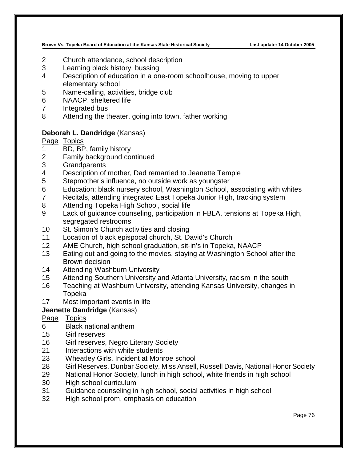- Church attendance, school description
- Learning black history, bussing
- Description of education in a one-room schoolhouse, moving to upper elementary school
- Name-calling, activities, bridge club
- NAACP, sheltered life
- Integrated bus
- Attending the theater, going into town, father working

#### **Deborah L. Dandridge** (Kansas)

Page Topics

- BD, BP, family history
- Family background continued
- Grandparents
- Description of mother, Dad remarried to Jeanette Temple
- Stepmother's influence, no outside work as youngster
- 6 Education: black nursery school, Washington School, associating with whites<br>7 Recitals, attending integrated Fast Topeka Junior High, tracking system
- Recitals, attending integrated East Topeka Junior High, tracking system
- Attending Topeka High School, social life
- Lack of guidance counseling, participation in FBLA, tensions at Topeka High, segregated restrooms
- St. Simon's Church activities and closing
- Location of black epispocal church, St. David's Church
- AME Church, high school graduation, sit-in's in Topeka, NAACP
- Eating out and going to the movies, staying at Washington School after the Brown decision
- Attending Washburn University
- Attending Southern University and Atlanta University, racism in the south
- Teaching at Washburn University, attending Kansas University, changes in Topeka
- Most important events in life

## **Jeanette Dandridge** (Kansas)

- Black national anthem
- Girl reserves
- Girl reserves, Negro Literary Society
- Interactions with white students
- Wheatley Girls, Incident at Monroe school
- Girl Reserves, Dunbar Society, Miss Ansell, Russell Davis, National Honor Society
- National Honor Society, lunch in high school, white friends in high school
- High school curriculum
- Guidance counseling in high school, social activities in high school
- High school prom, emphasis on education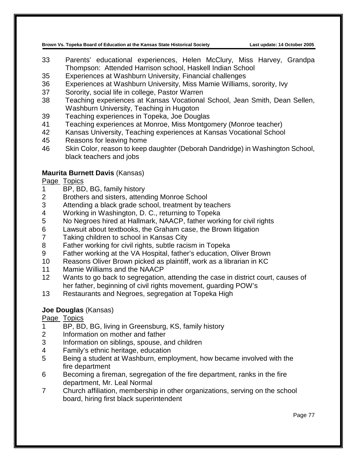- Parents' educational experiences, Helen McClury, Miss Harvey, Grandpa Thompson: Attended Harrison school, Haskell Indian School
- Experiences at Washburn University, Financial challenges
- Experiences at Washburn University, Miss Mamie Williams, sorority, Ivy
- Sorority, social life in college, Pastor Warren
- Teaching experiences at Kansas Vocational School, Jean Smith, Dean Sellen, Washburn University, Teaching in Hugoton
- Teaching experiences in Topeka, Joe Douglas
- Teaching experiences at Monroe, Miss Montgomery (Monroe teacher)
- Kansas University, Teaching experiences at Kansas Vocational School
- Reasons for leaving home
- Skin Color, reason to keep daughter (Deborah Dandridge) in Washington School, black teachers and jobs

## **Maurita Burnett Davis** (Kansas)

## Page Topics

- 1 BP, BD, BG, family history<br>2 Brothers and sisters, attend
- Brothers and sisters, attending Monroe School
- Attending a black grade school, treatment by teachers
- Working in Washington, D. C., returning to Topeka
- No Negroes hired at Hallmark, NAACP, father working for civil rights
- Lawsuit about textbooks, the Graham case, the Brown litigation
- Taking children to school in Kansas City
- Father working for civil rights, subtle racism in Topeka
- Father working at the VA Hospital, father's education, Oliver Brown
- Reasons Oliver Brown picked as plaintiff, work as a librarian in KC
- Mamie Williams and the NAACP
- Wants to go back to segregation, attending the case in district court, causes of her father, beginning of civil rights movement, guarding POW's
- Restaurants and Negroes, segregation at Topeka High

## **Joe Douglas** (Kansas)

- BP, BD, BG, living in Greensburg, KS, family history
- Information on mother and father
- Information on siblings, spouse, and children
- Family's ethnic heritage, education
- Being a student at Washburn, employment, how became involved with the fire department
- Becoming a fireman, segregation of the fire department, ranks in the fire department, Mr. Leal Normal
- Church affiliation, membership in other organizations, serving on the school board, hiring first black superintendent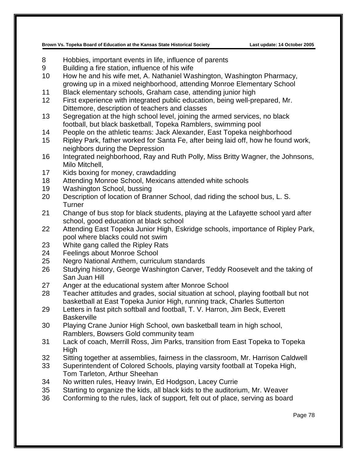- Hobbies, important events in life, influence of parents
- Building a fire station, influence of his wife
- How he and his wife met, A. Nathaniel Washington, Washington Pharmacy, growing up in a mixed neighborhood, attending Monroe Elementary School
- Black elementary schools, Graham case, attending junior high
- First experience with integrated public education, being well-prepared, Mr. Dittemore, description of teachers and classes
- Segregation at the high school level, joining the armed services, no black football, but black basketball, Topeka Ramblers, swimming pool
- People on the athletic teams: Jack Alexander, East Topeka neighborhood
- Ripley Park, father worked for Santa Fe, after being laid off, how he found work, neighbors during the Depression
- Integrated neighborhood, Ray and Ruth Polly, Miss Britty Wagner, the Johnsons, Milo Mitchell,
- Kids boxing for money, crawdadding
- Attending Monroe School, Mexicans attended white schools
- Washington School, bussing
- Description of location of Branner School, dad riding the school bus, L. S. **Turner**
- Change of bus stop for black students, playing at the Lafayette school yard after school, good education at black school
- Attending East Topeka Junior High, Eskridge schools, importance of Ripley Park, pool where blacks could not swim
- White gang called the Ripley Rats
- Feelings about Monroe School
- Negro National Anthem, curriculum standards
- Studying history, George Washington Carver, Teddy Roosevelt and the taking of San Juan Hill
- Anger at the educational system after Monroe School
- Teacher attitudes and grades, social situation at school, playing football but not basketball at East Topeka Junior High, running track, Charles Sutterton
- Letters in fast pitch softball and football, T. V. Harron, Jim Beck, Everett **Baskerville**
- Playing Crane Junior High School, own basketball team in high school, Ramblers, Bowsers Gold community team
- Lack of coach, Merrill Ross, Jim Parks, transition from East Topeka to Topeka High
- Sitting together at assemblies, fairness in the classroom, Mr. Harrison Caldwell
- Superintendent of Colored Schools, playing varsity football at Topeka High, Tom Tarleton, Arthur Sheehan
- No written rules, Heavy Irwin, Ed Hodgson, Lacey Currie
- Starting to organize the kids, all black kids to the auditorium, Mr. Weaver
- Conforming to the rules, lack of support, felt out of place, serving as board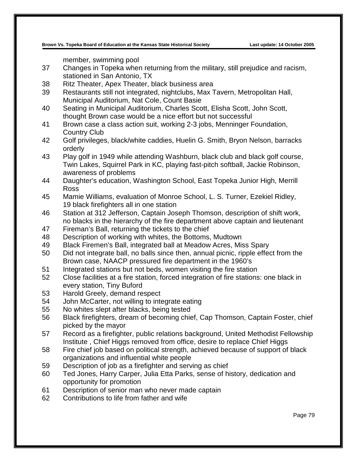member, swimming pool

- 37 Changes in Topeka when returning from the military, still prejudice and racism, stationed in San Antonio, TX
- 38 Ritz Theater, Apex Theater, black business area
- 39 Restaurants still not integrated, nightclubs, Max Tavern, Metropolitan Hall, Municipal Auditorium, Nat Cole, Count Basie
- 40 Seating in Municipal Auditorium, Charles Scott, Elisha Scott, John Scott, thought Brown case would be a nice effort but not successful
- 41 Brown case a class action suit, working 2-3 jobs, Menninger Foundation, Country Club
- 42 Golf privileges, black/white caddies, Huelin G. Smith, Bryon Nelson, barracks orderly
- 43 Play golf in 1949 while attending Washburn, black club and black golf course, Twin Lakes, Squirrel Park in KC, playing fast-pitch softball, Jackie Robinson, awareness of problems
- 44 Daughter's education, Washington School, East Topeka Junior High, Merrill Ross
- 45 Mamie Williams, evaluation of Monroe School, L. S. Turner, Ezekiel Ridley, 19 black firefighters all in one station
- 46 Station at 312 Jefferson, Captain Joseph Thomson, description of shift work, no blacks in the hierarchy of the fire department above captain and lieutenant
- 47 Fireman's Ball, returning the tickets to the chief
- 48 Description of working with whites, the Bottoms, Mudtown
- 49 Black Firemen's Ball, integrated ball at Meadow Acres, Miss Spary
- 50 Did not integrate ball, no balls since then, annual picnic, ripple effect from the Brown case, NAACP pressured fire department in the 1960's
- 51 Integrated stations but not beds, women visiting the fire station
- 52 Close facilities at a fire station, forced integration of fire stations: one black in every station, Tiny Buford
- 53 Harold Greely, demand respect
- 54 John McCarter, not willing to integrate eating
- 55 No whites slept after blacks, being tested
- 56 Black firefighters, dream of becoming chief, Cap Thomson, Captain Foster, chief picked by the mayor
- 57 Record as a firefighter, public relations background, United Methodist Fellowship Institute , Chief Higgs removed from office, desire to replace Chief Higgs
- 58 Fire chief job based on political strength, achieved because of support of black organizations and influential white people
- 59 Description of job as a firefighter and serving as chief
- 60 Ted Jones, Harry Carper, Julia Etta Parks, sense of history, dedication and opportunity for promotion
- 61 Description of senior man who never made captain
- 62 Contributions to life from father and wife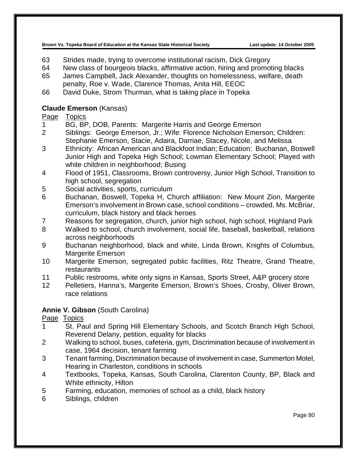- 63 Strides made, trying to overcome institutional racism, Dick Gregory
- 64 New class of bourgeois blacks, affirmative action, hiring and promoting blacks
- 65 James Campbell, Jack Alexander, thoughts on homelessness, welfare, death penalty, Roe v. Wade, Clarence Thomas, Anita Hill, EEOC
- 66 David Duke, Strom Thurman, what is taking place in Topeka

## **Claude Emerson** (Kansas)

## Page Topics

- 1 BG, BP, DOB, Parents: Margerite Harris and George Emerson
- 2 Siblings: George Emerson, Jr.; Wife: Florence Nicholson Emerson; Children: Stephanie Emerson, Stacie, Adaira, Darriae, Stacey, Nicole, and Melissa
- 3 Ethnicity: African American and Blackfoot Indian; Education: Buchanan, Boswell Junior High and Topeka High School; Lowman Elementary School; Played with white children in neighborhood; Busing
- 4 Flood of 1951, Classrooms, Brown controversy, Junior High School, Transition to high school, segregation
- 5 Social activities, sports, curriculum
- 6 Buchanan, Boswell, Topeka H, Church affiliation: New Mount Zion, Margerite Emerson's involvement in Brown case, school conditions – crowded, Ms. McBriar, curriculum, black history and black heroes
- 7 Reasons for segregation, church, junior high school, high school, Highland Park
- 8 Walked to school, church involvement, social life, baseball, basketball, relations across neighborhoods
- 9 Buchanan neighborhood, black and white, Linda Brown, Knights of Columbus, Margerite Emerson
- 10 Margerite Emerson, segregated public facilities, Ritz Theatre, Grand Theatre, restaurants
- 11 Public restrooms, white only signs in Kansas, Sports Street, A&P grocery store
- 12 Pelletiers, Hanna's, Margerite Emerson, Brown's Shoes, Crosby, Oliver Brown, race relations

## **Annie V. Gibson** (South Carolina)

- 1 St. Paul and Spring Hill Elementary Schools, and Scotch Branch High School, Reverend Delany, petition, equality for blacks
- 2 Walking to school, buses, cafeteria, gym, Discrimination because of involvement in case, 1964 decision, tenant farming
- 3 Tenant farming, Discrimination because of involvement in case, Summerton Motel, Hearing in Charleston, conditions in schools
- 4 Textbooks, Topeka, Kansas, South Carolina, Clarenton County, BP, Black and White ethnicity, Hilton
- 5 Farming, education, memories of school as a child, black history
- 6 Siblings, children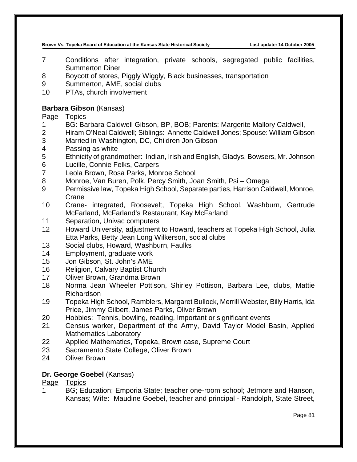- Conditions after integration, private schools, segregated public facilities, Summerton Diner
- Boycott of stores, Piggly Wiggly, Black businesses, transportation
- Summerton, AME, social clubs
- PTAs, church involvement

## **Barbara Gibson** (Kansas)

Page Topics

- BG: Barbara Caldwell Gibson, BP, BOB; Parents: Margerite Mallory Caldwell,
- Hiram O'Neal Caldwell; Siblings: Annette Caldwell Jones; Spouse: William Gibson
- Married in Washington, DC, Children Jon Gibson
- Passing as white
- Ethnicity of grandmother: Indian, Irish and English, Gladys, Bowsers, Mr. Johnson
- Lucille, Connie Felks, Carpers
- Leola Brown, Rosa Parks, Monroe School
- Monroe, Van Buren, Polk, Percy Smith, Joan Smith, Psi Omega
- Permissive law, Topeka High School, Separate parties, Harrison Caldwell, Monroe, Crane
- Crane- integrated, Roosevelt, Topeka High School, Washburn, Gertrude McFarland, McFarland's Restaurant, Kay McFarland
- Separation, Univac computers
- Howard University, adjustment to Howard, teachers at Topeka High School, Julia Etta Parks, Betty Jean Long Wilkerson, social clubs
- Social clubs, Howard, Washburn, Faulks
- Employment, graduate work
- Jon Gibson, St. John's AME
- Religion, Calvary Baptist Church
- Oliver Brown, Grandma Brown
- Norma Jean Wheeler Pottison, Shirley Pottison, Barbara Lee, clubs, Mattie Richardson
- Topeka High School, Ramblers, Margaret Bullock, Merrill Webster, Billy Harris, Ida Price, Jimmy Gilbert, James Parks, Oliver Brown
- Hobbies: Tennis, bowling, reading, Important or significant events
- Census worker, Department of the Army, David Taylor Model Basin, Applied Mathematics Laboratory
- Applied Mathematics, Topeka, Brown case, Supreme Court
- Sacramento State College, Oliver Brown
- Oliver Brown

## **Dr. George Goebel** (Kansas)

## Page Topics

 BG; Education; Emporia State; teacher one-room school; Jetmore and Hanson, Kansas; Wife: Maudine Goebel, teacher and principal - Randolph, State Street,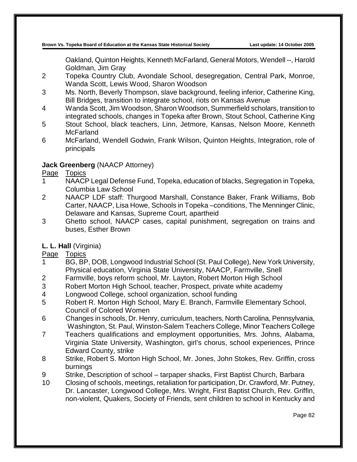Oakland, Quinton Heights, Kenneth McFarland, General Motors, Wendell --, Harold Goldman, Jim Gray

- 2 Topeka Country Club, Avondale School, desegregation, Central Park, Monroe, Wanda Scott, Lewis Wood, Sharon Woodson
- 3 Ms. North, Beverly Thompson, slave background, feeling inferior, Catherine King, Bill Bridges, transition to integrate school, riots on Kansas Avenue
- 4 Wanda Scott, Jim Woodson, Sharon Woodson, Summerfield scholars, transition to integrated schools, changes in Topeka after Brown, Stout School, Catherine King
- 5 Stout School, black teachers, Linn, Jetmore, Kansas, Nelson Moore, Kenneth **McFarland**
- 6 McFarland, Wendell Godwin, Frank Wilson, Quinton Heights, Integration, role of principals

## **Jack Greenberg** (NAACP Attorney)

## Page Topics

- 1 NAACP Legal Defense Fund, Topeka, education of blacks, Segregation in Topeka, Columbia Law School
- 2 NAACP LDF staff: Thurgood Marshall, Constance Baker, Frank Williams, Bob Carter, NAACP, Lisa Howe, Schools in Topeka –conditions, The Menninger Clinic, Delaware and Kansas, Supreme Court, apartheid
- 3 Ghetto school, NAACP cases, capital punishment, segregation on trains and buses, Esther Brown

## **L. L. Hall** (Virginia)

- 1 BG, BP, DOB, Longwood Industrial School (St. Paul College), New York University, Physical education, Virginia State University, NAACP, Farmville, Snell
- 2 Farmville, boys reform school, Mr. Layton, Robert Morton High School
- 3 Robert Morton High School, teacher, Prospect, private white academy
- 4 Longwood College, school organization, school funding<br>5 Robert R. Morton High School, Mary E. Branch, Farmvill
- 5 Robert R. Morton High School, Mary E. Branch, Farmville Elementary School, Council of Colored Women
- 6 Changes in schools, Dr. Henry, curriculum, teachers, North Carolina, Pennsylvania, Washington, St. Paul, Winston-Salem Teachers College, Minor Teachers College
- 7 Teachers qualifications and employment opportunities, Mrs. Johns, Alabama, Virginia State University, Washington, girl's chorus, school experiences, Prince Edward County, strike
- 8 Strike, Robert S. Morton High School, Mr. Jones, John Stokes, Rev. Griffin, cross burnings
- 9 Strike, Description of school tarpaper shacks, First Baptist Church, Barbara
- 10 Closing of schools, meetings, retaliation for participation, Dr. Crawford, Mr. Putney, Dr. Lancaster, Longwood College, Mrs. Wright, First Baptist Church, Rev. Griffin, non-violent, Quakers, Society of Friends, sent children to school in Kentucky and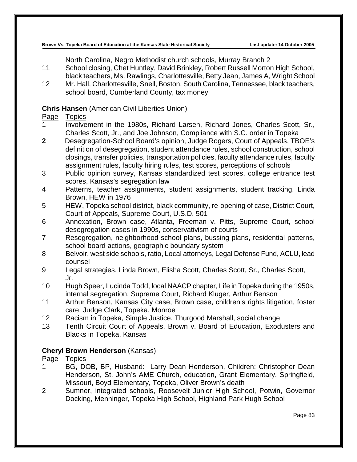North Carolina, Negro Methodist church schools, Murray Branch 2

- 11 School closing, Chet Huntley, David Brinkley, Robert Russell Morton High School, black teachers, Ms. Rawlings, Charlottesville, Betty Jean, James A, Wright School
- 12 Mr. Hall, Charlottesville, Snell, Boston, South Carolina, Tennessee, black teachers, school board, Cumberland County, tax money

## **Chris Hansen** (American Civil Liberties Union)

## Page Topics

- 1 Involvement in the 1980s, Richard Larsen, Richard Jones, Charles Scott, Sr., Charles Scott, Jr., and Joe Johnson, Compliance with S.C. order in Topeka
- **2** Desegregation-School Board's opinion, Judge Rogers, Court of Appeals, TBOE's definition of desegregation, student attendance rules, school construction, school closings, transfer policies, transportation policies, faculty attendance rules, faculty assignment rules, faculty hiring rules, test scores, perceptions of schools
- 3 Public opinion survey, Kansas standardized test scores, college entrance test scores, Kansas's segregation law
- 4 Patterns, teacher assignments, student assignments, student tracking, Linda Brown, HEW in 1976
- 5 HEW, Topeka school district, black community, re-opening of case, District Court, Court of Appeals, Supreme Court, U.S.D. 501
- 6 Annexation, Brown case, Atlanta, Freeman v. Pitts, Supreme Court, school desegregation cases in 1990s, conservativism of courts
- 7 Resegregation, neighborhood school plans, bussing plans, residential patterns, school board actions, geographic boundary system
- 8 Belvoir, west side schools, ratio, Local attorneys, Legal Defense Fund, ACLU, lead counsel
- 9 Legal strategies, Linda Brown, Elisha Scott, Charles Scott, Sr., Charles Scott, Jr.
- 10 Hugh Speer, Lucinda Todd, local NAACP chapter, Life in Topeka during the 1950s, internal segregation, Supreme Court, Richard Kluger, Arthur Benson
- 11 Arthur Benson, Kansas City case, Brown case, children's rights litigation, foster care, Judge Clark, Topeka, Monroe
- 12 Racism in Topeka, Simple Justice, Thurgood Marshall, social change
- 13 Tenth Circuit Court of Appeals, Brown v. Board of Education, Exodusters and Blacks in Topeka, Kansas

## **Cheryl Brown Henderson** (Kansas)

# Page Topics<br>1 BG. DO

- 1 BG, DOB, BP, Husband: Larry Dean Henderson, Children: Christopher Dean Henderson, St. John's AME Church, education, Grant Elementary, Springfield, Missouri, Boyd Elementary, Topeka, Oliver Brown's death
- 2 Sumner, integrated schools, Roosevelt Junior High School, Potwin, Governor Docking, Menninger, Topeka High School, Highland Park Hugh School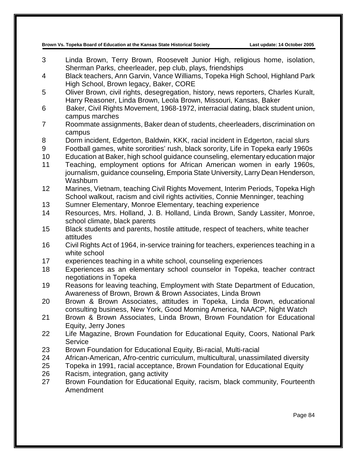- 3 Linda Brown, Terry Brown, Roosevelt Junior High, religious home, isolation, Sherman Parks, cheerleader, pep club, plays, friendships
- 4 Black teachers, Ann Garvin, Vance Williams, Topeka High School, Highland Park High School, Brown legacy, Baker, CORE
- 5 Oliver Brown, civil rights, desegregation, history, news reporters, Charles Kuralt, Harry Reasoner, Linda Brown, Leola Brown, Missouri, Kansas, Baker
- 6 Baker, Civil Rights Movement, 1968-1972, interracial dating, black student union, campus marches
- 7 Roommate assignments, Baker dean of students, cheerleaders, discrimination on campus
- 8 Dorm incident, Edgerton, Baldwin, KKK, racial incident in Edgerton, racial slurs
- 9 Football games, white sororities' rush, black sorority, Life in Topeka early 1960s
- 10 Education at Baker, high school guidance counseling, elementary education major
- 11 Teaching, employment options for African American women in early 1960s, journalism, guidance counseling, Emporia State University, Larry Dean Henderson, Washburn
- 12 Marines, Vietnam, teaching Civil Rights Movement, Interim Periods, Topeka High School walkout, racism and civil rights activities, Connie Menninger, teaching
- 13 Sumner Elementary, Monroe Elementary, teaching experience
- 14 Resources, Mrs. Holland, J. B. Holland, Linda Brown, Sandy Lassiter, Monroe, school climate, black parents
- 15 Black students and parents, hostile attitude, respect of teachers, white teacher attitudes
- 16 Civil Rights Act of 1964, in-service training for teachers, experiences teaching in a white school
- 17 experiences teaching in a white school, counseling experiences
- 18 Experiences as an elementary school counselor in Topeka, teacher contract negotiations in Topeka
- 19 Reasons for leaving teaching, Employment with State Department of Education, Awareness of Brown, Brown & Brown Associates, Linda Brown
- 20 Brown & Brown Associates, attitudes in Topeka, Linda Brown, educational consulting business, New York, Good Morning America, NAACP, Night Watch
- 21 Brown & Brown Associates, Linda Brown, Brown Foundation for Educational Equity, Jerry Jones
- 22 Life Magazine, Brown Foundation for Educational Equity, Coors, National Park Service
- 23 Brown Foundation for Educational Equity, Bi-racial, Multi-racial
- 24 African-American, Afro-centric curriculum, multicultural, unassimilated diversity
- 25 Topeka in 1991, racial acceptance, Brown Foundation for Educational Equity
- 26 Racism, integration, gang activity<br>27 Brown Foundation for Educationa
- Brown Foundation for Educational Equity, racism, black community, Fourteenth Amendment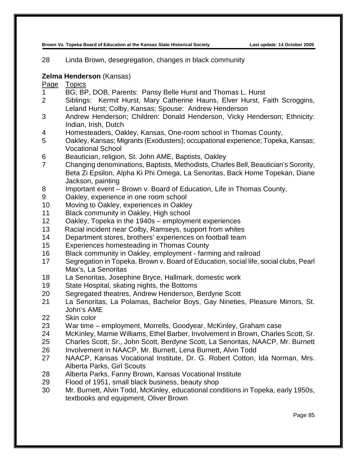Linda Brown, desegregation, changes in black community

#### **Zelma Henderson** (Kansas)

- BG; BP, DOB, Parents: Pansy Belle Hurst and Thomas L. Hurst
- Siblings: Kermit Hurst, Mary Catherine Hauns, Elver Hurst, Faith Scroggins, Leland Hurst; Colby, Kansas; Spouse: Andrew Henderson
- Andrew Henderson; Children: Donald Henderson, Vicky Henderson; Ethnicity: Indian, Irish, Dutch
- Homesteaders, Oakley, Kansas, One-room school in Thomas County,
- Oakley, Kansas; Migrants (Exodusters); occupational experience; Topeka, Kansas; Vocational School
- Beautician, religion, St. John AME, Baptists, Oakley
- Changing denominations, Baptists, Methodists, Charles Bell, Beautician's Sorority, Beta Zi Epsilon, Alpha Ki Phi Omega, La Senoritas, Back Home Topekan, Diane Jackson, painting
- Important event Brown v. Board of Education, Life in Thomas County,
- Oakley, experience in one room school
- Moving to Oakley, experiences in Oakley
- Black community in Oakley, High school
- Oakley, Topeka in the 1940s employment experiences
- Racial incident near Colby, Ramseys, support from whites
- Department stores, brothers' experiences on football team
- Experiences homesteading in Thomas County
- Black community in Oakley, employment farming and railroad
- Segregation in Topeka, Brown v. Board of Education, social life, social clubs, Pearl Max's, La Senoritas
- La Senoritas, Josephine Bryce, Hallmark, domestic work
- State Hospital, skating nights, the Bottoms
- Segregated theatres, Andrew Henderson, Berdyne Scott
- La Senoritas, La Polamas, Bachelor Boys, Gay Nineties, Pleasure Mirrors, St. John's AME
- Skin color
- War time employment, Morrells, Goodyear, McKinley, Graham case
- McKinley, Mamie Williams, Ethel Barber, Involvement in Brown, Charles Scott, Sr.
- Charles Scott, Sr., John Scott, Berdyne Scott, La Senoritas, NAACP, Mr. Burnett
- Involvement in NAACP, Mr. Burnett, Lena Burnett, Alvin Todd
- NAACP, Kansas Vocational Institute, Dr. G. Robert Cotton, Ida Norman, Mrs. Alberta Parks, Girl Scouts
- Alberta Parks, Fanny Brown, Kansas Vocational Institute
- Flood of 1951, small black business, beauty shop
- Mr. Burnett, Alvin Todd, McKinley, educational conditions in Topeka, early 1950s, textbooks and equipment, Oliver Brown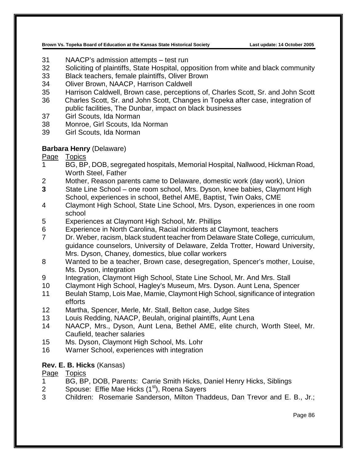- NAACP's admission attempts test run
- Soliciting of plaintiffs, State Hospital, opposition from white and black community
- Black teachers, female plaintiffs, Oliver Brown
- Oliver Brown, NAACP, Harrison Caldwell
- Harrison Caldwell, Brown case, perceptions of, Charles Scott, Sr. and John Scott
- Charles Scott, Sr. and John Scott, Changes in Topeka after case, integration of public facilities, The Dunbar, impact on black businesses
- Girl Scouts, Ida Norman
- Monroe, Girl Scouts, Ida Norman
- Girl Scouts, Ida Norman

#### **Barbara Henry** (Delaware)

Page Topics

- BG, BP, DOB, segregated hospitals, Memorial Hospital, Nallwood, Hickman Road, Worth Steel, Father
- Mother, Reason parents came to Delaware, domestic work (day work), Union
- State Line School one room school, Mrs. Dyson, knee babies, Claymont High School, experiences in school, Bethel AME, Baptist, Twin Oaks, CME
- Claymont High School, State Line School, Mrs. Dyson, experiences in one room school
- Experiences at Claymont High School, Mr. Phillips
- Experience in North Carolina, Racial incidents at Claymont, teachers
- Dr. Weber, racism, black student teacher from Delaware State College, curriculum, guidance counselors, University of Delaware, Zelda Trotter, Howard University, Mrs. Dyson, Chaney, domestics, blue collar workers
- Wanted to be a teacher, Brown case, desegregation, Spencer's mother, Louise, Ms. Dyson, integration
- Integration, Claymont High School, State Line School, Mr. And Mrs. Stall
- Claymont High School, Hagley's Museum, Mrs. Dyson. Aunt Lena, Spencer
- Beulah Stamp, Lois Mae, Mamie, Claymont High School, significance of integration efforts
- Martha, Spencer, Merle, Mr. Stall, Belton case, Judge Sites
- Louis Redding, NAACP, Beulah, original plaintiffs, Aunt Lena
- NAACP, Mrs., Dyson, Aunt Lena, Bethel AME, elite church, Worth Steel, Mr. Caufield, teacher salaries
- Ms. Dyson, Claymont High School, Ms. Lohr
- Warner School, experiences with integration

## **Rev. E. B. Hicks** (Kansas)

- BG, BP, DOB, Parents: Carrie Smith Hicks, Daniel Henry Hicks, Siblings
- 2 Spouse: Effie Mae Hicks  $(1<sup>st</sup>)$ , Roena Sayers
- Children: Rosemarie Sanderson, Milton Thaddeus, Dan Trevor and E. B., Jr.;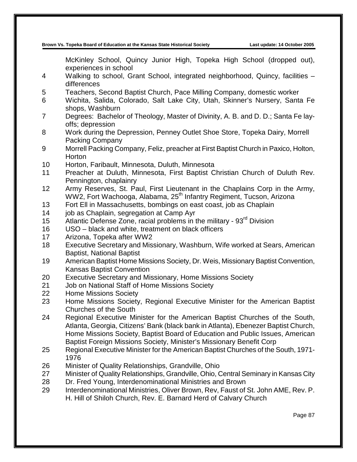McKinley School, Quincy Junior High, Topeka High School (dropped out), experiences in school

- 4 Walking to school, Grant School, integrated neighborhood, Quincy, facilities differences
- 5 Teachers, Second Baptist Church, Pace Milling Company, domestic worker
- 6 Wichita, Salida, Colorado, Salt Lake City, Utah, Skinner's Nursery, Santa Fe shops, Washburn
- 7 Degrees: Bachelor of Theology, Master of Divinity, A. B. and D. D.; Santa Fe layoffs; depression
- 8 Work during the Depression, Penney Outlet Shoe Store, Topeka Dairy, Morrell Packing Company
- 9 Morrell Packing Company, Feliz, preacher at First Baptist Church in Paxico, Holton, **Horton**
- 10 Horton, Faribault, Minnesota, Duluth, Minnesota
- 11 Preacher at Duluth, Minnesota, First Baptist Christian Church of Duluth Rev. Pennington, chaplainry
- 12 Army Reserves, St. Paul, First Lieutenant in the Chaplains Corp in the Army, WW2, Fort Wachooga, Alabama, 25<sup>th</sup> Infantry Regiment, Tucson, Arizona
- 13 Fort Ell in Massachusetts, bombings on east coast, job as Chaplain
- 14 job as Chaplain, segregation at Camp Ayr
- 15 Atlantic Defense Zone, racial problems in the military  $93<sup>rd</sup>$  Division
- 16 USO black and white, treatment on black officers
- 17 Arizona, Topeka after WW2
- 18 Executive Secretary and Missionary, Washburn, Wife worked at Sears, American Baptist, National Baptist
- 19 American Baptist Home Missions Society, Dr. Weis, Missionary Baptist Convention, Kansas Baptist Convention
- 20 Executive Secretary and Missionary, Home Missions Society
- 21 Job on National Staff of Home Missions Society
- 22 Home Missions Society
- 23 Home Missions Society, Regional Executive Minister for the American Baptist Churches of the South
- 24 Regional Executive Minister for the American Baptist Churches of the South, Atlanta, Georgia, Citizens' Bank (black bank in Atlanta), Ebenezer Baptist Church, Home Missions Society, Baptist Board of Education and Public Issues, American Baptist Foreign Missions Society, Minister's Missionary Benefit Corp
- 25 Regional Executive Minister for the American Baptist Churches of the South, 1971- 1976
- 26 Minister of Quality Relationships, Grandville, Ohio
- 27 Minister of Quality Relationships, Grandville, Ohio, Central Seminary in Kansas City
- 28 Dr. Fred Young, Interdenominational Ministries and Brown
- 29 Interdenominational Ministries, Oliver Brown, Rev, Faust of St. John AME, Rev. P. H. Hill of Shiloh Church, Rev. E. Barnard Herd of Calvary Church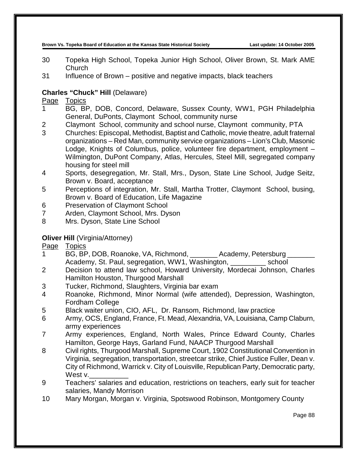- 30 Topeka High School, Topeka Junior High School, Oliver Brown, St. Mark AME **Church**
- 31 Influence of Brown positive and negative impacts, black teachers

## **Charles "Chuck" Hill** (Delaware)

## Page Topics

- 1 BG, BP, DOB, Concord, Delaware, Sussex County, WW1, PGH Philadelphia General, DuPonts, Claymont School, community nurse
- 2 Claymont School, community and school nurse, Claymont community, PTA
- 3 Churches: Episcopal, Methodist, Baptist and Catholic, movie theatre, adult fraternal organizations – Red Man, community service organizations – Lion's Club, Masonic Lodge, Knights of Columbus, police, volunteer fire department, employment – Wilmington, DuPont Company, Atlas, Hercules, Steel Mill, segregated company housing for steel mill
- 4 Sports, desegregation, Mr. Stall, Mrs., Dyson, State Line School, Judge Seitz, Brown v. Board, acceptance
- 5 Perceptions of integration, Mr. Stall, Martha Trotter, Claymont School, busing, Brown v. Board of Education, Life Magazine
- 6 Preservation of Claymont School
- 7 Arden, Claymont School, Mrs. Dyson
- 8 Mrs. Dyson, State Line School

## **Oliver Hill** (Virginia/Attorney)

- 1 BG, BP, DOB, Roanoke, VA, Richmond, Academy, Petersburg Academy, St. Paul, segregation, WW1, Washington, \_\_\_\_\_\_\_\_\_\_ school
- 2 Decision to attend law school, Howard University, Mordecai Johnson, Charles Hamilton Houston, Thurgood Marshall
- 3 Tucker, Richmond, Slaughters, Virginia bar exam
- 4 Roanoke, Richmond, Minor Normal (wife attended), Depression, Washington, Fordham College
- 5 Black waiter union, CIO, AFL, Dr. Ransom, Richmond, law practice
- 6 Army, OCS, England, France, Ft. Mead, Alexandria, VA, Louisiana, Camp Claburn, army experiences
- 7 Army experiences, England, North Wales, Prince Edward County, Charles Hamilton, George Hays, Garland Fund, NAACP Thurgood Marshall
- 8 Civil rights, Thurgood Marshall, Supreme Court, 1902 Constitutional Convention in Virginia, segregation, transportation, streetcar strike, Chief Justice Fuller, Dean v. City of Richmond, Warrick v. City of Louisville, Republican Party, Democratic party, West v.
- 9 Teachers' salaries and education, restrictions on teachers, early suit for teacher salaries, Mandy Morrison
- 10 Mary Morgan, Morgan v. Virginia, Spotswood Robinson, Montgomery County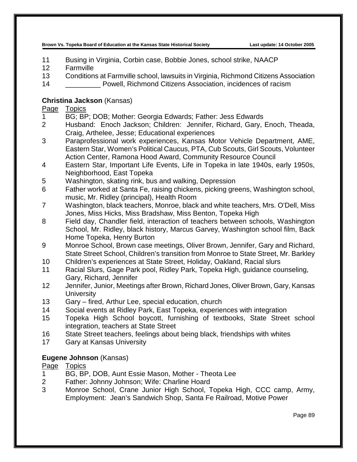- 11 Busing in Virginia, Corbin case, Bobbie Jones, school strike, NAACP
- 12 Farmville
- 13 Conditions at Farmville school, lawsuits in Virginia, Richmond Citizens Association
- 14 \_\_\_\_\_\_\_\_\_ Powell, Richmond Citizens Association, incidences of racism

## **Christina Jackson** (Kansas)

## Page Topics

- 1 BG; BP; DOB; Mother: Georgia Edwards; Father: Jess Edwards
- 2 Husband: Enoch Jackson; Children: Jennifer, Richard, Gary, Enoch, Theada, Craig, Arthelee, Jesse; Educational experiences
- 3 Paraprofessional work experiences, Kansas Motor Vehicle Department, AME, Eastern Star, Women's Political Caucus, PTA, Cub Scouts, Girl Scouts, Volunteer Action Center, Ramona Hood Award, Community Resource Council
- 4 Eastern Star, Important Life Events, Life in Topeka in late 1940s, early 1950s, Neighborhood, East Topeka
- 5 Washington, skating rink, bus and walking, Depression
- 6 Father worked at Santa Fe, raising chickens, picking greens, Washington school, music, Mr. Ridley (principal), Health Room
- 7 Washington, black teachers, Monroe, black and white teachers, Mrs. O'Dell, Miss Jones, Miss Hicks, Miss Bradshaw, Miss Benton, Topeka High
- 8 Field day, Chandler field, interaction of teachers between schools, Washington School, Mr. Ridley, black history, Marcus Garvey, Washington school film, Back Home Topeka, Henry Burton
- 9 Monroe School, Brown case meetings, Oliver Brown, Jennifer, Gary and Richard, State Street School, Children's transition from Monroe to State Street, Mr. Barkley
- 10 Children's experiences at State Street, Holiday, Oakland, Racial slurs
- 11 Racial Slurs, Gage Park pool, Ridley Park, Topeka High, guidance counseling, Gary, Richard, Jennifer
- 12 Jennifer, Junior, Meetings after Brown, Richard Jones, Oliver Brown, Gary, Kansas **University**
- 13 Gary fired, Arthur Lee, special education, church
- 14 Social events at Ridley Park, East Topeka, experiences with integration
- 15 Topeka High School boycott, furnishing of textbooks, State Street school integration, teachers at State Street
- 16 State Street teachers, feelings about being black, friendships with whites
- 17 Gary at Kansas University

## **Eugene Johnson** (Kansas)

- 1 BG, BP, DOB, Aunt Essie Mason, Mother Theota Lee
- 2 Father: Johnny Johnson; Wife: Charline Hoard
- 3 Monroe School, Crane Junior High School, Topeka High, CCC camp, Army, Employment: Jean's Sandwich Shop, Santa Fe Railroad, Motive Power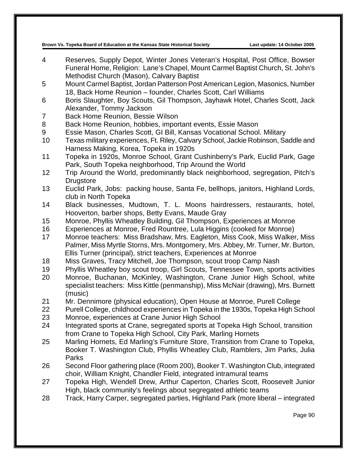- 4 Reserves, Supply Depot, Winter Jones Veteran's Hospital, Post Office, Bowser Funeral Home, Religion: Lane's Chapel, Mount Carmel Baptist Church, St. John's Methodist Church (Mason), Calvary Baptist
- 5 Mount Carmel Baptist, Jordan Patterson Post American Legion, Masonics, Number 18, Back Home Reunion – founder, Charles Scott, Carl Williams
- 6 Boris Slaughter, Boy Scouts, Gil Thompson, Jayhawk Hotel, Charles Scott, Jack Alexander, Tommy Jackson
- 7 Back Home Reunion, Bessie Wilson
- 8 Back Home Reunion, hobbies, important events, Essie Mason
- 9 Essie Mason, Charles Scott, GI Bill, Kansas Vocational School. Military
- 10 Texas military experiences, Ft. Riley, Calvary School, Jackie Robinson, Saddle and Harness Making, Korea, Topeka in 1920s
- 11 Topeka in 1920s, Monroe School, Grant Cushinberry's Park, Euclid Park, Gage Park, South Topeka neighborhood, Trip Around the World
- 12 Trip Around the World, predominantly black neighborhood, segregation, Pitch's **Drugstore**
- 13 Euclid Park, Jobs: packing house, Santa Fe, bellhops, janitors, Highland Lords, club in North Topeka
- 14 Black businesses, Mudtown, T. L. Moons hairdressers, restaurants, hotel, Hooverton, barber shops, Betty Evans, Maude Gray
- 15 Monroe, Phyllis Wheatley Building, Gil Thompson, Experiences at Monroe
- 16 Experiences at Monroe, Fred Rountree, Lula Higgins (cooked for Monroe)
- 17 Monroe teachers: Miss Bradshaw, Mrs. Eagleton, Miss Cook, Miss Walker, Miss Palmer, Miss Myrtle Storns, Mrs. Montgomery, Mrs. Abbey, Mr. Turner, Mr. Burton, Ellis Turner (principal), strict teachers, Experiences at Monroe
- 18 Miss Graves, Tracy Mitchell, Joe Thompson, scout troop Camp Nash
- 19 Phyllis Wheatley boy scout troop, Girl Scouts, Tennessee Town, sports activities
- 20 Monroe, Buchanan, McKinley, Washington, Crane Junior High School, white specialist teachers: Miss Kittle (penmanship), Miss McNair (drawing), Mrs. Burnett (music)
- 21 Mr. Dennimore (physical education), Open House at Monroe, Purell College
- 22 Purell College, childhood experiences in Topeka in the 1930s, Topeka High School
- 23 Monroe, experiences at Crane Junior High School
- 24 Integrated sports at Crane, segregated sports at Topeka High School, transition from Crane to Topeka High School, City Park, Marling Hornets
- 25 Marling Hornets, Ed Marling's Furniture Store, Transition from Crane to Topeka, Booker T. Washington Club, Phyllis Wheatley Club, Ramblers, Jim Parks, Julia **Parks**
- 26 Second Floor gathering place (Room 200), Booker T. Washington Club, integrated choir, William Knight, Chandler Field, integrated intramural teams
- 27 Topeka High, Wendell Drew, Arthur Caperton, Charles Scott, Roosevelt Junior High, black community's feelings about segregated athletic teams
- 28 Track, Harry Carper, segregated parties, Highland Park (more liberal integrated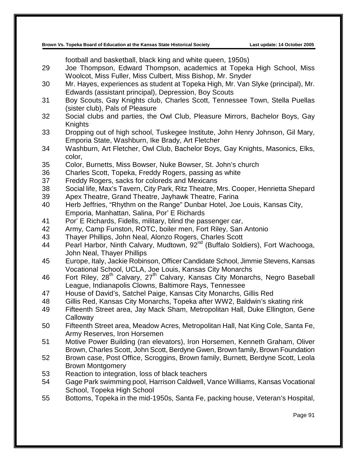football and basketball, black king and white queen, 1950s)

- 29 Joe Thompson, Edward Thompson, academics at Topeka High School, Miss Woolcot, Miss Fuller, Miss Culbert, Miss Bishop, Mr. Snyder
- 30 Mr. Hayes, experiences as student at Topeka High, Mr. Van Slyke (principal), Mr. Edwards (assistant principal), Depression, Boy Scouts
- 31 Boy Scouts, Gay Knights club, Charles Scott, Tennessee Town, Stella Puellas (sister club), Pals of Pleasure
- 32 Social clubs and parties, the Owl Club, Pleasure Mirrors, Bachelor Boys, Gay Knights
- 33 Dropping out of high school, Tuskegee Institute, John Henry Johnson, Gil Mary, Emporia State, Washburn, Ike Brady, Art Fletcher
- 34 Washburn, Art Fletcher, Owl Club, Bachelor Boys, Gay Knights, Masonics, Elks, color,
- 35 Color, Burnetts, Miss Bowser, Nuke Bowser, St. John's church
- 36 Charles Scott, Topeka, Freddy Rogers, passing as white
- 37 Freddy Rogers, sacks for coloreds and Mexicans
- 38 Social life, Max's Tavern, City Park, Ritz Theatre, Mrs. Cooper, Henrietta Shepard
- 39 Apex Theatre, Grand Theatre, Jayhawk Theatre, Farina
- 40 Herb Jeffries, "Rhythm on the Range" Dunbar Hotel, Joe Louis, Kansas City, Emporia, Manhattan, Salina, Por' E Richards
- 41 Por' E Richards, Fidells, military, blind the passenger car,
- 42 Army, Camp Funston, ROTC, boiler men, Fort Riley, San Antonio
- 43 Thayer Phillips, John Neal, Alonzo Rogers, Charles Scott
- 44 Pearl Harbor, Ninth Calvary, Mudtown, 92<sup>nd</sup> (Buffalo Soldiers), Fort Wachooga, John Neal, Thayer Phillips
- 45 Europe, Italy, Jackie Robinson, Officer Candidate School, Jimmie Stevens, Kansas Vocational School, UCLA, Joe Louis, Kansas City Monarchs
- 46 Fort Riley, 28<sup>th</sup> Calvary, 27<sup>th</sup> Calvary, Kansas City Monarchs, Negro Baseball League, Indianapolis Clowns, Baltimore Rays, Tennessee
- 47 House of David's, Satchel Paige, Kansas City Monarchs, Gillis Red
- 48 Gillis Red, Kansas City Monarchs, Topeka after WW2, Baldwin's skating rink
- 49 Fifteenth Street area, Jay Mack Sham, Metropolitan Hall, Duke Ellington, Gene **Calloway**
- 50 Fifteenth Street area, Meadow Acres, Metropolitan Hall, Nat King Cole, Santa Fe, Army Reserves, Iron Horsemen
- 51 Motive Power Building (ran elevators), Iron Horsemen, Kenneth Graham, Oliver Brown, Charles Scott, John Scott, Berdyne Gwen, Brown family, Brown Foundation
- 52 Brown case, Post Office, Scroggins, Brown family, Burnett, Berdyne Scott, Leola Brown Montgomery
- 53 Reaction to integration, loss of black teachers
- 54 Gage Park swimming pool, Harrison Caldwell, Vance Williams, Kansas Vocational School, Topeka High School
- 55 Bottoms, Topeka in the mid-1950s, Santa Fe, packing house, Veteran's Hospital,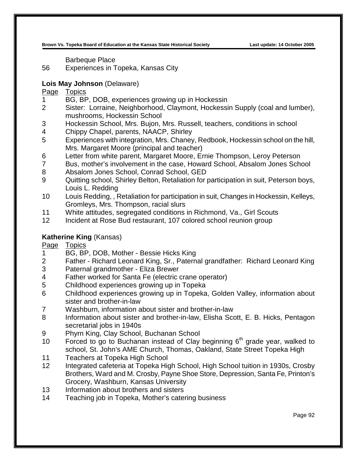Barbeque Place

Experiences in Topeka, Kansas City

## **Lois May Johnson** (Delaware)

Page Topics

- BG, BP, DOB, experiences growing up in Hockessin
- Sister: Lorraine, Neighborhood, Claymont, Hockessin Supply (coal and lumber), mushrooms, Hockessin School
- Hockessin School, Mrs. Bujon, Mrs. Russell, teachers, conditions in school
- Chippy Chapel, parents, NAACP, Shirley
- Experiences with integration, Mrs. Chaney, Redbook, Hockessin school on the hill, Mrs. Margaret Moore (principal and teacher)
- Letter from white parent, Margaret Moore, Ernie Thompson, Leroy Peterson
- Bus, mother's involvement in the case, Howard School, Absalom Jones School
- Absalom Jones School, Conrad School, GED
- Quitting school, Shirley Belton, Retaliation for participation in suit, Peterson boys, Louis L. Redding
- Louis Redding, , Retaliation for participation in suit, Changes in Hockessin, Kelleys, Gromleys, Mrs. Thompson, racial slurs
- White attitudes, segregated conditions in Richmond, Va., Girl Scouts
- Incident at Rose Bud restaurant, 107 colored school reunion group

# **Katherine King** (Kansas)<br>Page Topics

**Topics** 

- BG, BP, DOB, Mother Bessie Hicks King
- Father Richard Leonard King, Sr., Paternal grandfather: Richard Leonard King
- Paternal grandmother Eliza Brewer
- Father worked for Santa Fe (electric crane operator)
- Childhood experiences growing up in Topeka
- Childhood experiences growing up in Topeka, Golden Valley, information about sister and brother-in-law
- Washburn, information about sister and brother-in-law
- Information about sister and brother-in-law, Elisha Scott, E. B. Hicks, Pentagon secretarial jobs in 1940s
- Phyrn King, Clay School, Buchanan School
- 10 Forced to go to Buchanan instead of Clay beginning  $6<sup>th</sup>$  grade year, walked to school, St. John's AME Church, Thomas, Oakland, State Street Topeka High
- Teachers at Topeka High School
- Integrated cafeteria at Topeka High School, High School tuition in 1930s, Crosby Brothers, Ward and M. Crosby, Payne Shoe Store, Depression, Santa Fe, Printon's Grocery, Washburn, Kansas University
- Information about brothers and sisters
- Teaching job in Topeka, Mother's catering business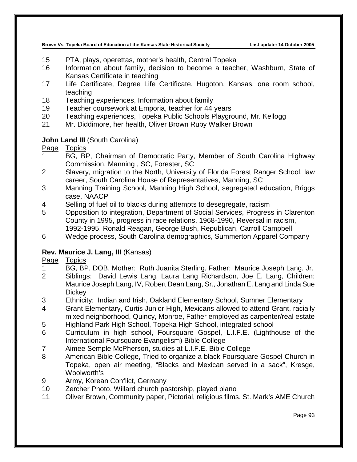- 15 PTA, plays, operettas, mother's health, Central Topeka
- 16 Information about family, decision to become a teacher, Washburn, State of Kansas Certificate in teaching
- 17 Life Certificate, Degree Life Certificate, Hugoton, Kansas, one room school, teaching
- 18 Teaching experiences, Information about family
- 19 Teacher coursework at Emporia, teacher for 44 years
- 20 Teaching experiences, Topeka Public Schools Playground, Mr. Kellogg
- 21 Mr. Diddimore, her health, Oliver Brown Ruby Walker Brown

## **John Land III** (South Carolina)

## Page Topics

- 1 BG, BP, Chairman of Democratic Party, Member of South Carolina Highway Commission, Manning , SC, Forester, SC
- 2 Slavery, migration to the North, University of Florida Forest Ranger School, law career, South Carolina House of Representatives, Manning, SC
- 3 Manning Training School, Manning High School, segregated education, Briggs case, NAACP
- 4 Selling of fuel oil to blacks during attempts to desegregate, racism
- 5 Opposition to integration, Department of Social Services, Progress in Clarenton County in 1995, progress in race relations, 1968-1990, Reversal in racism, 1992-1995, Ronald Reagan, George Bush, Republican, Carroll Campbell
- 6 Wedge process, South Carolina demographics, Summerton Apparel Company

## **Rev. Maurice J. Lang, III** (Kansas)

# Page Topics<br>1 BG BF

- BG, BP, DOB, Mother: Ruth Juanita Sterling, Father: Maurice Joseph Lang, Jr.
- 2 Siblings: David Lewis Lang, Laura Lang Richardson, Joe E. Lang, Children: Maurice Joseph Lang, IV, Robert Dean Lang, Sr., Jonathan E. Lang and Linda Sue **Dickey**
- 3 Ethnicity: Indian and Irish, Oakland Elementary School, Sumner Elementary
- 4 Grant Elementary, Curtis Junior High, Mexicans allowed to attend Grant, racially mixed neighborhood, Quincy, Monroe, Father employed as carpenter/real estate
- 5 Highland Park High School, Topeka High School, integrated school
- 6 Curriculum in high school, Foursquare Gospel, L.I.F.E. (Lighthouse of the International Foursquare Evangelism) Bible College
- 7 Aimee Semple McPherson, studies at L.I.F.E. Bible College
- 8 American Bible College, Tried to organize a black Foursquare Gospel Church in Topeka, open air meeting, "Blacks and Mexican served in a sack", Kresge, Woolworth's
- 9 Army, Korean Conflict, Germany
- 10 Zercher Photo, Willard church pastorship, played piano
- 11 Oliver Brown, Community paper, Pictorial, religious films, St. Mark's AME Church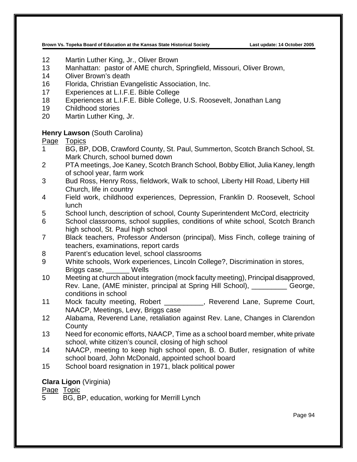- 12 Martin Luther King, Jr., Oliver Brown
- 13 Manhattan: pastor of AME church, Springfield, Missouri, Oliver Brown,
- 14 Oliver Brown's death
- 16 Florida, Christian Evangelistic Association, Inc.
- 17 Experiences at L.I.F.E. Bible College
- 18 Experiences at L.I.F.E. Bible College, U.S. Roosevelt, Jonathan Lang
- 19 Childhood stories
- 20 Martin Luther King, Jr.

#### **Henry Lawson** (South Carolina)

Page Topics

- 1 BG, BP, DOB, Crawford County, St. Paul, Summerton, Scotch Branch School, St. Mark Church, school burned down
- 2 PTA meetings, Joe Kaney, Scotch Branch School, Bobby Elliot, Julia Kaney, length of school year, farm work
- 3 Bud Ross, Henry Ross, fieldwork, Walk to school, Liberty Hill Road, Liberty Hill Church, life in country
- 4 Field work, childhood experiences, Depression, Franklin D. Roosevelt, School lunch
- 5 School lunch, description of school, County Superintendent McCord, electricity
- 6 School classrooms, school supplies, conditions of white school, Scotch Branch high school, St. Paul high school
- 7 Black teachers, Professor Anderson (principal), Miss Finch, college training of teachers, examinations, report cards
- 8 Parent's education level, school classrooms
- 9 White schools, Work experiences, Lincoln College?, Discrimination in stores, Briggs case, \_\_\_\_\_\_ Wells
- 10 Meeting at church about integration (mock faculty meeting), Principal disapproved, Rev. Lane, (AME minister, principal at Spring Hill School), \_\_\_\_\_\_\_\_\_ George, conditions in school
- 11 Mock faculty meeting, Robert \_\_\_\_\_\_\_\_\_, Reverend Lane, Supreme Court, NAACP, Meetings, Levy, Briggs case
- 12 Alabama, Reverend Lane, retaliation against Rev. Lane, Changes in Clarendon **County**
- 13 Need for economic efforts, NAACP, Time as a school board member, white private school, white citizen's council, closing of high school
- 14 NAACP, meeting to keep high school open, B. O. Butler, resignation of white school board, John McDonald, appointed school board
- 15 School board resignation in 1971, black political power

## **Clara Ligon** (Virginia)

Page Topic

5 BG, BP, education, working for Merrill Lynch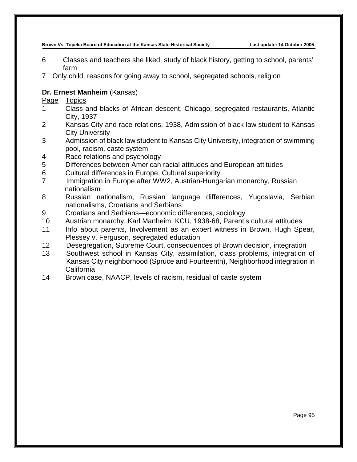- 6 Classes and teachers she liked, study of black history, getting to school, parents' farm
- 7 Only child, reasons for going away to school, segregated schools, religion

### **Dr. Ernest Manheim** (Kansas)

- 1 Class and blacks of African descent, Chicago, segregated restaurants, Atlantic City, 1937
- 2 Kansas City and race relations, 1938, Admission of black law student to Kansas City University
- 3 Admission of black law student to Kansas City University, integration of swimming pool, racism, caste system
- 4 Race relations and psychology
- 5 Differences between American racial attitudes and European attitudes
- 6 Cultural differences in Europe, Cultural superiority
- 7 Immigration in Europe after WW2, Austrian-Hungarian monarchy, Russian nationalism
- 8 Russian nationalism, Russian language differences, Yugoslavia, Serbian nationalisms, Croatians and Serbians
- 9 Croatians and Serbians—economic differences, sociology
- 10 Austrian monarchy, Karl Manheim, KCU, 1938-68, Parent's cultural attitudes
- 11 Info about parents, Involvement as an expert witness in Brown, Hugh Spear, Plessey v. Ferguson, segregated education
- 12 Desegregation, Supreme Court, consequences of Brown decision, integration
- 13 Southwest school in Kansas City, assimilation, class problems, integration of Kansas City neighborhood (Spruce and Fourteenth), Neighborhood integration in California
- 14 Brown case, NAACP, levels of racism, residual of caste system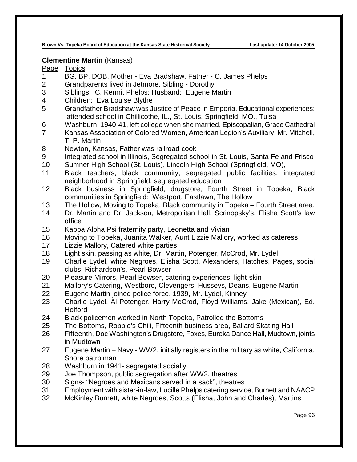#### **Clementine Martin** (Kansas)

- BG, BP, DOB, Mother Eva Bradshaw, Father C. James Phelps
- Grandparents lived in Jetmore, Sibling Dorothy
- Siblings: C. Kermit Phelps; Husband: Eugene Martin
- Children: Eva Louise Blythe
- Grandfather Bradshaw was Justice of Peace in Emporia, Educational experiences: attended school in Chillicothe, IL., St. Louis, Springfield, MO., Tulsa
- Washburn, 1940-41, left college when she married, Episcopalian, Grace Cathedral
- Kansas Association of Colored Women, American Legion's Auxiliary, Mr. Mitchell, T. P. Martin
- Newton, Kansas, Father was railroad cook
- Integrated school in Illinois, Segregated school in St. Louis, Santa Fe and Frisco
- Sumner High School (St. Louis), Lincoln High School (Springfield, MO),
- Black teachers, black community, segregated public facilities, integrated neighborhood in Springfield, segregated education
- Black business in Springfield, drugstore, Fourth Street in Topeka, Black communities in Springfield: Westport, Eastlawn, The Hollow
- The Hollow, Moving to Topeka, Black community in Topeka Fourth Street area.
- Dr. Martin and Dr. Jackson, Metropolitan Hall, Scrinopsky's, Elisha Scott's law office
- Kappa Alpha Psi fraternity party, Leonetta and Vivian
- 16 Moving to Topeka, Juanita Walker, Aunt Lizzie Mallory, worked as cateress<br>17 Lizzie Mallorv. Catered white parties
- Lizzie Mallory, Catered white parties
- Light skin, passing as white, Dr. Martin, Potenger, McCrod, Mr. Lydel
- Charlie Lydel, white Negroes, Elisha Scott, Alexanders, Hatches, Pages, social clubs, Richardson's, Pearl Bowser
- Pleasure Mirrors, Pearl Bowser, catering experiences, light-skin
- Mallory's Catering, Westboro, Clevengers, Husseys, Deans, Eugene Martin
- Eugene Martin joined police force, 1939, Mr. Lydel, Kinney
- Charlie Lydel, Al Potenger, Harry McCrod, Floyd Williams, Jake (Mexican), Ed. Holford
- Black policemen worked in North Topeka, Patrolled the Bottoms
- The Bottoms, Robbie's Chili, Fifteenth business area, Ballard Skating Hall
- Fifteenth, Doc Washington's Drugstore, Foxes, Eureka Dance Hall, Mudtown, joints in Mudtown
- Eugene Martin Navy WW2, initially registers in the military as white, California, Shore patrolman
- Washburn in 1941- segregated socially
- Joe Thompson, public segregation after WW2, theatres
- Signs- "Negroes and Mexicans served in a sack", theatres
- Employment with sister-in-law, Lucille Phelps catering service, Burnett and NAACP
- McKinley Burnett, white Negroes, Scotts (Elisha, John and Charles), Martins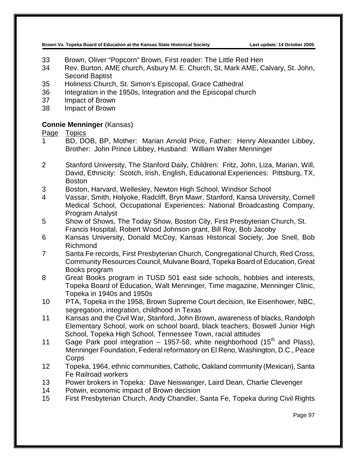- 33 Brown, Oliver "Popcorn" Brown, First reader: The Little Red Hen
- 34 Rev. Burton, AME church, Asbury M. E. Church, St, Mark AME, Calvary, St. John, Second Baptist
- 35 Holiness Church, St. Simon's Episcopal, Grace Cathedral
- 36 Integration in the 1950s, Integration and the Episcopal church
- 37 Impact of Brown
- 38 Impact of Brown

#### **Connie Menninger** (Kansas)

- 1 BD, DOB, BP, Mother: Marian Arnold Price, Father: Henry Alexander Libbey, Brother: John Prince Libbey, Husband: William Walter Menninger
- 2 Stanford University, The Stanford Daily, Children: Fritz, John, Liza, Marian, Will, David, Ethnicity: Scotch, Irish, English, Educational Experiences: Pittsburg, TX, Boston
- 3 Boston, Harvard, Wellesley, Newton High School, Windsor School
- 4 Vassar, Smith, Holyoke, Radcliff, Bryn Mawr, Stanford, Kansa University, Cornell Medical School, Occupational Experiences: National Broadcasting Company, Program Analyst
- 5 Show of Shows, The Today Show, Boston City, First Presbyterian Church, St. Francis Hospital, Robert Wood Johnson grant, Bill Roy, Bob Jacoby
- 6 Kansas University, Donald McCoy, Kansas Historical Society, Joe Snell, Bob Richmond
- 7 Santa Fe records, First Presbyterian Church, Congregational Church, Red Cross, Community Resources Council, Mulvane Board, Topeka Board of Education, Great Books program
- 8 Great Books program in TUSD 501 east side schools, hobbies and interests, Topeka Board of Education, Walt Menninger, Time magazine, Menninger Clinic, Topeka in 1940s and 1950s
- 10 PTA, Topeka in the 1958, Brown Supreme Court decision, Ike Eisenhower, NBC, segregation, integration, childhood in Texas
- 11 Kansas and the Civil War, Stanford, John Brown, awareness of blacks, Randolph Elementary School, work on school board, black teachers, Boswell Junior High School, Topeka High School, Tennessee Town, racial attitudes
- 11 Gage Park pool integration 1957-58, white neighborhood  $(15<sup>th</sup>$  and Plass), Menninger Foundation, Federal reformatory on El Reno, Washington, D.C., Peace **Corps**
- 12 Topeka, 1964, ethnic communities, Catholic, Oakland community (Mexican), Santa Fe Railroad workers
- 13 Power brokers in Topeka: Dave Neiswanger, Laird Dean, Charlie Clevenger
- 14 Potwin, economic impact of Brown decision
- 15 First Presbyterian Church, Andy Chandler, Santa Fe, Topeka during Civil Rights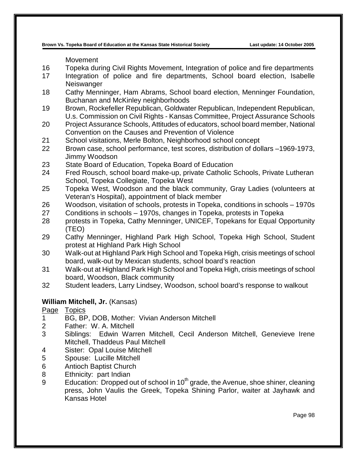Movement

- 16 Topeka during Civil Rights Movement, Integration of police and fire departments
- 17 Integration of police and fire departments, School board election, Isabelle **Neiswanger**
- 18 Cathy Menninger, Ham Abrams, School board election, Menninger Foundation, Buchanan and McKinley neighborhoods
- 19 Brown, Rockefeller Republican, Goldwater Republican, Independent Republican, U.s. Commission on Civil Rights - Kansas Committee, Project Assurance Schools
- 20 Project Assurance Schools, Attitudes of educators, school board member, National Convention on the Causes and Prevention of Violence
- 21 School visitations, Merle Bolton, Neighborhood school concept
- 22 Brown case, school performance, test scores, distribution of dollars –1969-1973, Jimmy Woodson
- 23 State Board of Education, Topeka Board of Education
- 24 Fred Rousch, school board make-up, private Catholic Schools, Private Lutheran School, Topeka Collegiate, Topeka West
- 25 Topeka West, Woodson and the black community, Gray Ladies (volunteers at Veteran's Hospital), appointment of black member
- 26 Woodson, visitation of schools, protests in Topeka, conditions in schools 1970s
- 27 Conditions in schools 1970s, changes in Topeka, protests in Topeka
- 28 protests in Topeka, Cathy Menninger, UNICEF, Topekans for Equal Opportunity (TEO)
- 29 Cathy Menninger, Highland Park High School, Topeka High School, Student protest at Highland Park High School
- 30 Walk-out at Highland Park High School and Topeka High, crisis meetings of school board, walk-out by Mexican students, school board's reaction
- 31 Walk-out at Highland Park High School and Topeka High, crisis meetings of school board, Woodson, Black community
- 32 Student leaders, Larry Lindsey, Woodson, school board's response to walkout

#### **William Mitchell, Jr.** (Kansas)

- 1 BG, BP, DOB, Mother: Vivian Anderson Mitchell
- 2 Father: W. A. Mitchell
- 3 Siblings: Edwin Warren Mitchell, Cecil Anderson Mitchell, Genevieve Irene Mitchell, Thaddeus Paul Mitchell
- 4 Sister: Opal Louise Mitchell
- 5 Spouse: Lucille Mitchell
- 6 Antioch Baptist Church
- 8 Ethnicity: part Indian
- 9 Education: Dropped out of school in  $10<sup>th</sup>$  grade, the Avenue, shoe shiner, cleaning press, John Vaulis the Greek, Topeka Shining Parlor, waiter at Jayhawk and Kansas Hotel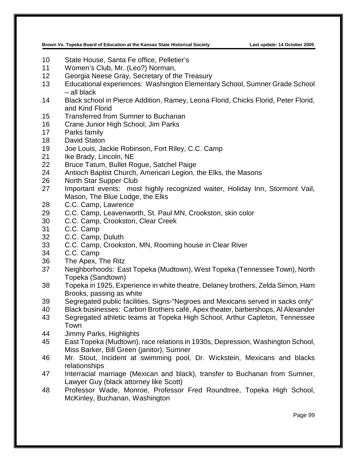- State House, Santa Fe office, Pelletier's
- Women's Club, Mr. (Leo?) Norman,
- Georgia Neese Gray, Secretary of the Treasury
- Educational experiences: Washington Elementary School, Sumner Grade School – all black
- Black school in Pierce Addition, Ramey, Leona Florid, Chicks Florid, Peter Florid, and Kind Florid
- Transferred from Sumner to Buchanan
- Crane Junior High School, Jim Parks
- Parks family
- David Staton
- Joe Louis, Jackie Robinson, Fort Riley, C.C. Camp
- 21 Ike Brady, Lincoln, NE
- Bruce Tatum, Bullet Rogue, Satchel Paige
- Antioch Baptist Church, American Legion, the Elks, the Masons
- North Star Supper Club
- Important events: most highly recognized waiter, Holiday Inn, Stormont Vail, Mason, The Blue Lodge, the Elks
- C.C. Camp, Lawrence
- C.C. Camp, Leavenworth, St. Paul MN, Crookston, skin color
- C.C. Camp, Crookston, Clear Creek
- C.C. Camp
- C.C. Camp, Duluth
- C.C. Camp, Crookston, MN, Rooming house in Clear River
- C.C. Camp
- The Apex, The Ritz
- Neighborhoods: East Topeka (Mudtown), West Topeka (Tennessee Town), North Topeka (Sandtown)
- Topeka in 1925, Experience in white theatre, Delaney brothers, Zelda Simon, Ham Brooks, passing as white
- Segregated public facilities, Signs-"Negroes and Mexicans served in sacks only"
- Black businesses: Carbon Brothers café, Apex theater, barbershops, Al Alexander
- Segregated athletic teams at Topeka High School, Arthur Capleton, Tennessee Town
- Jimmy Parks, Highlights
- East Topeka (Mudtown), race relations in 1930s, Depression, Washington School, Miss Barker, Bill Green (janitor), Sumner
- Mr. Stout, Incident at swimming pool, Dr. Wickstein, Mexicans and blacks relationships
- Interracial marriage (Mexican and black), transfer to Buchanan from Sumner, Lawyer Guy (black attorney like Scott)
- Professor Wade, Monroe, Professor Fred Roundtree, Topeka High School, McKinley, Buchanan, Washington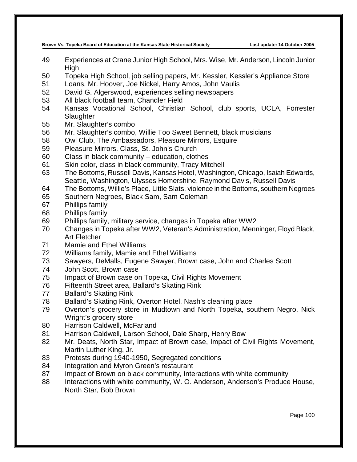- Experiences at Crane Junior High School, Mrs. Wise, Mr. Anderson, Lincoln Junior High
- Topeka High School, job selling papers, Mr. Kessler, Kessler's Appliance Store
- Loans, Mr. Hoover, Joe Nickel, Harry Amos, John Vaulis
- David G. Algerswood, experiences selling newspapers
- All black football team, Chandler Field
- Kansas Vocational School, Christian School, club sports, UCLA, Forrester **Slaughter**
- Mr. Slaughter's combo
- Mr. Slaughter's combo, Willie Too Sweet Bennett, black musicians
- Owl Club, The Ambassadors, Pleasure Mirrors, Esquire
- Pleasure Mirrors. Class, St. John's Church
- Class in black community education, clothes
- Skin color, class in black community, Tracy Mitchell
- The Bottoms, Russell Davis, Kansas Hotel, Washington, Chicago, Isaiah Edwards, Seattle, Washington, Ulysses Homershine, Raymond Davis, Russell Davis
- The Bottoms, Willie's Place, Little Slats, violence in the Bottoms, southern Negroes
- Southern Negroes, Black Sam, Sam Coleman
- Phillips family
- Phillips family
- Phillips family, military service, changes in Topeka after WW2
- Changes in Topeka after WW2, Veteran's Administration, Menninger, Floyd Black, Art Fletcher
- Mamie and Ethel Williams
- Williams family, Mamie and Ethel Williams
- Sawyers, DeMalls, Eugene Sawyer, Brown case, John and Charles Scott
- John Scott, Brown case
- Impact of Brown case on Topeka, Civil Rights Movement
- Fifteenth Street area, Ballard's Skating Rink
- Ballard's Skating Rink
- Ballard's Skating Rink, Overton Hotel, Nash's cleaning place
- Overton's grocery store in Mudtown and North Topeka, southern Negro, Nick Wright's grocery store
- Harrison Caldwell, McFarland
- Harrison Caldwell, Larson School, Dale Sharp, Henry Bow
- Mr. Deats, North Star, Impact of Brown case, Impact of Civil Rights Movement, Martin Luther King, Jr.
- Protests during 1940-1950, Segregated conditions
- Integration and Myron Green's restaurant
- Impact of Brown on black community, Interactions with white community
- 88 Interactions with white community, W. O. Anderson, Anderson's Produce House, North Star, Bob Brown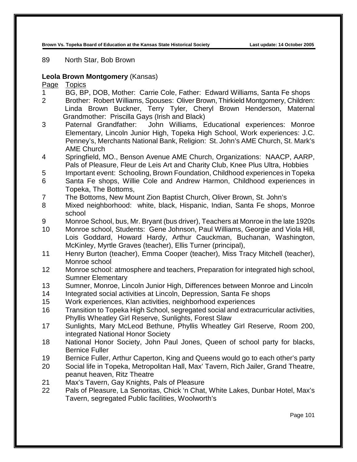89 North Star, Bob Brown

## **Leola Brown Montgomery** (Kansas)

- 1 BG, BP, DOB, Mother: Carrie Cole, Father: Edward Williams, Santa Fe shops
- 2 Brother: Robert Williams, Spouses: Oliver Brown, Thirkield Montgomery, Children: Linda Brown Buckner, Terry Tyler, Cheryl Brown Henderson, Maternal Grandmother: Priscilla Gays (Irish and Black)
- 3 Paternal Grandfather: John Williams, Educational experiences: Monroe Elementary, Lincoln Junior High, Topeka High School, Work experiences: J.C. Penney's, Merchants National Bank, Religion: St. John's AME Church, St. Mark's AME Church
- 4 Springfield, MO., Benson Avenue AME Church, Organizations: NAACP, AARP, Pals of Pleasure, Fleur de Leis Art and Charity Club, Knee Plus Ultra, Hobbies
- 5 Important event: Schooling, Brown Foundation, Childhood experiences in Topeka
- 6 Santa Fe shops, Willie Cole and Andrew Harmon, Childhood experiences in Topeka, The Bottoms,
- 7 The Bottoms, New Mount Zion Baptist Church, Oliver Brown, St. John's
- 8 Mixed neighborhood: white, black, Hispanic, Indian, Santa Fe shops, Monroe school
- 9 Monroe School, bus, Mr. Bryant (bus driver), Teachers at Monroe in the late 1920s
- 10 Monroe school, Students: Gene Johnson, Paul Williams, Georgie and Viola Hill, Lois Goddard, Howard Hardy, Arthur Cauckman, Buchanan, Washington, McKinley, Myrtle Graves (teacher), Ellis Turner (principal),
- 11 Henry Burton (teacher), Emma Cooper (teacher), Miss Tracy Mitchell (teacher), Monroe school
- 12 Monroe school: atmosphere and teachers, Preparation for integrated high school, Sumner Elementary
- 13 Sumner, Monroe, Lincoln Junior High, Differences between Monroe and Lincoln
- 14 Integrated social activities at Lincoln, Depression, Santa Fe shops
- 15 Work experiences, Klan activities, neighborhood experiences
- 16 Transition to Topeka High School, segregated social and extracurricular activities, Phyllis Wheatley Girl Reserve, Sunlights, Forest Slaw
- 17 Sunlights, Mary McLeod Bethune, Phyllis Wheatley Girl Reserve, Room 200, integrated National Honor Society
- 18 National Honor Society, John Paul Jones, Queen of school party for blacks, Bernice Fuller
- 19 Bernice Fuller, Arthur Caperton, King and Queens would go to each other's party
- 20 Social life in Topeka, Metropolitan Hall, Max' Tavern, Rich Jailer, Grand Theatre, peanut heaven, Ritz Theatre
- 21 Max's Tavern, Gay Knights, Pals of Pleasure
- 22 Pals of Pleasure, La Senoritas, Chick 'n Chat, White Lakes, Dunbar Hotel, Max's Tavern, segregated Public facilities, Woolworth's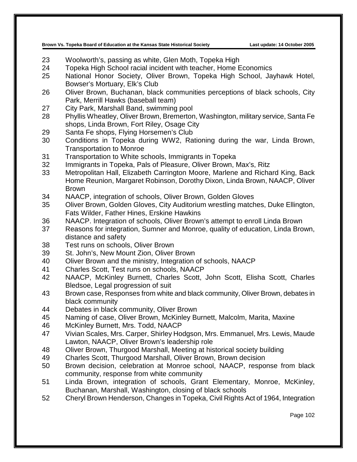- Woolworth's, passing as white, Glen Moth, Topeka High
- Topeka High School racial incident with teacher, Home Economics
- National Honor Society, Oliver Brown, Topeka High School, Jayhawk Hotel, Bowser's Mortuary, Elk's Club
- Oliver Brown, Buchanan, black communities perceptions of black schools, City Park, Merrill Hawks (baseball team)
- City Park, Marshall Band, swimming pool
- Phyllis Wheatley, Oliver Brown, Bremerton, Washington, military service, Santa Fe shops, Linda Brown, Fort Riley, Osage City
- Santa Fe shops, Flying Horsemen's Club
- Conditions in Topeka during WW2, Rationing during the war, Linda Brown, Transportation to Monroe
- Transportation to White schools, Immigrants in Topeka
- Immigrants in Topeka, Pals of Pleasure, Oliver Brown, Max's, Ritz
- Metropolitan Hall, Elizabeth Carrington Moore, Marlene and Richard King, Back Home Reunion, Margaret Robinson, Dorothy Dixon, Linda Brown, NAACP, Oliver Brown
- NAACP, integration of schools, Oliver Brown, Golden Gloves
- Oliver Brown, Golden Gloves, City Auditorium wrestling matches, Duke Ellington, Fats Wilder, Father Hines, Erskine Hawkins
- NAACP. Integration of schools, Oliver Brown's attempt to enroll Linda Brown
- Reasons for integration, Sumner and Monroe, quality of education, Linda Brown, distance and safety
- Test runs on schools, Oliver Brown
- St. John's, New Mount Zion, Oliver Brown
- Oliver Brown and the ministry, Integration of schools, NAACP
- Charles Scott, Test runs on schools, NAACP
- NAACP, McKinley Burnett, Charles Scott, John Scott, Elisha Scott, Charles Bledsoe, Legal progression of suit
- Brown case, Responses from white and black community, Oliver Brown, debates in black community
- Debates in black community, Oliver Brown
- Naming of case, Oliver Brown, McKinley Burnett, Malcolm, Marita, Maxine
- McKinley Burnett, Mrs. Todd, NAACP
- Vivian Scales, Mrs. Carper, Shirley Hodgson, Mrs. Emmanuel, Mrs. Lewis, Maude Lawton, NAACP, Oliver Brown's leadership role
- Oliver Brown, Thurgood Marshall, Meeting at historical society building
- Charles Scott, Thurgood Marshall, Oliver Brown, Brown decision
- Brown decision, celebration at Monroe school, NAACP, response from black community, response from white community
- Linda Brown, integration of schools, Grant Elementary, Monroe, McKinley, Buchanan, Marshall, Washington, closing of black schools
- Cheryl Brown Henderson, Changes in Topeka, Civil Rights Act of 1964, Integration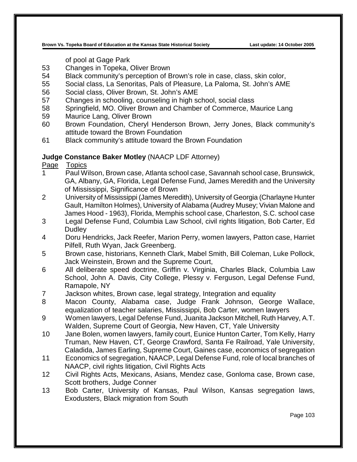of pool at Gage Park

- 53 Changes in Topeka, Oliver Brown
- 54 Black community's perception of Brown's role in case, class, skin color,
- 55 Social class, La Senoritas, Pals of Pleasure, La Paloma, St. John's AME
- 56 Social class, Oliver Brown, St. John's AME
- 57 Changes in schooling, counseling in high school, social class
- 58 Springfield, MO. Oliver Brown and Chamber of Commerce, Maurice Lang
- 59 Maurice Lang, Oliver Brown
- 60 Brown Foundation, Cheryl Henderson Brown, Jerry Jones, Black community's attitude toward the Brown Foundation
- 61 Black community's attitude toward the Brown Foundation

## **Judge Constance Baker Motley** (NAACP LDF Attorney)

- 1 Paul Wilson, Brown case, Atlanta school case, Savannah school case, Brunswick, GA, Albany, GA, Florida, Legal Defense Fund, James Meredith and the University of Mississippi, Significance of Brown
- 2 University of Mississippi (James Meredith), University of Georgia (Charlayne Hunter Gault, Hamilton Holmes), University of Alabama (Audrey Musey; Vivian Malone and James Hood - 1963), Florida, Memphis school case, Charleston, S.C. school case
- 3 Legal Defense Fund, Columbia Law School, civil rights litigation, Bob Carter, Ed **Dudley**
- 4 Doru Hendricks, Jack Reefer, Marion Perry, women lawyers, Patton case, Harriet Pilfell, Ruth Wyan, Jack Greenberg.
- 5 Brown case, historians, Kenneth Clark, Mabel Smith, Bill Coleman, Luke Pollock, Jack Weinstein, Brown and the Supreme Court,
- 6 All deliberate speed doctrine, Griffin v. Virginia, Charles Black, Columbia Law School, John A. Davis, City College, Plessy v. Ferguson, Legal Defense Fund, Ramapole, NY
- 7 Jackson whites, Brown case, legal strategy, Integration and equality
- 8 Macon County, Alabama case, Judge Frank Johnson, George Wallace, equalization of teacher salaries, Mississippi, Bob Carter, women lawyers
- 9 Women lawyers, Legal Defense Fund, Juanita Jackson Mitchell, Ruth Harvey, A.T. Walden, Supreme Court of Georgia, New Haven, CT, Yale University
- 10 Jane Bolen, women lawyers, family court, Eunice Hunton Carter, Tom Kelly, Harry Truman, New Haven, CT, George Crawford, Santa Fe Railroad, Yale University, Caladida, James Earling, Supreme Court, Gaines case, economics of segregation
- 11 Economics of segregation, NAACP, Legal Defense Fund, role of local branches of NAACP, civil rights litigation, Civil Rights Acts
- 12 Civil Rights Acts, Mexicans, Asians, Mendez case, Gonloma case, Brown case, Scott brothers, Judge Conner
- 13 Bob Carter, University of Kansas, Paul Wilson, Kansas segregation laws, Exodusters, Black migration from South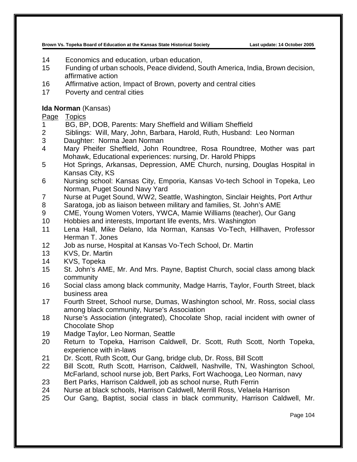- 14 Economics and education, urban education,
- 15 Funding of urban schools, Peace dividend, South America, India, Brown decision, affirmative action
- 16 Affirmative action, Impact of Brown, poverty and central cities
- 17 Poverty and central cities

## **Ida Norman** (Kansas)

- 1 BG, BP, DOB, Parents: Mary Sheffield and William Sheffield
- 2 Siblings: Will, Mary, John, Barbara, Harold, Ruth, Husband: Leo Norman
- 3 Daughter: Norma Jean Norman
- 4 Mary Pheifer Sheffield, John Roundtree, Rosa Roundtree, Mother was part Mohawk, Educational experiences: nursing, Dr. Harold Phipps
- 5 Hot Springs, Arkansas, Depression, AME Church, nursing, Douglas Hospital in Kansas City, KS
- 6 Nursing school: Kansas City, Emporia, Kansas Vo-tech School in Topeka, Leo Norman, Puget Sound Navy Yard
- 7 Nurse at Puget Sound, WW2, Seattle, Washington, Sinclair Heights, Port Arthur
- 8 Saratoga, job as liaison between military and families, St. John's AME
- 9 CME, Young Women Voters, YWCA, Mamie Williams (teacher), Our Gang
- 10 Hobbies and interests, Important life events, Mrs. Washington
- 11 Lena Hall, Mike Delano, Ida Norman, Kansas Vo-Tech, Hillhaven, Professor Herman T. Jones
- 12 Job as nurse, Hospital at Kansas Vo-Tech School, Dr. Martin
- 13 KVS, Dr. Martin
- 14 KVS, Topeka
- 15 St. John's AME, Mr. And Mrs. Payne, Baptist Church, social class among black community
- 16 Social class among black community, Madge Harris, Taylor, Fourth Street, black business area
- 17 Fourth Street, School nurse, Dumas, Washington school, Mr. Ross, social class among black community, Nurse's Association
- 18 Nurse's Association (integrated), Chocolate Shop, racial incident with owner of Chocolate Shop
- 19 Madge Taylor, Leo Norman, Seattle
- 20 Return to Topeka, Harrison Caldwell, Dr. Scott, Ruth Scott, North Topeka, experience with in-laws
- 21 Dr. Scott, Ruth Scott, Our Gang, bridge club, Dr. Ross, Bill Scott
- 22 Bill Scott, Ruth Scott, Harrison, Caldwell, Nashville, TN, Washington School, McFarland, school nurse job, Bert Parks, Fort Wachooga, Leo Norman, navy
- 23 Bert Parks, Harrison Caldwell, job as school nurse, Ruth Ferrin
- 24 Nurse at black schools, Harrison Caldwell, Merrill Ross, Velaela Harrison
- 25 Our Gang, Baptist, social class in black community, Harrison Caldwell, Mr.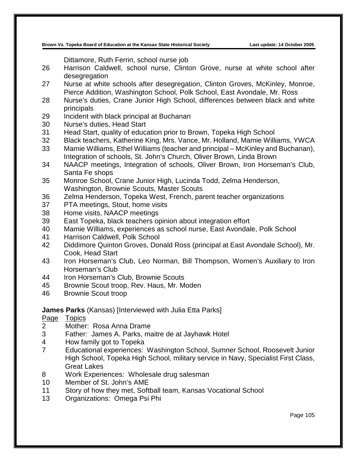Dittamore, Ruth Ferrin, school nurse job

- Harrison Caldwell, school nurse, Clinton Grove, nurse at white school after desegregation
- Nurse at white schools after desegregation, Clinton Groves, McKinley, Monroe, Pierce Addition, Washington School, Polk School, East Avondale, Mr. Ross
- Nurse's duties, Crane Junior High School, differences between black and white principals
- Incident with black principal at Buchanan
- Nurse's duties, Head Start
- Head Start, quality of education prior to Brown, Topeka High School
- Black teachers, Katherine King, Mrs. Vance, Mr. Holland, Mamie Williams, YWCA
- Mamie Williams, Ethel Williams (teacher and principal McKinley and Buchanan), Integration of schools, St. John's Church, Oliver Brown, Linda Brown
- NAACP meetings, Integration of schools, Oliver Brown, Iron Horseman's Club, Santa Fe shops
- Monroe School, Crane Junior High, Lucinda Todd, Zelma Henderson, Washington, Brownie Scouts, Master Scouts
- Zelma Henderson, Topeka West, French, parent teacher organizations
- PTA meetings, Stout, home visits
- Home visits, NAACP meetings
- East Topeka, black teachers opinion about integration effort
- Mamie Williams, experiences as school nurse, East Avondale, Polk School
- Harrison Caldwell, Polk School
- Diddimore Quinton Groves, Donald Ross (principal at East Avondale School), Mr. Cook, Head Start
- Iron Horseman's Club, Leo Norman, Bill Thompson, Women's Auxiliary to Iron Horseman's Club
- Iron Horseman's Club, Brownie Scouts
- Brownie Scout troop, Rev. Haus, Mr. Moden
- Brownie Scout troop

#### **James Parks** (Kansas) [Interviewed with Julia Etta Parks]

- Page Topics<br>2 Mother:
- Mother: Rosa Anna Drame
- Father: James A. Parks, maitre de at Jayhawk Hotel
- How family got to Topeka
- Educational experiences: Washington School, Sumner School, Roosevelt Junior High School, Topeka High School, military service in Navy, Specialist First Class, Great Lakes
- Work Experiences: Wholesale drug salesman
- Member of St. John's AME
- Story of how they met, Softball team, Kansas Vocational School
- Organizations: Omega Psi Phi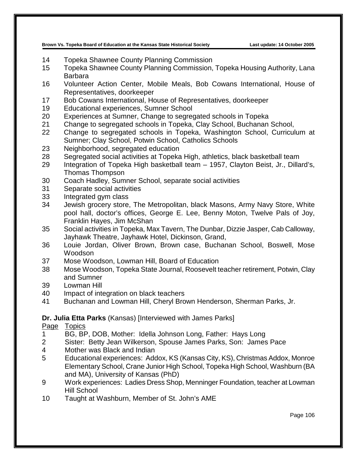- Topeka Shawnee County Planning Commission
- Topeka Shawnee County Planning Commission, Topeka Housing Authority, Lana Barbara
- Volunteer Action Center, Mobile Meals, Bob Cowans International, House of Representatives, doorkeeper
- Bob Cowans International, House of Representatives, doorkeeper
- Educational experiences, Sumner School
- Experiences at Sumner, Change to segregated schools in Topeka
- Change to segregated schools in Topeka, Clay School, Buchanan School,
- Change to segregated schools in Topeka, Washington School, Curriculum at Sumner; Clay School, Potwin School, Catholics Schools
- Neighborhood, segregated education
- Segregated social activities at Topeka High, athletics, black basketball team
- Integration of Topeka High basketball team 1957, Clayton Beist, Jr., Dillard's, Thomas Thompson
- Coach Hadley, Sumner School, separate social activities
- Separate social activities
- Integrated gym class
- Jewish grocery store, The Metropolitan, black Masons, Army Navy Store, White pool hall, doctor's offices, George E. Lee, Benny Moton, Twelve Pals of Joy, Franklin Hayes, Jim McShan
- Social activities in Topeka, Max Tavern, The Dunbar, Dizzie Jasper, Cab Calloway, Jayhawk Theatre, Jayhawk Hotel, Dickinson, Grand,
- Louie Jordan, Oliver Brown, Brown case, Buchanan School, Boswell, Mose Woodson
- Mose Woodson, Lowman Hill, Board of Education
- Mose Woodson, Topeka State Journal, Roosevelt teacher retirement, Potwin, Clay and Sumner
- Lowman Hill
- Impact of integration on black teachers
- Buchanan and Lowman Hill, Cheryl Brown Henderson, Sherman Parks, Jr.

#### **Dr. Julia Etta Parks** (Kansas) [Interviewed with James Parks]

- BG, BP, DOB, Mother: Idella Johnson Long, Father: Hays Long
- Sister: Betty Jean Wilkerson, Spouse James Parks, Son: James Pace
- Mother was Black and Indian
- Educational experiences: Addox, KS (Kansas City, KS), Christmas Addox, Monroe Elementary School, Crane Junior High School, Topeka High School, Washburn (BA and MA), University of Kansas (PhD)
- Work experiences: Ladies Dress Shop, Menninger Foundation, teacher at Lowman Hill School
- Taught at Washburn, Member of St. John's AME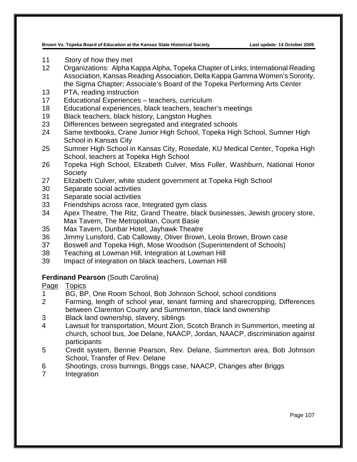- Story of how they met
- Organizations: Alpha Kappa Alpha, Topeka Chapter of Links, International Reading Association, Kansas Reading Association, Delta Kappa Gamma Women's Sorority, the Sigma Chapter; Associate's Board of the Topeka Performing Arts Center
- PTA, reading instruction
- Educational Experiences teachers, curriculum
- Educational experiences, black teachers, teacher's meetings
- Black teachers, black history, Langston Hughes
- Differences between segregated and integrated schools
- Same textbooks, Crane Junior High School, Topeka High School, Sumner High School in Kansas City
- Sumner High School in Kansas City, Rosedale, KU Medical Center, Topeka High School, teachers at Topeka High School
- Topeka High School, Elizabeth Culver, Miss Fuller, Washburn, National Honor **Society**
- Elizabeth Culver, white student government at Topeka High School
- Separate social activities
- Separate social activities
- Friendships across race, Integrated gym class
- Apex Theatre, The Ritz, Grand Theatre, black businesses, Jewish grocery store, Max Tavern, The Metropolitan, Count Basie
- Max Tavern, Dunbar Hotel, Jayhawk Theatre
- Jimmy Lunsford, Cab Calloway, Oliver Brown, Leola Brown, Brown case
- Boswell and Topeka High, Mose Woodson (Superintendent of Schools)
- Teaching at Lowman Hill, Integration at Lowman Hill
- Impact of integration on black teachers, Lowman Hill

# **Ferdinand Pearson** (South Carolina)

- Page Topics
- BG, BP, One Room School, Bob Johnson School, school conditions
- Farming, length of school year, tenant farming and sharecropping, Differences between Clarenton County and Summerton, black land ownership
- Black land ownership, slavery, siblings
- Lawsuit for transportation, Mount Zion, Scotch Branch in Summerton, meeting at church, school bus, Joe Delane, NAACP, Jordan, NAACP, discrimination against participants
- Credit system, Bennie Pearson, Rev. Delane, Summerton area, Bob Johnson School, Transfer of Rev. Delane
- Shootings, cross burnings, Briggs case, NAACP, Changes after Briggs
- Integration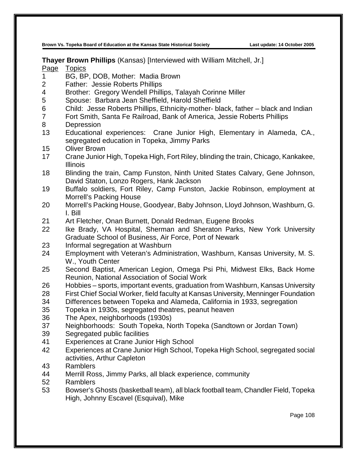**Thayer Brown Phillips** (Kansas) [Interviewed with William Mitchell, Jr.]

- BG, BP, DOB, Mother: Madia Brown
- Father: Jessie Roberts Phillips
- 4 Brother: Gregory Wendell Phillips, Talayah Corinne Miller<br>5 Spouse: Barbara Jean Sheffield. Harold Sheffield
- Spouse: Barbara Jean Sheffield, Harold Sheffield
- Child: Jesse Roberts Phillips, Ethnicity-mother- black, father black and Indian
- Fort Smith, Santa Fe Railroad, Bank of America, Jessie Roberts Phillips
- Depression
- Educational experiences: Crane Junior High, Elementary in Alameda, CA., segregated education in Topeka, Jimmy Parks
- Oliver Brown
- Crane Junior High, Topeka High, Fort Riley, blinding the train, Chicago, Kankakee, Illinois
- Blinding the train, Camp Funston, Ninth United States Calvary, Gene Johnson, David Staton, Lonzo Rogers, Hank Jackson
- Buffalo soldiers, Fort Riley, Camp Funston, Jackie Robinson, employment at Morrell's Packing House
- Morrell's Packing House, Goodyear, Baby Johnson, Lloyd Johnson, Washburn, G. I. Bill
- Art Fletcher, Onan Burnett, Donald Redman, Eugene Brooks
- Ike Brady, VA Hospital, Sherman and Sheraton Parks, New York University Graduate School of Business, Air Force, Port of Newark
- Informal segregation at Washburn
- Employment with Veteran's Administration, Washburn, Kansas University, M. S. W., Youth Center
- Second Baptist, American Legion, Omega Psi Phi, Midwest Elks, Back Home Reunion, National Association of Social Work
- Hobbies sports, important events, graduation from Washburn, Kansas University
- First Chief Social Worker, field faculty at Kansas University, Menninger Foundation
- Differences between Topeka and Alameda, California in 1933, segregation
- Topeka in 1930s, segregated theatres, peanut heaven
- The Apex, neighborhoods (1930s)
- Neighborhoods: South Topeka, North Topeka (Sandtown or Jordan Town)
- Segregated public facilities
- Experiences at Crane Junior High School
- Experiences at Crane Junior High School, Topeka High School, segregated social activities, Arthur Capleton
- Ramblers
- 44 Merrill Ross, Jimmy Parks, all black experience, community
- Ramblers
- Bowser's Ghosts (basketball team), all black football team, Chandler Field, Topeka High, Johnny Escavel (Esquival), Mike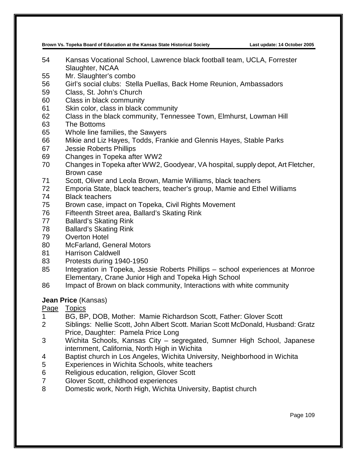- Kansas Vocational School, Lawrence black football team, UCLA, Forrester Slaughter, NCAA
- Mr. Slaughter's combo
- Girl's social clubs: Stella Puellas, Back Home Reunion, Ambassadors
- Class, St. John's Church
- Class in black community
- Skin color, class in black community
- Class in the black community, Tennessee Town, Elmhurst, Lowman Hill
- The Bottoms
- Whole line families, the Sawyers
- Mikie and Liz Hayes, Todds, Frankie and Glennis Hayes, Stable Parks
- Jessie Roberts Phillips
- Changes in Topeka after WW2
- Changes in Topeka after WW2, Goodyear, VA hospital, supply depot, Art Fletcher, Brown case
- Scott, Oliver and Leola Brown, Mamie Williams, black teachers
- Emporia State, black teachers, teacher's group, Mamie and Ethel Williams
- Black teachers
- Brown case, impact on Topeka, Civil Rights Movement
- Fifteenth Street area, Ballard's Skating Rink
- Ballard's Skating Rink
- Ballard's Skating Rink
- Overton Hotel
- McFarland, General Motors
- Harrison Caldwell
- Protests during 1940-1950
- Integration in Topeka, Jessie Roberts Phillips school experiences at Monroe Elementary, Crane Junior High and Topeka High School
- Impact of Brown on black community, Interactions with white community

# **Jean Price** (Kansas)

- BG, BP, DOB, Mother: Mamie Richardson Scott, Father: Glover Scott
- Siblings: Nellie Scott, John Albert Scott. Marian Scott McDonald, Husband: Gratz Price, Daughter: Pamela Price Long
- Wichita Schools, Kansas City segregated, Sumner High School, Japanese internment, California, North High in Wichita
- Baptist church in Los Angeles, Wichita University, Neighborhood in Wichita
- Experiences in Wichita Schools, white teachers
- Religious education, religion, Glover Scott
- Glover Scott, childhood experiences
- Domestic work, North High, Wichita University, Baptist church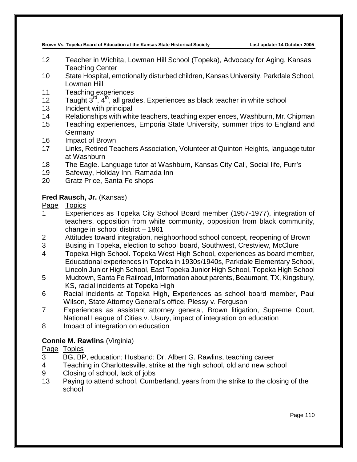- 12 Teacher in Wichita, Lowman Hill School (Topeka), Advocacy for Aging, Kansas Teaching Center
- 10 State Hospital, emotionally disturbed children, Kansas University, Parkdale School, Lowman Hill
- 11 Teaching experiences
- 12 Taught  $3^{\text{rd}}$ ,  $4^{\text{th}}$ , all grades, Experiences as black teacher in white school
- 13 Incident with principal
- 14 Relationships with white teachers, teaching experiences, Washburn, Mr. Chipman
- 15 Teaching experiences, Emporia State University, summer trips to England and **Germany**
- 16 Impact of Brown
- 17 Links, Retired Teachers Association, Volunteer at Quinton Heights, language tutor at Washburn
- 18 The Eagle. Language tutor at Washburn, Kansas City Call, Social life, Furr's
- 19 Safeway, Holiday Inn, Ramada Inn
- 20 Gratz Price, Santa Fe shops

# **Fred Rausch, Jr.** (Kansas)

- Page Topics
- 1 Experiences as Topeka City School Board member (1957-1977), integration of teachers, opposition from white community, opposition from black community, change in school district – 1961
- 2 Attitudes toward integration, neighborhood school concept, reopening of Brown
- 3 Busing in Topeka, election to school board, Southwest, Crestview, McClure
- 4 Topeka High School. Topeka West High School, experiences as board member, Educational experiences in Topeka in 1930s/1940s, Parkdale Elementary School, Lincoln Junior High School, East Topeka Junior High School, Topeka High School
- 5 Mudtown, Santa Fe Railroad, Information about parents, Beaumont, TX, Kingsbury, KS, racial incidents at Topeka High
- 6 Racial incidents at Topeka High, Experiences as school board member, Paul Wilson, State Attorney General's office, Plessy v. Ferguson
- 7 Experiences as assistant attorney general, Brown litigation, Supreme Court, National League of Cities v. Usury, impact of integration on education
- 8 Impact of integration on education

# **Connie M. Rawlins** (Virginia)

- 3 BG, BP, education; Husband: Dr. Albert G. Rawlins, teaching career
- 4 Teaching in Charlottesville, strike at the high school, old and new school
- 9 Closing of school, lack of jobs
- 13 Paying to attend school, Cumberland, years from the strike to the closing of the school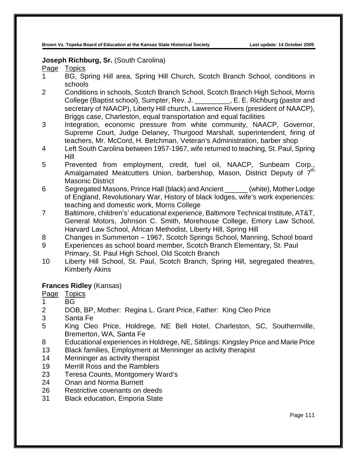#### **Joseph Richburg, Sr.** (South Carolina)

Page Topics

- 1 BG, Spring Hill area, Spring Hill Church, Scotch Branch School, conditions in schools
- 2 Conditions in schools, Scotch Branch School, Scotch Branch High School, Morris College (Baptist school), Sumpter, Rev. J. \_\_\_\_\_\_\_\_\_, E. E. Richburg (pastor and secretary of NAACP), Liberty Hill church, Lawrence Rivers (president of NAACP), Briggs case, Charleston, equal transportation and equal facilities
- 3 Integration, economic pressure from white community, NAACP, Governor, Supreme Court, Judge Delaney, Thurgood Marshall, superintendent, firing of teachers, Mr. McCord, H. Betchman, Veteran's Administration, barber shop
- 4 Left South Carolina between 1957-1967, wife returned to teaching, St. Paul, Spring Hill
- 5 Prevented from employment, credit, fuel oil, NAACP, Sunbeam Corp., Amalgamated Meatcutters Union, barbershop, Mason, District Deputy of  $7<sup>th</sup>$ Masonic District
- 6 Segregated Masons, Prince Hall (black) and Ancient \_\_\_\_\_\_ (white), Mother Lodge of England, Revolutionary War, History of black lodges, wife's work experiences: teaching and domestic work, Morris College
- 7 Baltimore, children's' educational experience, Baltimore Technical Institute, AT&T, General Motors, Johnson C. Smith, Morehouse College, Emory Law School, Harvard Law School, African Methodist, Liberty Hill, Spring Hill
- 8 Changes in Summerton 1967, Scotch Springs School, Manning, School board
- 9 Experiences as school board member, Scotch Branch Elementary, St. Paul Primary, St. Paul High School, Old Scotch Branch
- 10 Liberty Hill School, St. Paul, Scotch Branch, Spring Hill, segregated theatres, Kimberly Akins

# **Frances Ridley** (Kansas)

- 1 BG
- 2 DOB, BP, Mother: Regina L. Grant Price, Father: King Cleo Price
- 3 Santa Fe
- 5 King Cleo Price, Holdrege, NE Bell Hotel, Charleston, SC, Southernville, Bremerton, WA, Santa Fe
- 8 Educational experiences in Holdrege, NE, Siblings: Kingsley Price and Marie Price
- 13 Black families, Employment at Menninger as activity therapist
- 14 Menninger as activity therapist
- 19 Merrill Ross and the Ramblers
- 23 Teresa Counts, Montgomery Ward's
- 24 Onan and Norma Burnett
- 26 Restrictive covenants on deeds
- 31 Black education, Emporia State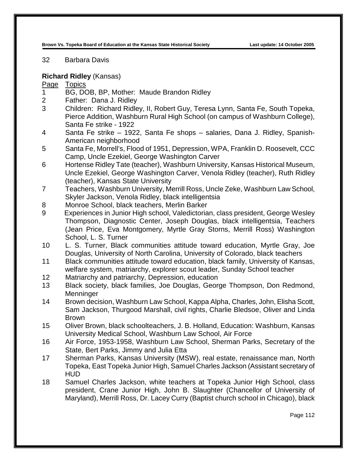32 Barbara Davis

## **Richard Ridley** (Kansas)

- 1 BG, DOB, BP, Mother: Maude Brandon Ridley
- 2 Father: Dana J. Ridley
- 3 Children: Richard Ridley, II, Robert Guy, Teresa Lynn, Santa Fe, South Topeka, Pierce Addition, Washburn Rural High School (on campus of Washburn College), Santa Fe strike - 1922
- 4 Santa Fe strike 1922, Santa Fe shops salaries, Dana J. Ridley, Spanish-American neighborhood
- 5 Santa Fe, Morrell's, Flood of 1951, Depression, WPA, Franklin D. Roosevelt, CCC Camp, Uncle Ezekiel, George Washington Carver
- 6 Hortense Ridley Tate (teacher), Washburn University, Kansas Historical Museum, Uncle Ezekiel, George Washington Carver, Venola Ridley (teacher), Ruth Ridley (teacher), Kansas State University
- 7 Teachers, Washburn University, Merrill Ross, Uncle Zeke, Washburn Law School, Skyler Jackson, Venola Ridley, black intelligentsia
- 8 Monroe School, black teachers, Merlin Barker
- 9 Experiences in Junior High school, Valedictorian, class president, George Wesley Thompson, Diagnostic Center, Joseph Douglas, black intelligentsia, Teachers (Jean Price, Eva Montgomery, Myrtle Gray Storns, Merrill Ross) Washington School, L. S. Turner
- 10 L. S. Turner, Black communities attitude toward education, Myrtle Gray, Joe Douglas, University of North Carolina, University of Colorado, black teachers
- 11 Black communities attitude toward education, black family, University of Kansas, welfare system, matriarchy, explorer scout leader, Sunday School teacher
- 12 Matriarchy and patriarchy, Depression, education
- 13 Black society, black families, Joe Douglas, George Thompson, Don Redmond, **Menninger**
- 14 Brown decision, Washburn Law School, Kappa Alpha, Charles, John, Elisha Scott, Sam Jackson, Thurgood Marshall, civil rights, Charlie Bledsoe, Oliver and Linda Brown
- 15 Oliver Brown, black schoolteachers, J. B. Holland, Education: Washburn, Kansas University Medical School, Washburn Law School, Air Force
- 16 Air Force, 1953-1958, Washburn Law School, Sherman Parks, Secretary of the State, Bert Parks, Jimmy and Julia Etta
- 17 Sherman Parks, Kansas University (MSW), real estate, renaissance man, North Topeka, East Topeka Junior High, Samuel Charles Jackson (Assistant secretary of HUD
- 18 Samuel Charles Jackson, white teachers at Topeka Junior High School, class president, Crane Junior High, John B. Slaughter (Chancellor of University of Maryland), Merrill Ross, Dr. Lacey Curry (Baptist church school in Chicago), black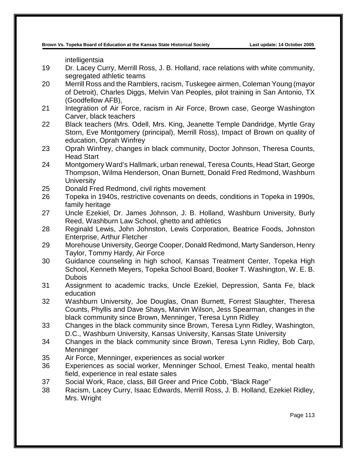intelligentsia

- 19 Dr. Lacey Curry, Merrill Ross, J. B. Holland, race relations with white community, segregated athletic teams
- 20 Merrill Ross and the Ramblers, racism, Tuskegee airmen, Coleman Young (mayor of Detroit), Charles Diggs, Melvin Van Peoples, pilot training in San Antonio, TX (Goodfellow AFB),
- 21 Integration of Air Force, racism in Air Force, Brown case, George Washington Carver, black teachers
- 22 Black teachers (Mrs. Odell, Mrs. King, Jeanette Temple Dandridge, Myrtle Gray Storn, Eve Montgomery (principal), Merrill Ross), Impact of Brown on quality of education, Oprah Winfrey
- 23 Oprah Winfrey, changes in black community, Doctor Johnson, Theresa Counts, Head Start
- 24 Montgomery Ward's Hallmark, urban renewal, Teresa Counts, Head Start, George Thompson, Wilma Henderson, Onan Burnett, Donald Fred Redmond, Washburn **University**
- 25 Donald Fred Redmond, civil rights movement
- 26 Topeka in 1940s, restrictive covenants on deeds, conditions in Topeka in 1990s, family heritage
- 27 Uncle Ezekiel, Dr. James Johnson, J. B. Holland, Washburn University, Burly Reed, Washburn Law School, ghetto and athletics
- 28 Reginald Lewis, John Johnston, Lewis Corporation, Beatrice Foods, Johnston Enterprise, Arthur Fletcher
- 29 Morehouse University, George Cooper, Donald Redmond, Marty Sanderson, Henry Taylor, Tommy Hardy, Air Force
- 30 Guidance counseling in high school, Kansas Treatment Center, Topeka High School, Kenneth Meyers, Topeka School Board, Booker T. Washington, W. E. B. Dubois
- 31 Assignment to academic tracks, Uncle Ezekiel, Depression, Santa Fe, black education
- 32 Washburn University, Joe Douglas, Onan Burnett, Forrest Slaughter, Theresa Counts, Phyllis and Dave Shays, Marvin Wilson, Jess Spearman, changes in the black community since Brown, Menninger, Teresa Lynn Ridley
- 33 Changes in the black community since Brown, Teresa Lynn Ridley, Washington, D.C., Washburn University, Kansas University, Kansas State University
- 34 Changes in the black community since Brown, Teresa Lynn Ridley, Bob Carp, **Menninger**
- 35 Air Force, Menninger, experiences as social worker
- 36 Experiences as social worker, Menninger School, Ernest Teako, mental health field, experience in real estate sales
- 37 Social Work, Race, class, Bill Greer and Price Cobb, "Black Rage"
- 38 Racism, Lacey Curry, Isaac Edwards, Merrill Ross, J. B. Holland, Ezekiel Ridley, Mrs. Wright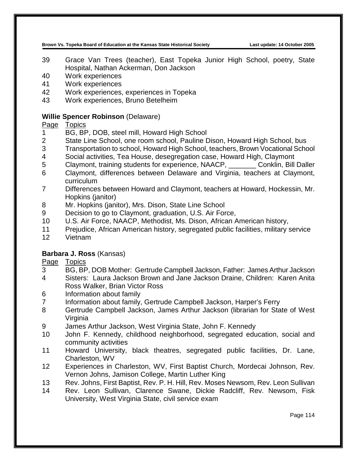- 39 Grace Van Trees (teacher), East Topeka Junior High School, poetry, State Hospital, Nathan Ackerman, Don Jackson
- 40 Work experiences
- 41 Work experiences
- 42 Work experiences, experiences in Topeka
- 43 Work experiences, Bruno Betelheim

# **Willie Spencer Robinson** (Delaware)

# Page Topics<br>1 BG. BF

- BG, BP, DOB, steel mill, Howard High School
- 2 State Line School, one room school, Pauline Dison, Howard High School, bus
- 3 Transportation to school, Howard High School, teachers, Brown Vocational School
- 4 Social activities, Tea House, desegregation case, Howard High, Claymont
- 5 Claymont, training students for experience, NAACP, \_\_\_\_\_\_\_ Conklin, Bill Daller
- 6 Claymont, differences between Delaware and Virginia, teachers at Claymont, curriculum
- 7 Differences between Howard and Claymont, teachers at Howard, Hockessin, Mr. Hopkins (janitor)
- 8 Mr. Hopkins (janitor), Mrs. Dison, State Line School
- 9 Decision to go to Claymont, graduation, U.S. Air Force,
- 10 U.S. Air Force, NAACP, Methodist, Ms. Dison, African American history,
- 11 Prejudice, African American history, segregated public facilities, military service
- 12 Vietnam

# **Barbara J. Ross** (Kansas)

- 3 BG, BP, DOB Mother: Gertrude Campbell Jackson, Father: James Arthur Jackson
- 4 Sisters: Laura Jackson Brown and Jane Jackson Draine, Children: Karen Anita Ross Walker, Brian Victor Ross
- 6 Information about family<br>7 Information about family.
- Information about family, Gertrude Campbell Jackson, Harper's Ferry
- 8 Gertrude Campbell Jackson, James Arthur Jackson (librarian for State of West Virginia
- 9 James Arthur Jackson, West Virginia State, John F. Kennedy
- 10 John F. Kennedy, childhood neighborhood, segregated education, social and community activities
- 11 Howard University, black theatres, segregated public facilities, Dr. Lane, Charleston, WV
- 12 Experiences in Charleston, WV, First Baptist Church, Mordecai Johnson, Rev. Vernon Johns, Jamison College, Martin Luther King
- 13 Rev. Johns, First Baptist, Rev. P. H. Hill, Rev. Moses Newsom, Rev. Leon Sullivan
- 14 Rev. Leon Sullivan, Clarence Swane, Dickie Radcliff, Rev. Newsom, Fisk University, West Virginia State, civil service exam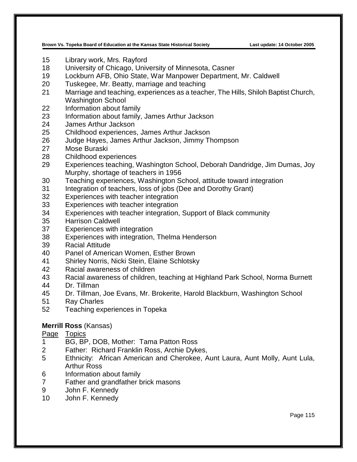- Library work, Mrs. Rayford
- University of Chicago, University of Minnesota, Casner
- Lockburn AFB, Ohio State, War Manpower Department, Mr. Caldwell
- Tuskegee, Mr. Beatty, marriage and teaching
- Marriage and teaching, experiences as a teacher, The Hills, Shiloh Baptist Church, Washington School
- Information about family
- Information about family, James Arthur Jackson
- James Arthur Jackson
- Childhood experiences, James Arthur Jackson
- Judge Hayes, James Arthur Jackson, Jimmy Thompson
- Mose Buraski
- Childhood experiences
- Experiences teaching, Washington School, Deborah Dandridge, Jim Dumas, Joy Murphy, shortage of teachers in 1956
- Teaching experiences, Washington School, attitude toward integration
- Integration of teachers, loss of jobs (Dee and Dorothy Grant)
- Experiences with teacher integration
- Experiences with teacher integration
- Experiences with teacher integration, Support of Black community
- Harrison Caldwell
- Experiences with integration
- Experiences with integration, Thelma Henderson
- Racial Attitude
- Panel of American Women, Esther Brown
- Shirley Norris, Nicki Stein, Elaine Schlotsky
- Racial awareness of children
- Racial awareness of children, teaching at Highland Park School, Norma Burnett
- Dr. Tillman
- Dr. Tillman, Joe Evans, Mr. Brokerite, Harold Blackburn, Washington School
- Ray Charles
- Teaching experiences in Topeka

# **Merrill Ross** (Kansas)

Page Topics<br>1 BG.BP

- BG, BP, DOB, Mother: Tama Patton Ross
- Father: Richard Franklin Ross, Archie Dykes,
- Ethnicity: African American and Cherokee, Aunt Laura, Aunt Molly, Aunt Lula, Arthur Ross
- Information about family
- Father and grandfather brick masons
- John F. Kennedy
- John F. Kennedy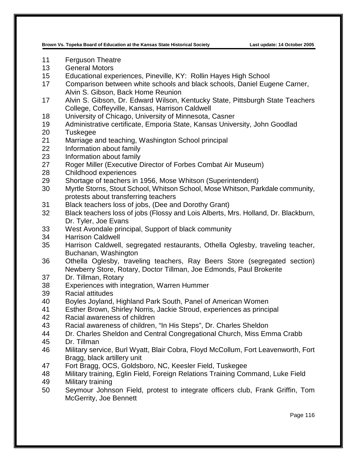- Ferguson Theatre
- General Motors
- Educational experiences, Pineville, KY: Rollin Hayes High School
- Comparison between white schools and black schools, Daniel Eugene Carner, Alvin S. Gibson, Back Home Reunion
- Alvin S. Gibson, Dr. Edward Wilson, Kentucky State, Pittsburgh State Teachers College, Coffeyville, Kansas, Harrison Caldwell
- University of Chicago, University of Minnesota, Casner
- Administrative certificate, Emporia State, Kansas University, John Goodlad
- Tuskegee
- Marriage and teaching, Washington School principal
- Information about family
- Information about family
- Roger Miller (Executive Director of Forbes Combat Air Museum)
- Childhood experiences
- Shortage of teachers in 1956, Mose Whitson (Superintendent)
- Myrtle Storns, Stout School, Whitson School, Mose Whitson, Parkdale community, protests about transferring teachers
- Black teachers loss of jobs, (Dee and Dorothy Grant)
- Black teachers loss of jobs (Flossy and Lois Alberts, Mrs. Holland, Dr. Blackburn, Dr. Tyler, Joe Evans
- West Avondale principal, Support of black community
- Harrison Caldwell
- Harrison Caldwell, segregated restaurants, Othella Oglesby, traveling teacher, Buchanan, Washington
- Othella Oglesby, traveling teachers, Ray Beers Store (segregated section) Newberry Store, Rotary, Doctor Tillman, Joe Edmonds, Paul Brokerite
- Dr. Tillman, Rotary
- Experiences with integration, Warren Hummer
- Racial attitudes
- Boyles Joyland, Highland Park South, Panel of American Women
- Esther Brown, Shirley Norris, Jackie Stroud, experiences as principal
- Racial awareness of children
- Racial awareness of children, "In His Steps", Dr. Charles Sheldon
- Dr. Charles Sheldon and Central Congregational Church, Miss Emma Crabb
- Dr. Tillman
- Military service, Burl Wyatt, Blair Cobra, Floyd McCollum, Fort Leavenworth, Fort Bragg, black artillery unit
- Fort Bragg, OCS, Goldsboro, NC, Keesler Field, Tuskegee
- Military training, Eglin Field, Foreign Relations Training Command, Luke Field
- Military training
- Seymour Johnson Field, protest to integrate officers club, Frank Griffin, Tom McGerrity, Joe Bennett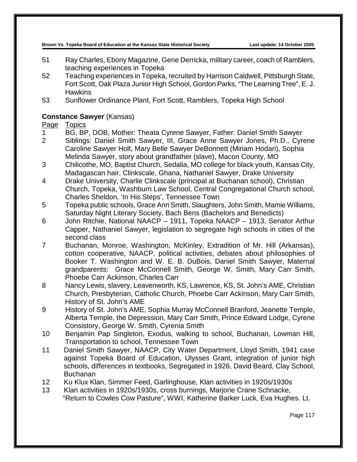- 51 Ray Charles, Ebony Magazine, Gene Derricka, military career, coach of Ramblers, teaching experiences in Topeka
- 52 Teaching experiences in Topeka, recruited by Harrison Caldwell, Pittsburgh State, Fort Scott, Oak Plaza Junior High School, Gordon Parks, "The Learning Tree", E. J. **Hawkins**
- 53 Sunflower Ordinance Plant, Fort Scott, Ramblers, Topeka High School

# **Constance Sawyer** (Kansas)

# Page Topics<br>1 BG. BP

- BG, BP, DOB, Mother: Theata Cyrene Sawyer, Father: Daniel Smith Sawyer
- 2 Siblings: Daniel Smith Sawyer, III, Grace Anne Sawyer Jones, Ph.D., Cyrene Caroline Sawyer Holt, Mary Belle Sawyer DeBonnett (Miriam Hodari), Sophia Melinda Sawyer, story about grandfather (slave), Macon County, MO
- 3 Chilicothe, MO, Baptist Church, Sedalia, MO college for black youth, Kansas City, Madagascan hair, Clinkscale, Ghana, Nathaniel Sawyer, Drake University
- 4 Drake University, Charlie Clinkscale (principal at Buchanan school), Christian Church, Topeka, Washburn Law School, Central Congregational Church school, Charles Sheldon, 'In His Steps', Tennessee Town
- 5 Topeka public schools, Grace Ann Smith, Slaughters, John Smith, Mamie Williams, Saturday Night Literary Society, Bach Bens (Bachelors and Benedicts)
- 6 John Ritchie, National NAACP 1911, Topeka NAACP 1913, Senator Arthur Capper, Nathaniel Sawyer, legislation to segregate high schools in cities of the second class
- 7 Buchanan, Monroe, Washington, McKinley, Extradition of Mr. Hill (Arkansas), cotton cooperative, NAACP, political activities, debates about philosophies of Booker T. Washington and W. E. B. DuBois, Daniel Smith Sawyer, Maternal grandparents: Grace McConnell Smith, George W, Smith, Mary Carr Smith, Phoebe Carr Ackinson, Charles Carr
- 8 Nancy Lewis, slavery, Leavenworth, KS, Lawrence, KS, St. John's AME, Christian Church, Presbyterian, Catholic Church, Phoebe Carr Ackinson, Mary Carr Smith, History of St. John's AME
- 9 History of St. John's AME, Sophia Murray McConnell Branford, Jeanette Temple, Alberta Temple, the Depression, Mary Carr Smith, Prince Edward Lodge, Cyrene Consistory, George W. Smith, Cyrenia Smith
- 10 Benjamin Pap Singleton, Exodus, walking to school, Buchanan, Lowman Hill, Transportation to school, Tennessee Town
- 11 Daniel Smith Sawyer, NAACP, City Water Department, Lloyd Smith, 1941 case against Topeka Board of Education, Ulysses Grant, integration of junior high schools, differences in textbooks, Segregated in 1926, David Beard, Clay School, Buchanan
- 12 Ku Klux Klan, Simmer Feed, Garlinghouse, Klan activities in 1920s/1930s
- 13 Klan activities in 1920s/1930s, cross burnings, Marjorie Crane Schnacke, "Return to Cowles Cow Pasture", WWI, Katherine Barker Luck, Eva Hughes. Lt.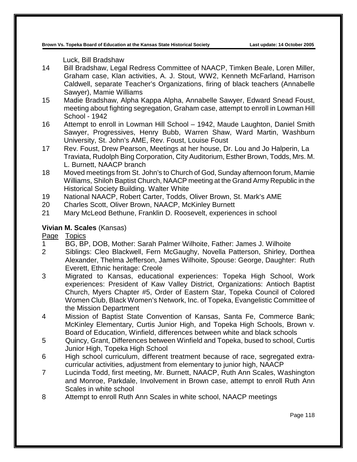Luck, Bill Bradshaw

- 14 Bill Bradshaw, Legal Redress Committee of NAACP, Timken Beale, Loren Miller, Graham case, Klan activities, A. J. Stout, WW2, Kenneth McFarland, Harrison Caldwell, separate Teacher's Organizations, firing of black teachers (Annabelle Sawyer), Mamie Williams
- 15 Madie Bradshaw, Alpha Kappa Alpha, Annabelle Sawyer, Edward Snead Foust, meeting about fighting segregation, Graham case, attempt to enroll in Lowman Hill School - 1942
- 16 Attempt to enroll in Lowman Hill School 1942, Maude Laughton, Daniel Smith Sawyer, Progressives, Henry Bubb, Warren Shaw, Ward Martin, Washburn University, St. John's AME, Rev. Foust, Louise Foust
- 17 Rev. Foust, Drew Pearson, Meetings at her house, Dr. Lou and Jo Halperin, La Traviata, Rudolph Bing Corporation, City Auditorium, Esther Brown, Todds, Mrs. M. L. Burnett, NAACP branch
- 18 Moved meetings from St. John's to Church of God, Sunday afternoon forum, Mamie Williams, Shiloh Baptist Church, NAACP meeting at the Grand Army Republic in the Historical Society Building. Walter White
- 19 National NAACP, Robert Carter, Todds, Oliver Brown, St. Mark's AME
- 20 Charles Scott, Oliver Brown, NAACP, McKinley Burnett
- 21 Mary McLeod Bethune, Franklin D. Roosevelt, experiences in school

# **Vivian M. Scales** (Kansas)

- 1 BG, BP, DOB, Mother: Sarah Palmer Wilhoite, Father: James J. Wilhoite
- 2 Siblings: Cleo Blackwell, Fern McGaughy, Novella Patterson, Shirley, Dorthea Alexander, Thelma Jefferson, James Wilhoite, Spouse: George, Daughter: Ruth Everett, Ethnic heritage: Creole
- 3 Migrated to Kansas, educational experiences: Topeka High School, Work experiences: President of Kaw Valley District, Organizations: Antioch Baptist Church, Myers Chapter #5, Order of Eastern Star, Topeka Council of Colored Women Club, Black Women's Network, Inc. of Topeka, Evangelistic Committee of the Mission Department
- 4 Mission of Baptist State Convention of Kansas, Santa Fe, Commerce Bank; McKinley Elementary, Curtis Junior High, and Topeka High Schools, Brown v. Board of Education, Winfield, differences between white and black schools
- 5 Quincy, Grant, Differences between Winfield and Topeka, bused to school, Curtis Junior High, Topeka High School
- 6 High school curriculum, different treatment because of race, segregated extracurricular activities, adjustment from elementary to junior high, NAACP
- 7 Lucinda Todd, first meeting, Mr. Burnett, NAACP, Ruth Ann Scales, Washington and Monroe, Parkdale, Involvement in Brown case, attempt to enroll Ruth Ann Scales in white school
- 8 Attempt to enroll Ruth Ann Scales in white school, NAACP meetings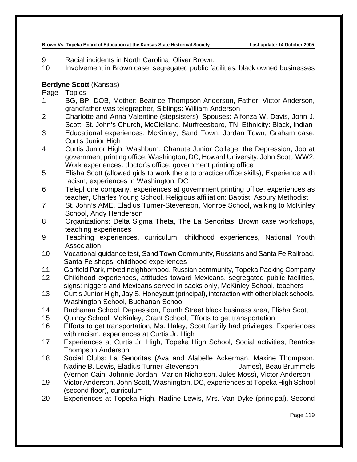- 9 Racial incidents in North Carolina, Oliver Brown,
- 10 Involvement in Brown case, segregated public facilities, black owned businesses

# **Berdyne Scott** (Kansas)

- 1 BG, BP, DOB, Mother: Beatrice Thompson Anderson, Father: Victor Anderson, grandfather was telegrapher, Siblings: William Anderson
- 2 Charlotte and Anna Valentine (stepsisters), Spouses: Alfonza W. Davis, John J. Scott, St. John's Church, McClelland, Murfreesboro, TN, Ethnicity: Black, Indian
- 3 Educational experiences: McKinley, Sand Town, Jordan Town, Graham case, Curtis Junior High
- 4 Curtis Junior High, Washburn, Chanute Junior College, the Depression, Job at government printing office, Washington, DC, Howard University, John Scott, WW2, Work experiences: doctor's office, government printing office
- 5 Elisha Scott (allowed girls to work there to practice office skills), Experience with racism, experiences in Washington, DC
- 6 Telephone company, experiences at government printing office, experiences as teacher, Charles Young School, Religious affiliation: Baptist, Asbury Methodist
- 7 St. John's AME, Eladius Turner-Stevenson, Monroe School, walking to McKinley School, Andy Henderson
- 8 Organizations: Delta Sigma Theta, The La Senoritas, Brown case workshops, teaching experiences
- 9 Teaching experiences, curriculum, childhood experiences, National Youth Association
- 10 Vocational guidance test, Sand Town Community, Russians and Santa Fe Railroad, Santa Fe shops, childhood experiences
- 11 Garfield Park, mixed neighborhood, Russian community, Topeka Packing Company
- 12 Childhood experiences, attitudes toward Mexicans, segregated public facilities, signs: niggers and Mexicans served in sacks only, McKinley School, teachers
- 13 Curtis Junior High, Jay S. Honeycutt (principal), interaction with other black schools, Washington School, Buchanan School
- 14 Buchanan School, Depression, Fourth Street black business area, Elisha Scott
- 15 Quincy School, McKinley, Grant School, Efforts to get transportation
- 16 Efforts to get transportation, Ms. Haley, Scott family had privileges, Experiences with racism, experiences at Curtis Jr. High
- 17 Experiences at Curtis Jr. High, Topeka High School, Social activities, Beatrice Thompson Anderson
- 18 Social Clubs: La Senoritas (Ava and Alabelle Ackerman, Maxine Thompson, Nadine B. Lewis, Eladius Turner-Stevenson, \_\_\_\_\_\_\_\_\_ James), Beau Brummels (Vernon Cain, Johnnie Jordan, Marion Nicholson, Jules Moss), Victor Anderson
- 19 Victor Anderson, John Scott, Washington, DC, experiences at Topeka High School (second floor), curriculum
- 20 Experiences at Topeka High, Nadine Lewis, Mrs. Van Dyke (principal), Second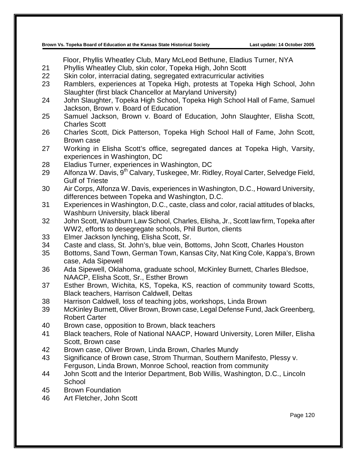Floor, Phyllis Wheatley Club, Mary McLeod Bethune, Eladius Turner, NYA

- 21 Phyllis Wheatley Club, skin color, Topeka High, John Scott
- 22 Skin color, interracial dating, segregated extracurricular activities
- 23 Ramblers, experiences at Topeka High, protests at Topeka High School, John Slaughter (first black Chancellor at Maryland University)
- 24 John Slaughter, Topeka High School, Topeka High School Hall of Fame, Samuel Jackson, Brown v. Board of Education
- 25 Samuel Jackson, Brown v. Board of Education, John Slaughter, Elisha Scott, Charles Scott
- 26 Charles Scott, Dick Patterson, Topeka High School Hall of Fame, John Scott, Brown case
- 27 Working in Elisha Scott's office, segregated dances at Topeka High, Varsity, experiences in Washington, DC
- 28 Eladius Turner, experiences in Washington, DC
- 29 Alfonza W. Davis, 9<sup>th</sup> Calvary, Tuskegee, Mr. Ridley, Royal Carter, Selvedge Field, Gulf of Trieste
- 30 Air Corps, Alfonza W. Davis, experiences in Washington, D.C., Howard University, differences between Topeka and Washington, D.C.
- 31 Experiences in Washington, D.C., caste, class and color, racial attitudes of blacks, Washburn University, black liberal
- 32 John Scott, Washburn Law School, Charles, Elisha, Jr., Scott law firm, Topeka after WW2, efforts to desegregate schools, Phil Burton, clients
- 33 Elmer Jackson lynching, Elisha Scott, Sr.
- 34 Caste and class, St. John's, blue vein, Bottoms, John Scott, Charles Houston
- 35 Bottoms, Sand Town, German Town, Kansas City, Nat King Cole, Kappa's, Brown case, Ada Sipewell
- 36 Ada Sipewell, Oklahoma, graduate school, McKinley Burnett, Charles Bledsoe, NAACP, Elisha Scott, Sr., Esther Brown
- 37 Esther Brown, Wichita, KS, Topeka, KS, reaction of community toward Scotts, Black teachers, Harrison Caldwell, Deltas
- 38 Harrison Caldwell, loss of teaching jobs, workshops, Linda Brown
- 39 McKinley Burnett, Oliver Brown, Brown case, Legal Defense Fund, Jack Greenberg, Robert Carter
- 40 Brown case, opposition to Brown, black teachers
- 41 Black teachers, Role of National NAACP, Howard University, Loren Miller, Elisha Scott, Brown case
- 42 Brown case, Oliver Brown, Linda Brown, Charles Mundy
- 43 Significance of Brown case, Strom Thurman, Southern Manifesto, Plessy v. Ferguson, Linda Brown, Monroe School, reaction from community
- 44 John Scott and the Interior Department, Bob Willis, Washington, D.C., Lincoln **School**
- 45 Brown Foundation
- 46 Art Fletcher, John Scott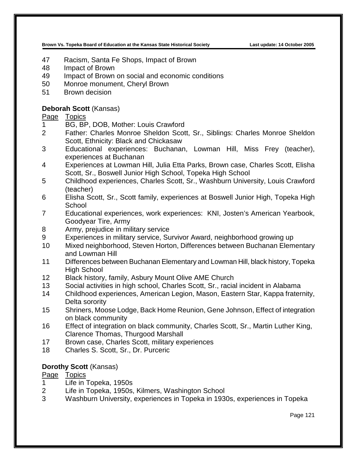- 47 Racism, Santa Fe Shops, Impact of Brown
- 48 Impact of Brown
- 49 Impact of Brown on social and economic conditions
- 50 Monroe monument, Cheryl Brown
- 51 Brown decision

## **Deborah Scott** (Kansas)

## Page Topics

- 1 BG, BP, DOB, Mother: Louis Crawford
- 2 Father: Charles Monroe Sheldon Scott, Sr., Siblings: Charles Monroe Sheldon Scott, Ethnicity: Black and Chickasaw
- 3 Educational experiences: Buchanan, Lowman Hill, Miss Frey (teacher), experiences at Buchanan
- 4 Experiences at Lowman Hill, Julia Etta Parks, Brown case, Charles Scott, Elisha Scott, Sr., Boswell Junior High School, Topeka High School
- 5 Childhood experiences, Charles Scott, Sr., Washburn University, Louis Crawford (teacher)
- 6 Elisha Scott, Sr., Scott family, experiences at Boswell Junior High, Topeka High School
- 7 Educational experiences, work experiences: KNI, Josten's American Yearbook, Goodyear Tire, Army
- 8 Army, prejudice in military service
- 9 Experiences in military service, Survivor Award, neighborhood growing up
- 10 Mixed neighborhood, Steven Horton, Differences between Buchanan Elementary and Lowman Hill
- 11 Differences between Buchanan Elementary and Lowman Hill, black history, Topeka High School
- 12 Black history, family, Asbury Mount Olive AME Church
- 13 Social activities in high school, Charles Scott, Sr., racial incident in Alabama
- 14 Childhood experiences, American Legion, Mason, Eastern Star, Kappa fraternity, Delta sorority
- 15 Shriners, Moose Lodge, Back Home Reunion, Gene Johnson, Effect of integration on black community
- 16 Effect of integration on black community, Charles Scott, Sr., Martin Luther King, Clarence Thomas, Thurgood Marshall
- 17 Brown case, Charles Scott, military experiences
- 18 Charles S. Scott, Sr., Dr. Purceric

#### **Dorothy Scott** (Kansas)

- 1 Life in Topeka, 1950s
- 2 Life in Topeka, 1950s, Kilmers, Washington School
- 3 Washburn University, experiences in Topeka in 1930s, experiences in Topeka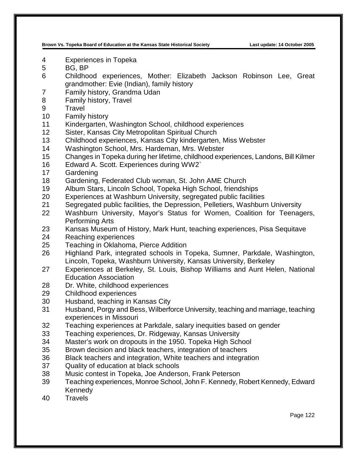- Experiences in Topeka
- BG, BP
- Childhood experiences, Mother: Elizabeth Jackson Robinson Lee, Great grandmother: Evie (Indian), family history
- Family history, Grandma Udan
- Family history, Travel
- Travel
- Family history
- Kindergarten, Washington School, childhood experiences
- Sister, Kansas City Metropolitan Spiritual Church
- Childhood experiences, Kansas City kindergarten, Miss Webster
- Washington School, Mrs. Hardeman, Mrs. Webster
- Changes in Topeka during her lifetime, childhood experiences, Landons, Bill Kilmer
- Edward A. Scott. Experiences during WW2`
- Gardening
- Gardening, Federated Club woman, St. John AME Church
- Album Stars, Lincoln School, Topeka High School, friendships
- Experiences at Washburn University, segregated public facilities
- Segregated public facilities, the Depression, Pelletiers, Washburn University
- Washburn University, Mayor's Status for Women, Coalition for Teenagers, Performing Arts
- Kansas Museum of History, Mark Hunt, teaching experiences, Pisa Sequitave
- Reaching experiences
- Teaching in Oklahoma, Pierce Addition
- Highland Park, integrated schools in Topeka, Sumner, Parkdale, Washington, Lincoln, Topeka, Washburn University, Kansas University, Berkeley
- Experiences at Berkeley, St. Louis, Bishop Williams and Aunt Helen, National Education Association
- Dr. White, childhood experiences
- Childhood experiences
- Husband, teaching in Kansas City
- Husband, Porgy and Bess, Wilberforce University, teaching and marriage, teaching experiences in Missouri
- Teaching experiences at Parkdale, salary inequities based on gender
- Teaching experiences, Dr. Ridgeway, Kansas University
- Master's work on dropouts in the 1950. Topeka High School
- Brown decision and black teachers, integration of teachers
- Black teachers and integration, White teachers and integration
- Quality of education at black schools
- Music contest in Topeka, Joe Anderson, Frank Peterson
- Teaching experiences, Monroe School, John F. Kennedy, Robert Kennedy, Edward Kennedy
- Travels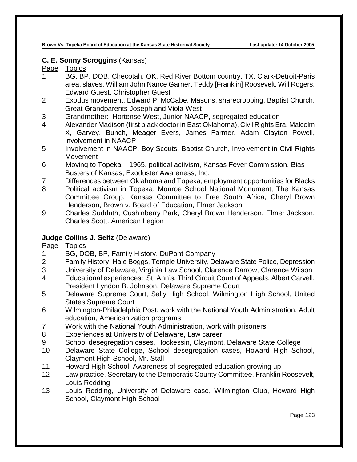# **C. E. Sonny Scroggins** (Kansas)

## Page Topics

- 1 BG, BP, DOB, Checotah, OK, Red River Bottom country, TX, Clark-Detroit-Paris area, slaves, William John Nance Garner, Teddy [Franklin] Roosevelt, Will Rogers, Edward Guest, Christopher Guest
- 2 Exodus movement, Edward P. McCabe, Masons, sharecropping, Baptist Church, Great Grandparents Joseph and Viola West
- 3 Grandmother: Hortense West, Junior NAACP, segregated education
- 4 Alexander Madison (first black doctor in East Oklahoma), Civil Rights Era, Malcolm X, Garvey, Bunch, Meager Evers, James Farmer, Adam Clayton Powell, involvement in NAACP
- 5 Involvement in NAACP, Boy Scouts, Baptist Church, Involvement in Civil Rights **Movement**
- 6 Moving to Topeka 1965, political activism, Kansas Fever Commission, Bias Busters of Kansas, Exoduster Awareness, Inc.
- 7 Differences between Oklahoma and Topeka, employment opportunities for Blacks
- 8 Political activism in Topeka, Monroe School National Monument, The Kansas Committee Group, Kansas Committee to Free South Africa, Cheryl Brown Henderson, Brown v. Board of Education, Elmer Jackson
- 9 Charles Sudduth, Cushinberry Park, Cheryl Brown Henderson, Elmer Jackson, Charles Scott. American Legion

# **Judge Collins J. Seitz** (Delaware)

- 1 BG, DOB, BP, Family History, DuPont Company
- 2 Family History, Hale Boggs, Temple University, Delaware State Police, Depression
- 3 University of Delaware, Virginia Law School, Clarence Darrow, Clarence Wilson
- 4 Educational experiences: St. Ann's, Third Circuit Court of Appeals, Albert Carvell, President Lyndon B. Johnson, Delaware Supreme Court
- 5 Delaware Supreme Court, Sally High School, Wilmington High School, United States Supreme Court
- 6 Wilmington-Philadelphia Post, work with the National Youth Administration. Adult education, Americanization programs
- 7 Work with the National Youth Administration, work with prisoners
- 8 Experiences at University of Delaware, Law career
- 9 School desegregation cases, Hockessin, Claymont, Delaware State College
- 10 Delaware State College, School desegregation cases, Howard High School, Claymont High School, Mr. Stall
- 11 Howard High School, Awareness of segregated education growing up
- 12 Law practice, Secretary to the Democratic County Committee, Franklin Roosevelt, Louis Redding
- 13 Louis Redding, University of Delaware case, Wilmington Club, Howard High School, Claymont High School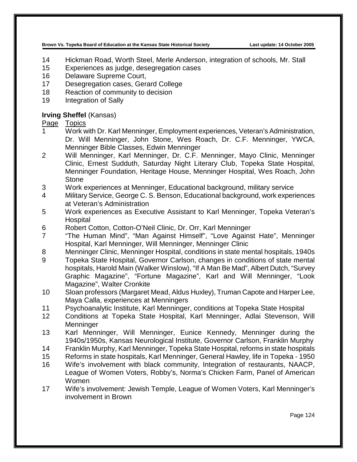- 14 Hickman Road, Worth Steel, Merle Anderson, integration of schools, Mr. Stall
- 15 Experiences as judge, desegregation cases
- 16 Delaware Supreme Court,
- 17 Desegregation cases, Gerard College
- 18 Reaction of community to decision
- 19 Integration of Sally

# **Irving Sheffel** (Kansas)

- 1 Work with Dr. Karl Menninger, Employment experiences, Veteran's Administration, Dr. Will Menninger, John Stone, Wes Roach, Dr. C.F. Menninger, YWCA, Menninger Bible Classes, Edwin Menninger
- 2 Will Menninger, Karl Menninger, Dr. C.F. Menninger, Mayo Clinic, Menninger Clinic, Ernest Sudduth, Saturday Night Literary Club, Topeka State Hospital, Menninger Foundation, Heritage House, Menninger Hospital, Wes Roach, John **Stone**
- 3 Work experiences at Menninger, Educational background, military service
- 4 Military Service, George C. S. Benson, Educational background, work experiences at Veteran's Administration
- 5 Work experiences as Executive Assistant to Karl Menninger, Topeka Veteran's Hospital
- 6 Robert Cotton, Cotton-O'Neil Clinic, Dr. Orr, Karl Menninger
- 7 "The Human Mind", "Man Against Himself", "Love Against Hate", Menninger Hospital, Karl Menninger, Will Menninger, Menninger Clinic
- 8 Menninger Clinic, Menninger Hospital, conditions in state mental hospitals, 1940s<br>9 Topeka State Hospital, Governor Carlson, changes in conditions of state mental
- 9 Topeka State Hospital, Governor Carlson, changes in conditions of state mental hospitals, Harold Main (Walker Winslow), "If A Man Be Mad", Albert Dutch, "Survey Graphic Magazine", "Fortune Magazine", Karl and Will Menninger, "Look Magazine", Walter Cronkite
- 10 Sloan professors (Margaret Mead, Aldus Huxley), Truman Capote and Harper Lee, Maya Calla, experiences at Menningers
- 11 Psychoanalytic Institute, Karl Menninger, conditions at Topeka State Hospital
- 12 Conditions at Topeka State Hospital, Karl Menninger, Adlai Stevenson, Will **Menninger**
- 13 Karl Menninger, Will Menninger, Eunice Kennedy, Menninger during the 1940s/1950s, Kansas Neurological Institute, Governor Carlson, Franklin Murphy
- 14 Franklin Murphy, Karl Menninger, Topeka State Hospital, reforms in state hospitals
- 15 Reforms in state hospitals, Karl Menninger, General Hawley, life in Topeka 1950
- 16 Wife's involvement with black community, Integration of restaurants, NAACP, League of Women Voters, Robby's, Norma's Chicken Farm, Panel of American Women
- 17 Wife's involvement: Jewish Temple, League of Women Voters, Karl Menninger's involvement in Brown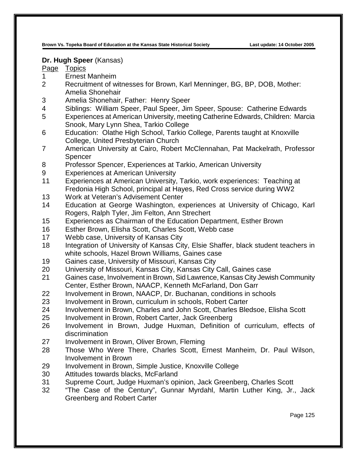#### **Dr. Hugh Speer** (Kansas)

- Ernest Manheim
- Recruitment of witnesses for Brown, Karl Menninger, BG, BP, DOB, Mother: Amelia Shonehair
- Amelia Shonehair, Father: Henry Speer
- Siblings: William Speer, Paul Speer, Jim Speer, Spouse: Catherine Edwards
- Experiences at American University, meeting Catherine Edwards, Children: Marcia Snook, Mary Lynn Shea, Tarkio College
- Education: Olathe High School, Tarkio College, Parents taught at Knoxville College, United Presbyterian Church
- American University at Cairo, Robert McClennahan, Pat Mackelrath, Professor **Spencer**
- Professor Spencer, Experiences at Tarkio, American University
- Experiences at American University
- Experiences at American University, Tarkio, work experiences: Teaching at Fredonia High School, principal at Hayes, Red Cross service during WW2
- Work at Veteran's Advisement Center
- Education at George Washington, experiences at University of Chicago, Karl Rogers, Ralph Tyler, Jim Felton, Ann Strechert
- Experiences as Chairman of the Education Department, Esther Brown
- Esther Brown, Elisha Scott, Charles Scott, Webb case
- Webb case, University of Kansas City
- 18 Integration of University of Kansas City, Elsie Shaffer, black student teachers in white schools, Hazel Brown Williams, Gaines case
- Gaines case, University of Missouri, Kansas City
- University of Missouri, Kansas City, Kansas City Call, Gaines case
- Gaines case, Involvement in Brown, Sid Lawrence, Kansas City Jewish Community Center, Esther Brown, NAACP, Kenneth McFarland, Don Garr
- Involvement in Brown, NAACP, Dr. Buchanan, conditions in schools
- Involvement in Brown, curriculum in schools, Robert Carter
- Involvement in Brown, Charles and John Scott, Charles Bledsoe, Elisha Scott
- Involvement in Brown, Robert Carter, Jack Greenberg
- Involvement in Brown, Judge Huxman, Definition of curriculum, effects of discrimination
- Involvement in Brown, Oliver Brown, Fleming
- Those Who Were There, Charles Scott, Ernest Manheim, Dr. Paul Wilson, Involvement in Brown
- Involvement in Brown, Simple Justice, Knoxville College
- Attitudes towards blacks, McFarland
- Supreme Court, Judge Huxman's opinion, Jack Greenberg, Charles Scott
- "The Case of the Century", Gunnar Myrdahl, Martin Luther King, Jr., Jack Greenberg and Robert Carter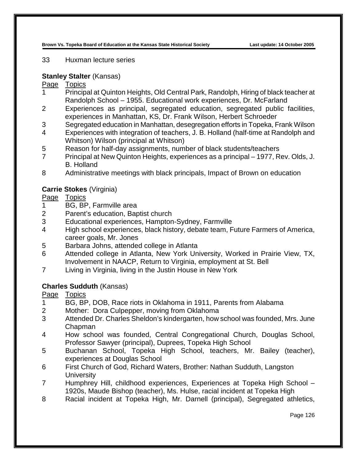#### 33 Huxman lecture series

# **Stanley Stalter** (Kansas)

# Page Topics

- 1 Principal at Quinton Heights, Old Central Park, Randolph, Hiring of black teacher at Randolph School – 1955. Educational work experiences, Dr. McFarland
- 2 Experiences as principal, segregated education, segregated public facilities, experiences in Manhattan, KS, Dr. Frank Wilson, Herbert Schroeder
- 3 Segregated education in Manhattan, desegregation efforts in Topeka, Frank Wilson
- 4 Experiences with integration of teachers, J. B. Holland (half-time at Randolph and Whitson) Wilson (principal at Whitson)
- 5 Reason for half-day assignments, number of black students/teachers
- 7 Principal at New Quinton Heights, experiences as a principal 1977, Rev. Olds, J. B. Holland
- 8 Administrative meetings with black principals, Impact of Brown on education

# **Carrie Stokes** (Virginia)

# Page Topics

- 1 BG, BP, Farmville area
- 2 Parent's education, Baptist church
- 3 Educational experiences, Hampton-Sydney, Farmville
- 4 High school experiences, black history, debate team, Future Farmers of America, career goals, Mr. Jones
- 5 Barbara Johns, attended college in Atlanta
- 6 Attended college in Atlanta, New York University, Worked in Prairie View, TX, Involvement in NAACP, Return to Virginia, employment at St. Bell
- 7 Living in Virginia, living in the Justin House in New York

# **Charles Sudduth** (Kansas)

- 1 BG, BP, DOB, Race riots in Oklahoma in 1911, Parents from Alabama
- 2 Mother: Dora Culpepper, moving from Oklahoma
- 3 Attended Dr. Charles Sheldon's kindergarten, how school was founded, Mrs. June Chapman
- 4 How school was founded, Central Congregational Church, Douglas School, Professor Sawyer (principal), Duprees, Topeka High School
- 5 Buchanan School, Topeka High School, teachers, Mr. Bailey (teacher), experiences at Douglas School
- 6 First Church of God, Richard Waters, Brother: Nathan Sudduth, Langston **University**
- 7 Humphrey Hill, childhood experiences, Experiences at Topeka High School 1920s, Maude Bishop (teacher), Ms. Hulse, racial incident at Topeka High
- 8 Racial incident at Topeka High, Mr. Darnell (principal), Segregated athletics,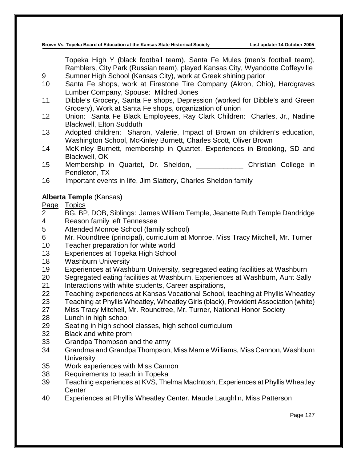Topeka High Y (black football team), Santa Fe Mules (men's football team), Ramblers, City Park (Russian team), played Kansas City, Wyandotte Coffeyville Sumner High School (Kansas City), work at Greek shining parlor

- Santa Fe shops, work at Firestone Tire Company (Akron, Ohio), Hardgraves Lumber Company, Spouse: Mildred Jones
- Dibble's Grocery, Santa Fe shops, Depression (worked for Dibble's and Green Grocery), Work at Santa Fe shops, organization of union
- Union: Santa Fe Black Employees, Ray Clark Children: Charles, Jr., Nadine Blackwell, Elton Sudduth
- Adopted children: Sharon, Valerie, Impact of Brown on children's education, Washington School, McKinley Burnett, Charles Scott, Oliver Brown
- McKinley Burnett, membership in Quartet, Experiences in Brooking, SD and Blackwell, OK
- 15 Membership in Quartet, Dr. Sheldon, The Christian College in Pendleton, TX
- Important events in life, Jim Slattery, Charles Sheldon family

## **Alberta Temple** (Kansas)

- BG, BP, DOB, Siblings: James William Temple, Jeanette Ruth Temple Dandridge Reason family left Tennessee
- Attended Monroe School (family school)
- Mr. Roundtree (principal), curriculum at Monroe, Miss Tracy Mitchell, Mr. Turner
- Teacher preparation for white world
- Experiences at Topeka High School
- Washburn University
- Experiences at Washburn University, segregated eating facilities at Washburn
- Segregated eating facilities at Washburn, Experiences at Washburn, Aunt Sally
- 21 Interactions with white students, Career aspirations,
- Teaching experiences at Kansas Vocational School, teaching at Phyllis Wheatley
- Teaching at Phyllis Wheatley, Wheatley Girls (black), Provident Association (white)
- Miss Tracy Mitchell, Mr. Roundtree, Mr. Turner, National Honor Society
- Lunch in high school
- Seating in high school classes, high school curriculum
- Black and white prom
- Grandpa Thompson and the army
- Grandma and Grandpa Thompson, Miss Mamie Williams, Miss Cannon, Washburn **University**
- Work experiences with Miss Cannon
- Requirements to teach in Topeka
- Teaching experiences at KVS, Thelma MacIntosh, Experiences at Phyllis Wheatley **Center**
- Experiences at Phyllis Wheatley Center, Maude Laughlin, Miss Patterson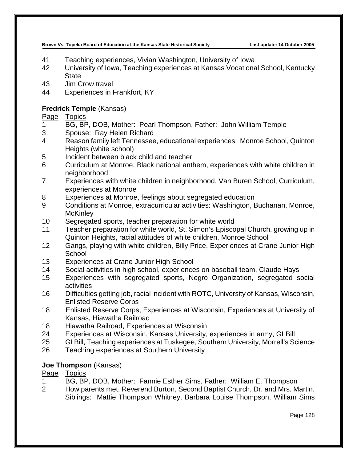- Teaching experiences, Vivian Washington, University of Iowa
- University of Iowa, Teaching experiences at Kansas Vocational School, Kentucky **State**
- Jim Crow travel
- Experiences in Frankfort, KY

# **Fredrick Temple** (Kansas)

Page Topics

- BG, BP, DOB, Mother: Pearl Thompson, Father: John William Temple
- Spouse: Ray Helen Richard
- Reason family left Tennessee, educational experiences: Monroe School, Quinton Heights (white school)
- Incident between black child and teacher
- Curriculum at Monroe, Black national anthem, experiences with white children in neighborhood
- Experiences with white children in neighborhood, Van Buren School, Curriculum, experiences at Monroe
- Experiences at Monroe, feelings about segregated education
- Conditions at Monroe, extracurricular activities: Washington, Buchanan, Monroe, **McKinley**
- Segregated sports, teacher preparation for white world
- Teacher preparation for white world, St. Simon's Episcopal Church, growing up in Quinton Heights, racial attitudes of white children, Monroe School
- Gangs, playing with white children, Billy Price, Experiences at Crane Junior High **School**
- Experiences at Crane Junior High School
- Social activities in high school, experiences on baseball team, Claude Hays
- Experiences with segregated sports, Negro Organization, segregated social activities
- Difficulties getting job, racial incident with ROTC, University of Kansas, Wisconsin, Enlisted Reserve Corps
- Enlisted Reserve Corps, Experiences at Wisconsin, Experiences at University of Kansas, Hiawatha Railroad
- Hiawatha Railroad, Experiences at Wisconsin
- Experiences at Wisconsin, Kansas University, experiences in army, GI Bill
- GI Bill, Teaching experiences at Tuskegee, Southern University, Morrell's Science
- Teaching experiences at Southern University

# **Joe Thompson** (Kansas)

- BG, BP, DOB, Mother: Fannie Esther Sims, Father: William E. Thompson
- How parents met, Reverend Burton, Second Baptist Church, Dr. and Mrs. Martin, Siblings: Mattie Thompson Whitney, Barbara Louise Thompson, William Sims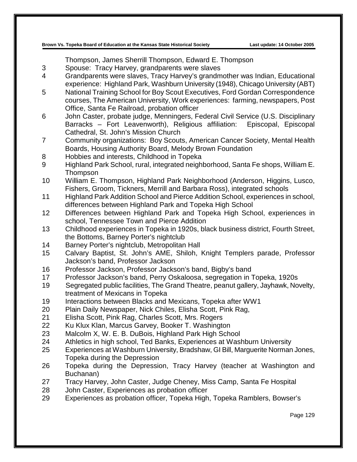Thompson, James Sherrill Thompson, Edward E. Thompson

- 3 Spouse: Tracy Harvey, grandparents were slaves
- 4 Grandparents were slaves, Tracy Harvey's grandmother was Indian, Educational experience: Highland Park, Washburn University (1948), Chicago University (ABT)
- 5 National Training School for Boy Scout Executives, Ford Gordan Correspondence courses, The American University, Work experiences: farming, newspapers, Post Office, Santa Fe Railroad, probation officer
- 6 John Caster, probate judge, Menningers, Federal Civil Service (U.S. Disciplinary Barracks – Fort Leavenworth), Religious affiliation: Episcopal, Episcopal Cathedral, St. John's Mission Church
- 7 Community organizations: Boy Scouts, American Cancer Society, Mental Health Boards, Housing Authority Board, Melody Brown Foundation
- 8 Hobbies and interests, Childhood in Topeka
- 9 Highland Park School, rural, integrated neighborhood, Santa Fe shops, William E. Thompson
- 10 William E. Thompson, Highland Park Neighborhood (Anderson, Higgins, Lusco, Fishers, Groom, Tickners, Merrill and Barbara Ross), integrated schools
- 11 Highland Park Addition School and Pierce Addition School, experiences in school, differences between Highland Park and Topeka High School
- 12 Differences between Highland Park and Topeka High School, experiences in school, Tennessee Town and Pierce Addition
- 13 Childhood experiences in Topeka in 1920s, black business district, Fourth Street, the Bottoms, Barney Porter's nightclub
- 14 Barney Porter's nightclub, Metropolitan Hall
- 15 Calvary Baptist, St. John's AME, Shiloh, Knight Templers parade, Professor Jackson's band, Professor Jackson
- 16 Professor Jackson, Professor Jackson's band, Bigby's band
- 17 Professor Jackson's band, Perry Oskaloosa, segregation in Topeka, 1920s
- 19 Segregated public facilities, The Grand Theatre, peanut gallery, Jayhawk, Novelty, treatment of Mexicans in Topeka
- 19 Interactions between Blacks and Mexicans, Topeka after WW1
- 20 Plain Daily Newspaper, Nick Chiles, Elisha Scott, Pink Rag,
- 21 Elisha Scott, Pink Rag, Charles Scott, Mrs. Rogers
- 22 Ku Klux Klan, Marcus Garvey, Booker T. Washington
- 23 Malcolm X, W. E. B. DuBois, Highland Park High School
- 24 Athletics in high school, Ted Banks, Experiences at Washburn University
- 25 Experiences at Washburn University, Bradshaw, GI Bill, Marguerite Norman Jones, Topeka during the Depression
- 26 Topeka during the Depression, Tracy Harvey (teacher at Washington and Buchanan)
- 27 Tracy Harvey, John Caster, Judge Cheney, Miss Camp, Santa Fe Hospital
- 28 John Caster, Experiences as probation officer
- 29 Experiences as probation officer, Topeka High, Topeka Ramblers, Bowser's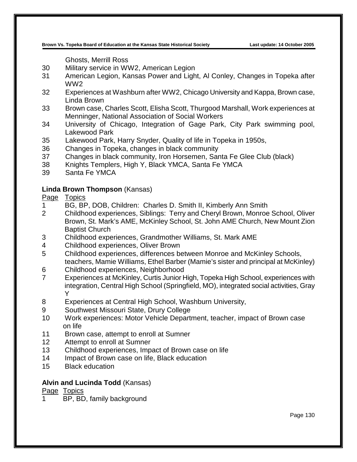Ghosts, Merrill Ross

- 30 Military service in WW2, American Legion
- 31 American Legion, Kansas Power and Light, Al Conley, Changes in Topeka after WW2
- 32 Experiences at Washburn after WW2, Chicago University and Kappa, Brown case, Linda Brown
- 33 Brown case, Charles Scott, Elisha Scott, Thurgood Marshall, Work experiences at Menninger, National Association of Social Workers
- 34 University of Chicago, Integration of Gage Park, City Park swimming pool, Lakewood Park
- 35 Lakewood Park, Harry Snyder, Quality of life in Topeka in 1950s,
- 36 Changes in Topeka, changes in black community
- 37 Changes in black community, Iron Horsemen, Santa Fe Glee Club (black)
- 38 Knights Templers, High Y, Black YMCA, Santa Fe YMCA
- 39 Santa Fe YMCA

## **Linda Brown Thompson** (Kansas)

## Page Topics

- 1 BG, BP, DOB, Children: Charles D. Smith II, Kimberly Ann Smith
- 2 Childhood experiences, Siblings: Terry and Cheryl Brown, Monroe School, Oliver Brown, St. Mark's AME, McKinley School, St. John AME Church, New Mount Zion Baptist Church
- 3 Childhood experiences, Grandmother Williams, St. Mark AME
- 4 Childhood experiences, Oliver Brown
- 5 Childhood experiences, differences between Monroe and McKinley Schools, teachers, Mamie Williams, Ethel Barber (Mamie's sister and principal at McKinley)
- 6 Childhood experiences, Neighborhood
- 7 Experiences at McKinley, Curtis Junior High, Topeka High School, experiences with integration, Central High School (Springfield, MO), integrated social activities, Gray Y
- 8 Experiences at Central High School, Washburn University,
- 9 Southwest Missouri State, Drury College
- 10 Work experiences: Motor Vehicle Department, teacher, impact of Brown case on life
- 11 Brown case, attempt to enroll at Sumner
- 12 Attempt to enroll at Sumner
- 13 Childhood experiences, Impact of Brown case on life
- 14 Impact of Brown case on life, Black education
- 15 Black education

#### **Alvin and Lucinda Todd** (Kansas)

Page Topics

BP, BD, family background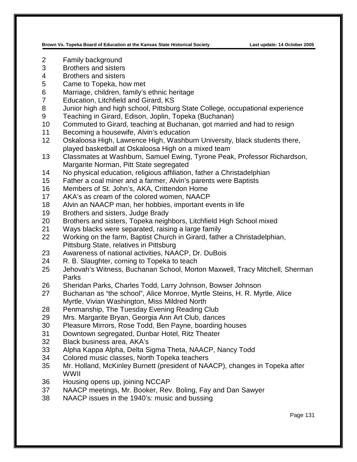- Family background
- Brothers and sisters
- Brothers and sisters
- Came to Topeka, how met
- Marriage, children, family's ethnic heritage
- Education, Litchfield and Girard, KS
- Junior high and high school, Pittsburg State College, occupational experience
- Teaching in Girard, Edison, Joplin, Topeka (Buchanan)
- Commuted to Girard, teaching at Buchanan, got married and had to resign
- Becoming a housewife, Alvin's education
- Oskaloosa High, Lawrence High, Washburn University, black students there, played basketball at Oskaloosa High on a mixed team
- Classmates at Washburn, Samuel Ewing, Tyrone Peak, Professor Richardson, Margarite Norman, Pitt State segregated
- No physical education, religious affiliation, father a Christadelphian
- Father a coal miner and a farmer, Alvin's parents were Baptists
- Members of St. John's, AKA, Crittendon Home
- AKA's as cream of the colored women, NAACP
- Alvin an NAACP man, her hobbies, important events in life
- Brothers and sisters, Judge Brady
- Brothers and sisters, Topeka neighbors, Litchfield High School mixed
- Ways blacks were separated, raising a large family
- Working on the farm, Baptist Church in Girard, father a Christadelphian, Pittsburg State, relatives in Pittsburg
- Awareness of national activities, NAACP, Dr. DuBois
- R. B. Slaughter, coming to Topeka to teach
- Jehovah's Witness, Buchanan School, Morton Maxwell, Tracy Mitchell, Sherman **Parks**
- Sheridan Parks, Charles Todd, Larry Johnson, Bowser Johnson
- Buchanan as "the school", Alice Monroe, Myrtle Steins, H. R. Myrtle, Alice Myrtle, Vivian Washington, Miss Mildred North
- Penmanship, The Tuesday Evening Reading Club
- Mrs. Margarite Bryan, Georgia Ann Art Club, dances
- Pleasure Mirrors, Rose Todd, Ben Payne, boarding houses
- Downtown segregated, Dunbar Hotel, Ritz Theater
- Black business area, AKA's
- Alpha Kappa Alpha, Delta Sigma Theta, NAACP, Nancy Todd
- Colored music classes, North Topeka teachers
- Mr. Holland, McKinley Burnett (president of NAACP), changes in Topeka after WWII
- Housing opens up, joining NCCAP
- NAACP meetings, Mr. Booker, Rev. Boling, Fay and Dan Sawyer
- NAACP issues in the 1940's: music and bussing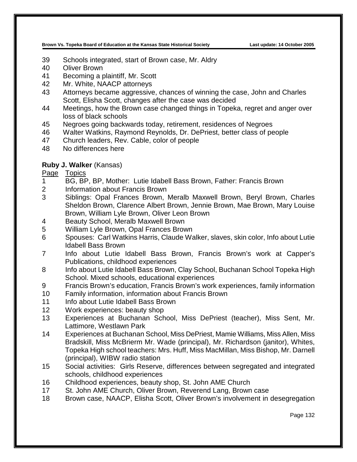- Schools integrated, start of Brown case, Mr. Aldry
- Oliver Brown
- Becoming a plaintiff, Mr. Scott
- Mr. White, NAACP attorneys
- Attorneys became aggressive, chances of winning the case, John and Charles Scott, Elisha Scott, changes after the case was decided
- Meetings, how the Brown case changed things in Topeka, regret and anger over loss of black schools
- Negroes going backwards today, retirement, residences of Negroes
- Walter Watkins, Raymond Reynolds, Dr. DePriest, better class of people
- Church leaders, Rev. Cable, color of people
- No differences here

## **Ruby J. Walker** (Kansas)

- BG, BP, BP, Mother: Lutie Idabell Bass Brown, Father: Francis Brown
- Information about Francis Brown
- Siblings: Opal Frances Brown, Meralb Maxwell Brown, Beryl Brown, Charles Sheldon Brown, Clarence Albert Brown, Jennie Brown, Mae Brown, Mary Louise Brown, William Lyle Brown, Oliver Leon Brown
- Beauty School, Meralb Maxwell Brown
- William Lyle Brown, Opal Frances Brown
- Spouses: Carl Watkins Harris, Claude Walker, slaves, skin color, Info about Lutie Idabell Bass Brown
- Info about Lutie Idabell Bass Brown, Francis Brown's work at Capper's Publications, childhood experiences
- Info about Lutie Idabell Bass Brown, Clay School, Buchanan School Topeka High School. Mixed schools, educational experiences
- Francis Brown's education, Francis Brown's work experiences, family information
- Family information, information about Francis Brown
- 11 Info about Lutie Idabell Bass Brown
- Work experiences: beauty shop
- Experiences at Buchanan School, Miss DePriest (teacher), Miss Sent, Mr. Lattimore, Westlawn Park
- Experiences at Buchanan School, Miss DePriest, Mamie Williams, Miss Allen, Miss Bradskill, Miss McBrierm Mr. Wade (principal), Mr. Richardson (janitor), Whites, Topeka High school teachers: Mrs. Huff, Miss MacMillan, Miss Bishop, Mr. Darnell (principal), WIBW radio station
- Social activities: Girls Reserve, differences between segregated and integrated schools, childhood experiences
- Childhood experiences, beauty shop, St. John AME Church
- St. John AME Church, Oliver Brown, Reverend Lang, Brown case
- Brown case, NAACP, Elisha Scott, Oliver Brown's involvement in desegregation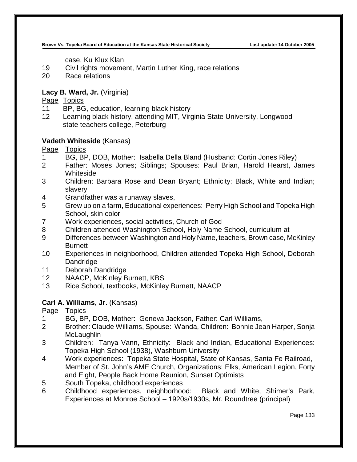case, Ku Klux Klan

- 19 Civil rights movement, Martin Luther King, race relations
- 20 Race relations

# **Lacy B. Ward, Jr.** (Virginia)

Page Topics

- 11 BP, BG, education, learning black history
- 12 Learning black history, attending MIT, Virginia State University, Longwood state teachers college, Peterburg

# **Vadeth Whiteside** (Kansas)

Page Topics

- 1 BG, BP, DOB, Mother: Isabella Della Bland (Husband: Cortin Jones Riley)
- 2 Father: Moses Jones; Siblings; Spouses: Paul Brian, Harold Hearst, James Whiteside
- 3 Children: Barbara Rose and Dean Bryant; Ethnicity: Black, White and Indian; slavery
- 4 Grandfather was a runaway slaves,
- 5 Grew up on a farm, Educational experiences: Perry High School and Topeka High School, skin color
- 7 Work experiences, social activities, Church of God
- 8 Children attended Washington School, Holy Name School, curriculum at
- 9 Differences between Washington and Holy Name, teachers, Brown case, McKinley **Burnett**
- 10 Experiences in neighborhood, Children attended Topeka High School, Deborah Dandridge
- 11 Deborah Dandridge
- 12 NAACP, McKinley Burnett, KBS
- 13 Rice School, textbooks, McKinley Burnett, NAACP

# **Carl A. Williams, Jr.** (Kansas)

- 1 BG, BP, DOB, Mother: Geneva Jackson, Father: Carl Williams,
- 2 Brother: Claude Williams, Spouse: Wanda, Children: Bonnie Jean Harper, Sonja **McLaughlin**
- 3 Children: Tanya Vann, Ethnicity: Black and Indian, Educational Experiences: Topeka High School (1938), Washburn University
- 4 Work experiences: Topeka State Hospital, State of Kansas, Santa Fe Railroad, Member of St. John's AME Church, Organizations: Elks, American Legion, Forty and Eight, People Back Home Reunion, Sunset Optimists
- 5 South Topeka, childhood experiences
- 6 Childhood experiences, neighborhood: Black and White, Shimer's Park, Experiences at Monroe School – 1920s/1930s, Mr. Roundtree (principal)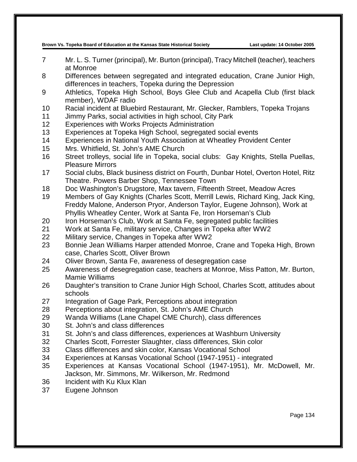- Mr. L. S. Turner (principal), Mr. Burton (principal), Tracy Mitchell (teacher), teachers at Monroe
- Differences between segregated and integrated education, Crane Junior High, differences in teachers, Topeka during the Depression
- Athletics, Topeka High School, Boys Glee Club and Acapella Club (first black member), WDAF radio
- Racial incident at Bluebird Restaurant, Mr. Glecker, Ramblers, Topeka Trojans
- Jimmy Parks, social activities in high school, City Park
- Experiences with Works Projects Administration
- Experiences at Topeka High School, segregated social events
- Experiences in National Youth Association at Wheatley Provident Center
- Mrs. Whitfield, St. John's AME Church
- Street trolleys, social life in Topeka, social clubs: Gay Knights, Stella Puellas, Pleasure Mirrors
- Social clubs, Black business district on Fourth, Dunbar Hotel, Overton Hotel, Ritz Theatre. Powers Barber Shop, Tennessee Town
- Doc Washington's Drugstore, Max tavern, Fifteenth Street, Meadow Acres
- Members of Gay Knights (Charles Scott, Merrill Lewis, Richard King, Jack King, Freddy Malone, Anderson Pryor, Anderson Taylor, Eugene Johnson), Work at Phyllis Wheatley Center, Work at Santa Fe, Iron Horseman's Club
- Iron Horseman's Club, Work at Santa Fe, segregated public facilities
- Work at Santa Fe, military service, Changes in Topeka after WW2
- Military service, Changes in Topeka after WW2
- Bonnie Jean Williams Harper attended Monroe, Crane and Topeka High, Brown case, Charles Scott, Oliver Brown
- Oliver Brown, Santa Fe, awareness of desegregation case
- Awareness of desegregation case, teachers at Monroe, Miss Patton, Mr. Burton, Mamie Williams
- Daughter's transition to Crane Junior High School, Charles Scott, attitudes about schools
- Integration of Gage Park, Perceptions about integration
- Perceptions about integration, St. John's AME Church
- Wanda Williams (Lane Chapel CME Church), class differences
- St. John's and class differences
- St. John's and class differences, experiences at Washburn University
- Charles Scott, Forrester Slaughter, class differences, Skin color
- Class differences and skin color, Kansas Vocational School
- Experiences at Kansas Vocational School (1947-1951) integrated
- Experiences at Kansas Vocational School (1947-1951), Mr. McDowell, Mr. Jackson, Mr. Simmons, Mr. Wilkerson, Mr. Redmond
- Incident with Ku Klux Klan
- Eugene Johnson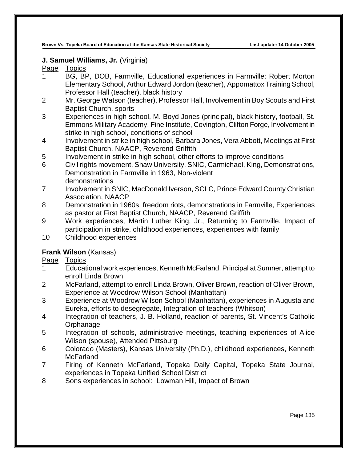# **J. Samuel Williams, Jr.** (Virginia)

# Page Topics

- 1 BG, BP, DOB, Farmville, Educational experiences in Farmville: Robert Morton Elementary School, Arthur Edward Jordon (teacher), Appomattox Training School, Professor Hall (teacher), black history
- 2 Mr. George Watson (teacher), Professor Hall, Involvement in Boy Scouts and First Baptist Church, sports
- 3 Experiences in high school, M. Boyd Jones (principal), black history, football, St. Emmons Military Academy, Fine Institute, Covington, Clifton Forge, Involvement in strike in high school, conditions of school
- 4 Involvement in strike in high school, Barbara Jones, Vera Abbott, Meetings at First Baptist Church, NAACP, Reverend Griffith
- 5 Involvement in strike in high school, other efforts to improve conditions
- 6 Civil rights movement, Shaw University, SNIC, Carmichael, King, Demonstrations, Demonstration in Farmville in 1963, Non-violent demonstrations
- 7 Involvement in SNIC, MacDonald Iverson, SCLC, Prince Edward County Christian Association, NAACP
- 8 Demonstration in 1960s, freedom riots, demonstrations in Farmville, Experiences as pastor at First Baptist Church, NAACP, Reverend Griffith
- 9 Work experiences, Martin Luther King, Jr., Returning to Farmville, Impact of participation in strike, childhood experiences, experiences with family
- 10 Childhood experiences

# **Frank Wilson** (Kansas)

- 1 Educational work experiences, Kenneth McFarland, Principal at Sumner, attempt to enroll Linda Brown
- 2 McFarland, attempt to enroll Linda Brown, Oliver Brown, reaction of Oliver Brown, Experience at Woodrow Wilson School (Manhattan)
- 3 Experience at Woodrow Wilson School (Manhattan), experiences in Augusta and Eureka, efforts to desegregate, Integration of teachers (Whitson)
- 4 Integration of teachers, J. B. Holland, reaction of parents, St. Vincent's Catholic **Orphanage**
- 5 Integration of schools, administrative meetings, teaching experiences of Alice Wilson (spouse), Attended Pittsburg
- 6 Colorado (Masters), Kansas University (Ph.D.), childhood experiences, Kenneth **McFarland**
- 7 Firing of Kenneth McFarland, Topeka Daily Capital, Topeka State Journal, experiences in Topeka Unified School District
- 8 Sons experiences in school: Lowman Hill, Impact of Brown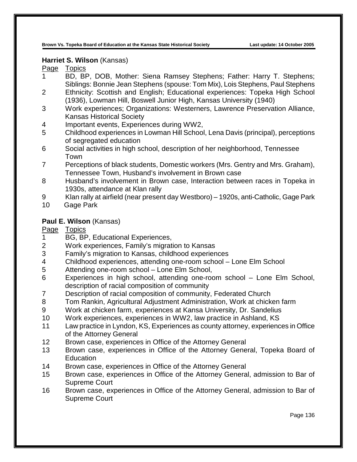#### **Harriet S. Wilson** (Kansas)

# Page Topics

- 1 BD, BP, DOB, Mother: Siena Ramsey Stephens; Father: Harry T. Stephens; Siblings: Bonnie Jean Stephens (spouse: Tom Mix), Lois Stephens, Paul Stephens
- 2 Ethnicity: Scottish and English; Educational experiences: Topeka High School (1936), Lowman Hill, Boswell Junior High, Kansas University (1940)
- 3 Work experiences; Organizations: Westerners, Lawrence Preservation Alliance, Kansas Historical Society
- 4 Important events, Experiences during WW2,
- 5 Childhood experiences in Lowman Hill School, Lena Davis (principal), perceptions of segregated education
- 6 Social activities in high school, description of her neighborhood, Tennessee Town
- 7 Perceptions of black students, Domestic workers (Mrs. Gentry and Mrs. Graham), Tennessee Town, Husband's involvement in Brown case
- 8 Husband's involvement in Brown case, Interaction between races in Topeka in 1930s, attendance at Klan rally
- 9 Klan rally at airfield (near present day Westboro) 1920s, anti-Catholic, Gage Park
- 10 Gage Park

## **Paul E. Wilson** (Kansas)

# Page Topics<br>1 BG BF

- BG, BP, Educational Experiences,
- 2 Work experiences, Family's migration to Kansas
- 3 Family's migration to Kansas, childhood experiences
- 4 Childhood experiences, attending one-room school Lone Elm School
- 5 Attending one-room school Lone Elm School,
- 6 Experiences in high school, attending one-room school Lone Elm School, description of racial composition of community
- 7 Description of racial composition of community, Federated Church
- 8 Tom Rankin, Agricultural Adjustment Administration, Work at chicken farm
- 9 Work at chicken farm, experiences at Kansa University, Dr. Sandelius
- 10 Work experiences, experiences in WW2, law practice in Ashland, KS
- 11 Law practice in Lyndon, KS, Experiences as county attorney, experiences in Office of the Attorney General
- 12 Brown case, experiences in Office of the Attorney General
- 13 Brown case, experiences in Office of the Attorney General, Topeka Board of **Education**
- 14 Brown case, experiences in Office of the Attorney General
- 15 Brown case, experiences in Office of the Attorney General, admission to Bar of Supreme Court
- 16 Brown case, experiences in Office of the Attorney General, admission to Bar of Supreme Court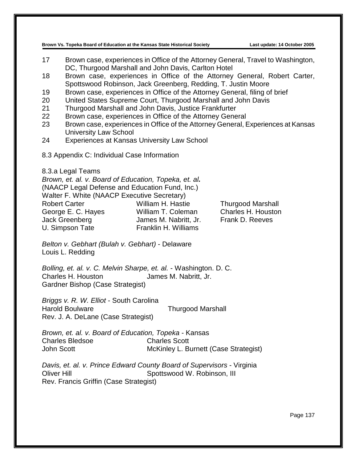- 17 Brown case, experiences in Office of the Attorney General, Travel to Washington, DC, Thurgood Marshall and John Davis, Carlton Hotel
- 18 Brown case, experiences in Office of the Attorney General, Robert Carter, Spottswood Robinson, Jack Greenberg, Redding, T. Justin Moore
- 19 Brown case, experiences in Office of the Attorney General, filing of brief
- 20 United States Supreme Court, Thurgood Marshall and John Davis
- 21 Thurgood Marshall and John Davis, Justice Frankfurter
- 22 Brown case, experiences in Office of the Attorney General
- 23 Brown case, experiences in Office of the Attorney General, Experiences at Kansas University Law School
- 24 Experiences at Kansas University Law School
- 8.3 Appendix C: Individual Case Information

8.3.a Legal Teams

*Brown, et. al. v. Board of Education, Topeka, et. al.* (NAACP Legal Defense and Education Fund, Inc.) Walter F. White (NAACP Executive Secretary) Robert Carter **Notain Carter William H. Hastie** Thurgood Marshall George E. C. Hayes William T. Coleman Charles H. Houston Jack Greenberg James M. Nabritt, Jr. Frank D. Reeves U. Simpson Tate Franklin H. Williams

*Belton v. Gebhart (Bulah v. Gebhart)* - Delaware Louis L. Redding

*Bolling, et. al. v. C. Melvin Sharpe, et. al.* - Washington. D. C. Charles H. Houston James M. Nabritt, Jr. Gardner Bishop (Case Strategist)

*Briggs v. R. W. Elliot* - South Carolina Harold Boulware Thurgood Marshall Rev. J. A. DeLane (Case Strategist)

*Brown, et. al. v. Board of Education, Topeka* - Kansas Charles Bledsoe Charles Scott John Scott McKinley L. Burnett (Case Strategist)

*Davis, et. al. v. Prince Edward County Board of Supervisors* - Virginia Oliver Hill Spottswood W. Robinson, III Rev. Francis Griffin (Case Strategist)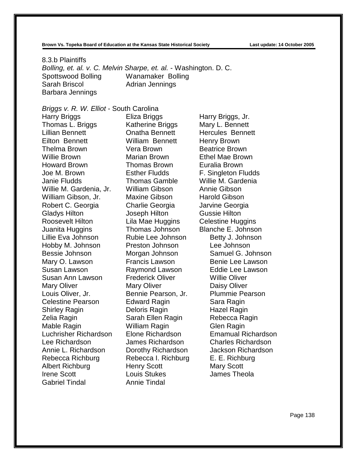8.3.b Plaintiffs *Bolling, et. al. v. C. Melvin Sharpe, et. al.* - Washington. D. C. Spottswood Bolling Wanamaker Bolling Sarah Briscol **Adrian Jennings** Barbara Jennings

#### *Briggs v. R. W. Elliot* - South Carolina

Harry Briggs **Eliza Briggs** Harry Briggs, Jr. Thomas L. Briggs Katherine Briggs Mary L. Bennett Lillian Bennett Onatha Bennett Hercules Bennett Eilton Bennett William Bennett Henry Brown Thelma Brown Vera Brown Beatrice Brown Willie Brown Marian Brown Ethel Mae Brown Howard Brown Thomas Brown Euralia Brown Joe M. Brown Esther Fludds F. Singleton Fludds Janie Fludds Thomas Gamble Willie M. Gardenia Willie M. Gardenia, Jr. William Gibson Annie Gibson William Gibson, Jr. Maxine Gibson Harold Gibson Robert C. Georgia Charlie Georgia Jarvine Georgia Gladys Hilton Joseph Hilton Gussie Hilton Roosevelt Hilton Lila Mae Huggins Celestine Huggins Juanita Huggins Thomas Johnson Blanche E. Johnson Lillie Eva Johnson Rubie Lee Johnson Betty J. Johnson Hobby M. Johnson Preston Johnson Lee Johnson Bessie Johnson Morgan Johnson Samuel G. Johnson Mary O. Lawson **Francis Lawson** Benie Lee Lawson Susan Lawson Raymond Lawson Eddie Lee Lawson Susan Ann Lawson Frederick Oliver Willie Oliver Mary Oliver **Mary Oliver** Daisy Oliver Louis Oliver, Jr. Bennie Pearson, Jr. Plummie Pearson Celestine Pearson **Edward Ragin** Sara Ragin Shirley Ragin **Deloris Ragin** Hazel Ragin Zelia Ragin **Sarah Ellen Ragin** Rebecca Ragin Mable Ragin William Ragin Glen Ragin Luchrisher Richardson Elone Richardson Lee Richardson James Richardson Charles Richardson Annie L. Richardson Dorothy Richardson Jackson Richardson Rebecca Richburg Rebecca I. Richburg E. E. Richburg Albert Richburg **Henry Scott** Mary Scott Irene Scott Louis Stukes James Theola Gabriel Tindal Annie Tindal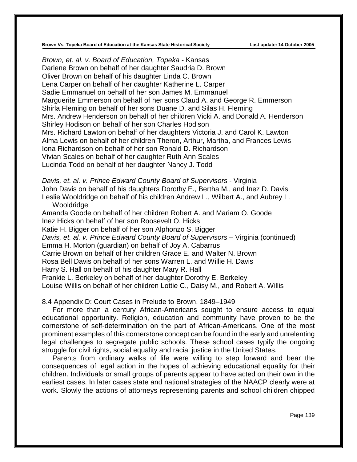*Brown, et. al. v. Board of Education, Topeka* - Kansas Darlene Brown on behalf of her daughter Saudria D. Brown Oliver Brown on behalf of his daughter Linda C. Brown Lena Carper on behalf of her daughter Katherine L. Carper Sadie Emmanuel on behalf of her son James M. Emmanuel Marguerite Emmerson on behalf of her sons Claud A. and George R. Emmerson Shirla Fleming on behalf of her sons Duane D. and Silas H. Fleming Mrs. Andrew Henderson on behalf of her children Vicki A. and Donald A. Henderson Shirley Hodison on behalf of her son Charles Hodison Mrs. Richard Lawton on behalf of her daughters Victoria J. and Carol K. Lawton Alma Lewis on behalf of her children Theron, Arthur, Martha, and Frances Lewis Iona Richardson on behalf of her son Ronald D. Richardson Vivian Scales on behalf of her daughter Ruth Ann Scales Lucinda Todd on behalf of her daughter Nancy J. Todd

*Davis, et. al. v. Prince Edward County Board of Supervisors* - Virginia John Davis on behalf of his daughters Dorothy E., Bertha M., and Inez D. Davis Leslie Wooldridge on behalf of his children Andrew L., Wilbert A., and Aubrey L. Wooldridge

Amanda Goode on behalf of her children Robert A. and Mariam O. Goode Inez Hicks on behalf of her son Roosevelt O. Hicks Katie H. Bigger on behalf of her son Alphonzo S. Bigger *Davis, et. al. v. Prince Edward County Board of Supervisors* – Virginia (continued) Emma H. Morton (guardian) on behalf of Joy A. Cabarrus Carrie Brown on behalf of her children Grace E. and Walter N. Brown Rosa Bell Davis on behalf of her sons Warren L. and Willie H. Davis Harry S. Hall on behalf of his daughter Mary R. Hall Frankie L. Berkeley on behalf of her daughter Dorothy E. Berkeley Louise Willis on behalf of her children Lottie C., Daisy M., and Robert A. Willis

#### 8.4 Appendix D: Court Cases in Prelude to Brown, 1849–1949

For more than a century African-Americans sought to ensure access to equal educational opportunity. Religion, education and community have proven to be the cornerstone of self-determination on the part of African-Americans. One of the most prominent examples of this cornerstone concept can be found in the early and unrelenting legal challenges to segregate public schools. These school cases typify the ongoing struggle for civil rights, social equality and racial justice in the United States.

Parents from ordinary walks of life were willing to step forward and bear the consequences of legal action in the hopes of achieving educational equality for their children. Individuals or small groups of parents appear to have acted on their own in the earliest cases. In later cases state and national strategies of the NAACP clearly were at work. Slowly the actions of attorneys representing parents and school children chipped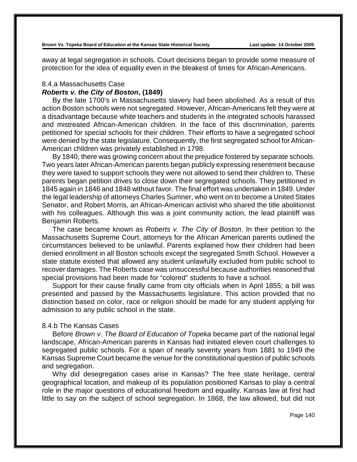away at legal segregation in schools. Court decisions began to provide some measure of protection for the idea of equality even in the bleakest of times for African-Americans.

# 8.4.a Massachusetts Case

# *Roberts v. the City of Boston***, (1849)**

By the late 1700's in Massachusetts slavery had been abolished. As a result of this action Boston schools were not segregated. However, African-Americans felt they were at a disadvantage because white teachers and students in the integrated schools harassed and mistreated African-American children. In the face of this discrimination, parents petitioned for special schools for their children. Their efforts to have a segregated school were denied by the state legislature. Consequently, the first segregated school for African-American children was privately established in 1798.

By 1840, there was growing concern about the prejudice fostered by separate schools. Two years later African-American parents began publicly expressing resentment because they were taxed to support schools they were not allowed to send their children to. These parents began petition drives to close down their segregated schools. They petitioned in 1845 again in 1846 and 1848 without favor. The final effort was undertaken in 1849. Under the legal leadership of attorneys Charles Sumner, who went on to become a United States Senator, and Robert Morris, an African-American activist who shared the title abolitionist with his colleagues. Although this was a joint community action, the lead plaintiff was Benjamin Roberts.

The case became known as *Roberts v. The City of Boston*. In their petition to the Massachusetts Supreme Court, attorneys for the African American parents outlined the circumstances believed to be unlawful. Parents explained how their children had been denied enrollment in all Boston schools except the segregated Smith School. However a state statute existed that allowed any student unlawfully excluded from public school to recover damages. The Roberts case was unsuccessful because authorities reasoned that special provisions had been made for "colored" students to have a school.

Support for their cause finally came from city officials when in April 1855; a bill was presented and passed by the Massachusetts legislature. This action provided that no distinction based on color, race or religion should be made for any student applying for admission to any public school in the state.

#### 8.4.b The Kansas Cases

Before *Brown v. The Board of Education of Topeka* became part of the national legal landscape, African-American parents in Kansas had initiated eleven court challenges to segregated public schools. For a span of nearly seventy years from 1881 to 1949 the Kansas Supreme Court became the venue for the constitutional question of public schools and segregation.

Why did desegregation cases arise in Kansas? The free state heritage, central geographical location, and makeup of its population positioned Kansas to play a central role in the major questions of educational freedom and equality. Kansas law at first had little to say on the subject of school segregation. In 1868, the law allowed, but did not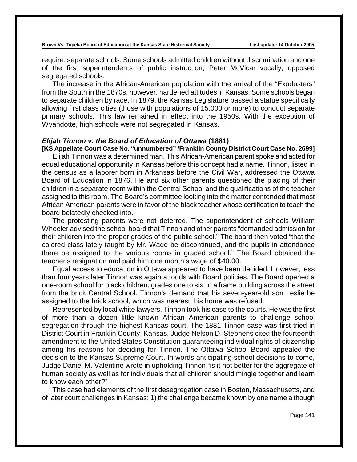require, separate schools. Some schools admitted children without discrimination and one of the first superintendents of public instruction, Peter McVicar vocally, opposed segregated schools.

The increase in the African-American population with the arrival of the "Exodusters" from the South in the 1870s, however, hardened attitudes in Kansas. Some schools began to separate children by race. In 1879, the Kansas Legislature passed a statue specifically allowing first class cities (those with populations of 15,000 or more) to conduct separate primary schools. This law remained in effect into the 1950s. With the exception of Wyandotte, high schools were not segregated in Kansas.

#### *Elijah Tinnon v. the Board of Education of Ottawa* **(1881)**

**[KS Appellate Court Case No. "unnumbered" /Franklin County District Court Case No. 2699]** Elijah Tinnon was a determined man. This African-American parent spoke and acted for equal educational opportunity in Kansas before this concept had a name. Tinnon, listed in the census as a laborer born in Arkansas before the Civil War, addressed the Ottawa Board of Education in 1876. He and six other parents questioned the placing of their children in a separate room within the Central School and the qualifications of the teacher assigned to this room. The Board's committee looking into the matter contended that most African American parents were in favor of the black teacher whose certification to teach the board belatedly checked into.

The protesting parents were not deterred. The superintendent of schools William Wheeler advised the school board that Tinnon and other parents "demanded admission for their children into the proper grades of the public school." The board then voted "that the colored class lately taught by Mr. Wade be discontinued, and the pupils in attendance there be assigned to the various rooms in graded school." The Board obtained the teacher's resignation and paid him one month's wage of \$40.00.

Equal access to education in Ottawa appeared to have been decided. However, less than four years later Tinnon was again at odds with Board policies. The Board opened a one-room school for black children, grades one to six, in a frame building across the street from the brick Central School. Tinnon's demand that his seven-year-old son Leslie be assigned to the brick school, which was nearest, his home was refused.

Represented by local white lawyers, Tinnon took his case to the courts. He was the first of more than a dozen little known African American parents to challenge school segregation through the highest Kansas court. The 1881 Tinnon case was first tried in District Court in Franklin County, Kansas. Judge Nelson D. Stephens cited the fourteenth amendment to the United States Constitution guaranteeing individual rights of citizenship among his reasons for deciding for Tinnon. The Ottawa School Board appealed the decision to the Kansas Supreme Court. In words anticipating school decisions to come, Judge Daniel M. Valentine wrote in upholding Tinnon "is it not better for the aggregate of human society as well as for individuals that all children should mingle together and learn to know each other?"

This case had elements of the first desegregation case in Boston, Massachusetts, and of later court challenges in Kansas: 1) the challenge became known by one name although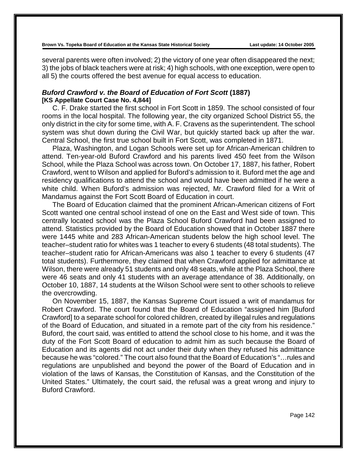**Brown Vs. Topeka Board of Education at the Kansas State Historical Society Last update: 14 October 2005**

several parents were often involved; 2) the victory of one year often disappeared the next; 3) the jobs of black teachers were at risk; 4) high schools, with one exception, were open to all 5) the courts offered the best avenue for equal access to education.

#### *Buford Crawford v. the Board of Education of Fort Scott* **(1887) [KS Appellate Court Case No. 4,844]**

C. F. Drake started the first school in Fort Scott in 1859. The school consisted of four rooms in the local hospital. The following year, the city organized School District 55, the only district in the city for some time, with A. F. Cravens as the superintendent. The school system was shut down during the Civil War, but quickly started back up after the war. Central School, the first true school built in Fort Scott, was completed in 1871.

Plaza, Washington, and Logan Schools were set up for African-American children to attend. Ten-year-old Buford Crawford and his parents lived 450 feet from the Wilson School, while the Plaza School was across town. On October 17, 1887, his father, Robert Crawford, went to Wilson and applied for Buford's admission to it. Buford met the age and residency qualifications to attend the school and would have been admitted if he were a white child. When Buford's admission was rejected, Mr. Crawford filed for a Writ of Mandamus against the Fort Scott Board of Education in court.

The Board of Education claimed that the prominent African-American citizens of Fort Scott wanted one central school instead of one on the East and West side of town. This centrally located school was the Plaza School Buford Crawford had been assigned to attend. Statistics provided by the Board of Education showed that in October 1887 there were 1445 white and 283 African-American students below the high school level. The teacher–student ratio for whites was 1 teacher to every 6 students (48 total students). The teacher–student ratio for African-Americans was also 1 teacher to every 6 students (47 total students). Furthermore, they claimed that when Crawford applied for admittance at Wilson, there were already 51 students and only 48 seats, while at the Plaza School, there were 46 seats and only 41 students with an average attendance of 38. Additionally, on October 10, 1887, 14 students at the Wilson School were sent to other schools to relieve the overcrowding.

On November 15, 1887, the Kansas Supreme Court issued a writ of mandamus for Robert Crawford. The court found that the Board of Education "assigned him [Buford Crawford] to a separate school for colored children, created by illegal rules and regulations of the Board of Education, and situated in a remote part of the city from his residence." Buford, the court said, was entitled to attend the school close to his home, and it was the duty of the Fort Scott Board of education to admit him as such because the Board of Education and its agents did not act under their duty when they refused his admittance because he was "colored." The court also found that the Board of Education's "…rules and regulations are unpublished and beyond the power of the Board of Education and in violation of the laws of Kansas, the Constitution of Kansas, and the Constitution of the United States." Ultimately, the court said, the refusal was a great wrong and injury to Buford Crawford.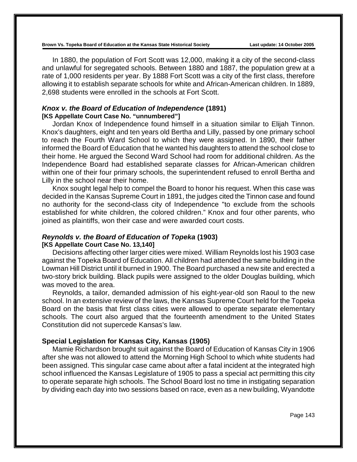In 1880, the population of Fort Scott was 12,000, making it a city of the second-class and unlawful for segregated schools. Between 1880 and 1887, the population grew at a rate of 1,000 residents per year. By 1888 Fort Scott was a city of the first class, therefore allowing it to establish separate schools for white and African-American children. In 1889, 2,698 students were enrolled in the schools at Fort Scott.

#### *Knox v. the Board of Education of Independence* **(1891) [KS Appellate Court Case No. "unnumbered"]**

Jordan Knox of Independence found himself in a situation similar to Elijah Tinnon. Knox's daughters, eight and ten years old Bertha and Lilly, passed by one primary school to reach the Fourth Ward School to which they were assigned. In 1890, their father informed the Board of Education that he wanted his daughters to attend the school close to their home. He argued the Second Ward School had room for additional children. As the Independence Board had established separate classes for African-American children within one of their four primary schools, the superintendent refused to enroll Bertha and Lilly in the school near their home.

Knox sought legal help to compel the Board to honor his request. When this case was decided in the Kansas Supreme Court in 1891, the judges cited the Tinnon case and found no authority for the second-class city of Independence "to exclude from the schools established for white children, the colored children." Knox and four other parents, who joined as plaintiffs, won their case and were awarded court costs.

# *Reynolds v. the Board of Education of Topeka* **(1903)**

## **[KS Appellate Court Case No. 13,140]**

Decisions affecting other larger cities were mixed. William Reynolds lost his 1903 case against the Topeka Board of Education. All children had attended the same building in the Lowman Hill District until it burned in 1900. The Board purchased a new site and erected a two-story brick building. Black pupils were assigned to the older Douglas building, which was moved to the area.

Reynolds, a tailor, demanded admission of his eight-year-old son Raoul to the new school. In an extensive review of the laws, the Kansas Supreme Court held for the Topeka Board on the basis that first class cities were allowed to operate separate elementary schools. The court also argued that the fourteenth amendment to the United States Constitution did not supercede Kansas's law.

## **Special Legislation for Kansas City, Kansas (1905)**

Mamie Richardson brought suit against the Board of Education of Kansas City in 1906 after she was not allowed to attend the Morning High School to which white students had been assigned. This singular case came about after a fatal incident at the integrated high school influenced the Kansas Legislature of 1905 to pass a special act permitting this city to operate separate high schools. The School Board lost no time in instigating separation by dividing each day into two sessions based on race, even as a new building, Wyandotte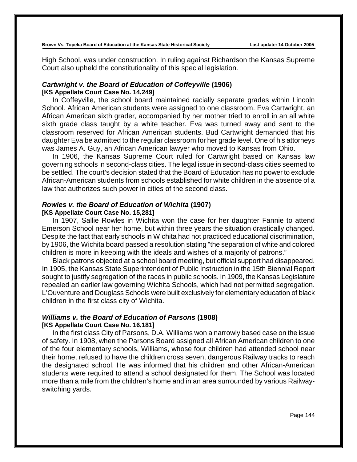**Brown Vs. Topeka Board of Education at the Kansas State Historical Society Last update: 14 October 2005**

High School, was under construction. In ruling against Richardson the Kansas Supreme Court also upheld the constitutionality of this special legislation.

## *Cartwright v. the Board of Education of Coffeyville* **(1906) [KS Appellate Court Case No. 14,249]**

In Coffeyville, the school board maintained racially separate grades within Lincoln School. African American students were assigned to one classroom. Eva Cartwright, an African American sixth grader, accompanied by her mother tried to enroll in an all white sixth grade class taught by a white teacher. Eva was turned away and sent to the classroom reserved for African American students. Bud Cartwright demanded that his daughter Eva be admitted to the regular classroom for her grade level. One of his attorneys was James A. Guy, an African American lawyer who moved to Kansas from Ohio.

In 1906, the Kansas Supreme Court ruled for Cartwright based on Kansas law governing schools in second-class cities. The legal issue in second-class cities seemed to be settled. The court's decision stated that the Board of Education has no power to exclude African-American students from schools established for white children in the absence of a law that authorizes such power in cities of the second class.

#### *Rowles v. the Board of Education of Wichita* **(1907) [KS Appellate Court Case No. 15,281]**

In 1907, Sallie Rowles in Wichita won the case for her daughter Fannie to attend Emerson School near her home, but within three years the situation drastically changed. Despite the fact that early schools in Wichita had not practiced educational discrimination, by 1906, the Wichita board passed a resolution stating "the separation of white and colored children is more in keeping with the ideals and wishes of a majority of patrons."

Black patrons objected at a school board meeting, but official support had disappeared. In 1905, the Kansas State Superintendent of Public Instruction in the 15th Biennial Report sought to justify segregation of the races in public schools. In 1909, the Kansas Legislature repealed an earlier law governing Wichita Schools, which had not permitted segregation. L'Ouventure and Douglass Schools were built exclusively for elementary education of black children in the first class city of Wichita.

#### *Williams v. the Board of Education of Parsons* **(1908) [KS Appellate Court Case No. 16,181]**

In the first class City of Parsons, D.A. Williams won a narrowly based case on the issue of safety. In 1908, when the Parsons Board assigned all African American children to one of the four elementary schools, Williams, whose four children had attended school near their home, refused to have the children cross seven, dangerous Railway tracks to reach the designated school. He was informed that his children and other African-American students were required to attend a school designated for them. The School was located more than a mile from the children's home and in an area surrounded by various Railwayswitching yards.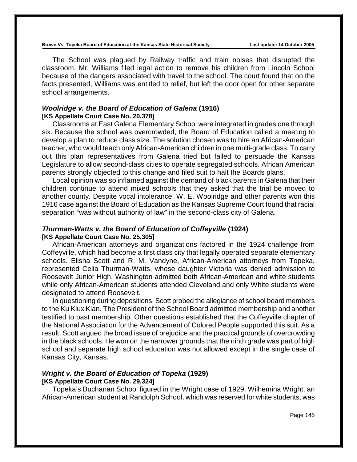**Brown Vs. Topeka Board of Education at the Kansas State Historical Society Last update: 14 October 2005**

The School was plagued by Railway traffic and train noises that disrupted the classroom. Mr. Williams filed legal action to remove his children from Lincoln School because of the dangers associated with travel to the school. The court found that on the facts presented, Williams was entitled to relief, but left the door open for other separate school arrangements.

## *Woolridge v. the Board of Education of Galena* **(1916) [KS Appellate Court Case No. 20,378]**

Classrooms at East Galena Elementary School were integrated in grades one through six. Because the school was overcrowded, the Board of Education called a meeting to develop a plan to reduce class size. The solution chosen was to hire an African-American teacher, who would teach only African-American children in one multi-grade class. To carry out this plan representatives from Galena tried but failed to persuade the Kansas Legislature to allow second-class cities to operate segregated schools. African American parents strongly objected to this change and filed suit to halt the Boards plans.

Local opinion was so inflamed against the demand of black parents in Galena that their children continue to attend mixed schools that they asked that the trial be moved to another county. Despite vocal intolerance, W. E. Woolridge and other parents won this 1916 case against the Board of Education as the Kansas Supreme Court found that racial separation "was without authority of law" in the second-class city of Galena.

# *Thurman-Watts v. the Board of Education of Coffeyville* **(1924) [KS Appellate Court Case No. 25,305]**

African-American attorneys and organizations factored in the 1924 challenge from Coffeyville, which had become a first class city that legally operated separate elementary schools. Elisha Scott and R. M. Vandyne, African-American attorneys from Topeka, represented Celia Thurman-Watts, whose daughter Victoria was denied admission to Roosevelt Junior High. Washington admitted both African-American and white students while only African-American students attended Cleveland and only White students were designated to attend Roosevelt.

In questioning during depositions, Scott probed the allegiance of school board members to the Ku Klux Klan. The President of the School Board admitted membership and another testified to past membership. Other questions established that the Coffeyville chapter of the National Association for the Advancement of Colored People supported this suit. As a result, Scott argued the broad issue of prejudice and the practical grounds of overcrowding in the black schools. He won on the narrower grounds that the ninth grade was part of high school and separate high school education was not allowed except in the single case of Kansas City, Kansas.

# *Wright v. the Board of Education of Topeka* **(1929)**

#### **[KS Appellate Court Case No. 29,324]**

Topeka's Buchanan School figured in the Wright case of 1929. Wilhemina Wright, an African-American student at Randolph School, which was reserved for white students, was